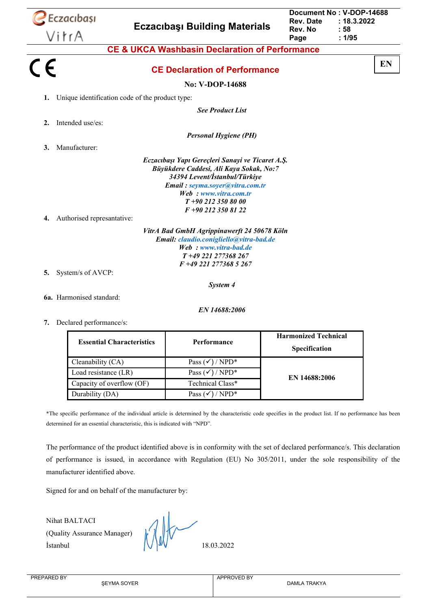|         | $\sum$ Eczacıbaşı                               |                                  | <b>Eczacibasi Building Materials</b>                                                                                                                                                                                                | Rev. Date<br>Rev. No                                | Document No: V-DOP-14688<br>: 18.3.2022<br>: 58 |  |
|---------|-------------------------------------------------|----------------------------------|-------------------------------------------------------------------------------------------------------------------------------------------------------------------------------------------------------------------------------------|-----------------------------------------------------|-------------------------------------------------|--|
|         | VitrA                                           |                                  |                                                                                                                                                                                                                                     | Page                                                | : 1/95                                          |  |
|         |                                                 |                                  | <b>CE &amp; UKCA Washbasin Declaration of Performance</b>                                                                                                                                                                           |                                                     |                                                 |  |
| $C \in$ |                                                 |                                  | <b>CE Declaration of Performance</b>                                                                                                                                                                                                |                                                     | EN                                              |  |
|         |                                                 |                                  | No: V-DOP-14688                                                                                                                                                                                                                     |                                                     |                                                 |  |
| 1.      | Unique identification code of the product type: |                                  |                                                                                                                                                                                                                                     |                                                     |                                                 |  |
|         |                                                 |                                  | <b>See Product List</b>                                                                                                                                                                                                             |                                                     |                                                 |  |
| 2.      | Intended use/es:                                |                                  |                                                                                                                                                                                                                                     |                                                     |                                                 |  |
|         |                                                 |                                  | <b>Personal Hygiene (PH)</b>                                                                                                                                                                                                        |                                                     |                                                 |  |
| 3.      | Manufacturer:                                   |                                  |                                                                                                                                                                                                                                     |                                                     |                                                 |  |
| 4.      | Authorised represantative:                      |                                  | Eczacıbaşı Yapı Gereçleri Sanayi ve Ticaret A.Ş.<br>Büyükdere Caddesi, Ali Kaya Sokak, No:7<br>34394 Levent/İstanbul/Türkiye<br>Email: seyma.soyer@vitra.com.tr<br>Web: www.vitra.com.tr<br>$T+902123508000$<br>F +90 212 350 81 22 |                                                     |                                                 |  |
|         |                                                 |                                  | VitrA Bad GmbH Agrippinawerft 24 50678 Köln<br>Email: claudio.conigliello@vitra-bad.de<br>Web: www.vitra-bad.de<br>T+49 221 277368 267<br>F +49 221 277368 5 267                                                                    |                                                     |                                                 |  |
| 5.      | System/s of AVCP:                               |                                  |                                                                                                                                                                                                                                     |                                                     |                                                 |  |
|         |                                                 |                                  | System 4                                                                                                                                                                                                                            |                                                     |                                                 |  |
|         | 6a. Harmonised standard:                        |                                  |                                                                                                                                                                                                                                     |                                                     |                                                 |  |
|         |                                                 |                                  | EN 14688:2006                                                                                                                                                                                                                       |                                                     |                                                 |  |
| 7.      | Declared performance/s:                         |                                  |                                                                                                                                                                                                                                     |                                                     |                                                 |  |
|         |                                                 | <b>Essential Characteristics</b> | Performance                                                                                                                                                                                                                         | <b>Harmonized Technical</b><br><b>Specification</b> |                                                 |  |

| <b>Essential Characteristics</b> | Performance                      | <b>Harmonized Technical</b><br><b>Specification</b> |
|----------------------------------|----------------------------------|-----------------------------------------------------|
| Cleanability (CA)                | Pass $(\checkmark)$ / NPD*       |                                                     |
| Load resistance (LR)             | Pass $(\checkmark)$ / NPD*       | EN 14688:2006                                       |
| Capacity of overflow (OF)        | Technical Class*                 |                                                     |
| Durability (DA)                  | $NPD^*$<br>Pass $(\checkmark)$ / |                                                     |

\*The specific performance of the individual article is determined by the characteristic code specifies in the product list. If no performance has been determined for an essential characteristic, this is indicated with "NPD".

The performance of the product identified above is in conformity with the set of declared performance/s. This declaration of performance is issued, in accordance with Regulation (EU) No 305/2011, under the sole responsibility of the manufacturer identified above.

Signed for and on behalf of the manufacturer by:

Nihat BALTACI (Quality Assurance Manager)  $\bigvee \bigvee \bigvee$  18.03.2022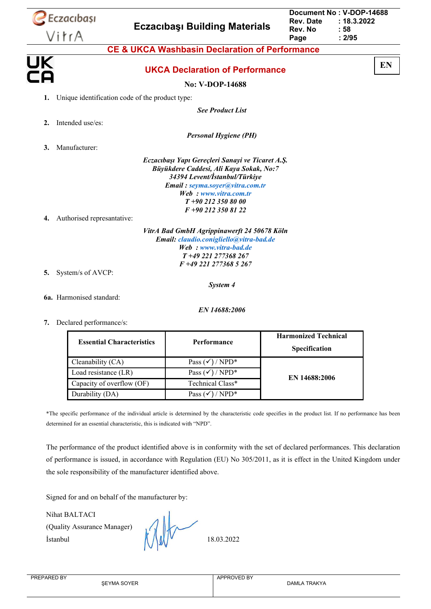|                 | Eczacıbaşı                 | <b>Eczacibaşı Building Materials</b>                                                                                                                             | <b>Rev. Date</b><br>Rev. No | Document No: V-DOP-14688<br>: 18.3.2022<br>: 58 |
|-----------------|----------------------------|------------------------------------------------------------------------------------------------------------------------------------------------------------------|-----------------------------|-------------------------------------------------|
|                 | VitrA                      |                                                                                                                                                                  | Page                        | : 2/95                                          |
|                 |                            | <b>CE &amp; UKCA Washbasin Declaration of Performance</b>                                                                                                        |                             |                                                 |
| <u>UK</u><br>ÈА |                            | <b>UKCA Declaration of Performance</b>                                                                                                                           |                             | EN                                              |
|                 |                            | No: V-DOP-14688                                                                                                                                                  |                             |                                                 |
| 1.              |                            | Unique identification code of the product type:                                                                                                                  |                             |                                                 |
|                 |                            | <b>See Product List</b>                                                                                                                                          |                             |                                                 |
| 2.              | Intended use/es:           |                                                                                                                                                                  |                             |                                                 |
|                 |                            | <b>Personal Hygiene (PH)</b>                                                                                                                                     |                             |                                                 |
| 3.              | Manufacturer:              |                                                                                                                                                                  |                             |                                                 |
|                 |                            | Eczacıbaşı Yapı Gereçleri Sanayi ve Ticaret A.Ş.<br>Büyükdere Caddesi, Ali Kaya Sokak, No:7<br>34394 Levent/İstanbul/Türkiye                                     |                             |                                                 |
|                 |                            | Email: seyma.soyer@vitra.com.tr<br>Web: www.vitra.com.tr<br>$T+902123508000$<br>F +90 212 350 81 22                                                              |                             |                                                 |
| 4.              | Authorised represantative: |                                                                                                                                                                  |                             |                                                 |
|                 |                            | VitrA Bad GmbH Agrippinawerft 24 50678 Köln<br>Email: claudio.conigliello@vitra-bad.de<br>Web: www.vitra-bad.de<br>T+49 221 277368 267<br>F +49 221 277368 5 267 |                             |                                                 |
| 5.              | System/s of AVCP:          |                                                                                                                                                                  |                             |                                                 |
|                 |                            | System 4                                                                                                                                                         |                             |                                                 |
|                 | 6a. Harmonised standard:   |                                                                                                                                                                  |                             |                                                 |
|                 |                            | EN 14688:2006                                                                                                                                                    |                             |                                                 |

**7.** Declared performance/s:

| <b>Essential Characteristics</b> | Performance                | <b>Harmonized Technical</b><br><b>Specification</b> |  |
|----------------------------------|----------------------------|-----------------------------------------------------|--|
| Cleanability (CA)                | Pass $(\checkmark)$ / NPD* |                                                     |  |
| Load resistance (LR)             | Pass $(\checkmark)$ / NPD* | EN 14688:2006                                       |  |
| Capacity of overflow (OF)        | Technical Class*           |                                                     |  |
| Durability (DA)                  | $NPD^*$<br>Pass (          |                                                     |  |

\*The specific performance of the individual article is determined by the characteristic code specifies in the product list. If no performance has been determined for an essential characteristic, this is indicated with "NPD".

The performance of the product identified above is in conformity with the set of declared performances. This declaration of performance is issued, in accordance with Regulation (EU) No 305/2011, as it is effect in the United Kingdom under the sole responsibility of the manufacturer identified above.

Signed for and on behalf of the manufacturer by:

Nihat BALTACI

(Quality Assurance Manager) Istanbul  $\left(\begin{array}{cc} 1 & 0 \\ 0 & 1 \end{array}\right)$  18.03.2022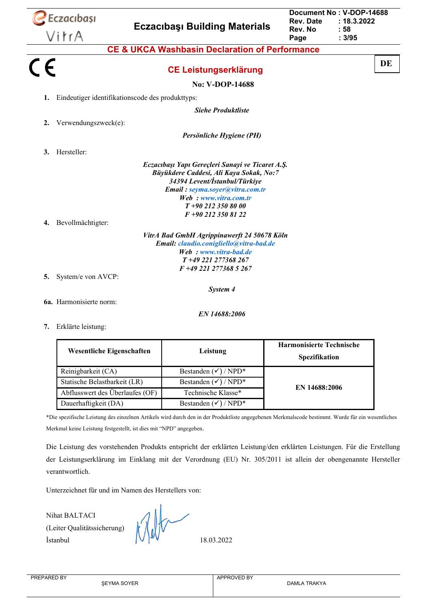|         | Eczacıbaşı                                       | <b>Eczacibasi Building Materials</b>                                                                                                                                                                                                                                                                                                                                                                    | Document No: V-DOP-14688<br><b>Rev. Date</b><br>: 18.3.2022<br>Rev. No<br>: 58 |    |  |
|---------|--------------------------------------------------|---------------------------------------------------------------------------------------------------------------------------------------------------------------------------------------------------------------------------------------------------------------------------------------------------------------------------------------------------------------------------------------------------------|--------------------------------------------------------------------------------|----|--|
|         | VitrA                                            |                                                                                                                                                                                                                                                                                                                                                                                                         | : 3/95<br>Page                                                                 |    |  |
|         |                                                  | <b>CE &amp; UKCA Washbasin Declaration of Performance</b>                                                                                                                                                                                                                                                                                                                                               |                                                                                |    |  |
| $C \in$ |                                                  | <b>CE Leistungserklärung</b>                                                                                                                                                                                                                                                                                                                                                                            |                                                                                | DE |  |
|         |                                                  | No: V-DOP-14688                                                                                                                                                                                                                                                                                                                                                                                         |                                                                                |    |  |
| 1.      | Eindeutiger identifikationscode des produkttyps: |                                                                                                                                                                                                                                                                                                                                                                                                         |                                                                                |    |  |
|         |                                                  | <b>Siehe Produktliste</b>                                                                                                                                                                                                                                                                                                                                                                               |                                                                                |    |  |
| 2.      | Verwendungszweck(e):                             |                                                                                                                                                                                                                                                                                                                                                                                                         |                                                                                |    |  |
|         |                                                  | Persönliche Hygiene (PH)                                                                                                                                                                                                                                                                                                                                                                                |                                                                                |    |  |
| 3.      | Hersteller:                                      |                                                                                                                                                                                                                                                                                                                                                                                                         |                                                                                |    |  |
| 4.      | Bevollmächtigter:                                | Eczacıbaşı Yapı Gereçleri Sanayi ve Ticaret A.Ş.<br>Büyükdere Caddesi, Ali Kaya Sokak, No:7<br>34394 Levent/İstanbul/Türkiye<br>Email: seyma.soyer@vitra.com.tr<br>Web: www.vitra.com.tr<br>$T+902123508000$<br>F +90 212 350 81 22<br>VitrA Bad GmbH Agrippinawerft 24 50678 Köln<br>Email: claudio.conigliello@vitra-bad.de<br>Web: www.vitra-bad.de<br>T+49 221 277368 267<br>F +49 221 277368 5 267 |                                                                                |    |  |
| 5.      | System/e von AVCP:                               |                                                                                                                                                                                                                                                                                                                                                                                                         |                                                                                |    |  |
|         |                                                  | System 4                                                                                                                                                                                                                                                                                                                                                                                                |                                                                                |    |  |
|         | 6a. Harmonisierte norm:                          |                                                                                                                                                                                                                                                                                                                                                                                                         |                                                                                |    |  |
|         |                                                  | EN 14688:2006                                                                                                                                                                                                                                                                                                                                                                                           |                                                                                |    |  |
|         | 7. Erklärte leistung:                            |                                                                                                                                                                                                                                                                                                                                                                                                         |                                                                                |    |  |
|         | <b>Wesentliche Eigenschaften</b>                 | Leistung                                                                                                                                                                                                                                                                                                                                                                                                | <b>Harmonisierte Technische</b><br>Spezifikation                               |    |  |
|         | Reinigbarkeit (CA)                               | Bestanden $(\checkmark)$ / NPD*                                                                                                                                                                                                                                                                                                                                                                         |                                                                                |    |  |

Dauerhaftigkeit (DA) Bestanden ( $\checkmark$ ) / NPD\* \*Die spezifische Leistung des einzelnen Artikels wird durch den in der Produktliste angegebenen Merkmalscode bestimmt. Wurde für ein wesentliches Merkmal keine Leistung festgestellt, ist dies mit "NPD" angegeben.

Die Leistung des vorstehenden Produkts entspricht der erklärten Leistung/den erklärten Leistungen. Für die Erstellung der Leistungserklärung im Einklang mit der Verordnung (EU) Nr. 305/2011 ist allein der obengenannte Hersteller verantwortlich.

Unterzeichnet für und im Namen des Herstellers von:

Nihat BALTACI (Leiter Qualitätssicherung)  $\begin{array}{|c|c|c|c|}\n\hline\n\end{array}$  18.03.2022

Statische Belastbarkeit (LR) Bestanden  $(\checkmark)$  / NPD\* Abflusswert des Überlaufes (OF) Technische Klasse\*

**EN 14688:2006**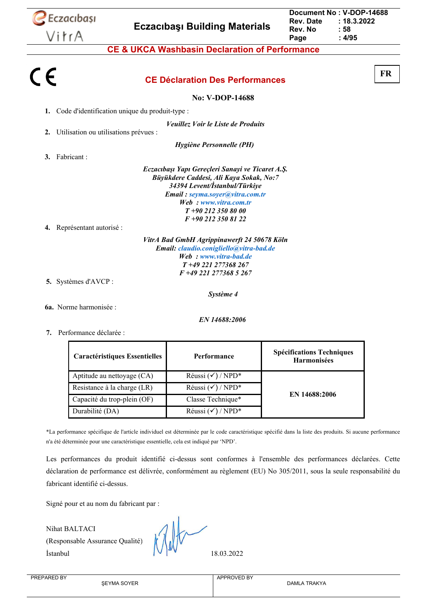

**6a.** Norme harmonisée :

*EN 14688:2006*

**7.** Performance déclarée :

| <b>Caractéristiques Essentielles</b> | <b>Performance</b>           | <b>Spécifications Techniques</b><br><b>Harmonisées</b> |  |
|--------------------------------------|------------------------------|--------------------------------------------------------|--|
| Aptitude au nettoyage (CA)           | Réussi $(\checkmark)$ / NPD* |                                                        |  |
| Resistance à la charge (LR)          | Réussi $(\checkmark)$ / NPD* |                                                        |  |
| Capacité du trop-plein (OF)          | Classe Technique*            | EN 14688:2006                                          |  |
| Durabilité (DA)                      | Réussi $(\checkmark)$ / NPD* |                                                        |  |

\*La performance spécifique de l'article individuel est déterminée par le code caractéristique spécifié dans la liste des produits. Si aucune performance n'a été déterminée pour une caractéristique essentielle, cela est indiqué par 'NPD'.

Les performances du produit identifié ci-dessus sont conformes à l'ensemble des performances déclarées. Cette déclaration de performance est délivrée, conformément au règlement (EU) No 305/2011, sous la seule responsabilité du fabricant identifié ci-dessus.

Signé pour et au nom du fabricant par :

Nihat BALTACI (Responsable Assurance Qualité) İstanbul 18.03.2022

APPROVED BY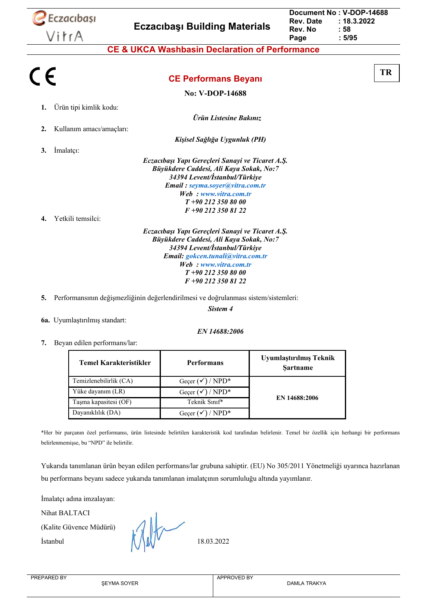

| : 58<br>Rev. No |  |
|-----------------|--|
|                 |  |
| : 5/95<br>Page  |  |

**TR**

**CE Performans Beyanı**

**No: V-DOP-14688**

*Ürün Listesine Bakınız*

- **1.** Ürün tipi kimlik kodu:
- **2.** Kullanım amacı/amaçları:
- **3.** İmalatçı:

*Kişisel Sağlığa Uygunluk (PH) Eczacıbaşı Yapı Gereçleri Sanayi ve Ticaret A.Ş. Büyükdere Caddesi, Ali Kaya Sokak, No:7 34394 Levent/İstanbul/Türkiye Email : [seyma.soyer@vitra.com.tr](mailto:seyma.soyer@vitra.com.tr) Web : [www.vitra.com.tr](http://www.vitra.com.tr/)*

*T +90 212 350 80 00 F +90 212 350 81 22*

**4.** Yetkili temsilci:

*Eczacıbaşı Yapı Gereçleri Sanayi ve Ticaret A.Ş. Büyükdere Caddesi, Ali Kaya Sokak, No:7 34394 Levent/İstanbul/Türkiye Email: [gokcen.tunali@vitra.com.tr](mailto:gokcen.tunali@vitra.com.tr) Web : [www.vitra.com.tr](http://www.vitra.com.tr/) T +90 212 350 80 00 F +90 212 350 81 22*

**5.** Performansının değişmezliğinin değerlendirilmesi ve doğrulanması sistem/sistemleri:

*Sistem 4*

**6a.** Uyumlaştırılmış standart:

*EN 14688:2006*

**7.** Beyan edilen performans/lar:

| Temel Karakteristikler | <b>Performans</b>           | Uyumlaştırılmış Teknik<br><b>Sartname</b> |  |
|------------------------|-----------------------------|-------------------------------------------|--|
| Temizlenebilirlik (CA) | Geçer $(\checkmark)$ / NPD* |                                           |  |
| Yüke dayanım (LR)      | Gecer $(\checkmark)$ / NPD* |                                           |  |
| Tasma kapasitesi (OF)  | Teknik Sınıf*               | EN 14688:2006                             |  |
| Dayanıklılık (DA)      | $)/NPD^*$<br>Gecer          |                                           |  |

\*Her bir parçanın özel performansı, ürün listesinde belirtilen karakteristik kod tarafından belirlenir. Temel bir özellik için herhangi bir performans belirlenmemişse, bu "NPD" ile belirtilir.

Yukarıda tanımlanan ürün beyan edilen performans/lar grubuna sahiptir. (EU) No 305/2011 Yönetmeliği uyarınca hazırlanan bu performans beyanı sadece yukarıda tanımlanan imalatçının sorumluluğu altında yayımlanır.

İmalatçı adına imzalayan:

Nihat BALTACI

(Kalite Güvence Müdürü)

Istanbul  $\left(\frac{1}{4}\right)$   $\left(\frac{1}{4}\right)$   $\left(\frac{1}{4}\right)$  18.03.2022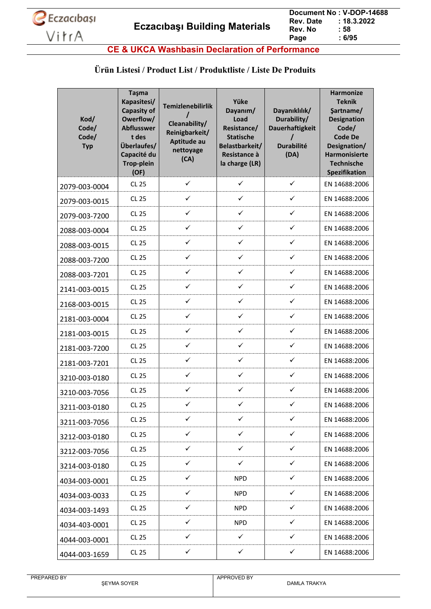

**CE & UKCA Washbasin Declaration of Performance**

#### **Ürün Listesi / Product List / Produktliste / Liste De Produits**

| Kod/<br>Code/<br>Code/<br><b>Typ</b> | Taşma<br>Kapasitesi/<br><b>Capasity of</b><br>Owerflow/<br><b>Abflusswer</b><br>t des<br>Überlaufes/<br>Capacité du<br><b>Trop-plein</b><br>(OF) | <b>Temizlenebilirlik</b><br>Cleanability/<br>Reinigbarkeit/<br>Aptitude au<br>nettoyage<br>(CA) | Yüke<br>Dayanım/<br>Load<br>Resistance/<br><b>Statische</b><br>Belastbarkeit/<br>Resistance à<br>la charge (LR) | Dayanıklılık/<br>Durability/<br><b>Dauerhaftigkeit</b><br><b>Durabilité</b><br>(DA) | <b>Harmonize</b><br><b>Teknik</b><br>Şartname/<br><b>Designation</b><br>Code/<br><b>Code De</b><br>Designation/<br><b>Harmonisierte</b><br><b>Technische</b><br><b>Spezifikation</b> |
|--------------------------------------|--------------------------------------------------------------------------------------------------------------------------------------------------|-------------------------------------------------------------------------------------------------|-----------------------------------------------------------------------------------------------------------------|-------------------------------------------------------------------------------------|--------------------------------------------------------------------------------------------------------------------------------------------------------------------------------------|
| 2079-003-0004                        | <b>CL 25</b>                                                                                                                                     | $\checkmark$                                                                                    | ✓                                                                                                               | $\checkmark$                                                                        | EN 14688:2006                                                                                                                                                                        |
| 2079-003-0015                        | <b>CL 25</b>                                                                                                                                     | ✓                                                                                               | ✓                                                                                                               | ✓                                                                                   | EN 14688:2006                                                                                                                                                                        |
| 2079-003-7200                        | <b>CL 25</b>                                                                                                                                     | ✓                                                                                               | $\checkmark$                                                                                                    | $\checkmark$                                                                        | EN 14688:2006                                                                                                                                                                        |
| 2088-003-0004                        | CL 25                                                                                                                                            | ✓                                                                                               | ✓                                                                                                               | $\checkmark$                                                                        | EN 14688:2006                                                                                                                                                                        |
| 2088-003-0015                        | <b>CL 25</b>                                                                                                                                     | ✓                                                                                               | ✓                                                                                                               | $\checkmark$                                                                        | EN 14688:2006                                                                                                                                                                        |
| 2088-003-7200                        | <b>CL 25</b>                                                                                                                                     | ✓                                                                                               | ✓                                                                                                               | ✓                                                                                   | EN 14688:2006                                                                                                                                                                        |
| 2088-003-7201                        | <b>CL 25</b>                                                                                                                                     | ✓                                                                                               | ✓                                                                                                               | ✓                                                                                   | EN 14688:2006                                                                                                                                                                        |
| 2141-003-0015                        | <b>CL 25</b>                                                                                                                                     | ✓                                                                                               | ✓                                                                                                               | $\checkmark$                                                                        | EN 14688:2006                                                                                                                                                                        |
| 2168-003-0015                        | <b>CL 25</b>                                                                                                                                     | ✓                                                                                               | ✓                                                                                                               | $\checkmark$                                                                        | EN 14688:2006                                                                                                                                                                        |
| 2181-003-0004                        | <b>CL 25</b>                                                                                                                                     | ✓                                                                                               | ✓                                                                                                               | ✓                                                                                   | EN 14688:2006                                                                                                                                                                        |
| 2181-003-0015                        | CL 25                                                                                                                                            | ✓                                                                                               | ✓                                                                                                               | $\checkmark$                                                                        | EN 14688:2006                                                                                                                                                                        |
| 2181-003-7200                        | <b>CL 25</b>                                                                                                                                     | ✓                                                                                               | ✓                                                                                                               | ✓                                                                                   | EN 14688:2006                                                                                                                                                                        |
| 2181-003-7201                        | <b>CL 25</b>                                                                                                                                     | ✓                                                                                               | ✓                                                                                                               | ✓                                                                                   | EN 14688:2006                                                                                                                                                                        |
| 3210-003-0180                        | <b>CL 25</b>                                                                                                                                     | ✓                                                                                               | ✓                                                                                                               | $\checkmark$                                                                        | EN 14688:2006                                                                                                                                                                        |
| 3210-003-7056                        | <b>CL 25</b>                                                                                                                                     | ✓                                                                                               | ✓                                                                                                               | ✓                                                                                   | EN 14688:2006                                                                                                                                                                        |
| 3211-003-0180                        | <b>CL 25</b>                                                                                                                                     | ✓                                                                                               | ✓                                                                                                               | ✓                                                                                   | EN 14688:2006                                                                                                                                                                        |
| 3211-003-7056                        | <b>CL 25</b>                                                                                                                                     | ✓                                                                                               | ✓                                                                                                               | ✓                                                                                   | EN 14688:2006                                                                                                                                                                        |
| 3212-003-0180                        | <b>CL 25</b>                                                                                                                                     | ✓                                                                                               | $\checkmark$                                                                                                    | ✓                                                                                   | EN 14688:2006                                                                                                                                                                        |
| 3212-003-7056                        | <b>CL 25</b>                                                                                                                                     | $\checkmark$                                                                                    | ✓                                                                                                               | $\checkmark$                                                                        | EN 14688:2006                                                                                                                                                                        |
| 3214-003-0180                        | CL 25                                                                                                                                            | ✓                                                                                               | ✓                                                                                                               | ✓                                                                                   | EN 14688:2006                                                                                                                                                                        |
| 4034-003-0001                        | <b>CL 25</b>                                                                                                                                     | ✓                                                                                               | <b>NPD</b>                                                                                                      | $\checkmark$                                                                        | EN 14688:2006                                                                                                                                                                        |
| 4034-003-0033                        | <b>CL 25</b>                                                                                                                                     | ✓                                                                                               | <b>NPD</b>                                                                                                      | ✓                                                                                   | EN 14688:2006                                                                                                                                                                        |
| 4034-003-1493                        | CL 25                                                                                                                                            | $\checkmark$                                                                                    | <b>NPD</b>                                                                                                      | ✓                                                                                   | EN 14688:2006                                                                                                                                                                        |
| 4034-403-0001                        | <b>CL 25</b>                                                                                                                                     | $\checkmark$                                                                                    | <b>NPD</b>                                                                                                      | ✓                                                                                   | EN 14688:2006                                                                                                                                                                        |
| 4044-003-0001                        | <b>CL 25</b>                                                                                                                                     | ✓                                                                                               | ✓                                                                                                               | ✓                                                                                   | EN 14688:2006                                                                                                                                                                        |
| 4044-003-1659                        | <b>CL 25</b>                                                                                                                                     | $\checkmark$                                                                                    | $\checkmark$                                                                                                    | $\checkmark$                                                                        | EN 14688:2006                                                                                                                                                                        |

| PREPARED BY |  |
|-------------|--|
|-------------|--|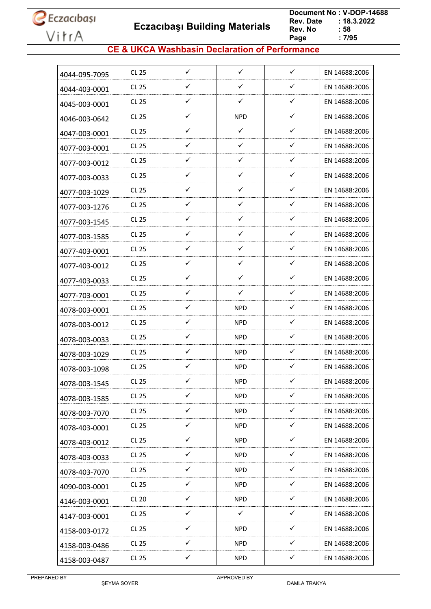**Eczacıbaşı Building Materials**

 **Document No : V-DOP-14688**  $: 18.3.2022$ <br> $: 58$ **Rev. No : 58<br>Page : 7/95** Page

### **CE & UKCA Washbasin Declaration of Performance**

| 4044-095-7095 | <b>CL 25</b> | $\checkmark$ | $\checkmark$ | $\checkmark$ | EN 14688:2006 |
|---------------|--------------|--------------|--------------|--------------|---------------|
| 4044-403-0001 | <b>CL 25</b> | ✓            | ✓            | $\checkmark$ | EN 14688:2006 |
| 4045-003-0001 | CL 25        | ✓            | $\checkmark$ | $\checkmark$ | EN 14688:2006 |
| 4046-003-0642 | <b>CL 25</b> | ✓            | <b>NPD</b>   | $\checkmark$ | EN 14688:2006 |
| 4047-003-0001 | <b>CL 25</b> | ✓            | ✓            | ✓            | EN 14688:2006 |
| 4077-003-0001 | CL 25        | ✓            | $\checkmark$ | $\checkmark$ | EN 14688:2006 |
| 4077-003-0012 | <b>CL 25</b> | $\checkmark$ | $\checkmark$ | $\checkmark$ | EN 14688:2006 |
| 4077-003-0033 | <b>CL 25</b> | ✓            | $\checkmark$ | $\checkmark$ | EN 14688:2006 |
| 4077-003-1029 | <b>CL 25</b> | ✓            | $\checkmark$ | $\checkmark$ | EN 14688:2006 |
| 4077-003-1276 | <b>CL 25</b> | ✓            | $\checkmark$ | $\checkmark$ | EN 14688:2006 |
| 4077-003-1545 | <b>CL 25</b> | $\checkmark$ | $\checkmark$ | $\checkmark$ | EN 14688:2006 |
| 4077-003-1585 | <b>CL 25</b> | ✓            | $\checkmark$ | $\checkmark$ | EN 14688:2006 |
| 4077-403-0001 | CL 25        | ✓            | ✓            | $\checkmark$ | EN 14688:2006 |
| 4077-403-0012 | <b>CL 25</b> | $\checkmark$ | $\checkmark$ | $\checkmark$ | EN 14688:2006 |
| 4077-403-0033 | <b>CL 25</b> | ✓            | $\checkmark$ | $\checkmark$ | EN 14688:2006 |
| 4077-703-0001 | <b>CL 25</b> | $\checkmark$ | ✓            | $\checkmark$ | EN 14688:2006 |
| 4078-003-0001 | <b>CL 25</b> | ✓            | <b>NPD</b>   | $\checkmark$ | EN 14688:2006 |
| 4078-003-0012 | <b>CL 25</b> | ✓            | <b>NPD</b>   | ✓            | EN 14688:2006 |
| 4078-003-0033 | <b>CL 25</b> | ✓            | NPD          | ✓            | EN 14688:2006 |
| 4078-003-1029 | <b>CL 25</b> | ✓            | NPD          | $\checkmark$ | EN 14688:2006 |
| 4078-003-1098 | CL 25        | $\checkmark$ | <b>NPD</b>   | $\checkmark$ | EN 14688:2006 |
| 4078-003-1545 | <b>CL 25</b> | ✓            | <b>NPD</b>   | $\checkmark$ | EN 14688:2006 |
| 4078-003-1585 | CL 25        | ✓            | <b>NPD</b>   | $\checkmark$ | EN 14688:2006 |
| 4078-003-7070 | CL 25        | $\checkmark$ | <b>NPD</b>   | $\checkmark$ | EN 14688:2006 |
| 4078-403-0001 | <b>CL 25</b> | $\checkmark$ | <b>NPD</b>   | $\checkmark$ | EN 14688:2006 |
| 4078-403-0012 | <b>CL 25</b> | ✓            | <b>NPD</b>   | ✓            | EN 14688:2006 |
| 4078-403-0033 | CL 25        | $\checkmark$ | <b>NPD</b>   | $\checkmark$ | EN 14688:2006 |
| 4078-403-7070 | <b>CL 25</b> | $\checkmark$ | <b>NPD</b>   | $\checkmark$ | EN 14688:2006 |
| 4090-003-0001 | <b>CL 25</b> | $\checkmark$ | <b>NPD</b>   | $\checkmark$ | EN 14688:2006 |
| 4146-003-0001 | <b>CL 20</b> | $\checkmark$ | <b>NPD</b>   | $\checkmark$ | EN 14688:2006 |
| 4147-003-0001 | <b>CL 25</b> | $\checkmark$ | $\checkmark$ | $\checkmark$ | EN 14688:2006 |
| 4158-003-0172 | CL 25        | $\checkmark$ | <b>NPD</b>   | $\checkmark$ | EN 14688:2006 |
| 4158-003-0486 | CL 25        | ✓            | <b>NPD</b>   | ✓            | EN 14688:2006 |
| 4158-003-0487 | <b>CL 25</b> | $\checkmark$ | <b>NPD</b>   | $\checkmark$ | EN 14688:2006 |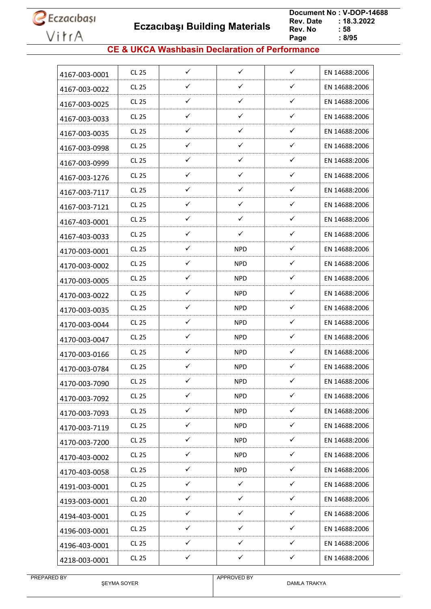**Eczacıbaşı Building Materials**

 **Document No : V-DOP-14688 : 18.3.2022**<br>**: 58 Rev. No : 58<br>Page : 8/95** Page

### **CE & UKCA Washbasin Declaration of Performance**

| 4167-003-0001 | CL 25        | $\checkmark$ | $\checkmark$ | $\checkmark$ | EN 14688:2006 |
|---------------|--------------|--------------|--------------|--------------|---------------|
| 4167-003-0022 | <b>CL 25</b> | ✓            | ✓            | $\checkmark$ | EN 14688:2006 |
| 4167-003-0025 | CL 25        | ✓            | ✓            | $\checkmark$ | EN 14688:2006 |
| 4167-003-0033 | <b>CL 25</b> | ✓            | ✓            | $\checkmark$ | EN 14688:2006 |
| 4167-003-0035 | <b>CL 25</b> | ✓            | ✓            | ✓            | EN 14688:2006 |
| 4167-003-0998 | <b>CL 25</b> | ✓            | $\checkmark$ | $\checkmark$ | EN 14688:2006 |
| 4167-003-0999 | <b>CL 25</b> | $\checkmark$ | ✓            | $\checkmark$ | EN 14688:2006 |
| 4167-003-1276 | CL 25        | ✓            | ✓            | $\checkmark$ | EN 14688:2006 |
| 4167-003-7117 | CL 25        | ✓            | ✓            | $\checkmark$ | EN 14688:2006 |
| 4167-003-7121 | <b>CL 25</b> | ✓            | $\checkmark$ | $\checkmark$ | EN 14688:2006 |
| 4167-403-0001 | CL 25        | $\checkmark$ | $\checkmark$ | $\checkmark$ | EN 14688:2006 |
| 4167-403-0033 | <b>CL 25</b> | ✓            | ✓            | $\checkmark$ | EN 14688:2006 |
| 4170-003-0001 | <b>CL 25</b> | ✓            | <b>NPD</b>   | $\checkmark$ | EN 14688:2006 |
| 4170-003-0002 | CL 25        | $\checkmark$ | <b>NPD</b>   | $\checkmark$ | EN 14688:2006 |
| 4170-003-0005 | <b>CL 25</b> | ✓            | <b>NPD</b>   | $\checkmark$ | EN 14688:2006 |
| 4170-003-0022 | CL 25        | ✓            | <b>NPD</b>   | $\checkmark$ | EN 14688:2006 |
| 4170-003-0035 | <b>CL 25</b> | ✓            | <b>NPD</b>   | $\checkmark$ | EN 14688:2006 |
| 4170-003-0044 | CL 25        | ✓            | <b>NPD</b>   | $\checkmark$ | EN 14688:2006 |
| 4170-003-0047 | CL 25        | ✓            | NPD.         | ✓            | EN 14688:2006 |
| 4170-003-0166 | <b>CL 25</b> | ✓            | <b>NPD</b>   | $\checkmark$ | EN 14688:2006 |
| 4170-003-0784 | CL 25        | $\checkmark$ | <b>NPD</b>   | ✓            | EN 14688:2006 |
| 4170-003-7090 | <b>CL 25</b> | ✓            | <b>NPD</b>   | $\checkmark$ | EN 14688:2006 |
| 4170-003-7092 | <b>CL 25</b> | ✓            | <b>NPD</b>   | $\checkmark$ | EN 14688:2006 |
| 4170-003-7093 | <b>CL 25</b> | $\checkmark$ | <b>NPD</b>   | $\checkmark$ | EN 14688:2006 |
| 4170-003-7119 | CL 25        | $\checkmark$ | <b>NPD</b>   | $\checkmark$ | EN 14688:2006 |
| 4170-003-7200 | <b>CL 25</b> | ✓            | <b>NPD</b>   | ✓            | EN 14688:2006 |
| 4170-403-0002 | CL 25        | $\checkmark$ | <b>NPD</b>   | $\checkmark$ | EN 14688:2006 |
| 4170-403-0058 | <b>CL 25</b> | $\checkmark$ | <b>NPD</b>   | $\checkmark$ | EN 14688:2006 |
| 4191-003-0001 | <b>CL 25</b> | $\checkmark$ | $\checkmark$ | $\checkmark$ | EN 14688:2006 |
| 4193-003-0001 | <b>CL 20</b> | $\checkmark$ | $\checkmark$ | $\checkmark$ | EN 14688:2006 |
| 4194-403-0001 | <b>CL 25</b> | $\checkmark$ | ✓            | $\checkmark$ | EN 14688:2006 |
| 4196-003-0001 | CL 25        | $\checkmark$ | $\checkmark$ | $\checkmark$ | EN 14688:2006 |
| 4196-403-0001 | CL 25        | ✓            | ✓            | ✓            | EN 14688:2006 |
| 4218-003-0001 | <b>CL 25</b> | $\checkmark$ | $\checkmark$ | $\checkmark$ | EN 14688:2006 |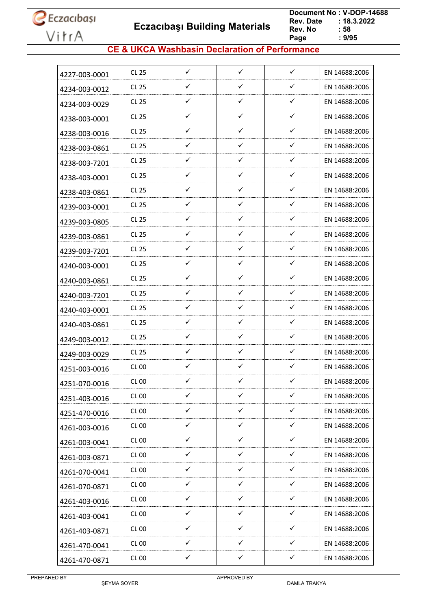**Eczacıbaşı Building Materials**

 **Document No : V-DOP-14688 : 18.3.2022**<br>**: 58 Rev. No : 58<br>Page : 9/95** Page

### **CE & UKCA Washbasin Declaration of Performance**

|               | CL 25        | ✓            | ✓            | ✓            | EN 14688:2006 |
|---------------|--------------|--------------|--------------|--------------|---------------|
| 4227-003-0001 |              |              |              |              |               |
| 4234-003-0012 | CL 25        | ✓            | ✓            | ✓            | EN 14688:2006 |
| 4234-003-0029 | CL 25        | ✓            | $\checkmark$ | $\checkmark$ | EN 14688:2006 |
| 4238-003-0001 | CL 25        | ✓            | ✓            | ✓            | EN 14688:2006 |
| 4238-003-0016 | CL 25        | ✓            | ✓            | ✓            | EN 14688:2006 |
| 4238-003-0861 | CL 25        | ✓            | $\checkmark$ | ✓            | EN 14688:2006 |
| 4238-003-7201 | CL 25        | ✓            | ✓            | ✓            | EN 14688:2006 |
| 4238-403-0001 | CL 25        | ✓            | $\checkmark$ | ✓            | EN 14688:2006 |
| 4238-403-0861 | CL 25        | ✓            | ✓            | ✓            | EN 14688:2006 |
| 4239-003-0001 | CL 25        | ✓            | $\checkmark$ | ✓            | EN 14688:2006 |
| 4239-003-0805 | CL 25        | ✓            | $\checkmark$ | ✓            | EN 14688:2006 |
| 4239-003-0861 | CL 25        | ✓            | ✓            | ✓            | EN 14688:2006 |
| 4239-003-7201 | CL 25        | ✓            | $\checkmark$ | ✓            | EN 14688:2006 |
| 4240-003-0001 | <b>CL 25</b> | ✓            | ✓            | ✓            | EN 14688:2006 |
| 4240-003-0861 | CL 25        | ✓            | ✓            | ✓            | EN 14688:2006 |
| 4240-003-7201 | CL 25        | ✓            | ✓            | ✓            | EN 14688:2006 |
| 4240-403-0001 | CL 25        | ✓            | ✓            | ✓            | EN 14688:2006 |
| 4240-403-0861 | CL 25        | ✓            | $\checkmark$ | ✓            | EN 14688:2006 |
| 4249-003-0012 | CL 25        | ✓            | ✓            | ✓            | EN 14688:2006 |
| 4249-003-0029 | CL 25        | ✓            | ✓            | ✓            | EN 14688:2006 |
| 4251-003-0016 | <b>CL 00</b> | ✓            | $\checkmark$ | ✓            | EN 14688:2006 |
| 4251-070-0016 | CL 00        | ✓            | ✓            | ✓            | EN 14688:2006 |
| 4251-403-0016 | <b>CL 00</b> | $\checkmark$ | $\checkmark$ | $\checkmark$ | EN 14688:2006 |
| 4251-470-0016 | <b>CL 00</b> | $\checkmark$ | $\checkmark$ | $\checkmark$ | EN 14688:2006 |
| 4261-003-0016 | <b>CL 00</b> | $\checkmark$ | $\checkmark$ | $\checkmark$ | EN 14688:2006 |
| 4261-003-0041 | <b>CL 00</b> | $\checkmark$ | $\checkmark$ | $\checkmark$ | EN 14688:2006 |
| 4261-003-0871 | <b>CL 00</b> | ✓            | $\checkmark$ | ✓            | EN 14688:2006 |
| 4261-070-0041 | <b>CL 00</b> | $\checkmark$ | $\checkmark$ | $\checkmark$ | EN 14688:2006 |
| 4261-070-0871 | <b>CL 00</b> | $\checkmark$ | $\checkmark$ | $\checkmark$ | EN 14688:2006 |
| 4261-403-0016 | <b>CL 00</b> | ✓            | $\checkmark$ | ✓            | EN 14688:2006 |
| 4261-403-0041 | CL 00        | $\checkmark$ | $\checkmark$ | ✓            | EN 14688:2006 |
| 4261-403-0871 | <b>CL 00</b> | $\checkmark$ | $\checkmark$ | ✓            | EN 14688:2006 |
| 4261-470-0041 | <b>CL 00</b> | $\checkmark$ | $\checkmark$ | $\checkmark$ | EN 14688:2006 |
| 4261-470-0871 | <b>CL 00</b> | $\checkmark$ | $\checkmark$ | $\checkmark$ | EN 14688:2006 |
|               |              |              |              |              |               |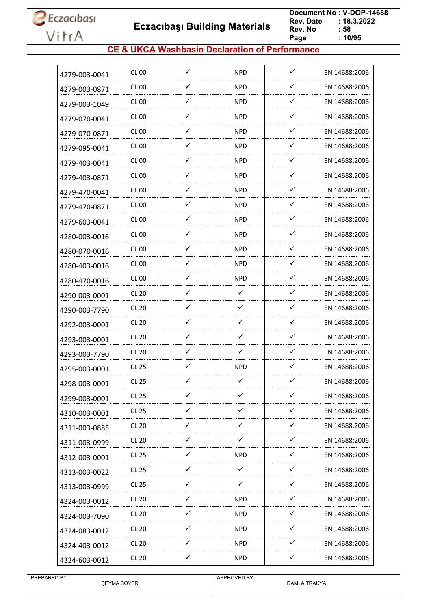**Eczacıbaşı Building Materials**

 **Document No : V-DOP-14688**  $: 18.3.2022$ <br> $: 58$ **Rev. No Page Page : 10/95**

### **CE & UKCA Washbasin Declaration of Performance**

| 4279-003-0041 | CL 00            | ✓            | <b>NPD</b>   | ✓            | EN 14688:2006 |
|---------------|------------------|--------------|--------------|--------------|---------------|
| 4279-003-0871 | <b>CL 00</b>     | ✓            | <b>NPD</b>   | ✓            | EN 14688:2006 |
| 4279-003-1049 | CL 00            | ✓            | <b>NPD</b>   | $\checkmark$ | EN 14688:2006 |
| 4279-070-0041 | CL 00            | ✓            | <b>NPD</b>   | ✓            | EN 14688:2006 |
| 4279-070-0871 | <b>CL 00</b>     | ✓            | <b>NPD</b>   | ✓            | EN 14688:2006 |
| 4279-095-0041 | CL <sub>00</sub> | ✓            | <b>NPD</b>   | ✓            | EN 14688:2006 |
| 4279-403-0041 | CL 00            | $\checkmark$ | <b>NPD</b>   | ✓            | EN 14688:2006 |
| 4279-403-0871 | CL 00            | $\checkmark$ | <b>NPD</b>   | ✓            | EN 14688:2006 |
| 4279-470-0041 | CL 00            | ✓            | <b>NPD</b>   | ✓            | EN 14688:2006 |
| 4279-470-0871 | CL 00            | ✓            | <b>NPD</b>   | $\checkmark$ | EN 14688:2006 |
| 4279-603-0041 | CL 00            | ✓            | <b>NPD</b>   | ✓            | EN 14688:2006 |
| 4280-003-0016 | <b>CL 00</b>     | ✓            | <b>NPD</b>   | ✓            | EN 14688:2006 |
| 4280-070-0016 | CL 00            | ✓            | <b>NPD</b>   | ✓            | EN 14688:2006 |
| 4280-403-0016 | CL 00            | ✓            | <b>NPD</b>   | ✓            | EN 14688:2006 |
| 4280-470-0016 | CL 00            | ✓            | <b>NPD</b>   | ✓            | EN 14688:2006 |
| 4290-003-0001 | <b>CL 20</b>     | ✓            | $\checkmark$ | ✓            | EN 14688:2006 |
| 4290-003-7790 | <b>CL 20</b>     | ✓            | ✓            | ✓            | EN 14688:2006 |
| 4292-003-0001 | <b>CL 20</b>     | $\checkmark$ | $\checkmark$ | $\checkmark$ | EN 14688:2006 |
| 4293-003-0001 | <b>CL 20</b>     | ✓            | ✓            | ✓            | EN 14688:2006 |
| 4293-003-7790 | <b>CL 20</b>     | ✓            | ✓            | ✓            | EN 14688:2006 |
| 4295-003-0001 | CL 25            | ✓            | <b>NPD</b>   | ✓            | EN 14688:2006 |
| 4298-003-0001 | CL 25            | ✓            | ✓            | ✓            | EN 14688:2006 |
| 4299-003-0001 | <b>CL 25</b>     | $\checkmark$ | $\checkmark$ | $\checkmark$ | EN 14688:2006 |
| 4310-003-0001 | CL 25            | $\checkmark$ | $\checkmark$ | $\checkmark$ | EN 14688:2006 |
| 4311-003-0885 | <b>CL 20</b>     | $\checkmark$ | $\checkmark$ | $\checkmark$ | EN 14688:2006 |
| 4311-003-0999 | <b>CL 20</b>     | $\checkmark$ | $\checkmark$ | $\checkmark$ | EN 14688:2006 |
| 4312-003-0001 | CL 25            | ✓            | <b>NPD</b>   | ✓            | EN 14688:2006 |
| 4313-003-0022 | CL 25            | $\checkmark$ | $\checkmark$ | $\checkmark$ | EN 14688:2006 |
| 4313-003-0999 | CL 25            | $\checkmark$ | $\checkmark$ | $\checkmark$ | EN 14688:2006 |
| 4324-003-0012 | <b>CL 20</b>     | ✓            | <b>NPD</b>   | ✓            | EN 14688:2006 |
| 4324-003-7090 | <b>CL 20</b>     | ✓            | <b>NPD</b>   | ✓            | EN 14688:2006 |
| 4324-083-0012 | <b>CL 20</b>     | $\checkmark$ | <b>NPD</b>   | $\checkmark$ | EN 14688:2006 |
| 4324-403-0012 | <b>CL 20</b>     | $\checkmark$ | <b>NPD</b>   | $\checkmark$ | EN 14688:2006 |
| 4324-603-0012 | <b>CL 20</b>     | $\checkmark$ | <b>NPD</b>   | $\checkmark$ | EN 14688:2006 |
|               |                  |              |              |              |               |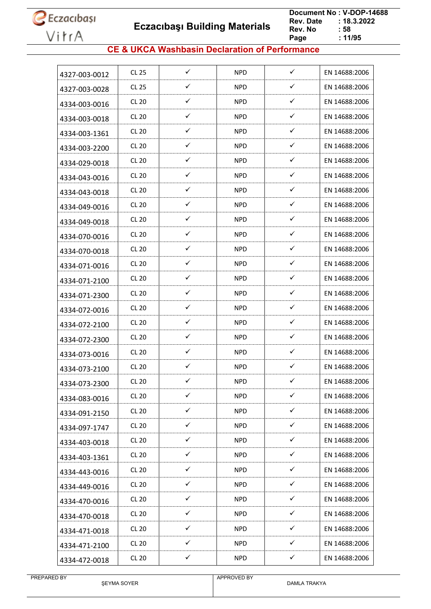**Eczacıbaşı Building Materials**

 **Document No : V-DOP-14688**  $: 18.3.2022$ <br> $: 58$ **Rev. No Page**  $\frac{1}{11/95}$ 

### **CE & UKCA Washbasin Declaration of Performance**

| 4327-003-0012 | <b>CL 25</b> | ✓            | <b>NPD</b> | ✓            | EN 14688:2006 |
|---------------|--------------|--------------|------------|--------------|---------------|
| 4327-003-0028 | <b>CL 25</b> | ✓            | <b>NPD</b> | ✓            | EN 14688:2006 |
| 4334-003-0016 | <b>CL 20</b> | ✓            | <b>NPD</b> | $\checkmark$ | EN 14688:2006 |
| 4334-003-0018 | <b>CL 20</b> | ✓            | <b>NPD</b> | $\checkmark$ | EN 14688:2006 |
| 4334-003-1361 | <b>CL 20</b> | ✓            | <b>NPD</b> | $\checkmark$ | EN 14688:2006 |
| 4334-003-2200 | <b>CL 20</b> | ✓            | <b>NPD</b> | $\checkmark$ | EN 14688:2006 |
| 4334-029-0018 | <b>CL 20</b> | ✓            | <b>NPD</b> | ✓            | EN 14688:2006 |
| 4334-043-0016 | <b>CL 20</b> | ✓            | <b>NPD</b> | ✓            | EN 14688:2006 |
| 4334-043-0018 | <b>CL 20</b> | ✓            | <b>NPD</b> | ✓            | EN 14688:2006 |
| 4334-049-0016 | <b>CL 20</b> | ✓            | <b>NPD</b> | $\checkmark$ | EN 14688:2006 |
| 4334-049-0018 | <b>CL 20</b> | ✓            | <b>NPD</b> | $\checkmark$ | EN 14688:2006 |
| 4334-070-0016 | <b>CL 20</b> | ✓            | <b>NPD</b> | ✓            | EN 14688:2006 |
| 4334-070-0018 | <b>CL 20</b> | ✓            | <b>NPD</b> | $\checkmark$ | EN 14688:2006 |
| 4334-071-0016 | <b>CL 20</b> | ✓            | <b>NPD</b> | $\checkmark$ | EN 14688:2006 |
| 4334-071-2100 | <b>CL 20</b> | ✓            | <b>NPD</b> | ✓            | EN 14688:2006 |
| 4334-071-2300 | <b>CL 20</b> | ✓            | <b>NPD</b> | $\checkmark$ | EN 14688:2006 |
| 4334-072-0016 | <b>CL 20</b> | ✓            | <b>NPD</b> | $\checkmark$ | EN 14688:2006 |
| 4334-072-2100 | <b>CL 20</b> | $\checkmark$ | <b>NPD</b> | $\checkmark$ | EN 14688:2006 |
| 4334-072-2300 | <b>CL 20</b> | ✓            | <b>NPD</b> | ✓            | EN 14688:2006 |
| 4334-073-0016 | <b>CL 20</b> | ✓            | <b>NPD</b> | $\checkmark$ | EN 14688:2006 |
| 4334-073-2100 | <b>CL 20</b> | $\checkmark$ | <b>NPD</b> | $\checkmark$ | EN 14688:2006 |
| 4334-073-2300 | <b>CL 20</b> | ✓            | <b>NPD</b> | ✓            | EN 14688:2006 |
| 4334-083-0016 | <b>CL 20</b> | $\checkmark$ | <b>NPD</b> | $\checkmark$ | EN 14688:2006 |
| 4334-091-2150 | <b>CL 20</b> | ✓            | <b>NPD</b> | $\checkmark$ | EN 14688:2006 |
| 4334-097-1747 | <b>CL 20</b> | $\checkmark$ | <b>NPD</b> | $\checkmark$ | EN 14688:2006 |
| 4334-403-0018 | <b>CL 20</b> | $\checkmark$ | <b>NPD</b> | $\checkmark$ | EN 14688:2006 |
| 4334-403-1361 | <b>CL 20</b> | $\checkmark$ | <b>NPD</b> | $\checkmark$ | EN 14688:2006 |
| 4334-443-0016 | <b>CL 20</b> | $\checkmark$ | <b>NPD</b> | $\checkmark$ | EN 14688:2006 |
| 4334-449-0016 | <b>CL 20</b> | ✓            | <b>NPD</b> | $\checkmark$ | EN 14688:2006 |
| 4334-470-0016 | <b>CL 20</b> | ✓            | <b>NPD</b> | ✓            | EN 14688:2006 |
| 4334-470-0018 | <b>CL 20</b> | ✓            | <b>NPD</b> | $\checkmark$ | EN 14688:2006 |
| 4334-471-0018 | <b>CL 20</b> | $\checkmark$ | <b>NPD</b> | $\checkmark$ | EN 14688:2006 |
| 4334-471-2100 | <b>CL 20</b> | $\checkmark$ | <b>NPD</b> | $\checkmark$ | EN 14688:2006 |
| 4334-472-0018 | <b>CL 20</b> | $\checkmark$ | <b>NPD</b> | $\checkmark$ | EN 14688:2006 |
|               |              |              |            |              |               |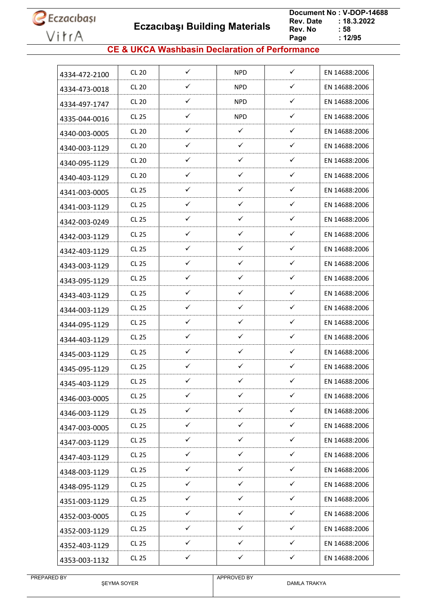**Eczacıbaşı Building Materials**

 **Document No : V-DOP-14688**  $: 18.3.2022$ <br> $: 58$ **Rev. No Page Page : 12/95**

### **CE & UKCA Washbasin Declaration of Performance**

| 4334-472-2100 | CL 20        | ✓            | <b>NPD</b>   | ✓            | EN 14688:2006 |
|---------------|--------------|--------------|--------------|--------------|---------------|
| 4334-473-0018 | CL20         | ✓            | <b>NPD</b>   | ✓            | EN 14688:2006 |
| 4334-497-1747 | <b>CL 20</b> | ✓            | <b>NPD</b>   | ✓            | EN 14688:2006 |
| 4335-044-0016 | CL 25        | ✓            | <b>NPD</b>   | ✓            | EN 14688:2006 |
| 4340-003-0005 | <b>CL 20</b> | ✓            | $\checkmark$ | ✓            | EN 14688:2006 |
| 4340-003-1129 | <b>CL 20</b> | ✓            | $\checkmark$ | ✓            | EN 14688:2006 |
| 4340-095-1129 | <b>CL 20</b> | ✓            | $\checkmark$ | ✓            | EN 14688:2006 |
| 4340-403-1129 | <b>CL 20</b> | ✓            | ✓            | ✓            | EN 14688:2006 |
| 4341-003-0005 | CL 25        | ✓            | ✓            | ✓            | EN 14688:2006 |
| 4341-003-1129 | CL 25        | $\checkmark$ | $\checkmark$ | ✓            | EN 14688:2006 |
| 4342-003-0249 | CL 25        | ✓            | $\checkmark$ | $\checkmark$ | EN 14688:2006 |
| 4342-003-1129 | CL 25        | ✓            | $\checkmark$ | ✓            | EN 14688:2006 |
| 4342-403-1129 | CL 25        | $\checkmark$ | $\checkmark$ | $\checkmark$ | EN 14688:2006 |
| 4343-003-1129 | CL 25        | $\checkmark$ | $\checkmark$ | ✓            | EN 14688:2006 |
| 4343-095-1129 | CL 25        | ✓            | ✓            | ✓            | EN 14688:2006 |
| 4343-403-1129 | CL 25        | ✓            | $\checkmark$ | ✓            | EN 14688:2006 |
| 4344-003-1129 | CL 25        | ✓            | $\checkmark$ | ✓            | EN 14688:2006 |
| 4344-095-1129 | CL 25        | $\checkmark$ | $\checkmark$ | ✓            | EN 14688:2006 |
| 4344-403-1129 | CL 25        | ✓            | $\checkmark$ | ✓            | EN 14688:2006 |
| 4345-003-1129 | CL 25        | ✓            | $\checkmark$ | ✓            | EN 14688:2006 |
| 4345-095-1129 | CL 25        | $\checkmark$ | $\checkmark$ | ✓            | EN 14688:2006 |
| 4345-403-1129 | CL 25        | ✓            | ✓            | ✓            | EN 14688:2006 |
| 4346-003-0005 | <b>CL 25</b> | $\checkmark$ | $\checkmark$ | $\checkmark$ | EN 14688:2006 |
| 4346-003-1129 | CL 25        | $\checkmark$ | $\checkmark$ | $\checkmark$ | EN 14688:2006 |
| 4347-003-0005 | <b>CL 25</b> | $\checkmark$ | $\checkmark$ | ✓            | EN 14688:2006 |
| 4347-003-1129 | CL 25        | $\checkmark$ | $\checkmark$ | $\checkmark$ | EN 14688:2006 |
| 4347-403-1129 | CL 25        | $\checkmark$ | $\checkmark$ | ✓            | EN 14688:2006 |
| 4348-003-1129 | CL 25        | $\checkmark$ | $\checkmark$ | $\checkmark$ | EN 14688:2006 |
| 4348-095-1129 | CL 25        | $\checkmark$ | $\checkmark$ | ✓            | EN 14688:2006 |
| 4351-003-1129 | CL 25        | ✓            | ✓            | ✓            | EN 14688:2006 |
| 4352-003-0005 | CL 25        | ✓            | $\checkmark$ | $\checkmark$ | EN 14688:2006 |
| 4352-003-1129 | <b>CL 25</b> | $\checkmark$ | $\checkmark$ | ✓            | EN 14688:2006 |
| 4352-403-1129 | CL 25        | $\checkmark$ | ✓            | $\checkmark$ | EN 14688:2006 |
| 4353-003-1132 | <b>CL 25</b> | $\checkmark$ | $\checkmark$ | $\checkmark$ | EN 14688:2006 |
|               |              |              |              |              |               |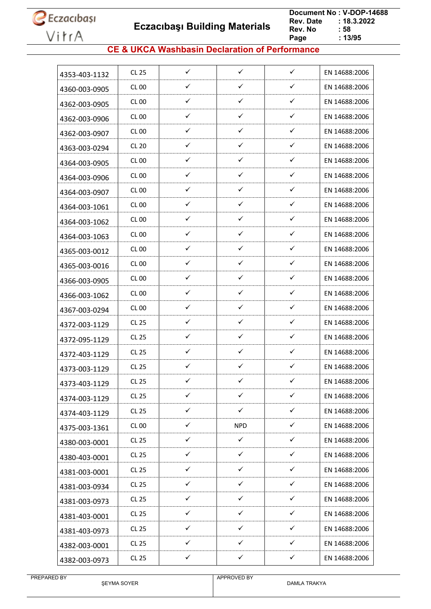

 **Eczacıbaşı Building Materials**

 **Document No : V-DOP-14688**  $: 18.3.2022$ <br> $: 58$ **Rev. No Page Page : 13/95**

### **CE & UKCA Washbasin Declaration of Performance**

| 4353-403-1132<br>✓<br>✓<br>✓<br>EN 14688:2006<br>CL 00<br>4360-003-0905<br>✓<br>$\checkmark$<br>✓<br><b>CL 00</b><br>EN 14688:2006<br>4362-003-0905<br>✓<br>✓<br>✓<br>CL 00<br>EN 14688:2006<br>4362-003-0906<br>✓<br>✓<br>✓<br><b>CL 00</b><br>EN 14688:2006<br>4362-003-0907<br>✓<br>✓<br>✓<br><b>CL 20</b><br>EN 14688:2006<br>4363-003-0294<br>✓<br>✓<br>✓<br>CL 00<br>EN 14688:2006<br>4364-003-0905<br>$\checkmark$<br>✓<br>✓<br>CL 00<br>EN 14688:2006<br>4364-003-0906<br>$\checkmark$<br>✓<br>✓<br>CL 00<br>EN 14688:2006<br>4364-003-0907<br>✓<br>✓<br>✓<br>CL 00<br>EN 14688:2006<br>4364-003-1061<br>$\checkmark$<br>✓<br>✓<br>CL 00<br>EN 14688:2006<br>4364-003-1062<br>✓<br>✓<br>✓<br>CL 00<br>EN 14688:2006<br>4364-003-1063<br>$\checkmark$<br>$\checkmark$<br>✓<br>CL 00<br>EN 14688:2006<br>4365-003-0012<br>$\checkmark$<br>✓<br>✓<br>EN 14688:2006<br>CL 00<br>4365-003-0016<br>✓<br>✓<br>✓<br>CL 00<br>EN 14688:2006<br>4366-003-0905<br>✓<br>✓<br>✓<br>CL 00<br>EN 14688:2006<br>4366-003-1062<br>✓<br>✓<br>✓<br>CL 00<br>EN 14688:2006<br>4367-003-0294<br>✓<br>✓<br>✓<br>CL 25<br>EN 14688:2006<br>4372-003-1129<br>✓<br>✓<br>✓<br>CL 25<br>EN 14688:2006<br>4372-095-1129<br>✓<br>✓<br>✓<br>CL 25<br>EN 14688:2006<br>4372-403-1129<br>$\checkmark$<br>$\checkmark$<br>✓<br>CL 25<br>EN 14688:2006<br>4373-003-1129<br>✓<br>✓<br>✓<br><b>CL 25</b><br>EN 14688:2006<br>4373-403-1129<br>✓<br>✓<br>✓<br><b>CL 25</b><br>EN 14688:2006<br>4374-003-1129<br>$\checkmark$<br>$\checkmark$<br>$\checkmark$<br>CL 25<br>EN 14688:2006<br>4374-403-1129<br>$\checkmark$<br>✓<br><b>CL 00</b><br><b>NPD</b><br>EN 14688:2006<br>4375-003-1361<br>$\checkmark$<br>$\checkmark$<br>$\checkmark$<br><b>CL 25</b><br>EN 14688:2006<br>4380-003-0001<br>$\checkmark$<br>$\checkmark$<br>$\checkmark$<br>CL 25<br>EN 14688:2006<br>4380-403-0001<br>✓<br>✓<br>✓<br>CL 25<br>EN 14688:2006<br>4381-003-0001<br>$\checkmark$<br>$\checkmark$<br>$\checkmark$<br>CL 25<br>EN 14688:2006<br>4381-003-0934<br>✓<br>✓<br>✓<br>CL 25<br>EN 14688:2006<br>4381-003-0973<br>$\checkmark$<br>✓<br>✓<br>CL 25<br>EN 14688:2006<br>4381-403-0001<br>$\checkmark$<br>$\checkmark$<br>✓<br>CL 25<br>EN 14688:2006<br>4381-403-0973<br>$\checkmark$<br>✓<br>✓<br><b>CL 25</b><br>EN 14688:2006<br>4382-003-0001<br>$\checkmark$<br>$\checkmark$<br>$\checkmark$<br><b>CL 25</b><br>EN 14688:2006<br>4382-003-0973 |       |              |              |              |               |
|----------------------------------------------------------------------------------------------------------------------------------------------------------------------------------------------------------------------------------------------------------------------------------------------------------------------------------------------------------------------------------------------------------------------------------------------------------------------------------------------------------------------------------------------------------------------------------------------------------------------------------------------------------------------------------------------------------------------------------------------------------------------------------------------------------------------------------------------------------------------------------------------------------------------------------------------------------------------------------------------------------------------------------------------------------------------------------------------------------------------------------------------------------------------------------------------------------------------------------------------------------------------------------------------------------------------------------------------------------------------------------------------------------------------------------------------------------------------------------------------------------------------------------------------------------------------------------------------------------------------------------------------------------------------------------------------------------------------------------------------------------------------------------------------------------------------------------------------------------------------------------------------------------------------------------------------------------------------------------------------------------------------------------------------------------------------------------------------------------------------------------------------------------------------------------------------------------------------------------------------------------------------------------------------------------------------------------------------------------------------------------------------------------------|-------|--------------|--------------|--------------|---------------|
|                                                                                                                                                                                                                                                                                                                                                                                                                                                                                                                                                                                                                                                                                                                                                                                                                                                                                                                                                                                                                                                                                                                                                                                                                                                                                                                                                                                                                                                                                                                                                                                                                                                                                                                                                                                                                                                                                                                                                                                                                                                                                                                                                                                                                                                                                                                                                                                                                | CL 25 | $\checkmark$ | $\checkmark$ | $\checkmark$ | EN 14688:2006 |
|                                                                                                                                                                                                                                                                                                                                                                                                                                                                                                                                                                                                                                                                                                                                                                                                                                                                                                                                                                                                                                                                                                                                                                                                                                                                                                                                                                                                                                                                                                                                                                                                                                                                                                                                                                                                                                                                                                                                                                                                                                                                                                                                                                                                                                                                                                                                                                                                                |       |              |              |              |               |
|                                                                                                                                                                                                                                                                                                                                                                                                                                                                                                                                                                                                                                                                                                                                                                                                                                                                                                                                                                                                                                                                                                                                                                                                                                                                                                                                                                                                                                                                                                                                                                                                                                                                                                                                                                                                                                                                                                                                                                                                                                                                                                                                                                                                                                                                                                                                                                                                                |       |              |              |              |               |
|                                                                                                                                                                                                                                                                                                                                                                                                                                                                                                                                                                                                                                                                                                                                                                                                                                                                                                                                                                                                                                                                                                                                                                                                                                                                                                                                                                                                                                                                                                                                                                                                                                                                                                                                                                                                                                                                                                                                                                                                                                                                                                                                                                                                                                                                                                                                                                                                                |       |              |              |              |               |
|                                                                                                                                                                                                                                                                                                                                                                                                                                                                                                                                                                                                                                                                                                                                                                                                                                                                                                                                                                                                                                                                                                                                                                                                                                                                                                                                                                                                                                                                                                                                                                                                                                                                                                                                                                                                                                                                                                                                                                                                                                                                                                                                                                                                                                                                                                                                                                                                                |       |              |              |              |               |
|                                                                                                                                                                                                                                                                                                                                                                                                                                                                                                                                                                                                                                                                                                                                                                                                                                                                                                                                                                                                                                                                                                                                                                                                                                                                                                                                                                                                                                                                                                                                                                                                                                                                                                                                                                                                                                                                                                                                                                                                                                                                                                                                                                                                                                                                                                                                                                                                                |       |              |              |              |               |
|                                                                                                                                                                                                                                                                                                                                                                                                                                                                                                                                                                                                                                                                                                                                                                                                                                                                                                                                                                                                                                                                                                                                                                                                                                                                                                                                                                                                                                                                                                                                                                                                                                                                                                                                                                                                                                                                                                                                                                                                                                                                                                                                                                                                                                                                                                                                                                                                                |       |              |              |              |               |
|                                                                                                                                                                                                                                                                                                                                                                                                                                                                                                                                                                                                                                                                                                                                                                                                                                                                                                                                                                                                                                                                                                                                                                                                                                                                                                                                                                                                                                                                                                                                                                                                                                                                                                                                                                                                                                                                                                                                                                                                                                                                                                                                                                                                                                                                                                                                                                                                                |       |              |              |              |               |
|                                                                                                                                                                                                                                                                                                                                                                                                                                                                                                                                                                                                                                                                                                                                                                                                                                                                                                                                                                                                                                                                                                                                                                                                                                                                                                                                                                                                                                                                                                                                                                                                                                                                                                                                                                                                                                                                                                                                                                                                                                                                                                                                                                                                                                                                                                                                                                                                                |       |              |              |              |               |
|                                                                                                                                                                                                                                                                                                                                                                                                                                                                                                                                                                                                                                                                                                                                                                                                                                                                                                                                                                                                                                                                                                                                                                                                                                                                                                                                                                                                                                                                                                                                                                                                                                                                                                                                                                                                                                                                                                                                                                                                                                                                                                                                                                                                                                                                                                                                                                                                                |       |              |              |              |               |
|                                                                                                                                                                                                                                                                                                                                                                                                                                                                                                                                                                                                                                                                                                                                                                                                                                                                                                                                                                                                                                                                                                                                                                                                                                                                                                                                                                                                                                                                                                                                                                                                                                                                                                                                                                                                                                                                                                                                                                                                                                                                                                                                                                                                                                                                                                                                                                                                                |       |              |              |              |               |
|                                                                                                                                                                                                                                                                                                                                                                                                                                                                                                                                                                                                                                                                                                                                                                                                                                                                                                                                                                                                                                                                                                                                                                                                                                                                                                                                                                                                                                                                                                                                                                                                                                                                                                                                                                                                                                                                                                                                                                                                                                                                                                                                                                                                                                                                                                                                                                                                                |       |              |              |              |               |
|                                                                                                                                                                                                                                                                                                                                                                                                                                                                                                                                                                                                                                                                                                                                                                                                                                                                                                                                                                                                                                                                                                                                                                                                                                                                                                                                                                                                                                                                                                                                                                                                                                                                                                                                                                                                                                                                                                                                                                                                                                                                                                                                                                                                                                                                                                                                                                                                                |       |              |              |              |               |
|                                                                                                                                                                                                                                                                                                                                                                                                                                                                                                                                                                                                                                                                                                                                                                                                                                                                                                                                                                                                                                                                                                                                                                                                                                                                                                                                                                                                                                                                                                                                                                                                                                                                                                                                                                                                                                                                                                                                                                                                                                                                                                                                                                                                                                                                                                                                                                                                                |       |              |              |              |               |
|                                                                                                                                                                                                                                                                                                                                                                                                                                                                                                                                                                                                                                                                                                                                                                                                                                                                                                                                                                                                                                                                                                                                                                                                                                                                                                                                                                                                                                                                                                                                                                                                                                                                                                                                                                                                                                                                                                                                                                                                                                                                                                                                                                                                                                                                                                                                                                                                                |       |              |              |              |               |
|                                                                                                                                                                                                                                                                                                                                                                                                                                                                                                                                                                                                                                                                                                                                                                                                                                                                                                                                                                                                                                                                                                                                                                                                                                                                                                                                                                                                                                                                                                                                                                                                                                                                                                                                                                                                                                                                                                                                                                                                                                                                                                                                                                                                                                                                                                                                                                                                                |       |              |              |              |               |
|                                                                                                                                                                                                                                                                                                                                                                                                                                                                                                                                                                                                                                                                                                                                                                                                                                                                                                                                                                                                                                                                                                                                                                                                                                                                                                                                                                                                                                                                                                                                                                                                                                                                                                                                                                                                                                                                                                                                                                                                                                                                                                                                                                                                                                                                                                                                                                                                                |       |              |              |              |               |
|                                                                                                                                                                                                                                                                                                                                                                                                                                                                                                                                                                                                                                                                                                                                                                                                                                                                                                                                                                                                                                                                                                                                                                                                                                                                                                                                                                                                                                                                                                                                                                                                                                                                                                                                                                                                                                                                                                                                                                                                                                                                                                                                                                                                                                                                                                                                                                                                                |       |              |              |              |               |
|                                                                                                                                                                                                                                                                                                                                                                                                                                                                                                                                                                                                                                                                                                                                                                                                                                                                                                                                                                                                                                                                                                                                                                                                                                                                                                                                                                                                                                                                                                                                                                                                                                                                                                                                                                                                                                                                                                                                                                                                                                                                                                                                                                                                                                                                                                                                                                                                                |       |              |              |              |               |
|                                                                                                                                                                                                                                                                                                                                                                                                                                                                                                                                                                                                                                                                                                                                                                                                                                                                                                                                                                                                                                                                                                                                                                                                                                                                                                                                                                                                                                                                                                                                                                                                                                                                                                                                                                                                                                                                                                                                                                                                                                                                                                                                                                                                                                                                                                                                                                                                                |       |              |              |              |               |
|                                                                                                                                                                                                                                                                                                                                                                                                                                                                                                                                                                                                                                                                                                                                                                                                                                                                                                                                                                                                                                                                                                                                                                                                                                                                                                                                                                                                                                                                                                                                                                                                                                                                                                                                                                                                                                                                                                                                                                                                                                                                                                                                                                                                                                                                                                                                                                                                                |       |              |              |              |               |
|                                                                                                                                                                                                                                                                                                                                                                                                                                                                                                                                                                                                                                                                                                                                                                                                                                                                                                                                                                                                                                                                                                                                                                                                                                                                                                                                                                                                                                                                                                                                                                                                                                                                                                                                                                                                                                                                                                                                                                                                                                                                                                                                                                                                                                                                                                                                                                                                                |       |              |              |              |               |
|                                                                                                                                                                                                                                                                                                                                                                                                                                                                                                                                                                                                                                                                                                                                                                                                                                                                                                                                                                                                                                                                                                                                                                                                                                                                                                                                                                                                                                                                                                                                                                                                                                                                                                                                                                                                                                                                                                                                                                                                                                                                                                                                                                                                                                                                                                                                                                                                                |       |              |              |              |               |
|                                                                                                                                                                                                                                                                                                                                                                                                                                                                                                                                                                                                                                                                                                                                                                                                                                                                                                                                                                                                                                                                                                                                                                                                                                                                                                                                                                                                                                                                                                                                                                                                                                                                                                                                                                                                                                                                                                                                                                                                                                                                                                                                                                                                                                                                                                                                                                                                                |       |              |              |              |               |
|                                                                                                                                                                                                                                                                                                                                                                                                                                                                                                                                                                                                                                                                                                                                                                                                                                                                                                                                                                                                                                                                                                                                                                                                                                                                                                                                                                                                                                                                                                                                                                                                                                                                                                                                                                                                                                                                                                                                                                                                                                                                                                                                                                                                                                                                                                                                                                                                                |       |              |              |              |               |
|                                                                                                                                                                                                                                                                                                                                                                                                                                                                                                                                                                                                                                                                                                                                                                                                                                                                                                                                                                                                                                                                                                                                                                                                                                                                                                                                                                                                                                                                                                                                                                                                                                                                                                                                                                                                                                                                                                                                                                                                                                                                                                                                                                                                                                                                                                                                                                                                                |       |              |              |              |               |
|                                                                                                                                                                                                                                                                                                                                                                                                                                                                                                                                                                                                                                                                                                                                                                                                                                                                                                                                                                                                                                                                                                                                                                                                                                                                                                                                                                                                                                                                                                                                                                                                                                                                                                                                                                                                                                                                                                                                                                                                                                                                                                                                                                                                                                                                                                                                                                                                                |       |              |              |              |               |
|                                                                                                                                                                                                                                                                                                                                                                                                                                                                                                                                                                                                                                                                                                                                                                                                                                                                                                                                                                                                                                                                                                                                                                                                                                                                                                                                                                                                                                                                                                                                                                                                                                                                                                                                                                                                                                                                                                                                                                                                                                                                                                                                                                                                                                                                                                                                                                                                                |       |              |              |              |               |
|                                                                                                                                                                                                                                                                                                                                                                                                                                                                                                                                                                                                                                                                                                                                                                                                                                                                                                                                                                                                                                                                                                                                                                                                                                                                                                                                                                                                                                                                                                                                                                                                                                                                                                                                                                                                                                                                                                                                                                                                                                                                                                                                                                                                                                                                                                                                                                                                                |       |              |              |              |               |
|                                                                                                                                                                                                                                                                                                                                                                                                                                                                                                                                                                                                                                                                                                                                                                                                                                                                                                                                                                                                                                                                                                                                                                                                                                                                                                                                                                                                                                                                                                                                                                                                                                                                                                                                                                                                                                                                                                                                                                                                                                                                                                                                                                                                                                                                                                                                                                                                                |       |              |              |              |               |
|                                                                                                                                                                                                                                                                                                                                                                                                                                                                                                                                                                                                                                                                                                                                                                                                                                                                                                                                                                                                                                                                                                                                                                                                                                                                                                                                                                                                                                                                                                                                                                                                                                                                                                                                                                                                                                                                                                                                                                                                                                                                                                                                                                                                                                                                                                                                                                                                                |       |              |              |              |               |
|                                                                                                                                                                                                                                                                                                                                                                                                                                                                                                                                                                                                                                                                                                                                                                                                                                                                                                                                                                                                                                                                                                                                                                                                                                                                                                                                                                                                                                                                                                                                                                                                                                                                                                                                                                                                                                                                                                                                                                                                                                                                                                                                                                                                                                                                                                                                                                                                                |       |              |              |              |               |
|                                                                                                                                                                                                                                                                                                                                                                                                                                                                                                                                                                                                                                                                                                                                                                                                                                                                                                                                                                                                                                                                                                                                                                                                                                                                                                                                                                                                                                                                                                                                                                                                                                                                                                                                                                                                                                                                                                                                                                                                                                                                                                                                                                                                                                                                                                                                                                                                                |       |              |              |              |               |
|                                                                                                                                                                                                                                                                                                                                                                                                                                                                                                                                                                                                                                                                                                                                                                                                                                                                                                                                                                                                                                                                                                                                                                                                                                                                                                                                                                                                                                                                                                                                                                                                                                                                                                                                                                                                                                                                                                                                                                                                                                                                                                                                                                                                                                                                                                                                                                                                                |       |              |              |              |               |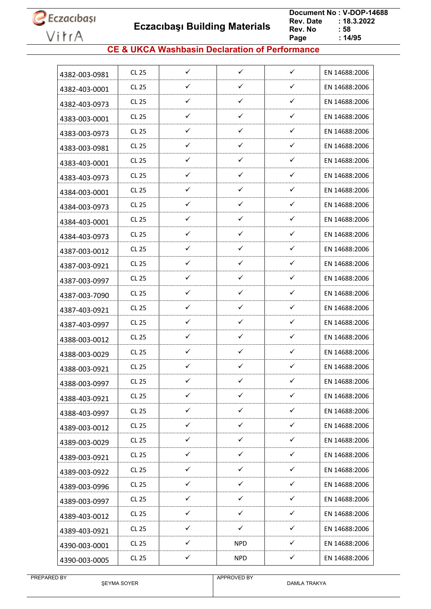**Eczacıbaşı Building Materials**

 **Document No : V-DOP-14688**  $: 18.3.2022$ <br> $: 58$ **Rev. No Page Page : 14/95**

### **CE & UKCA Washbasin Declaration of Performance**

| 4382-003-0981 | CL 25        | $\checkmark$ | $\checkmark$ | $\checkmark$ | EN 14688:2006 |
|---------------|--------------|--------------|--------------|--------------|---------------|
| 4382-403-0001 | CL 25        | ✓            | $\checkmark$ | ✓            | EN 14688:2006 |
| 4382-403-0973 | CL 25        | $\checkmark$ | ✓            | $\checkmark$ | EN 14688:2006 |
| 4383-003-0001 | CL 25        | ✓            | $\checkmark$ | ✓            | EN 14688:2006 |
|               | CL 25        | ✓            | ✓            | ✓            | EN 14688:2006 |
| 4383-003-0973 | CL 25        | ✓            | ✓            | ✓            | EN 14688:2006 |
| 4383-003-0981 | CL 25        | ✓            | $\checkmark$ | ✓            | EN 14688:2006 |
| 4383-403-0001 | CL 25        | $\checkmark$ | $\checkmark$ | ✓            | EN 14688:2006 |
| 4383-403-0973 | CL 25        | ✓            | $\checkmark$ | ✓            | EN 14688:2006 |
| 4384-003-0001 | CL 25        | ✓            | $\checkmark$ | ✓            | EN 14688:2006 |
| 4384-003-0973 |              |              |              |              |               |
| 4384-403-0001 | CL 25        | ✓            | $\checkmark$ | ✓            | EN 14688:2006 |
| 4384-403-0973 | CL 25        | ✓            | ✓            | ✓            | EN 14688:2006 |
| 4387-003-0012 | CL 25        | ✓            | $\checkmark$ | ✓            | EN 14688:2006 |
| 4387-003-0921 | CL 25        | ✓            | $\checkmark$ | ✓            | EN 14688:2006 |
| 4387-003-0997 | CL 25        | ✓            | $\checkmark$ | ✓            | EN 14688:2006 |
| 4387-003-7090 | CL 25        | $\checkmark$ | $\checkmark$ | ✓            | EN 14688:2006 |
| 4387-403-0921 | CL 25        | ✓            | $\checkmark$ | ✓            | EN 14688:2006 |
| 4387-403-0997 | CL 25        | ✓            | $\checkmark$ | ✓            | EN 14688:2006 |
| 4388-003-0012 | CL 25        | ✓            | ✓            | ✓            | EN 14688:2006 |
| 4388-003-0029 | CL 25        | ✓            | ✓            | ✓            | EN 14688:2006 |
| 4388-003-0921 | CL 25        | $\checkmark$ | ✓            | ✓            | EN 14688:2006 |
| 4388-003-0997 | <b>CL 25</b> | ✓            | ✓            | ✓            | EN 14688:2006 |
| 4388-403-0921 | <b>CL 25</b> | ✓            | $\checkmark$ | ✓            | EN 14688:2006 |
| 4388-403-0997 | CL 25        | $\checkmark$ | $\checkmark$ | $\checkmark$ | EN 14688:2006 |
| 4389-003-0012 | CL 25        | ✓            | $\checkmark$ | ✓            | EN 14688:2006 |
| 4389-003-0029 | CL 25        | $\checkmark$ | $\checkmark$ | ✓            | EN 14688:2006 |
| 4389-003-0921 | CL 25        | ✓            | $\checkmark$ | ✓            | EN 14688:2006 |
| 4389-003-0922 | <b>CL 25</b> | $\checkmark$ | $\checkmark$ | ✓            | EN 14688:2006 |
| 4389-003-0996 | CL 25        | $\checkmark$ | $\checkmark$ | $\checkmark$ | EN 14688:2006 |
| 4389-003-0997 | CL 25        | $\checkmark$ | $\checkmark$ | ✓            | EN 14688:2006 |
| 4389-403-0012 | CL 25        | $\checkmark$ | $\checkmark$ | ✓            | EN 14688:2006 |
| 4389-403-0921 | CL 25        | $\checkmark$ | $\checkmark$ | $\checkmark$ | EN 14688:2006 |
| 4390-003-0001 | CL 25        | ✓            | <b>NPD</b>   | ✓            | EN 14688:2006 |
| 4390-003-0005 | CL 25        | ✓            | <b>NPD</b>   | ✓            | EN 14688:2006 |
|               |              |              |              |              |               |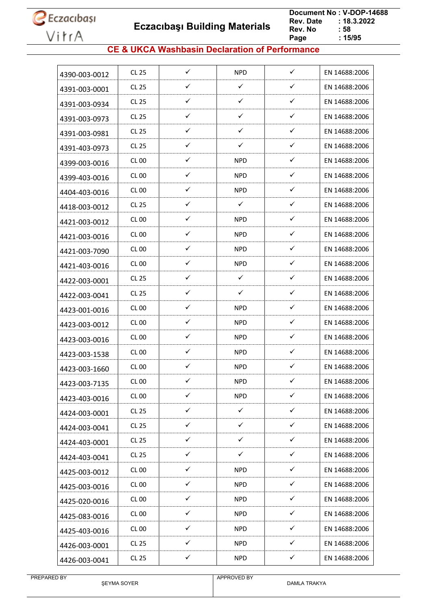**Eczacıbaşı Building Materials**

 **Document No : V-DOP-14688**  $: 18.3.2022$ <br> $: 58$ **Rev. No Page Page : 15/95**

### **CE & UKCA Washbasin Declaration of Performance**

| 4390-003-0012 | <b>CL 25</b>     | $\checkmark$ | <b>NPD</b>   | $\checkmark$ | EN 14688:2006 |
|---------------|------------------|--------------|--------------|--------------|---------------|
| 4391-003-0001 | <b>CL 25</b>     | ✓            | $\checkmark$ | $\checkmark$ | EN 14688:2006 |
| 4391-003-0934 | CL 25            | $\checkmark$ | $\checkmark$ | $\checkmark$ | EN 14688:2006 |
| 4391-003-0973 | <b>CL 25</b>     | ✓            | $\checkmark$ | $\checkmark$ | EN 14688:2006 |
| 4391-003-0981 | <b>CL 25</b>     | ✓            | ✓            | ✓            | EN 14688:2006 |
| 4391-403-0973 | CL 25            | $\checkmark$ | $\checkmark$ | $\checkmark$ | EN 14688:2006 |
| 4399-003-0016 | <b>CL 00</b>     | ✓            | <b>NPD</b>   | $\checkmark$ | EN 14688:2006 |
| 4399-403-0016 | <b>CL 00</b>     | ✓            | <b>NPD</b>   | $\checkmark$ | EN 14688:2006 |
| 4404-403-0016 | CL 00            | ✓            | <b>NPD</b>   | $\checkmark$ | EN 14688:2006 |
| 4418-003-0012 | <b>CL 25</b>     | ✓            | $\checkmark$ | $\checkmark$ | EN 14688:2006 |
| 4421-003-0012 | <b>CL 00</b>     | $\checkmark$ | <b>NPD</b>   | $\checkmark$ | EN 14688:2006 |
| 4421-003-0016 | CL <sub>00</sub> | ✓            | NPD          | $\checkmark$ | EN 14688:2006 |
| 4421-003-7090 | <b>CL 00</b>     | $\checkmark$ | <b>NPD</b>   | ✓            | EN 14688:2006 |
| 4421-403-0016 | <b>CL 00</b>     | $\checkmark$ | <b>NPD</b>   | $\checkmark$ | EN 14688:2006 |
| 4422-003-0001 | <b>CL 25</b>     | ✓            | $\checkmark$ | ✓            | EN 14688:2006 |
| 4422-003-0041 | <b>CL 25</b>     | ✓            | $\checkmark$ | ✓            | EN 14688:2006 |
| 4423-001-0016 | <b>CL 00</b>     | ✓            | <b>NPD</b>   | $\checkmark$ | EN 14688:2006 |
| 4423-003-0012 | <b>CL 00</b>     | ✓            | <b>NPD</b>   | $\checkmark$ | EN 14688:2006 |
| 4423-003-0016 | <b>CL 00</b>     | ✓            | NPD          | $\checkmark$ | EN 14688:2006 |
| 4423-003-1538 | <b>CL 00</b>     | $\checkmark$ | <b>NPD</b>   | $\checkmark$ | EN 14688:2006 |
| 4423-003-1660 | <b>CL 00</b>     | $\checkmark$ | <b>NPD</b>   | ✓            | EN 14688:2006 |
| 4423-003-7135 | <b>CL 00</b>     | ✓            | <b>NPD</b>   | ✓            | EN 14688:2006 |
| 4423-403-0016 | CL00             | ✓            | <b>NPD</b>   | ✓            | EN 14688:2006 |
| 4424-003-0001 | CL 25            | $\checkmark$ | $\checkmark$ | $\checkmark$ | EN 14688:2006 |
| 4424-003-0041 | CL 25            | $\checkmark$ | $\checkmark$ | $\checkmark$ | EN 14688:2006 |
| 4424-403-0001 | CL 25            | $\checkmark$ | $\checkmark$ | $\checkmark$ | EN 14688:2006 |
| 4424-403-0041 | <b>CL 25</b>     | $\checkmark$ | $\checkmark$ | $\checkmark$ | EN 14688:2006 |
| 4425-003-0012 | <b>CL 00</b>     | $\checkmark$ | <b>NPD</b>   | $\checkmark$ | EN 14688:2006 |
| 4425-003-0016 | <b>CL 00</b>     | $\checkmark$ | <b>NPD</b>   | $\checkmark$ | EN 14688:2006 |
| 4425-020-0016 | <b>CL 00</b>     | ✓            | <b>NPD</b>   | ✓            | EN 14688:2006 |
| 4425-083-0016 | <b>CL 00</b>     | ✓            | <b>NPD</b>   | ✓            | EN 14688:2006 |
| 4425-403-0016 | <b>CL 00</b>     | $\checkmark$ | <b>NPD</b>   | $\checkmark$ | EN 14688:2006 |
| 4426-003-0001 | CL 25            | ✓            | <b>NPD</b>   | ✓            | EN 14688:2006 |
| 4426-003-0041 | CL 25            | $\checkmark$ | <b>NPD</b>   | $\checkmark$ | EN 14688:2006 |

PREPARED BY

ŞEYMA SOYER

APPROVED BY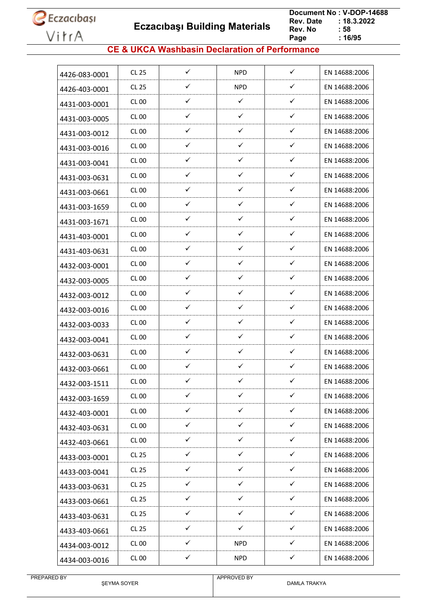

 **Eczacıbaşı Building Materials**

 **Document No : V-DOP-14688**  $: 18.3.2022$ <br> $: 58$ **Rev. No Page Page : 16/95**

### **CE & UKCA Washbasin Declaration of Performance**

| 4426-083-0001 | <b>CL 25</b>     | $\checkmark$ | <b>NPD</b>   | $\checkmark$ | EN 14688:2006 |
|---------------|------------------|--------------|--------------|--------------|---------------|
| 4426-403-0001 | <b>CL 25</b>     | ✓            | <b>NPD</b>   | ✓            | EN 14688:2006 |
| 4431-003-0001 | CL 00            | $\checkmark$ | $\checkmark$ | ✓            | EN 14688:2006 |
| 4431-003-0005 | CL 00            | ✓            | $\checkmark$ | $\checkmark$ | EN 14688:2006 |
| 4431-003-0012 | <b>CL 00</b>     | ✓            | ✓            | $\checkmark$ | EN 14688:2006 |
| 4431-003-0016 | CL 00            | ✓            | $\checkmark$ | $\checkmark$ | EN 14688:2006 |
| 4431-003-0041 | <b>CL 00</b>     | ✓            | ✓            | $\checkmark$ | EN 14688:2006 |
| 4431-003-0631 | CL 00            | ✓            | $\checkmark$ | $\checkmark$ | EN 14688:2006 |
| 4431-003-0661 | <b>CL 00</b>     | ✓            | ✓            | ✓            | EN 14688:2006 |
| 4431-003-1659 | CL 00            | $\checkmark$ | ✓            | ✓            | EN 14688:2006 |
| 4431-003-1671 | CL 00            | $\checkmark$ | $\checkmark$ | $\checkmark$ | EN 14688:2006 |
| 4431-403-0001 | <b>CL 00</b>     | ✓            | ✓            | $\checkmark$ | EN 14688:2006 |
| 4431-403-0631 | CL 00            | $\checkmark$ | ✓            | ✓            | EN 14688:2006 |
| 4432-003-0001 | <b>CL 00</b>     | ✓            | $\checkmark$ | $\checkmark$ | EN 14688:2006 |
| 4432-003-0005 | <b>CL 00</b>     | ✓            | ✓            | ✓            | EN 14688:2006 |
| 4432-003-0012 | CL <sub>00</sub> | ✓            | ✓            | ✓            | EN 14688:2006 |
| 4432-003-0016 | CL 00            | ✓            | ✓            | $\checkmark$ | EN 14688:2006 |
| 4432-003-0033 | CL 00            | $\checkmark$ | ✓            | ✓            | EN 14688:2006 |
| 4432-003-0041 | <b>CL 00</b>     | ✓            | ✓            | ✓            | EN 14688:2006 |
| 4432-003-0631 | CL 00            | ✓            | ✓            | $\checkmark$ | EN 14688:2006 |
| 4432-003-0661 | CL 00            | $\checkmark$ | $\checkmark$ | $\checkmark$ | EN 14688:2006 |
| 4432-003-1511 | <b>CL 00</b>     | ✓            | ✓            | ✓            | EN 14688:2006 |
| 4432-003-1659 | <b>CL 00</b>     | ✓            | $\checkmark$ | ✓            | EN 14688:2006 |
| 4432-403-0001 | <b>CL 00</b>     | $\checkmark$ | $\checkmark$ | $\checkmark$ | EN 14688:2006 |
| 4432-403-0631 | <b>CL 00</b>     | $\checkmark$ | $\checkmark$ | $\checkmark$ | EN 14688:2006 |
| 4432-403-0661 | <b>CL 00</b>     | $\checkmark$ | $\checkmark$ | $\checkmark$ | EN 14688:2006 |
| 4433-003-0001 | <b>CL 25</b>     | $\checkmark$ | $\checkmark$ | $\checkmark$ | EN 14688:2006 |
| 4433-003-0041 | <b>CL 25</b>     | ✓            | $\checkmark$ | $\checkmark$ | EN 14688:2006 |
| 4433-003-0631 | <b>CL 25</b>     | $\checkmark$ | $\checkmark$ | $\checkmark$ | EN 14688:2006 |
| 4433-003-0661 | <b>CL 25</b>     | ✓            | ✓            | ✓            | EN 14688:2006 |
| 4433-403-0631 | CL 25            | $\checkmark$ | $\checkmark$ | ✓            | EN 14688:2006 |
| 4433-403-0661 | CL 25            | $\checkmark$ | $\checkmark$ | $\checkmark$ | EN 14688:2006 |
| 4434-003-0012 | <b>CL 00</b>     | $\checkmark$ | <b>NPD</b>   | $\checkmark$ | EN 14688:2006 |
| 4434-003-0016 | <b>CL 00</b>     | $\checkmark$ | <b>NPD</b>   | $\checkmark$ | EN 14688:2006 |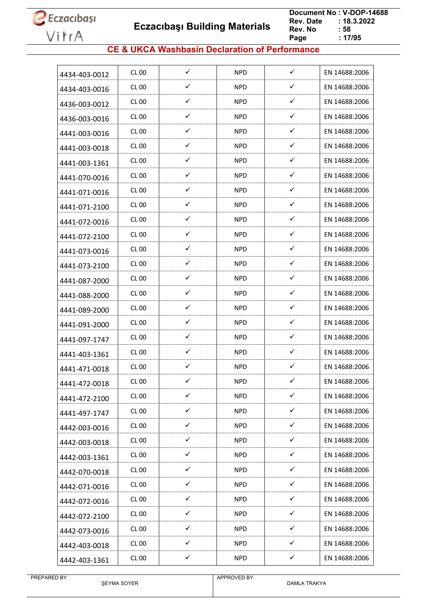**Eczacıbaşı Building Materials**

 **Document No : V-DOP-14688**  $: 18.3.2022$ <br> $: 58$ **Rev. No Page Page : 17/95**

### **CE & UKCA Washbasin Declaration of Performance**

| 4434-403-0012 | CL 00        | $\checkmark$ | <b>NPD</b> | $\checkmark$ | EN 14688:2006 |
|---------------|--------------|--------------|------------|--------------|---------------|
| 4434-403-0016 | CL 00        | ✓            | <b>NPD</b> | $\checkmark$ | EN 14688:2006 |
| 4436-003-0012 | CL 00        | $\checkmark$ | <b>NPD</b> | $\checkmark$ | EN 14688:2006 |
| 4436-003-0016 | CL 00        | ✓            | <b>NPD</b> | $\checkmark$ | EN 14688:2006 |
| 4441-003-0016 | <b>CL 00</b> | ✓            | <b>NPD</b> | ✓            | EN 14688:2006 |
| 4441-003-0018 | CL 00        | ✓            | <b>NPD</b> | $\checkmark$ | EN 14688:2006 |
| 4441-003-1361 | CL 00        | ✓            | <b>NPD</b> | $\checkmark$ | EN 14688:2006 |
| 4441-070-0016 | CL 00        | ✓            | <b>NPD</b> | $\checkmark$ | EN 14688:2006 |
| 4441-071-0016 | CL 00        | ✓            | <b>NPD</b> | $\checkmark$ | EN 14688:2006 |
| 4441-071-2100 | CL 00        | ✓            | <b>NPD</b> | ✓            | EN 14688:2006 |
| 4441-072-0016 | CL 00        | ✓            | <b>NPD</b> | $\checkmark$ | EN 14688:2006 |
| 4441-072-2100 | CL 00        | ✓            | <b>NPD</b> | $\checkmark$ | EN 14688:2006 |
| 4441-073-0016 | CL 00        | ✓            | <b>NPD</b> | $\checkmark$ | EN 14688:2006 |
| 4441-073-2100 | CL 00        | $\checkmark$ | <b>NPD</b> | $\checkmark$ | EN 14688:2006 |
| 4441-087-2000 | CL 00        | ✓            | <b>NPD</b> | ✓            | EN 14688:2006 |
| 4441-088-2000 | CL 00        | ✓            | <b>NPD</b> | $\checkmark$ | EN 14688:2006 |
| 4441-089-2000 | CL 00        | ✓            | <b>NPD</b> | ✓            | EN 14688:2006 |
| 4441-091-2000 | <b>CL 00</b> | ✓            | <b>NPD</b> | ✓            | EN 14688:2006 |
| 4441-097-1747 | CL 00        | ✓            | <b>NPD</b> | $\checkmark$ | EN 14688:2006 |
| 4441-403-1361 | CL 00        | ✓            | <b>NPD</b> | ✓            | EN 14688:2006 |
| 4441-471-0018 | <b>CL 00</b> | ✓            | <b>NPD</b> | ✓            | EN 14688:2006 |
| 4441-472-0018 | CL 00        | ✓            | <b>NPD</b> | ✓            | EN 14688:2006 |
| 4441-472-2100 | <b>CL 00</b> | ✓            | <b>NPD</b> | ✓            | EN 14688:2006 |
| 4441-497-1747 | <b>CL 00</b> | $\checkmark$ | <b>NPD</b> | $\checkmark$ | EN 14688:2006 |
| 4442-003-0016 | <b>CL 00</b> | $\checkmark$ | <b>NPD</b> | $\checkmark$ | EN 14688:2006 |
| 4442-003-0018 | <b>CL 00</b> | $\checkmark$ | <b>NPD</b> | $\checkmark$ | EN 14688:2006 |
| 4442-003-1361 | <b>CL 00</b> | $\checkmark$ | <b>NPD</b> | $\checkmark$ | EN 14688:2006 |
| 4442-070-0018 | <b>CL 00</b> | $\checkmark$ | <b>NPD</b> | $\checkmark$ | EN 14688:2006 |
| 4442-071-0016 | <b>CL 00</b> | $\checkmark$ | <b>NPD</b> | $\checkmark$ | EN 14688:2006 |
| 4442-072-0016 | <b>CL 00</b> | $\checkmark$ | <b>NPD</b> | $\checkmark$ | EN 14688:2006 |
| 4442-072-2100 | CL 00        | $\checkmark$ | <b>NPD</b> | $\checkmark$ | EN 14688:2006 |
| 4442-073-0016 | <b>CL 00</b> | $\checkmark$ | <b>NPD</b> | $\checkmark$ | EN 14688:2006 |
| 4442-403-0018 | <b>CL 00</b> | ✓            | <b>NPD</b> | ✓            | EN 14688:2006 |
| 4442-403-1361 | <b>CL 00</b> | ✓            | <b>NPD</b> | $\checkmark$ | EN 14688:2006 |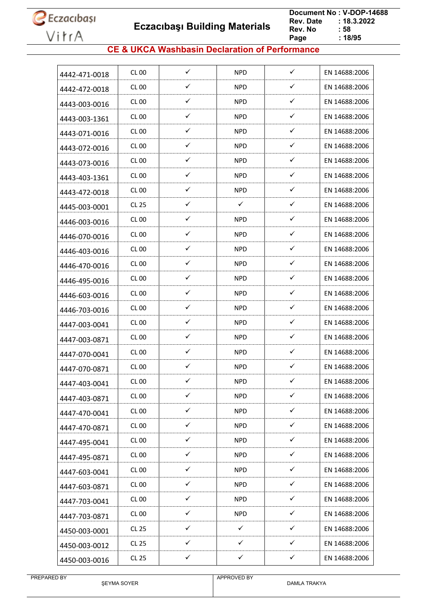**Eczacıbaşı Building Materials**

 **Document No : V-DOP-14688**  $: 18.3.2022$ <br> $: 58$ **Rev. No Page Page : 18/95**

### **CE & UKCA Washbasin Declaration of Performance**

| ✓<br>$\checkmark$<br><b>NPD</b><br>CL 00<br>EN 14688:2006<br>4442-471-0018<br>✓<br>✓<br><b>CL 00</b><br><b>NPD</b><br>EN 14688:2006<br>4442-472-0018<br>✓<br>✓<br>CL 00<br>NPD.<br>EN 14688:2006<br>4443-003-0016<br>✓<br>✓<br><b>NPD</b><br>CL 00<br>EN 14688:2006<br>4443-003-1361<br>✓<br>✓<br>CL 00<br><b>NPD</b><br>EN 14688:2006<br>4443-071-0016<br>✓<br>✓<br>CL 00<br><b>NPD</b><br>EN 14688:2006<br>4443-072-0016<br>✓<br>✓<br><b>CL 00</b><br><b>NPD</b><br>EN 14688:2006<br>4443-073-0016<br>$\checkmark$<br>✓<br>CL 00<br>NPD.<br>EN 14688:2006<br>4443-403-1361<br>✓<br>✓<br><b>NPD</b><br>CL 00<br>EN 14688:2006<br>4443-472-0018<br>✓<br>✓<br>$\checkmark$<br>CL 25<br>EN 14688:2006<br>4445-003-0001<br>✓<br>✓<br><b>NPD</b><br>CL 00<br>EN 14688:2006<br>4446-003-0016<br>✓<br>✓<br><b>CL 00</b><br><b>NPD</b><br>EN 14688:2006<br>4446-070-0016<br>✓<br>✓<br>CL 00<br><b>NPD</b><br>EN 14688:2006<br>4446-403-0016<br>✓<br>✓<br><b>NPD</b><br>CL 00<br>EN 14688:2006<br>4446-470-0016<br>✓<br>$\checkmark$<br>CL 00<br>NPD.<br>EN 14688:2006<br>4446-495-0016<br>✓<br>$\checkmark$<br>CL 00<br><b>NPD</b><br>EN 14688:2006<br>4446-603-0016<br>✓<br>✓<br>CL 00<br>NPD.<br>EN 14688:2006<br>4446-703-0016<br>$\checkmark$<br>$\checkmark$<br><b>NPD</b><br>CL 00<br>EN 14688:2006<br>4447-003-0041<br>✓<br>✓<br>CL 00<br><b>NPD</b><br>EN 14688:2006<br>4447-003-0871<br>✓<br>✓<br>CL 00<br><b>NPD</b><br>EN 14688:2006<br>4447-070-0041<br>✓<br>✓<br><b>CL 00</b><br><b>NPD</b><br>EN 14688:2006<br>4447-070-0871<br>✓<br>✓<br><b>NPD</b><br>CL 00<br>EN 14688:2006<br>4447-403-0041<br>$\checkmark$<br>$\checkmark$<br><b>CL 00</b><br><b>NPD</b><br>EN 14688:2006<br>4447-403-0871<br>$\checkmark$<br>$\checkmark$<br><b>CL 00</b><br><b>NPD</b><br>EN 14688:2006<br>4447-470-0041<br>✓<br>$\checkmark$<br><b>CL 00</b><br><b>NPD</b><br>EN 14688:2006<br>4447-470-0871<br>$\checkmark$<br>$\checkmark$<br><b>CL 00</b><br><b>NPD</b><br>EN 14688:2006<br>4447-495-0041<br>$\checkmark$<br>✓<br><b>NPD</b><br><b>CL 00</b><br>EN 14688:2006<br>4447-495-0871<br>$\checkmark$<br>✓<br><b>NPD</b><br><b>CL 00</b><br>EN 14688:2006<br>4447-603-0041<br>$\checkmark$<br>$\checkmark$<br><b>NPD</b><br><b>CL 00</b><br>EN 14688:2006<br>4447-603-0871<br>$\checkmark$<br>✓<br><b>CL 00</b><br><b>NPD</b><br>EN 14688:2006<br>4447-703-0041<br>$\checkmark$<br>$\checkmark$<br><b>NPD</b><br><b>CL 00</b><br>EN 14688:2006<br>4447-703-0871<br>✓<br>✓<br>$\checkmark$<br>CL 25<br>EN 14688:2006<br>4450-003-0001<br>$\checkmark$<br>✓<br>$\checkmark$<br><b>CL 25</b><br>EN 14688:2006<br>4450-003-0012<br>$\checkmark$<br>✓<br>$\checkmark$<br><b>CL 25</b><br>EN 14688:2006<br>4450-003-0016 |  |  |  |
|---------------------------------------------------------------------------------------------------------------------------------------------------------------------------------------------------------------------------------------------------------------------------------------------------------------------------------------------------------------------------------------------------------------------------------------------------------------------------------------------------------------------------------------------------------------------------------------------------------------------------------------------------------------------------------------------------------------------------------------------------------------------------------------------------------------------------------------------------------------------------------------------------------------------------------------------------------------------------------------------------------------------------------------------------------------------------------------------------------------------------------------------------------------------------------------------------------------------------------------------------------------------------------------------------------------------------------------------------------------------------------------------------------------------------------------------------------------------------------------------------------------------------------------------------------------------------------------------------------------------------------------------------------------------------------------------------------------------------------------------------------------------------------------------------------------------------------------------------------------------------------------------------------------------------------------------------------------------------------------------------------------------------------------------------------------------------------------------------------------------------------------------------------------------------------------------------------------------------------------------------------------------------------------------------------------------------------------------------------------------------------------------------------------------------------------------------------------------------------------------------------------------------------------------------------------------------------------------------------------------------------------------------------------------------------------------------------------|--|--|--|
|                                                                                                                                                                                                                                                                                                                                                                                                                                                                                                                                                                                                                                                                                                                                                                                                                                                                                                                                                                                                                                                                                                                                                                                                                                                                                                                                                                                                                                                                                                                                                                                                                                                                                                                                                                                                                                                                                                                                                                                                                                                                                                                                                                                                                                                                                                                                                                                                                                                                                                                                                                                                                                                                                                               |  |  |  |
|                                                                                                                                                                                                                                                                                                                                                                                                                                                                                                                                                                                                                                                                                                                                                                                                                                                                                                                                                                                                                                                                                                                                                                                                                                                                                                                                                                                                                                                                                                                                                                                                                                                                                                                                                                                                                                                                                                                                                                                                                                                                                                                                                                                                                                                                                                                                                                                                                                                                                                                                                                                                                                                                                                               |  |  |  |
|                                                                                                                                                                                                                                                                                                                                                                                                                                                                                                                                                                                                                                                                                                                                                                                                                                                                                                                                                                                                                                                                                                                                                                                                                                                                                                                                                                                                                                                                                                                                                                                                                                                                                                                                                                                                                                                                                                                                                                                                                                                                                                                                                                                                                                                                                                                                                                                                                                                                                                                                                                                                                                                                                                               |  |  |  |
|                                                                                                                                                                                                                                                                                                                                                                                                                                                                                                                                                                                                                                                                                                                                                                                                                                                                                                                                                                                                                                                                                                                                                                                                                                                                                                                                                                                                                                                                                                                                                                                                                                                                                                                                                                                                                                                                                                                                                                                                                                                                                                                                                                                                                                                                                                                                                                                                                                                                                                                                                                                                                                                                                                               |  |  |  |
|                                                                                                                                                                                                                                                                                                                                                                                                                                                                                                                                                                                                                                                                                                                                                                                                                                                                                                                                                                                                                                                                                                                                                                                                                                                                                                                                                                                                                                                                                                                                                                                                                                                                                                                                                                                                                                                                                                                                                                                                                                                                                                                                                                                                                                                                                                                                                                                                                                                                                                                                                                                                                                                                                                               |  |  |  |
|                                                                                                                                                                                                                                                                                                                                                                                                                                                                                                                                                                                                                                                                                                                                                                                                                                                                                                                                                                                                                                                                                                                                                                                                                                                                                                                                                                                                                                                                                                                                                                                                                                                                                                                                                                                                                                                                                                                                                                                                                                                                                                                                                                                                                                                                                                                                                                                                                                                                                                                                                                                                                                                                                                               |  |  |  |
|                                                                                                                                                                                                                                                                                                                                                                                                                                                                                                                                                                                                                                                                                                                                                                                                                                                                                                                                                                                                                                                                                                                                                                                                                                                                                                                                                                                                                                                                                                                                                                                                                                                                                                                                                                                                                                                                                                                                                                                                                                                                                                                                                                                                                                                                                                                                                                                                                                                                                                                                                                                                                                                                                                               |  |  |  |
|                                                                                                                                                                                                                                                                                                                                                                                                                                                                                                                                                                                                                                                                                                                                                                                                                                                                                                                                                                                                                                                                                                                                                                                                                                                                                                                                                                                                                                                                                                                                                                                                                                                                                                                                                                                                                                                                                                                                                                                                                                                                                                                                                                                                                                                                                                                                                                                                                                                                                                                                                                                                                                                                                                               |  |  |  |
|                                                                                                                                                                                                                                                                                                                                                                                                                                                                                                                                                                                                                                                                                                                                                                                                                                                                                                                                                                                                                                                                                                                                                                                                                                                                                                                                                                                                                                                                                                                                                                                                                                                                                                                                                                                                                                                                                                                                                                                                                                                                                                                                                                                                                                                                                                                                                                                                                                                                                                                                                                                                                                                                                                               |  |  |  |
|                                                                                                                                                                                                                                                                                                                                                                                                                                                                                                                                                                                                                                                                                                                                                                                                                                                                                                                                                                                                                                                                                                                                                                                                                                                                                                                                                                                                                                                                                                                                                                                                                                                                                                                                                                                                                                                                                                                                                                                                                                                                                                                                                                                                                                                                                                                                                                                                                                                                                                                                                                                                                                                                                                               |  |  |  |
|                                                                                                                                                                                                                                                                                                                                                                                                                                                                                                                                                                                                                                                                                                                                                                                                                                                                                                                                                                                                                                                                                                                                                                                                                                                                                                                                                                                                                                                                                                                                                                                                                                                                                                                                                                                                                                                                                                                                                                                                                                                                                                                                                                                                                                                                                                                                                                                                                                                                                                                                                                                                                                                                                                               |  |  |  |
|                                                                                                                                                                                                                                                                                                                                                                                                                                                                                                                                                                                                                                                                                                                                                                                                                                                                                                                                                                                                                                                                                                                                                                                                                                                                                                                                                                                                                                                                                                                                                                                                                                                                                                                                                                                                                                                                                                                                                                                                                                                                                                                                                                                                                                                                                                                                                                                                                                                                                                                                                                                                                                                                                                               |  |  |  |
|                                                                                                                                                                                                                                                                                                                                                                                                                                                                                                                                                                                                                                                                                                                                                                                                                                                                                                                                                                                                                                                                                                                                                                                                                                                                                                                                                                                                                                                                                                                                                                                                                                                                                                                                                                                                                                                                                                                                                                                                                                                                                                                                                                                                                                                                                                                                                                                                                                                                                                                                                                                                                                                                                                               |  |  |  |
|                                                                                                                                                                                                                                                                                                                                                                                                                                                                                                                                                                                                                                                                                                                                                                                                                                                                                                                                                                                                                                                                                                                                                                                                                                                                                                                                                                                                                                                                                                                                                                                                                                                                                                                                                                                                                                                                                                                                                                                                                                                                                                                                                                                                                                                                                                                                                                                                                                                                                                                                                                                                                                                                                                               |  |  |  |
|                                                                                                                                                                                                                                                                                                                                                                                                                                                                                                                                                                                                                                                                                                                                                                                                                                                                                                                                                                                                                                                                                                                                                                                                                                                                                                                                                                                                                                                                                                                                                                                                                                                                                                                                                                                                                                                                                                                                                                                                                                                                                                                                                                                                                                                                                                                                                                                                                                                                                                                                                                                                                                                                                                               |  |  |  |
|                                                                                                                                                                                                                                                                                                                                                                                                                                                                                                                                                                                                                                                                                                                                                                                                                                                                                                                                                                                                                                                                                                                                                                                                                                                                                                                                                                                                                                                                                                                                                                                                                                                                                                                                                                                                                                                                                                                                                                                                                                                                                                                                                                                                                                                                                                                                                                                                                                                                                                                                                                                                                                                                                                               |  |  |  |
|                                                                                                                                                                                                                                                                                                                                                                                                                                                                                                                                                                                                                                                                                                                                                                                                                                                                                                                                                                                                                                                                                                                                                                                                                                                                                                                                                                                                                                                                                                                                                                                                                                                                                                                                                                                                                                                                                                                                                                                                                                                                                                                                                                                                                                                                                                                                                                                                                                                                                                                                                                                                                                                                                                               |  |  |  |
|                                                                                                                                                                                                                                                                                                                                                                                                                                                                                                                                                                                                                                                                                                                                                                                                                                                                                                                                                                                                                                                                                                                                                                                                                                                                                                                                                                                                                                                                                                                                                                                                                                                                                                                                                                                                                                                                                                                                                                                                                                                                                                                                                                                                                                                                                                                                                                                                                                                                                                                                                                                                                                                                                                               |  |  |  |
|                                                                                                                                                                                                                                                                                                                                                                                                                                                                                                                                                                                                                                                                                                                                                                                                                                                                                                                                                                                                                                                                                                                                                                                                                                                                                                                                                                                                                                                                                                                                                                                                                                                                                                                                                                                                                                                                                                                                                                                                                                                                                                                                                                                                                                                                                                                                                                                                                                                                                                                                                                                                                                                                                                               |  |  |  |
|                                                                                                                                                                                                                                                                                                                                                                                                                                                                                                                                                                                                                                                                                                                                                                                                                                                                                                                                                                                                                                                                                                                                                                                                                                                                                                                                                                                                                                                                                                                                                                                                                                                                                                                                                                                                                                                                                                                                                                                                                                                                                                                                                                                                                                                                                                                                                                                                                                                                                                                                                                                                                                                                                                               |  |  |  |
|                                                                                                                                                                                                                                                                                                                                                                                                                                                                                                                                                                                                                                                                                                                                                                                                                                                                                                                                                                                                                                                                                                                                                                                                                                                                                                                                                                                                                                                                                                                                                                                                                                                                                                                                                                                                                                                                                                                                                                                                                                                                                                                                                                                                                                                                                                                                                                                                                                                                                                                                                                                                                                                                                                               |  |  |  |
|                                                                                                                                                                                                                                                                                                                                                                                                                                                                                                                                                                                                                                                                                                                                                                                                                                                                                                                                                                                                                                                                                                                                                                                                                                                                                                                                                                                                                                                                                                                                                                                                                                                                                                                                                                                                                                                                                                                                                                                                                                                                                                                                                                                                                                                                                                                                                                                                                                                                                                                                                                                                                                                                                                               |  |  |  |
|                                                                                                                                                                                                                                                                                                                                                                                                                                                                                                                                                                                                                                                                                                                                                                                                                                                                                                                                                                                                                                                                                                                                                                                                                                                                                                                                                                                                                                                                                                                                                                                                                                                                                                                                                                                                                                                                                                                                                                                                                                                                                                                                                                                                                                                                                                                                                                                                                                                                                                                                                                                                                                                                                                               |  |  |  |
|                                                                                                                                                                                                                                                                                                                                                                                                                                                                                                                                                                                                                                                                                                                                                                                                                                                                                                                                                                                                                                                                                                                                                                                                                                                                                                                                                                                                                                                                                                                                                                                                                                                                                                                                                                                                                                                                                                                                                                                                                                                                                                                                                                                                                                                                                                                                                                                                                                                                                                                                                                                                                                                                                                               |  |  |  |
|                                                                                                                                                                                                                                                                                                                                                                                                                                                                                                                                                                                                                                                                                                                                                                                                                                                                                                                                                                                                                                                                                                                                                                                                                                                                                                                                                                                                                                                                                                                                                                                                                                                                                                                                                                                                                                                                                                                                                                                                                                                                                                                                                                                                                                                                                                                                                                                                                                                                                                                                                                                                                                                                                                               |  |  |  |
|                                                                                                                                                                                                                                                                                                                                                                                                                                                                                                                                                                                                                                                                                                                                                                                                                                                                                                                                                                                                                                                                                                                                                                                                                                                                                                                                                                                                                                                                                                                                                                                                                                                                                                                                                                                                                                                                                                                                                                                                                                                                                                                                                                                                                                                                                                                                                                                                                                                                                                                                                                                                                                                                                                               |  |  |  |
|                                                                                                                                                                                                                                                                                                                                                                                                                                                                                                                                                                                                                                                                                                                                                                                                                                                                                                                                                                                                                                                                                                                                                                                                                                                                                                                                                                                                                                                                                                                                                                                                                                                                                                                                                                                                                                                                                                                                                                                                                                                                                                                                                                                                                                                                                                                                                                                                                                                                                                                                                                                                                                                                                                               |  |  |  |
|                                                                                                                                                                                                                                                                                                                                                                                                                                                                                                                                                                                                                                                                                                                                                                                                                                                                                                                                                                                                                                                                                                                                                                                                                                                                                                                                                                                                                                                                                                                                                                                                                                                                                                                                                                                                                                                                                                                                                                                                                                                                                                                                                                                                                                                                                                                                                                                                                                                                                                                                                                                                                                                                                                               |  |  |  |
|                                                                                                                                                                                                                                                                                                                                                                                                                                                                                                                                                                                                                                                                                                                                                                                                                                                                                                                                                                                                                                                                                                                                                                                                                                                                                                                                                                                                                                                                                                                                                                                                                                                                                                                                                                                                                                                                                                                                                                                                                                                                                                                                                                                                                                                                                                                                                                                                                                                                                                                                                                                                                                                                                                               |  |  |  |
|                                                                                                                                                                                                                                                                                                                                                                                                                                                                                                                                                                                                                                                                                                                                                                                                                                                                                                                                                                                                                                                                                                                                                                                                                                                                                                                                                                                                                                                                                                                                                                                                                                                                                                                                                                                                                                                                                                                                                                                                                                                                                                                                                                                                                                                                                                                                                                                                                                                                                                                                                                                                                                                                                                               |  |  |  |
|                                                                                                                                                                                                                                                                                                                                                                                                                                                                                                                                                                                                                                                                                                                                                                                                                                                                                                                                                                                                                                                                                                                                                                                                                                                                                                                                                                                                                                                                                                                                                                                                                                                                                                                                                                                                                                                                                                                                                                                                                                                                                                                                                                                                                                                                                                                                                                                                                                                                                                                                                                                                                                                                                                               |  |  |  |
|                                                                                                                                                                                                                                                                                                                                                                                                                                                                                                                                                                                                                                                                                                                                                                                                                                                                                                                                                                                                                                                                                                                                                                                                                                                                                                                                                                                                                                                                                                                                                                                                                                                                                                                                                                                                                                                                                                                                                                                                                                                                                                                                                                                                                                                                                                                                                                                                                                                                                                                                                                                                                                                                                                               |  |  |  |
|                                                                                                                                                                                                                                                                                                                                                                                                                                                                                                                                                                                                                                                                                                                                                                                                                                                                                                                                                                                                                                                                                                                                                                                                                                                                                                                                                                                                                                                                                                                                                                                                                                                                                                                                                                                                                                                                                                                                                                                                                                                                                                                                                                                                                                                                                                                                                                                                                                                                                                                                                                                                                                                                                                               |  |  |  |
|                                                                                                                                                                                                                                                                                                                                                                                                                                                                                                                                                                                                                                                                                                                                                                                                                                                                                                                                                                                                                                                                                                                                                                                                                                                                                                                                                                                                                                                                                                                                                                                                                                                                                                                                                                                                                                                                                                                                                                                                                                                                                                                                                                                                                                                                                                                                                                                                                                                                                                                                                                                                                                                                                                               |  |  |  |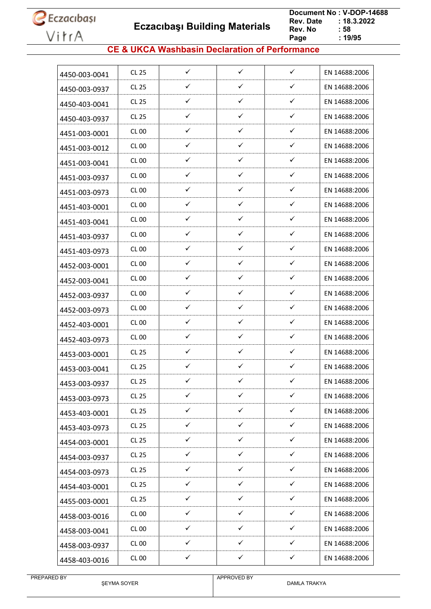

 **Eczacıbaşı Building Materials**

 **Document No : V-DOP-14688**  $: 18.3.2022$ <br> $: 58$ **Rev. No Page Page : 19/95**

### **CE & UKCA Washbasin Declaration of Performance**

| 4450-003-0041 | CL 25        | $\checkmark$ | $\checkmark$ | $\checkmark$ | EN 14688:2006 |
|---------------|--------------|--------------|--------------|--------------|---------------|
| 4450-003-0937 | <b>CL 25</b> | ✓            | ✓            | $\checkmark$ | EN 14688:2006 |
| 4450-403-0041 | CL 25        | ✓            | $\checkmark$ | $\checkmark$ | EN 14688:2006 |
| 4450-403-0937 | CL 25        | ✓            | $\checkmark$ | $\checkmark$ | EN 14688:2006 |
| 4451-003-0001 | <b>CL 00</b> | ✓            | ✓            | ✓            | EN 14688:2006 |
| 4451-003-0012 | CL 00        | ✓            | ✓            | ✓            | EN 14688:2006 |
| 4451-003-0041 | CL 00        | ✓            | $\checkmark$ | ✓            | EN 14688:2006 |
| 4451-003-0937 | CL 00        | ✓            | ✓            | ✓            | EN 14688:2006 |
| 4451-003-0973 | CL 00        | ✓            | ✓            | ✓            | EN 14688:2006 |
| 4451-403-0001 | CL00         | ✓            | ✓            | ✓            | EN 14688:2006 |
| 4451-403-0041 | CL 00        | ✓            | $\checkmark$ | ✓            | EN 14688:2006 |
| 4451-403-0937 | CL 00        | ✓            | ✓            | ✓            | EN 14688:2006 |
| 4451-403-0973 | <b>CL 00</b> | ✓            | ✓            | ✓            | EN 14688:2006 |
| 4452-003-0001 | <b>CL 00</b> | $\checkmark$ | $\checkmark$ | ✓            | EN 14688:2006 |
| 4452-003-0041 | CL 00        | ✓            | ✓            | ✓            | EN 14688:2006 |
| 4452-003-0937 | CL 00        | ✓            | ✓            | ✓            | EN 14688:2006 |
| 4452-003-0973 | CL 00        | ✓            | ✓            | ✓            | EN 14688:2006 |
| 4452-403-0001 | <b>CL 00</b> | ✓            | ✓            | ✓            | EN 14688:2006 |
| 4452-403-0973 | CL 00        | ✓            | ✓            | ✓            | EN 14688:2006 |
| 4453-003-0001 | CL 25        | ✓            | ✓            | ✓            | EN 14688:2006 |
| 4453-003-0041 | CL 25        | ✓            | $\checkmark$ | ✓            | EN 14688:2006 |
| 4453-003-0937 | <b>CL 25</b> | ✓            | ✓            | ✓            | EN 14688:2006 |
| 4453-003-0973 | <b>CL 25</b> | ✓            | ✓            | ✓            | EN 14688:2006 |
| 4453-403-0001 | CL 25        | $\checkmark$ | $\checkmark$ | $\checkmark$ | EN 14688:2006 |
| 4453-403-0973 | <b>CL 25</b> | ✓            | ✓            | ✓            | EN 14688:2006 |
| 4454-003-0001 | <b>CL 25</b> | $\checkmark$ | $\checkmark$ | $\checkmark$ | EN 14688:2006 |
| 4454-003-0937 | CL 25        | ✓            | ✓            | ✓            | EN 14688:2006 |
| 4454-003-0973 | <b>CL 25</b> | $\checkmark$ | ✓            | ✓            | EN 14688:2006 |
| 4454-403-0001 | CL 25        | $\checkmark$ | $\checkmark$ | $\checkmark$ | EN 14688:2006 |
| 4455-003-0001 | CL 25        | $\checkmark$ | $\checkmark$ | ✓            | EN 14688:2006 |
| 4458-003-0016 | CL 00        | $\checkmark$ | $\checkmark$ | $\checkmark$ | EN 14688:2006 |
| 4458-003-0041 | <b>CL 00</b> | $\checkmark$ | $\checkmark$ | ✓            | EN 14688:2006 |
| 4458-003-0937 | <b>CL 00</b> | ✓            | ✓            | ✓            | EN 14688:2006 |
| 4458-403-0016 | <b>CL 00</b> | ✓            | ✓            | ✓            | EN 14688:2006 |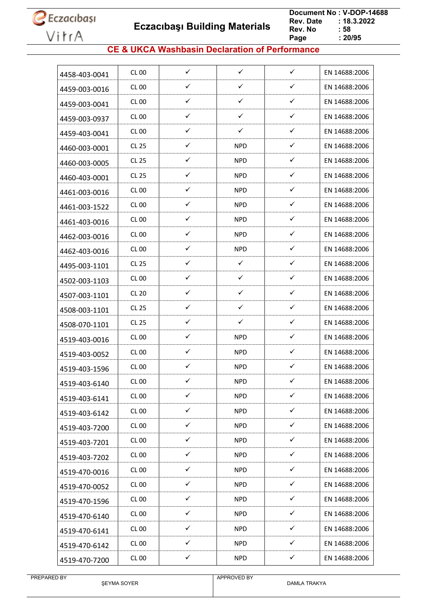

 **Eczacıbaşı Building Materials**

 **Document No : V-DOP-14688**  $: 18.3.2022$ <br> $: 58$ **Rev. No Page**  $\frac{1}{20/95}$ 

### **CE & UKCA Washbasin Declaration of Performance**

| 4458-403-0041 | CL 00        | $\checkmark$ | $\checkmark$ | $\checkmark$ | EN 14688:2006 |
|---------------|--------------|--------------|--------------|--------------|---------------|
| 4459-003-0016 | <b>CL 00</b> | ✓            | ✓            | ✓            | EN 14688:2006 |
| 4459-003-0041 | CL 00        | ✓            | ✓            | ✓            | EN 14688:2006 |
| 4459-003-0937 | CL 00        | ✓            | ✓            | $\checkmark$ | EN 14688:2006 |
| 4459-403-0041 | <b>CL 00</b> | ✓            | ✓            | $\checkmark$ | EN 14688:2006 |
| 4460-003-0001 | <b>CL 25</b> | ✓            | NPD          | $\checkmark$ | EN 14688:2006 |
| 4460-003-0005 | <b>CL 25</b> | ✓            | <b>NPD</b>   | $\checkmark$ | EN 14688:2006 |
| 4460-403-0001 | <b>CL 25</b> | ✓            | NPD          | $\checkmark$ | EN 14688:2006 |
| 4461-003-0016 | <b>CL 00</b> | ✓            | <b>NPD</b>   | ✓            | EN 14688:2006 |
| 4461-003-1522 | CL 00        | $\checkmark$ | NPD          | $\checkmark$ | EN 14688:2006 |
| 4461-403-0016 | CL 00        | $\checkmark$ | <b>NPD</b>   | $\checkmark$ | EN 14688:2006 |
| 4462-003-0016 | <b>CL 00</b> | ✓            | <b>NPD</b>   | $\checkmark$ | EN 14688:2006 |
| 4462-403-0016 | CL 00        | ✓            | NPD          | ✓            | EN 14688:2006 |
| 4495-003-1101 | <b>CL 25</b> | ✓            | $\checkmark$ | $\checkmark$ | EN 14688:2006 |
| 4502-003-1103 | <b>CL 00</b> | ✓            | ✓            | ✓            | EN 14688:2006 |
| 4507-003-1101 | <b>CL 20</b> | ✓            | ✓            | ✓            | EN 14688:2006 |
| 4508-003-1101 | <b>CL 25</b> | ✓            | ✓            | $\checkmark$ | EN 14688:2006 |
| 4508-070-1101 | CL 25        | $\checkmark$ | ✓            | ✓            | EN 14688:2006 |
| 4519-403-0016 | <b>CL 00</b> | ✓            | <b>NPD</b>   | ✓            | EN 14688:2006 |
| 4519-403-0052 | CL 00        | ✓            | NPD          | $\checkmark$ | EN 14688:2006 |
| 4519-403-1596 | CL 00        | $\checkmark$ | <b>NPD</b>   | $\checkmark$ | EN 14688:2006 |
| 4519-403-6140 | <b>CL 00</b> | ✓            | <b>NPD</b>   | ✓            | EN 14688:2006 |
| 4519-403-6141 | <b>CL 00</b> | ✓            | <b>NPD</b>   | ✓            | EN 14688:2006 |
| 4519-403-6142 | <b>CL 00</b> | $\checkmark$ | <b>NPD</b>   | $\checkmark$ | EN 14688:2006 |
| 4519-403-7200 | <b>CL 00</b> | $\checkmark$ | <b>NPD</b>   | $\checkmark$ | EN 14688:2006 |
| 4519-403-7201 | <b>CL 00</b> | $\checkmark$ | <b>NPD</b>   | $\checkmark$ | EN 14688:2006 |
| 4519-403-7202 | <b>CL 00</b> | $\checkmark$ | <b>NPD</b>   | $\checkmark$ | EN 14688:2006 |
| 4519-470-0016 | <b>CL 00</b> | ✓            | <b>NPD</b>   | ✓            | EN 14688:2006 |
| 4519-470-0052 | <b>CL 00</b> | $\checkmark$ | <b>NPD</b>   | $\checkmark$ | EN 14688:2006 |
| 4519-470-1596 | <b>CL 00</b> | ✓            | <b>NPD</b>   | ✓            | EN 14688:2006 |
| 4519-470-6140 | <b>CL 00</b> | $\checkmark$ | <b>NPD</b>   | ✓            | EN 14688:2006 |
| 4519-470-6141 | CL 00        | $\checkmark$ | <b>NPD</b>   | $\checkmark$ | EN 14688:2006 |
| 4519-470-6142 | <b>CL 00</b> | $\checkmark$ | <b>NPD</b>   | ✓            | EN 14688:2006 |
| 4519-470-7200 | <b>CL 00</b> | $\checkmark$ | <b>NPD</b>   | $\checkmark$ | EN 14688:2006 |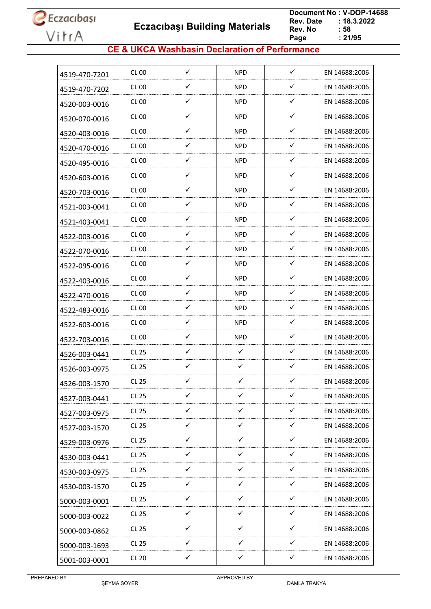**Eczacıbaşı Building Materials**

 **Document No : V-DOP-14688**  $: 18.3.2022$ <br> $: 58$ **Rev. No Page**  $\frac{1}{21/95}$ 

### **CE & UKCA Washbasin Declaration of Performance**

| 4519-470-7201 | CL 00            | ✓            | NPD          | $\checkmark$ | EN 14688:2006 |
|---------------|------------------|--------------|--------------|--------------|---------------|
| 4519-470-7202 | <b>CL 00</b>     | ✓            | <b>NPD</b>   | ✓            | EN 14688:2006 |
| 4520-003-0016 | CL 00            | $\checkmark$ | NPD          | ✓            | EN 14688:2006 |
| 4520-070-0016 | CL 00            | ✓            | <b>NPD</b>   | ✓            | EN 14688:2006 |
| 4520-403-0016 | <b>CL 00</b>     | $\checkmark$ | <b>NPD</b>   | ✓            | EN 14688:2006 |
| 4520-470-0016 | CL <sub>00</sub> | ✓            | NPD          | $\checkmark$ | EN 14688:2006 |
| 4520-495-0016 | CL 00            | ✓            | <b>NPD</b>   | ✓            | EN 14688:2006 |
| 4520-603-0016 | <b>CL 00</b>     | $\checkmark$ | <b>NPD</b>   | ✓            | EN 14688:2006 |
| 4520-703-0016 | <b>CL 00</b>     | ✓            | NPD          | ✓            | EN 14688:2006 |
| 4521-003-0041 | CL 00            | $\checkmark$ | NPD          | ✓            | EN 14688:2006 |
| 4521-403-0041 | CL 00            | ✓            | NPD          | $\checkmark$ | EN 14688:2006 |
| 4522-003-0016 | <b>CL 00</b>     | ✓            | <b>NPD</b>   | $\checkmark$ | EN 14688:2006 |
| 4522-070-0016 | <b>CL 00</b>     | ✓            | NPD          | $\checkmark$ | EN 14688:2006 |
| 4522-095-0016 | <b>CL 00</b>     | ✓            | <b>NPD</b>   | $\checkmark$ | EN 14688:2006 |
| 4522-403-0016 | <b>CL 00</b>     | ✓            | <b>NPD</b>   | $\checkmark$ | EN 14688:2006 |
| 4522-470-0016 | <b>CL 00</b>     | ✓            | <b>NPD</b>   | ✓            | EN 14688:2006 |
| 4522-483-0016 | CL 00            | $\checkmark$ | NPD          | $\checkmark$ | EN 14688:2006 |
| 4522-603-0016 | CL 00            | $\checkmark$ | <b>NPD</b>   | $\checkmark$ | EN 14688:2006 |
| 4522-703-0016 | <b>CL 00</b>     | ✓            | <b>NPD</b>   | ✓            | EN 14688:2006 |
| 4526-003-0441 | <b>CL 25</b>     | ✓            | ✓            | ✓            | EN 14688:2006 |
| 4526-003-0975 | <b>CL 25</b>     | ✓            | $\checkmark$ | $\checkmark$ | EN 14688:2006 |
| 4526-003-1570 | <b>CL 25</b>     | ✓            | ✓            | ✓            | EN 14688:2006 |
| 4527-003-0441 | <b>CL 25</b>     | $\checkmark$ | $\checkmark$ | $\checkmark$ | EN 14688:2006 |
| 4527-003-0975 | <b>CL 25</b>     | $\checkmark$ | $\checkmark$ | $\checkmark$ | EN 14688:2006 |
| 4527-003-1570 | CL 25            | $\checkmark$ | $\checkmark$ | $\checkmark$ | EN 14688:2006 |
| 4529-003-0976 | <b>CL 25</b>     | $\checkmark$ | $\checkmark$ | $\checkmark$ | EN 14688:2006 |
| 4530-003-0441 | <b>CL 25</b>     | ✓            | $\checkmark$ | ✓            | EN 14688:2006 |
| 4530-003-0975 | CL 25            | $\checkmark$ | $\checkmark$ | $\checkmark$ | EN 14688:2006 |
| 4530-003-1570 | <b>CL 25</b>     | ✓            | $\checkmark$ | $\checkmark$ | EN 14688:2006 |
| 5000-003-0001 | <b>CL 25</b>     | ✓            | $\checkmark$ | ✓            | EN 14688:2006 |
| 5000-003-0022 | CL 25            | ✓            | $\checkmark$ | ✓            | EN 14688:2006 |
| 5000-003-0862 | <b>CL 25</b>     | $\checkmark$ | $\checkmark$ | $\checkmark$ | EN 14688:2006 |
| 5000-003-1693 | CL 25            | $\checkmark$ | $\checkmark$ | $\checkmark$ | EN 14688:2006 |
| 5001-003-0001 | <b>CL 20</b>     | $\checkmark$ | $\checkmark$ | $\checkmark$ | EN 14688:2006 |
|               |                  |              |              |              |               |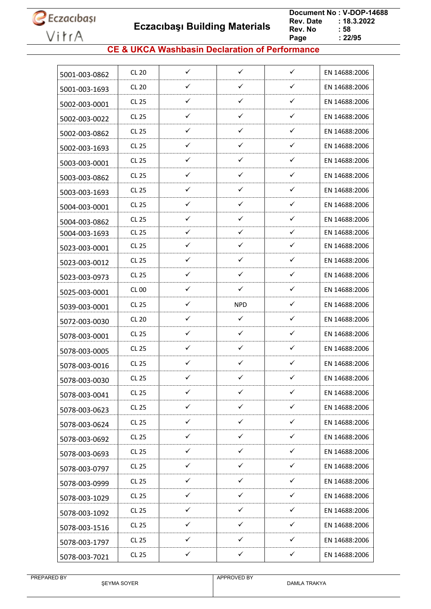**Eczacıbaşı Building Materials**

 **Document No : V-DOP-14688**  $: 18.3.2022$ <br> $: 58$ **Rev. No Page Page : 22/95**

### **CE & UKCA Washbasin Declaration of Performance**

| 5001-003-0862 | <b>CL 20</b> | $\checkmark$ | $\checkmark$ | $\checkmark$ | EN 14688:2006 |
|---------------|--------------|--------------|--------------|--------------|---------------|
| 5001-003-1693 | <b>CL 20</b> | ✓            | ✓            | $\checkmark$ | EN 14688:2006 |
| 5002-003-0001 | CL 25        | ✓            | ✓            | ✓            | EN 14688:2006 |
| 5002-003-0022 | <b>CL 25</b> | ✓            | ✓            | ✓            | EN 14688:2006 |
| 5002-003-0862 | <b>CL 25</b> | ✓            | ✓            | ✓            | EN 14688:2006 |
| 5002-003-1693 | CL 25        | ✓            | ✓            | ✓            | EN 14688:2006 |
| 5003-003-0001 | <b>CL 25</b> | ✓            | ✓            | $\checkmark$ | EN 14688:2006 |
| 5003-003-0862 | CL 25        | ✓            | ✓            | ✓            | EN 14688:2006 |
| 5003-003-1693 | CL 25        | ✓            | ✓            | $\checkmark$ | EN 14688:2006 |
| 5004-003-0001 | <b>CL 25</b> | ✓            | ✓            | $\checkmark$ | EN 14688:2006 |
| 5004-003-0862 | CL 25        | ✓            | ✓            | $\checkmark$ | EN 14688:2006 |
| 5004-003-1693 | <b>CL 25</b> | ✓            | ✓            | $\checkmark$ | EN 14688:2006 |
| 5023-003-0001 | CL 25        | ✓            | $\checkmark$ | ✓            | EN 14688:2006 |
| 5023-003-0012 | <b>CL 25</b> | ✓            | ✓            | $\checkmark$ | EN 14688:2006 |
| 5023-003-0973 | <b>CL 25</b> | ✓            | ✓            | ✓            | EN 14688:2006 |
| 5025-003-0001 | <b>CL 00</b> | $\checkmark$ | ✓            | ✓            | EN 14688:2006 |
| 5039-003-0001 | <b>CL 25</b> | ✓            | <b>NPD</b>   | $\checkmark$ | EN 14688:2006 |
| 5072-003-0030 | <b>CL 20</b> | ✓            | ✓            | ✓            | EN 14688:2006 |
| 5078-003-0001 | <b>CL 25</b> | ✓            | $\checkmark$ | $\checkmark$ | EN 14688:2006 |
| 5078-003-0005 | CL 25        | ✓            | ✓            | ✓            | EN 14688:2006 |
| 5078-003-0016 | CL 25        | ✓            | ✓            | ✓            | EN 14688:2006 |
| 5078-003-0030 | <b>CL 25</b> | ✓            | ✓            | ✓            | EN 14688:2006 |
| 5078-003-0041 | <b>CL 25</b> | ✓            | ✓            | ✓            | EN 14688:2006 |
| 5078-003-0623 | <b>CL 25</b> | $\checkmark$ | $\checkmark$ | ✓            | EN 14688:2006 |
| 5078-003-0624 | <b>CL 25</b> | ✓            | ✓            | ✓            | EN 14688:2006 |
| 5078-003-0692 | <b>CL 25</b> | $\checkmark$ | $\checkmark$ | $\checkmark$ | EN 14688:2006 |
| 5078-003-0693 | <b>CL 25</b> | ✓            | ✓            | $\checkmark$ | EN 14688:2006 |
| 5078-003-0797 | <b>CL 25</b> | ✓            | ✓            | ✓            | EN 14688:2006 |
| 5078-003-0999 | CL 25        | $\checkmark$ | ✓            | $\checkmark$ | EN 14688:2006 |
| 5078-003-1029 | <b>CL 25</b> | ✓            | ✓            | $\checkmark$ | EN 14688:2006 |
| 5078-003-1092 | <b>CL 25</b> | $\checkmark$ | $\checkmark$ | $\checkmark$ | EN 14688:2006 |
| 5078-003-1516 | <b>CL 25</b> | ✓            | ✓            | ✓            | EN 14688:2006 |
| 5078-003-1797 | <b>CL 25</b> | ✓            | ✓            | $\checkmark$ | EN 14688:2006 |
| 5078-003-7021 | <b>CL 25</b> | ✓            | $\checkmark$ | $\checkmark$ | EN 14688:2006 |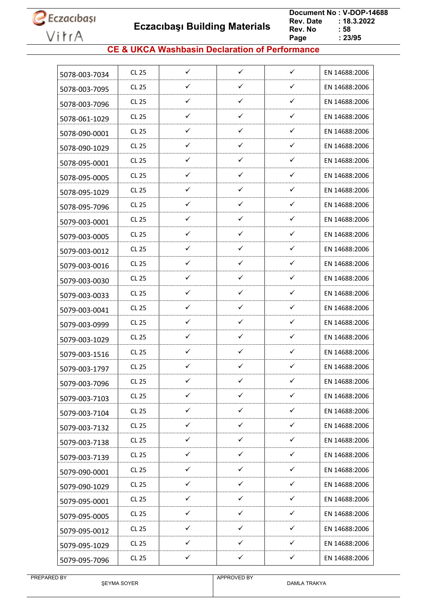**Eczacıbaşı Building Materials**

 **Document No : V-DOP-14688**  $: 18.3.2022$ <br> $: 58$ **Rev. No Page Page : 23/95**

### **CE & UKCA Washbasin Declaration of Performance**

| 5078-003-7034 | CL 25        | $\checkmark$ | $\checkmark$ | $\checkmark$ | EN 14688:2006 |
|---------------|--------------|--------------|--------------|--------------|---------------|
| 5078-003-7095 | <b>CL 25</b> | ✓            | ✓            | ✓            | EN 14688:2006 |
| 5078-003-7096 | CL 25        | $\checkmark$ | ✓            | ✓            | EN 14688:2006 |
| 5078-061-1029 | CL 25        | ✓            | ✓            | ✓            | EN 14688:2006 |
| 5078-090-0001 | CL 25        | ✓            | ✓            | ✓            | EN 14688:2006 |
| 5078-090-1029 | CL 25        | ✓            | ✓            | ✓            | EN 14688:2006 |
| 5078-095-0001 | <b>CL 25</b> | ✓            | ✓            | ✓            | EN 14688:2006 |
| 5078-095-0005 | CL 25        | ✓            | ✓            | ✓            | EN 14688:2006 |
| 5078-095-1029 | <b>CL 25</b> | ✓            | $\checkmark$ | ✓            | EN 14688:2006 |
| 5078-095-7096 | <b>CL 25</b> | ✓            | ✓            | ✓            | EN 14688:2006 |
| 5079-003-0001 | CL 25        | ✓            | ✓            | ✓            | EN 14688:2006 |
| 5079-003-0005 | <b>CL 25</b> | ✓            | ✓            | ✓            | EN 14688:2006 |
| 5079-003-0012 | CL 25        | ✓            | ✓            | ✓            | EN 14688:2006 |
| 5079-003-0016 | <b>CL 25</b> | ✓            | ✓            | ✓            | EN 14688:2006 |
| 5079-003-0030 | CL 25        | ✓            | ✓            | ✓            | EN 14688:2006 |
| 5079-003-0033 | CL 25        | ✓            | ✓            | $\checkmark$ | EN 14688:2006 |
| 5079-003-0041 | <b>CL 25</b> | ✓            | ✓            | ✓            | EN 14688:2006 |
| 5079-003-0999 | CL 25        | ✓            | ✓            | ✓            | EN 14688:2006 |
| 5079-003-1029 | CL 25        | ✓            | ✓            | ✓            | EN 14688:2006 |
| 5079-003-1516 | CL 25        | ✓            | ✓            | ✓            | EN 14688:2006 |
| 5079-003-1797 | <b>CL 25</b> | ✓            | ✓            | ✓            | EN 14688:2006 |
| 5079-003-7096 | <b>CL 25</b> | ✓            | ✓            | ✓            | EN 14688:2006 |
| 5079-003-7103 | CL 25        | ✓            | ✓            | ✓            | EN 14688:2006 |
| 5079-003-7104 | CL 25        | $\checkmark$ | $\checkmark$ | $\checkmark$ | EN 14688:2006 |
| 5079-003-7132 | CL 25        | ✓            | ✓            | ✓            | EN 14688:2006 |
| 5079-003-7138 | <b>CL 25</b> | ✓            | $\checkmark$ | $\checkmark$ | EN 14688:2006 |
| 5079-003-7139 | CL 25        | ✓            | ✓            | $\checkmark$ | EN 14688:2006 |
| 5079-090-0001 | CL 25        | $\checkmark$ | ✓            | $\checkmark$ | EN 14688:2006 |
| 5079-090-1029 | CL 25        | $\checkmark$ | $\checkmark$ | $\checkmark$ | EN 14688:2006 |
| 5079-095-0001 | CL 25        | ✓            | $\checkmark$ | $\checkmark$ | EN 14688:2006 |
| 5079-095-0005 | CL 25        | ✓            | $\checkmark$ | ✓            | EN 14688:2006 |
| 5079-095-0012 | CL 25        | $\checkmark$ | ✓            | $\checkmark$ | EN 14688:2006 |
| 5079-095-1029 | CL 25        | ✓            | ✓            | ✓            | EN 14688:2006 |
| 5079-095-7096 | CL 25        | ✓            | ✓            | ✓            | EN 14688:2006 |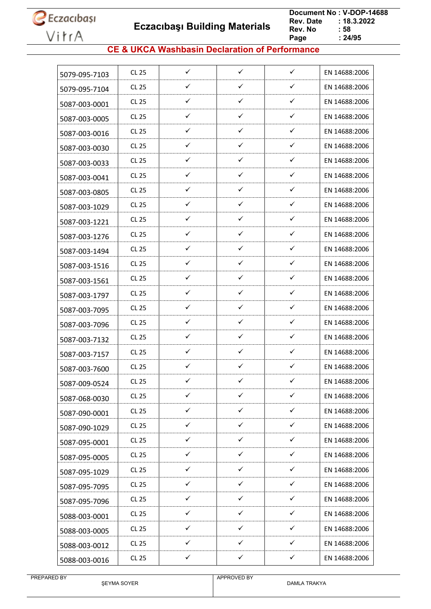**Eczacıbaşı Building Materials**

 **Document No : V-DOP-14688**  $: 18.3.2022$ <br> $: 58$ **Rev. No Page Page : 24/95**

### **CE & UKCA Washbasin Declaration of Performance**

|               | CL 25        | $\checkmark$ | $\checkmark$ | $\checkmark$ | EN 14688:2006 |
|---------------|--------------|--------------|--------------|--------------|---------------|
| 5079-095-7103 | CL 25        | ✓            | ✓            | ✓            | EN 14688:2006 |
| 5079-095-7104 |              |              |              |              |               |
| 5087-003-0001 | CL 25        | $\checkmark$ | ✓            | ✓            | EN 14688:2006 |
| 5087-003-0005 | CL 25        | ✓            | ✓            | ✓            | EN 14688:2006 |
| 5087-003-0016 | CL 25        | ✓            | $\checkmark$ | ✓            | EN 14688:2006 |
| 5087-003-0030 | CL 25        | ✓            | ✓            | ✓            | EN 14688:2006 |
| 5087-003-0033 | CL 25        | ✓            | ✓            | ✓            | EN 14688:2006 |
| 5087-003-0041 | CL 25        | ✓            | $\checkmark$ | ✓            | EN 14688:2006 |
| 5087-003-0805 | CL 25        | ✓            | ✓            | ✓            | EN 14688:2006 |
| 5087-003-1029 | CL 25        | $\checkmark$ | ✓            | ✓            | EN 14688:2006 |
| 5087-003-1221 | CL 25        | $\checkmark$ | ✓            | $\checkmark$ | EN 14688:2006 |
| 5087-003-1276 | CL 25        | ✓            | ✓            | ✓            | EN 14688:2006 |
| 5087-003-1494 | CL 25        | ✓            | $\checkmark$ | ✓            | EN 14688:2006 |
| 5087-003-1516 | CL 25        | ✓            | ✓            | ✓            | EN 14688:2006 |
| 5087-003-1561 | CL 25        | ✓            | ✓            | ✓            | EN 14688:2006 |
| 5087-003-1797 | CL 25        | ✓            | ✓            | ✓            | EN 14688:2006 |
| 5087-003-7095 | CL 25        | ✓            | ✓            | ✓            | EN 14688:2006 |
| 5087-003-7096 | CL 25        | $\checkmark$ | ✓            | ✓            | EN 14688:2006 |
| 5087-003-7132 | CL 25        | ✓            | ✓            | ✓            | EN 14688:2006 |
| 5087-003-7157 | <b>CL 25</b> | ✓            | $\checkmark$ | ✓            | EN 14688:2006 |
| 5087-003-7600 | CL 25        | ✓            | ✓            | ✓            | EN 14688:2006 |
| 5087-009-0524 | <b>CL 25</b> | ✓            | ✓            | ✓            | EN 14688:2006 |
| 5087-068-0030 | <b>CL 25</b> | ✓            | ✓            | ✓            | EN 14688:2006 |
| 5087-090-0001 | CL 25        | $\checkmark$ | $\checkmark$ | $\checkmark$ | EN 14688:2006 |
| 5087-090-1029 | CL 25        | $\checkmark$ | $\checkmark$ | ✓            | EN 14688:2006 |
| 5087-095-0001 | <b>CL 25</b> | $\checkmark$ | $\checkmark$ | $\checkmark$ | EN 14688:2006 |
| 5087-095-0005 | CL 25        | $\checkmark$ | $\checkmark$ | $\checkmark$ | EN 14688:2006 |
| 5087-095-1029 | CL 25        | $\checkmark$ | ✓            | ✓            | EN 14688:2006 |
| 5087-095-7095 | CL 25        | $\checkmark$ | $\checkmark$ | $\checkmark$ | EN 14688:2006 |
| 5087-095-7096 | CL 25        | ✓            | ✓            | ✓            | EN 14688:2006 |
| 5088-003-0001 | CL 25        | $\checkmark$ | ✓            | ✓            | EN 14688:2006 |
| 5088-003-0005 | CL 25        | $\checkmark$ | $\checkmark$ | ✓            | EN 14688:2006 |
| 5088-003-0012 | <b>CL 25</b> | $\checkmark$ | ✓            | ✓            | EN 14688:2006 |
| 5088-003-0016 | CL 25        | $\checkmark$ | $\checkmark$ | $\checkmark$ | EN 14688:2006 |
|               |              |              |              |              |               |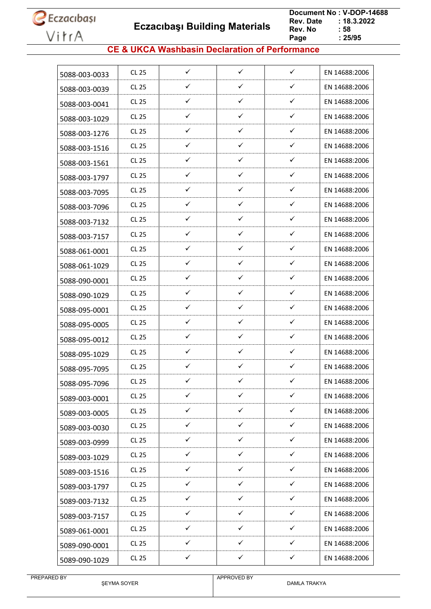

 **Eczacıbaşı Building Materials**

 **Document No : V-DOP-14688**  $: 18.3.2022$ <br> $: 58$ **Rev. No Page Page : 25/95**

### **CE & UKCA Washbasin Declaration of Performance**

| 5088-003-0033 | CL 25        | $\checkmark$ | ✓            | $\checkmark$ | EN 14688:2006 |
|---------------|--------------|--------------|--------------|--------------|---------------|
| 5088-003-0039 | CL 25        | ✓            | ✓            | ✓            | EN 14688:2006 |
| 5088-003-0041 | CL 25        | $\checkmark$ | $\checkmark$ | $\checkmark$ | EN 14688:2006 |
| 5088-003-1029 | <b>CL 25</b> | ✓            | ✓            | ✓            | EN 14688:2006 |
| 5088-003-1276 | CL 25        | ✓            | ✓            | ✓            | EN 14688:2006 |
| 5088-003-1516 | <b>CL 25</b> | ✓            | ✓            | ✓            | EN 14688:2006 |
| 5088-003-1561 | <b>CL 25</b> | ✓            | ✓            | ✓            | EN 14688:2006 |
| 5088-003-1797 | CL 25        | ✓            | ✓            | ✓            | EN 14688:2006 |
| 5088-003-7095 | CL 25        | ✓            | ✓            | ✓            | EN 14688:2006 |
| 5088-003-7096 | CL 25        | ✓            | ✓            | ✓            | EN 14688:2006 |
| 5088-003-7132 | CL 25        | $\checkmark$ | ✓            | ✓            | EN 14688:2006 |
| 5088-003-7157 | <b>CL 25</b> | ✓            | ✓            | ✓            | EN 14688:2006 |
| 5088-061-0001 | CL 25        | ✓            | ✓            | ✓            | EN 14688:2006 |
| 5088-061-1029 | CL 25        | ✓            | ✓            | ✓            | EN 14688:2006 |
| 5088-090-0001 | CL 25        | ✓            | ✓            | ✓            | EN 14688:2006 |
| 5088-090-1029 | CL 25        | ✓            | ✓            | ✓            | EN 14688:2006 |
| 5088-095-0001 | <b>CL 25</b> | ✓            | ✓            | ✓            | EN 14688:2006 |
| 5088-095-0005 | CL 25        | ✓            | ✓            | ✓            | EN 14688:2006 |
| 5088-095-0012 | <b>CL 25</b> | ✓            | ✓            | ✓            | EN 14688:2006 |
| 5088-095-1029 | CL 25        | ✓            | ✓            | ✓            | EN 14688:2006 |
| 5088-095-7095 | CL 25        | ✓            | ✓            | ✓            | EN 14688:2006 |
| 5088-095-7096 | <b>CL 25</b> | ✓            | ✓            | ✓            | EN 14688:2006 |
| 5089-003-0001 | CL 25        | ✓            | ✓            | ✓            | EN 14688:2006 |
| 5089-003-0005 | CL 25        | $\checkmark$ | $\checkmark$ | $\checkmark$ | EN 14688:2006 |
| 5089-003-0030 | CL 25        | $\checkmark$ | ✓            | ✓            | EN 14688:2006 |
| 5089-003-0999 | CL 25        | $\checkmark$ | $\checkmark$ | $\checkmark$ | EN 14688:2006 |
| 5089-003-1029 | CL 25        | $\checkmark$ | $\checkmark$ | $\checkmark$ | EN 14688:2006 |
| 5089-003-1516 | CL 25        | $\checkmark$ | ✓            | $\checkmark$ | EN 14688:2006 |
| 5089-003-1797 | CL 25        | $\checkmark$ | $\checkmark$ | $\checkmark$ | EN 14688:2006 |
| 5089-003-7132 | CL 25        | ✓            | ✓            | ✓            | EN 14688:2006 |
| 5089-003-7157 | CL 25        | $\checkmark$ | ✓            | ✓            | EN 14688:2006 |
| 5089-061-0001 | CL 25        | $\checkmark$ | $\checkmark$ | ✓            | EN 14688:2006 |
| 5089-090-0001 | CL 25        | ✓            | ✓            | ✓            | EN 14688:2006 |
| 5089-090-1029 | CL 25        | $\checkmark$ | $\checkmark$ | $\checkmark$ | EN 14688:2006 |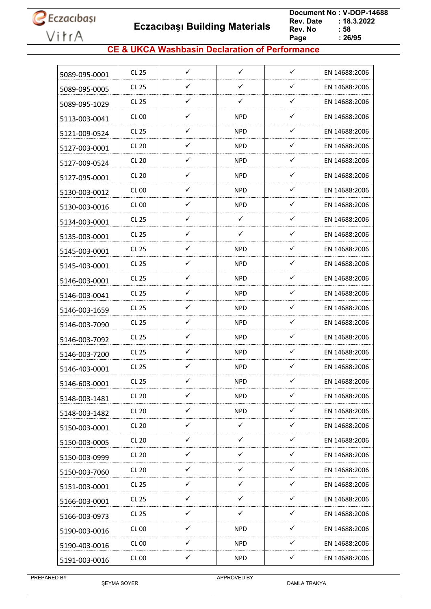

 **Eczacıbaşı Building Materials**

 **Document No : V-DOP-14688**  $: 18.3.2022$ <br> $: 58$ **Rev. No Page**  $\frac{1}{26/95}$ 

### **CE & UKCA Washbasin Declaration of Performance**

| 5089-095-0001 | CL 25        | $\checkmark$ | $\checkmark$ | $\checkmark$ | EN 14688:2006 |
|---------------|--------------|--------------|--------------|--------------|---------------|
| 5089-095-0005 | <b>CL 25</b> | ✓            | ✓            | ✓            | EN 14688:2006 |
| 5089-095-1029 | CL 25        | ✓            | ✓            | $\checkmark$ | EN 14688:2006 |
| 5113-003-0041 | <b>CL 00</b> | ✓            | <b>NPD</b>   | ✓            | EN 14688:2006 |
| 5121-009-0524 | CL 25        | ✓            | <b>NPD</b>   | ✓            | EN 14688:2006 |
| 5127-003-0001 | CL 20        | ✓            | <b>NPD</b>   | ✓            | EN 14688:2006 |
| 5127-009-0524 | <b>CL 20</b> | ✓            | <b>NPD</b>   | ✓            | EN 14688:2006 |
| 5127-095-0001 | <b>CL 20</b> | ✓            | <b>NPD</b>   | ✓            | EN 14688:2006 |
| 5130-003-0012 | CL 00        | ✓            | <b>NPD</b>   | ✓            | EN 14688:2006 |
| 5130-003-0016 | CL00         | ✓            | <b>NPD</b>   | ✓            | EN 14688:2006 |
| 5134-003-0001 | CL 25        | $\checkmark$ | $\checkmark$ | $\checkmark$ | EN 14688:2006 |
| 5135-003-0001 | <b>CL 25</b> | ✓            | ✓            | ✓            | EN 14688:2006 |
| 5145-003-0001 | CL 25        | ✓            | <b>NPD</b>   | ✓            | EN 14688:2006 |
| 5145-403-0001 | <b>CL 25</b> | $\checkmark$ | <b>NPD</b>   | ✓            | EN 14688:2006 |
| 5146-003-0001 | CL 25        | ✓            | <b>NPD</b>   | ✓            | EN 14688:2006 |
| 5146-003-0041 | CL 25        | ✓            | <b>NPD</b>   | $\checkmark$ | EN 14688:2006 |
| 5146-003-1659 | <b>CL 25</b> | ✓            | <b>NPD</b>   | ✓            | EN 14688:2006 |
| 5146-003-7090 | CL 25        | ✓            | <b>NPD</b>   | ✓            | EN 14688:2006 |
| 5146-003-7092 | CL 25        | ✓            | <b>NPD</b>   | ✓            | EN 14688:2006 |
| 5146-003-7200 | CL 25        | ✓            | <b>NPD</b>   | ✓            | EN 14688:2006 |
| 5146-403-0001 | CL 25        | ✓            | <b>NPD</b>   | ✓            | EN 14688:2006 |
| 5146-603-0001 | <b>CL 25</b> | ✓            | <b>NPD</b>   | ✓            | EN 14688:2006 |
| 5148-003-1481 | <b>CL 20</b> | ✓            | <b>NPD</b>   | ✓            | EN 14688:2006 |
| 5148-003-1482 | <b>CL 20</b> | $\checkmark$ | <b>NPD</b>   | $\checkmark$ | EN 14688:2006 |
| 5150-003-0001 | <b>CL 20</b> | ✓            | $\checkmark$ | ✓            | EN 14688:2006 |
| 5150-003-0005 | <b>CL 20</b> | $\checkmark$ | $\checkmark$ | $\checkmark$ | EN 14688:2006 |
| 5150-003-0999 | <b>CL 20</b> | $\checkmark$ | $\checkmark$ | ✓            | EN 14688:2006 |
| 5150-003-7060 | <b>CL 20</b> | $\checkmark$ | $\checkmark$ | ✓            | EN 14688:2006 |
| 5151-003-0001 | CL 25        | $\checkmark$ | $\checkmark$ | $\checkmark$ | EN 14688:2006 |
| 5166-003-0001 | CL 25        | $\checkmark$ | $\checkmark$ | ✓            | EN 14688:2006 |
| 5166-003-0973 | CL 25        | $\checkmark$ | $\checkmark$ | ✓            | EN 14688:2006 |
| 5190-003-0016 | <b>CL 00</b> | $\checkmark$ | <b>NPD</b>   | $\checkmark$ | EN 14688:2006 |
| 5190-403-0016 | <b>CL 00</b> | ✓            | <b>NPD</b>   | ✓            | EN 14688:2006 |
| 5191-003-0016 | <b>CL 00</b> | ✓            | <b>NPD</b>   | ✓            | EN 14688:2006 |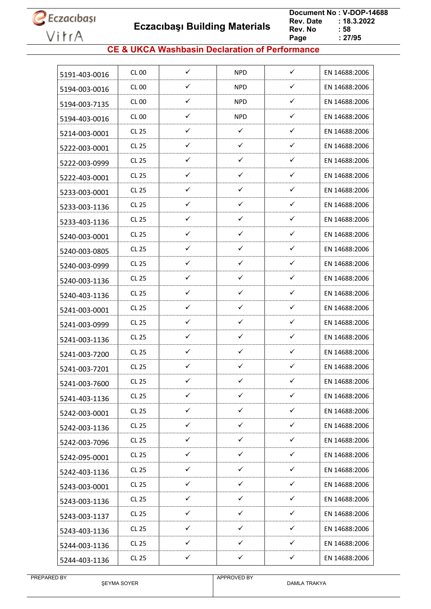**Eczacıbaşı Building Materials**

 **Document No : V-DOP-14688**  $: 18.3.2022$ <br> $: 58$ **Rev. No Page Page : 27/95**

### **CE & UKCA Washbasin Declaration of Performance**

| 5191-403-0016 | CL 00        | $\checkmark$ | <b>NPD</b>   | $\checkmark$ | EN 14688:2006 |
|---------------|--------------|--------------|--------------|--------------|---------------|
| 5194-003-0016 | <b>CL 00</b> | ✓            | <b>NPD</b>   | ✓            | EN 14688:2006 |
| 5194-003-7135 | CL 00        | $\checkmark$ | <b>NPD</b>   | $\checkmark$ | EN 14688:2006 |
| 5194-403-0016 | CL 00        | ✓            | <b>NPD</b>   | ✓            | EN 14688:2006 |
| 5214-003-0001 | CL 25        | ✓            | ✓            | ✓            | EN 14688:2006 |
| 5222-003-0001 | CL 25        | ✓            | ✓            | ✓            | EN 14688:2006 |
| 5222-003-0999 | CL 25        | ✓            | ✓            | ✓            | EN 14688:2006 |
| 5222-403-0001 | CL 25        | ✓            | ✓            | ✓            | EN 14688:2006 |
| 5233-003-0001 | CL 25        | ✓            | ✓            | ✓            | EN 14688:2006 |
| 5233-003-1136 | CL25         | ✓            | ✓            | ✓            | EN 14688:2006 |
| 5233-403-1136 | CL 25        | $\checkmark$ | ✓            | ✓            | EN 14688:2006 |
| 5240-003-0001 | <b>CL 25</b> | ✓            | ✓            | ✓            | EN 14688:2006 |
| 5240-003-0805 | CL 25        | ✓            | ✓            | ✓            | EN 14688:2006 |
| 5240-003-0999 | CL 25        | ✓            | ✓            | ✓            | EN 14688:2006 |
| 5240-003-1136 | CL 25        | ✓            | ✓            | ✓            | EN 14688:2006 |
| 5240-403-1136 | CL 25        | ✓            | ✓            | ✓            | EN 14688:2006 |
| 5241-003-0001 | <b>CL 25</b> | ✓            | ✓            | ✓            | EN 14688:2006 |
| 5241-003-0999 | CL 25        | ✓            | ✓            | ✓            | EN 14688:2006 |
| 5241-003-1136 | <b>CL 25</b> | ✓            | ✓            | ✓            | EN 14688:2006 |
| 5241-003-7200 | CL 25        | ✓            | ✓            | ✓            | EN 14688:2006 |
| 5241-003-7201 | CL 25        | ✓            | ✓            | ✓            | EN 14688:2006 |
| 5241-003-7600 | <b>CL 25</b> | ✓            | ✓            | ✓            | EN 14688:2006 |
| 5241-403-1136 | <b>CL 25</b> | ✓            | ✓            | ✓            | EN 14688:2006 |
| 5242-003-0001 | CL 25        | $\checkmark$ | $\checkmark$ | $\checkmark$ | EN 14688:2006 |
| 5242-003-1136 | <b>CL 25</b> | $\checkmark$ | $\checkmark$ | ✓            | EN 14688:2006 |
| 5242-003-7096 | CL 25        | $\checkmark$ | $\checkmark$ | $\checkmark$ | EN 14688:2006 |
| 5242-095-0001 | CL 25        | $\checkmark$ | $\checkmark$ | $\checkmark$ | EN 14688:2006 |
| 5242-403-1136 | CL 25        | ✓            | ✓            | ✓            | EN 14688:2006 |
| 5243-003-0001 | CL 25        | $\checkmark$ | $\checkmark$ | $\checkmark$ | EN 14688:2006 |
| 5243-003-1136 | CL 25        | ✓            | ✓            | ✓            | EN 14688:2006 |
| 5243-003-1137 | CL 25        | $\checkmark$ | ✓            | $\checkmark$ | EN 14688:2006 |
| 5243-403-1136 | CL 25        | $\checkmark$ | $\checkmark$ | $\checkmark$ | EN 14688:2006 |
| 5244-003-1136 | CL 25        | ✓            | ✓            | ✓            | EN 14688:2006 |
| 5244-403-1136 | CL 25        | $\checkmark$ | $\checkmark$ | $\checkmark$ | EN 14688:2006 |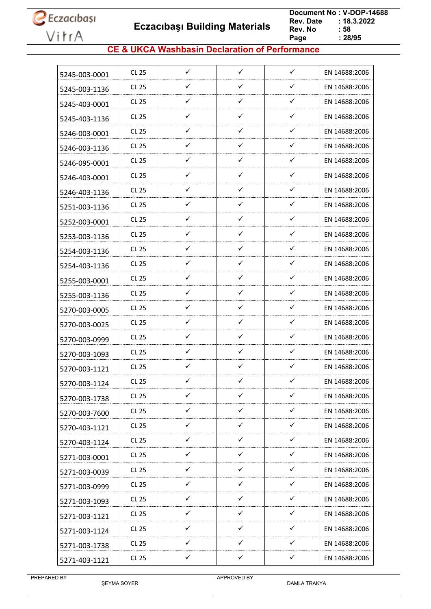**Eczacıbaşı Building Materials**

 **Document No : V-DOP-14688**  $: 18.3.2022$ <br> $: 58$ **Rev. No Page Page : 28/95**

### **CE & UKCA Washbasin Declaration of Performance**

| 5245-003-0001 | <b>CL 25</b> | $\checkmark$ | $\checkmark$ | $\checkmark$ | EN 14688:2006 |
|---------------|--------------|--------------|--------------|--------------|---------------|
| 5245-003-1136 | <b>CL 25</b> | ✓            | ✓            | $\checkmark$ | EN 14688:2006 |
| 5245-403-0001 | CL 25        | ✓            | $\checkmark$ | $\checkmark$ | EN 14688:2006 |
| 5245-403-1136 | <b>CL 25</b> | ✓            | ✓            | $\checkmark$ | EN 14688:2006 |
| 5246-003-0001 | <b>CL 25</b> | ✓            | ✓            | ✓            | EN 14688:2006 |
| 5246-003-1136 | CL 25        | ✓            | $\checkmark$ | ✓            | EN 14688:2006 |
| 5246-095-0001 | <b>CL 25</b> | $\checkmark$ | $\checkmark$ | $\checkmark$ | EN 14688:2006 |
| 5246-403-0001 | CL 25        | ✓            | ✓            | $\checkmark$ | EN 14688:2006 |
| 5246-403-1136 | <b>CL 25</b> | ✓            | $\checkmark$ | $\checkmark$ | EN 14688:2006 |
| 5251-003-1136 | <b>CL 25</b> | ✓            | $\checkmark$ | $\checkmark$ | EN 14688:2006 |
| 5252-003-0001 | <b>CL 25</b> | $\checkmark$ | $\checkmark$ | ✓            | EN 14688:2006 |
| 5253-003-1136 | <b>CL 25</b> | ✓            | ✓            | ✓            | EN 14688:2006 |
| 5254-003-1136 | CL 25        | ✓            | ✓            | ✓            | EN 14688:2006 |
| 5254-403-1136 | <b>CL 25</b> | $\checkmark$ | $\checkmark$ | $\checkmark$ | EN 14688:2006 |
| 5255-003-0001 | <b>CL 25</b> | ✓            | ✓            | $\checkmark$ | EN 14688:2006 |
| 5255-003-1136 | <b>CL 25</b> | ✓            | ✓            | $\checkmark$ | EN 14688:2006 |
| 5270-003-0005 | <b>CL 25</b> | ✓            | $\checkmark$ | $\checkmark$ | EN 14688:2006 |
| 5270-003-0025 | <b>CL 25</b> | ✓            | ✓            | ✓            | EN 14688:2006 |
| 5270-003-0999 | <b>CL 25</b> | ✓            | ✓            | ✓            | EN 14688:2006 |
| 5270-003-1093 | <b>CL 25</b> | ✓            | $\checkmark$ | $\checkmark$ | EN 14688:2006 |
| 5270-003-1121 | CL 25        | $\checkmark$ | ✓            | ✓            | EN 14688:2006 |
| 5270-003-1124 | <b>CL 25</b> | ✓            | ✓            | ✓            | EN 14688:2006 |
| 5270-003-1738 | CL 25        | ✓            | ✓            | $\checkmark$ | EN 14688:2006 |
| 5270-003-7600 | <b>CL 25</b> | $\checkmark$ | $\checkmark$ | $\checkmark$ | EN 14688:2006 |
| 5270-403-1121 | <b>CL 25</b> | $\checkmark$ | $\checkmark$ | $\checkmark$ | EN 14688:2006 |
| 5270-403-1124 | CL 25        | ✓            | $\checkmark$ | ✓            | EN 14688:2006 |
| 5271-003-0001 | CL 25        | $\checkmark$ | $\checkmark$ | $\checkmark$ | EN 14688:2006 |
| 5271-003-0039 | <b>CL 25</b> | $\checkmark$ | $\checkmark$ | $\checkmark$ | EN 14688:2006 |
| 5271-003-0999 | <b>CL 25</b> | $\checkmark$ | $\checkmark$ | $\checkmark$ | EN 14688:2006 |
| 5271-003-1093 | <b>CL 25</b> | $\checkmark$ | $\checkmark$ | $\checkmark$ | EN 14688:2006 |
| 5271-003-1121 | <b>CL 25</b> | $\checkmark$ | $\checkmark$ | $\checkmark$ | EN 14688:2006 |
| 5271-003-1124 | <b>CL 25</b> | $\checkmark$ | $\checkmark$ | $\checkmark$ | EN 14688:2006 |
| 5271-003-1738 | CL 25        | ✓            | ✓            | ✓            | EN 14688:2006 |
| 5271-403-1121 | CL 25        | $\checkmark$ | $\checkmark$ | $\checkmark$ | EN 14688:2006 |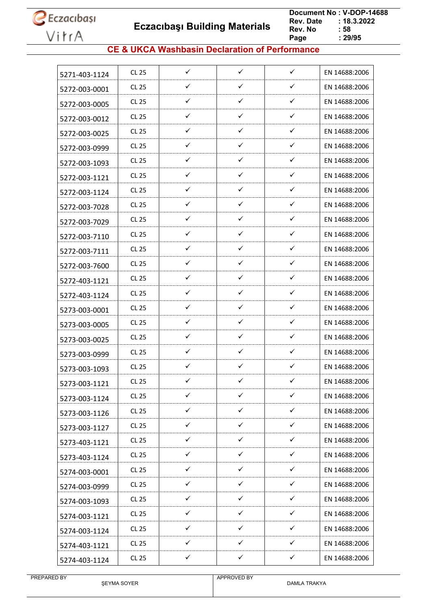**Eczacıbaşı Building Materials**

 **Document No : V-DOP-14688**  $: 18.3.2022$ <br> $: 58$ **Rev. No Page Page : 29/95**

### **CE & UKCA Washbasin Declaration of Performance**

| 5271-403-1124 | <b>CL 25</b> | $\checkmark$ | $\checkmark$ | $\checkmark$ | EN 14688:2006 |
|---------------|--------------|--------------|--------------|--------------|---------------|
| 5272-003-0001 | <b>CL 25</b> | ✓            | ✓            | $\checkmark$ | EN 14688:2006 |
| 5272-003-0005 | CL 25        | $\checkmark$ | $\checkmark$ | $\checkmark$ | EN 14688:2006 |
| 5272-003-0012 | <b>CL 25</b> | ✓            | $\checkmark$ | $\checkmark$ | EN 14688:2006 |
| 5272-003-0025 | <b>CL 25</b> | ✓            | ✓            | ✓            | EN 14688:2006 |
| 5272-003-0999 | CL 25        | ✓            | $\checkmark$ | ✓            | EN 14688:2006 |
| 5272-003-1093 | <b>CL 25</b> | ✓            | $\checkmark$ | $\checkmark$ | EN 14688:2006 |
| 5272-003-1121 | CL 25        | $\checkmark$ | $\checkmark$ | $\checkmark$ | EN 14688:2006 |
| 5272-003-1124 | <b>CL 25</b> | $\checkmark$ | $\checkmark$ | $\checkmark$ | EN 14688:2006 |
| 5272-003-7028 | <b>CL 25</b> | ✓            | ✓            | $\checkmark$ | EN 14688:2006 |
| 5272-003-7029 | <b>CL 25</b> | ✓            | $\checkmark$ | $\checkmark$ | EN 14688:2006 |
| 5272-003-7110 | <b>CL 25</b> | ✓            | $\checkmark$ | ✓            | EN 14688:2006 |
| 5272-003-7111 | CL 25        | ✓            | $\checkmark$ | ✓            | EN 14688:2006 |
| 5272-003-7600 | <b>CL 25</b> | $\checkmark$ | $\checkmark$ | $\checkmark$ | EN 14688:2006 |
| 5272-403-1121 | <b>CL 25</b> | ✓            | ✓            | $\checkmark$ | EN 14688:2006 |
| 5272-403-1124 | <b>CL 25</b> | $\checkmark$ | $\checkmark$ | $\checkmark$ | EN 14688:2006 |
| 5273-003-0001 | <b>CL 25</b> | $\checkmark$ | $\checkmark$ | $\checkmark$ | EN 14688:2006 |
| 5273-003-0005 | <b>CL 25</b> | ✓            | $\checkmark$ | ✓            | EN 14688:2006 |
| 5273-003-0025 | <b>CL 25</b> | ✓            | ✓            | ✓            | EN 14688:2006 |
| 5273-003-0999 | <b>CL 25</b> | ✓            | ✓            | ✓            | EN 14688:2006 |
| 5273-003-1093 | <b>CL 25</b> | $\checkmark$ | $\checkmark$ | ✓            | EN 14688:2006 |
| 5273-003-1121 | <b>CL 25</b> | ✓            | ✓            | ✓            | EN 14688:2006 |
| 5273-003-1124 | <b>CL 25</b> | $\checkmark$ | $\checkmark$ | $\checkmark$ | EN 14688:2006 |
| 5273-003-1126 | <b>CL 25</b> | $\checkmark$ | $\checkmark$ | $\checkmark$ | EN 14688:2006 |
| 5273-003-1127 | CL 25        | ✓            | $\checkmark$ | $\checkmark$ | EN 14688:2006 |
| 5273-403-1121 | <b>CL 25</b> | $\checkmark$ | $\checkmark$ | $\checkmark$ | EN 14688:2006 |
| 5273-403-1124 | CL 25        | ✓            | $\checkmark$ | ✓            | EN 14688:2006 |
| 5274-003-0001 | <b>CL 25</b> | $\checkmark$ | $\checkmark$ | $\checkmark$ | EN 14688:2006 |
| 5274-003-0999 | CL 25        | $\checkmark$ | $\checkmark$ | $\checkmark$ | EN 14688:2006 |
| 5274-003-1093 | <b>CL 25</b> | $\checkmark$ | $\checkmark$ | $\checkmark$ | EN 14688:2006 |
| 5274-003-1121 | CL 25        | $\checkmark$ | $\checkmark$ | ✓            | EN 14688:2006 |
| 5274-003-1124 | <b>CL 25</b> | $\checkmark$ | $\checkmark$ | $\checkmark$ | EN 14688:2006 |
| 5274-403-1121 | CL 25        | ✓            | ✓            | ✓            | EN 14688:2006 |
| 5274-403-1124 | CL 25        | ✓            | $\checkmark$ | $\checkmark$ | EN 14688:2006 |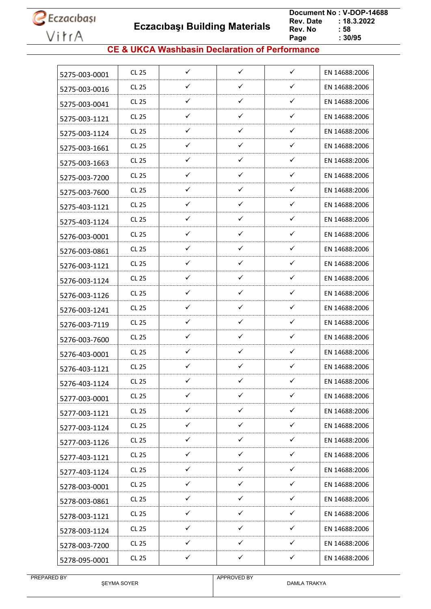**Eczacıbaşı Building Materials**

 **Document No : V-DOP-14688**  $: 18.3.2022$ <br> $: 58$ **Rev. No Page Page : 30/95**

### **CE & UKCA Washbasin Declaration of Performance**

| 5275-003-0001 | CL 25        | $\checkmark$ | $\checkmark$ | $\checkmark$ | EN 14688:2006 |
|---------------|--------------|--------------|--------------|--------------|---------------|
|               | CL 25        | ✓            | ✓            | ✓            | EN 14688:2006 |
| 5275-003-0016 | CL 25        | ✓            | ✓            | ✓            | EN 14688:2006 |
| 5275-003-0041 | CL 25        | ✓            | ✓            | ✓            | EN 14688:2006 |
| 5275-003-1121 |              |              | $\checkmark$ | ✓            |               |
| 5275-003-1124 | CL 25        | ✓            |              |              | EN 14688:2006 |
| 5275-003-1661 | CL 25        | ✓            | ✓            | ✓            | EN 14688:2006 |
| 5275-003-1663 | CL 25        | ✓            | $\checkmark$ | ✓            | EN 14688:2006 |
| 5275-003-7200 | CL 25        | ✓            | ✓            | ✓            | EN 14688:2006 |
| 5275-003-7600 | CL 25        | ✓            | ✓            | ✓            | EN 14688:2006 |
| 5275-403-1121 | CL 25        | ✓            | ✓            | ✓            | EN 14688:2006 |
| 5275-403-1124 | CL 25        | $\checkmark$ | ✓            | $\checkmark$ | EN 14688:2006 |
| 5276-003-0001 | CL 25        | ✓            | ✓            | ✓            | EN 14688:2006 |
| 5276-003-0861 | CL 25        | ✓            | ✓            | ✓            | EN 14688:2006 |
| 5276-003-1121 | CL 25        | ✓            | $\checkmark$ | ✓            | EN 14688:2006 |
| 5276-003-1124 | CL 25        | ✓            | ✓            | ✓            | EN 14688:2006 |
| 5276-003-1126 | CL 25        | ✓            | ✓            | ✓            | EN 14688:2006 |
| 5276-003-1241 | CL 25        | ✓            | ✓            | ✓            | EN 14688:2006 |
| 5276-003-7119 | CL 25        | ✓            | ✓            | ✓            | EN 14688:2006 |
| 5276-003-7600 | CL 25        | ✓            | ✓            | ✓            | EN 14688:2006 |
| 5276-403-0001 | <b>CL 25</b> | ✓            | $\checkmark$ | ✓            | EN 14688:2006 |
| 5276-403-1121 | CL 25        | $\checkmark$ | ✓            | ✓            | EN 14688:2006 |
| 5276-403-1124 | <b>CL 25</b> | ✓            | ✓            | ✓            | EN 14688:2006 |
| 5277-003-0001 | <b>CL 25</b> | ✓            | ✓            | ✓            | EN 14688:2006 |
| 5277-003-1121 | CL 25        | $\checkmark$ | $\checkmark$ | $\checkmark$ | EN 14688:2006 |
| 5277-003-1124 | CL 25        | $\checkmark$ | $\checkmark$ | ✓            | EN 14688:2006 |
| 5277-003-1126 | <b>CL 25</b> | $\checkmark$ | $\checkmark$ | $\checkmark$ | EN 14688:2006 |
| 5277-403-1121 | CL 25        | $\checkmark$ | $\checkmark$ | $\checkmark$ | EN 14688:2006 |
| 5277-403-1124 | CL 25        | $\checkmark$ | ✓            | ✓            | EN 14688:2006 |
| 5278-003-0001 | CL 25        | $\checkmark$ | $\checkmark$ | $\checkmark$ | EN 14688:2006 |
| 5278-003-0861 | CL 25        | ✓            | ✓            | ✓            | EN 14688:2006 |
| 5278-003-1121 | CL 25        | $\checkmark$ | ✓            | ✓            | EN 14688:2006 |
| 5278-003-1124 | CL 25        | $\checkmark$ | $\checkmark$ | ✓            | EN 14688:2006 |
| 5278-003-7200 | <b>CL 25</b> | $\checkmark$ | ✓            | ✓            | EN 14688:2006 |
| 5278-095-0001 | <b>CL 25</b> | $\checkmark$ | $\checkmark$ | $\checkmark$ | EN 14688:2006 |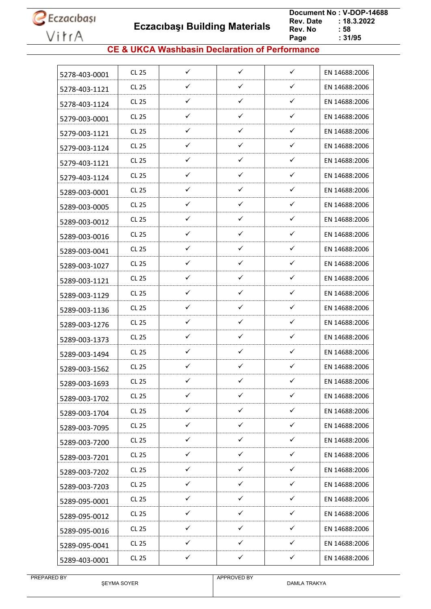**Eczacıbaşı Building Materials**

 **Document No : V-DOP-14688**  $: 18.3.2022$ <br> $: 58$ **Rev. No Page**  $\frac{1}{2}$  31/95

### **CE & UKCA Washbasin Declaration of Performance**

| 5278-403-0001 | CL 25        | ✓            | $\checkmark$ | ✓            | EN 14688:2006 |
|---------------|--------------|--------------|--------------|--------------|---------------|
| 5278-403-1121 | CL 25        | ✓            | ✓            | ✓            | EN 14688:2006 |
| 5278-403-1124 | CL 25        | ✓            | ✓            | ✓            | EN 14688:2006 |
| 5279-003-0001 | CL 25        | ✓            | ✓            | ✓            | EN 14688:2006 |
| 5279-003-1121 | CL 25        | ✓            | $\checkmark$ | ✓            | EN 14688:2006 |
| 5279-003-1124 | CL 25        | $\checkmark$ | ✓            | ✓            | EN 14688:2006 |
| 5279-403-1121 | CL 25        | ✓            | $\checkmark$ | ✓            | EN 14688:2006 |
| 5279-403-1124 | CL 25        | ✓            | ✓            | ✓            | EN 14688:2006 |
| 5289-003-0001 | CL 25        | ✓            | ✓            | ✓            | EN 14688:2006 |
| 5289-003-0005 | CL 25        | $\checkmark$ | ✓            | $\checkmark$ | EN 14688:2006 |
| 5289-003-0012 | CL 25        | ✓            | ✓            | ✓            | EN 14688:2006 |
| 5289-003-0016 | CL 25        | ✓            | $\checkmark$ | ✓            | EN 14688:2006 |
| 5289-003-0041 | CL 25        | $\checkmark$ | ✓            | $\checkmark$ | EN 14688:2006 |
| 5289-003-1027 | CL 25        | ✓            | ✓            | ✓            | EN 14688:2006 |
| 5289-003-1121 | CL 25        | ✓            | ✓            | ✓            | EN 14688:2006 |
| 5289-003-1129 | CL 25        | ✓            | ✓            | ✓            | EN 14688:2006 |
| 5289-003-1136 | CL 25        | ✓            | $\checkmark$ | ✓            | EN 14688:2006 |
| 5289-003-1276 | CL 25        | $\checkmark$ | ✓            | ✓            | EN 14688:2006 |
| 5289-003-1373 | CL 25        | ✓            | ✓            | ✓            | EN 14688:2006 |
| 5289-003-1494 | CL 25        | ✓            | $\checkmark$ | ✓            | EN 14688:2006 |
| 5289-003-1562 | CL 25        | $\checkmark$ | $\checkmark$ | ✓            | EN 14688:2006 |
| 5289-003-1693 | <b>CL 25</b> | ✓            | ✓            | ✓            | EN 14688:2006 |
| 5289-003-1702 | <b>CL 25</b> | $\checkmark$ | $\checkmark$ | $\checkmark$ | EN 14688:2006 |
| 5289-003-1704 | CL 25        | $\checkmark$ | $\checkmark$ | $\checkmark$ | EN 14688:2006 |
| 5289-003-7095 | <b>CL 25</b> | $\checkmark$ | $\checkmark$ | ✓            | EN 14688:2006 |
| 5289-003-7200 | CL 25        | $\checkmark$ | $\checkmark$ | $\checkmark$ | EN 14688:2006 |
| 5289-003-7201 | CL 25        | ✓            | $\checkmark$ | ✓            | EN 14688:2006 |
| 5289-003-7202 | CL 25        | $\checkmark$ | $\checkmark$ | $\checkmark$ | EN 14688:2006 |
| 5289-003-7203 | CL 25        | $\checkmark$ | $\checkmark$ | ✓            | EN 14688:2006 |
| 5289-095-0001 | CL 25        | ✓            | ✓            | ✓            | EN 14688:2006 |
| 5289-095-0012 | CL 25        | ✓            | ✓            | ✓            | EN 14688:2006 |
| 5289-095-0016 | <b>CL 25</b> | $\checkmark$ | $\checkmark$ | ✓            | EN 14688:2006 |
| 5289-095-0041 | CL 25        | $\checkmark$ | $\checkmark$ | ✓            | EN 14688:2006 |
| 5289-403-0001 | <b>CL 25</b> | $\checkmark$ | $\checkmark$ | $\checkmark$ | EN 14688:2006 |
|               |              |              |              |              |               |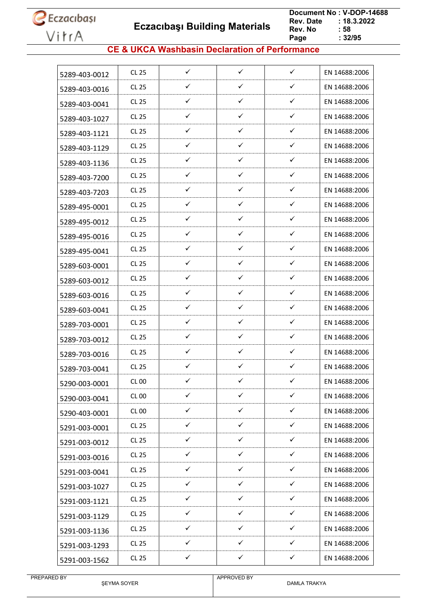**Eczacıbaşı Building Materials**

 **Document No : V-DOP-14688**  $: 18.3.2022$ <br> $: 58$ **Rev. No Page**  $\frac{1}{2}$  32/95

### **CE & UKCA Washbasin Declaration of Performance**

| 5289-403-0012 | CL 25        | ✓            | $\checkmark$ | $\checkmark$ | EN 14688:2006 |
|---------------|--------------|--------------|--------------|--------------|---------------|
| 5289-403-0016 | CL 25        | ✓            | $\checkmark$ | ✓            | EN 14688:2006 |
| 5289-403-0041 | CL 25        | $\checkmark$ | $\checkmark$ | $\checkmark$ | EN 14688:2006 |
| 5289-403-1027 | CL 25        | ✓            | $\checkmark$ | ✓            | EN 14688:2006 |
| 5289-403-1121 | CL 25        | ✓            | ✓            | ✓            | EN 14688:2006 |
| 5289-403-1129 | CL 25        | ✓            | $\checkmark$ | ✓            | EN 14688:2006 |
| 5289-403-1136 | <b>CL 25</b> | ✓            | ✓            | ✓            | EN 14688:2006 |
| 5289-403-7200 | CL 25        | ✓            | ✓            | ✓            | EN 14688:2006 |
| 5289-403-7203 | CL 25        | ✓            | ✓            | ✓            | EN 14688:2006 |
| 5289-495-0001 | CL 25        | ✓            | ✓            | ✓            | EN 14688:2006 |
| 5289-495-0012 | CL 25        | ✓            | $\checkmark$ | ✓            | EN 14688:2006 |
| 5289-495-0016 | CL 25        | ✓            | ✓            | ✓            | EN 14688:2006 |
| 5289-495-0041 | CL 25        | ✓            | ✓            | ✓            | EN 14688:2006 |
| 5289-603-0001 | CL 25        | $\checkmark$ | $\checkmark$ | ✓            | EN 14688:2006 |
| 5289-603-0012 | CL 25        | ✓            | ✓            | ✓            | EN 14688:2006 |
| 5289-603-0016 | CL 25        | ✓            | ✓            | ✓            | EN 14688:2006 |
| 5289-603-0041 | CL 25        | ✓            | ✓            | ✓            | EN 14688:2006 |
| 5289-703-0001 | CL 25        | ✓            | ✓            | ✓            | EN 14688:2006 |
| 5289-703-0012 | CL 25        | ✓            | ✓            | ✓            | EN 14688:2006 |
| 5289-703-0016 | CL 25        | ✓            | ✓            | ✓            | EN 14688:2006 |
| 5289-703-0041 | CL 25        | ✓            | ✓            | ✓            | EN 14688:2006 |
| 5290-003-0001 | <b>CL 00</b> | ✓            | ✓            | ✓            | EN 14688:2006 |
| 5290-003-0041 | <b>CL 00</b> | ✓            | ✓            | ✓            | EN 14688:2006 |
| 5290-403-0001 | <b>CL 00</b> | $\checkmark$ | $\checkmark$ | $\checkmark$ | EN 14688:2006 |
| 5291-003-0001 | <b>CL 25</b> | ✓            | $\checkmark$ | ✓            | EN 14688:2006 |
| 5291-003-0012 | CL 25        | $\checkmark$ | $\checkmark$ | $\checkmark$ | EN 14688:2006 |
| 5291-003-0016 | CL 25        | $\checkmark$ | $\checkmark$ | $\checkmark$ | EN 14688:2006 |
| 5291-003-0041 | CL 25        | $\checkmark$ | ✓            | ✓            | EN 14688:2006 |
| 5291-003-1027 | CL 25        | $\checkmark$ | $\checkmark$ | $\checkmark$ | EN 14688:2006 |
| 5291-003-1121 | CL 25        | ✓            | ✓            | ✓            | EN 14688:2006 |
| 5291-003-1129 | <b>CL 25</b> | ✓            | ✓            | ✓            | EN 14688:2006 |
| 5291-003-1136 | <b>CL 25</b> | $\checkmark$ | $\checkmark$ | ✓            | EN 14688:2006 |
| 5291-003-1293 | CL 25        | ✓            | $\checkmark$ | ✓            | EN 14688:2006 |
| 5291-003-1562 | <b>CL 25</b> | $\checkmark$ | $\checkmark$ | $\checkmark$ | EN 14688:2006 |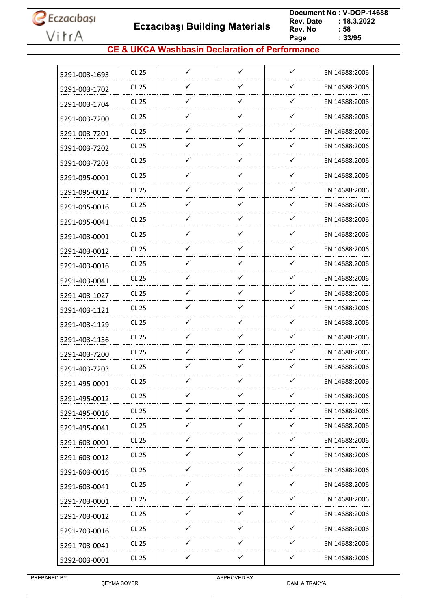**Eczacıbaşı Building Materials**

 **Document No : V-DOP-14688**  $: 18.3.2022$ <br> $: 58$ **Rev. No Page Page : 33/95**

### **CE & UKCA Washbasin Declaration of Performance**

| 5291-003-1693 | CL 25        | $\checkmark$ | $\checkmark$ | $\checkmark$ | EN 14688:2006 |
|---------------|--------------|--------------|--------------|--------------|---------------|
| 5291-003-1702 | CL 25        | ✓            | ✓            | ✓            | EN 14688:2006 |
| 5291-003-1704 | CL 25        | $\checkmark$ | $\checkmark$ | $\checkmark$ | EN 14688:2006 |
| 5291-003-7200 | CL 25        | ✓            | $\checkmark$ | ✓            | EN 14688:2006 |
| 5291-003-7201 | CL 25        | ✓            | ✓            | ✓            | EN 14688:2006 |
| 5291-003-7202 | CL 25        | ✓            | $\checkmark$ | ✓            | EN 14688:2006 |
| 5291-003-7203 | CL 25        | ✓            | $\checkmark$ | ✓            | EN 14688:2006 |
| 5291-095-0001 | CL 25        | $\checkmark$ | $\checkmark$ | ✓            | EN 14688:2006 |
| 5291-095-0012 | CL 25        | ✓            | $\checkmark$ | ✓            | EN 14688:2006 |
| 5291-095-0016 | CL 25        | ✓            | $\checkmark$ | ✓            | EN 14688:2006 |
| 5291-095-0041 | CL 25        | $\checkmark$ | $\checkmark$ | ✓            | EN 14688:2006 |
| 5291-403-0001 | CL 25        | ✓            | ✓            | ✓            | EN 14688:2006 |
| 5291-403-0012 | CL 25        | ✓            | ✓            | ✓            | EN 14688:2006 |
| 5291-403-0016 | CL 25        | ✓            | $\checkmark$ | ✓            | EN 14688:2006 |
| 5291-403-0041 | CL 25        | ✓            | $\checkmark$ | ✓            | EN 14688:2006 |
| 5291-403-1027 | CL 25        | $\checkmark$ | $\checkmark$ | ✓            | EN 14688:2006 |
| 5291-403-1121 | CL 25        | ✓            | $\checkmark$ | ✓            | EN 14688:2006 |
| 5291-403-1129 | CL 25        | ✓            | $\checkmark$ | ✓            | EN 14688:2006 |
| 5291-403-1136 | CL 25        | ✓            | ✓            | ✓            | EN 14688:2006 |
| 5291-403-7200 | CL 25        | ✓            | ✓            | ✓            | EN 14688:2006 |
| 5291-403-7203 | CL 25        | $\checkmark$ | ✓            | ✓            | EN 14688:2006 |
| 5291-495-0001 | <b>CL 25</b> | ✓            | ✓            | ✓            | EN 14688:2006 |
| 5291-495-0012 | <b>CL 25</b> | ✓            | $\checkmark$ | ✓            | EN 14688:2006 |
| 5291-495-0016 | CL 25        | $\checkmark$ | $\checkmark$ | $\checkmark$ | EN 14688:2006 |
| 5291-495-0041 | CL 25        | ✓            | $\checkmark$ | ✓            | EN 14688:2006 |
| 5291-603-0001 | <b>CL 25</b> | $\checkmark$ | $\checkmark$ | $\checkmark$ | EN 14688:2006 |
| 5291-603-0012 | CL 25        | ✓            | $\checkmark$ | ✓            | EN 14688:2006 |
| 5291-603-0016 | <b>CL 25</b> | $\checkmark$ | $\checkmark$ | ✓            | EN 14688:2006 |
| 5291-603-0041 | CL 25        | $\checkmark$ | $\checkmark$ | $\checkmark$ | EN 14688:2006 |
| 5291-703-0001 | <b>CL 25</b> | $\checkmark$ | $\checkmark$ | ✓            | EN 14688:2006 |
| 5291-703-0012 | CL 25        | $\checkmark$ | $\checkmark$ | ✓            | EN 14688:2006 |
| 5291-703-0016 | CL 25        | $\checkmark$ | $\checkmark$ | $\checkmark$ | EN 14688:2006 |
| 5291-703-0041 | CL 25        | ✓            | ✓            | ✓            | EN 14688:2006 |
| 5292-003-0001 | CL 25        | ✓            | $\checkmark$ | ✓            | EN 14688:2006 |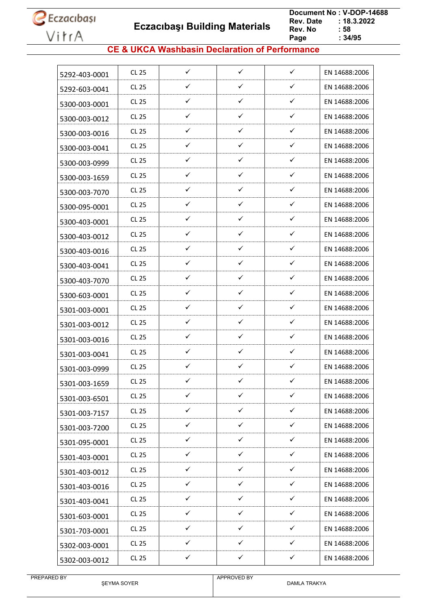**Eczacıbaşı Building Materials**

 **Document No : V-DOP-14688**  $: 18.3.2022$ <br> $: 58$ **Rev. No Page Page : 34/95**

### **CE & UKCA Washbasin Declaration of Performance**

| 5292-403-0001 | CL 25        | ✓            | $\checkmark$ | $\checkmark$ | EN 14688:2006 |
|---------------|--------------|--------------|--------------|--------------|---------------|
| 5292-603-0041 | CL 25        | ✓            | ✓            | ✓            | EN 14688:2006 |
| 5300-003-0001 | CL 25        | $\checkmark$ | $\checkmark$ | ✓            | EN 14688:2006 |
| 5300-003-0012 | <b>CL 25</b> | ✓            | ✓            | ✓            | EN 14688:2006 |
| 5300-003-0016 | CL 25        | ✓            | ✓            | ✓            | EN 14688:2006 |
| 5300-003-0041 | CL 25        | ✓            | $\checkmark$ | ✓            | EN 14688:2006 |
| 5300-003-0999 | <b>CL 25</b> | ✓            | ✓            | $\checkmark$ | EN 14688:2006 |
| 5300-003-1659 | CL 25        | ✓            | ✓            | ✓            | EN 14688:2006 |
| 5300-003-7070 | CL 25        | ✓            | ✓            | ✓            | EN 14688:2006 |
| 5300-095-0001 | CL 25        | ✓            | ✓            | ✓            | EN 14688:2006 |
| 5300-403-0001 | CL 25        | ✓            | ✓            | ✓            | EN 14688:2006 |
| 5300-403-0012 | CL 25        | ✓            | ✓            | $\checkmark$ | EN 14688:2006 |
| 5300-403-0016 | <b>CL 25</b> | ✓            | ✓            | ✓            | EN 14688:2006 |
| 5300-403-0041 | CL 25        | $\checkmark$ | ✓            | ✓            | EN 14688:2006 |
| 5300-403-7070 | CL 25        | ✓            | ✓            | ✓            | EN 14688:2006 |
| 5300-603-0001 | CL 25        | ✓            | ✓            | ✓            | EN 14688:2006 |
| 5301-003-0001 | CL 25        | ✓            | ✓            | $\checkmark$ | EN 14688:2006 |
| 5301-003-0012 | CL 25        | ✓            | ✓            | ✓            | EN 14688:2006 |
| 5301-003-0016 | CL 25        | ✓            | ✓            | ✓            | EN 14688:2006 |
| 5301-003-0041 | CL 25        | ✓            | ✓            | $\checkmark$ | EN 14688:2006 |
| 5301-003-0999 | CL 25        | ✓            | ✓            | ✓            | EN 14688:2006 |
| 5301-003-1659 | <b>CL 25</b> | ✓            | ✓            | ✓            | EN 14688:2006 |
| 5301-003-6501 | <b>CL 25</b> | ✓            | ✓            | ✓            | EN 14688:2006 |
| 5301-003-7157 | CL 25        | $\checkmark$ | $\checkmark$ | ✓            | EN 14688:2006 |
| 5301-003-7200 | <b>CL 25</b> | ✓            | ✓            | $\checkmark$ | EN 14688:2006 |
| 5301-095-0001 | CL 25        | $\checkmark$ | $\checkmark$ | $\checkmark$ | EN 14688:2006 |
| 5301-403-0001 | CL 25        | $\checkmark$ | $\checkmark$ | ✓            | EN 14688:2006 |
| 5301-403-0012 | CL 25        | ✓            | ✓            | $\checkmark$ | EN 14688:2006 |
| 5301-403-0016 | CL 25        | ✓            | $\checkmark$ | $\checkmark$ | EN 14688:2006 |
| 5301-403-0041 | CL 25        | ✓            | ✓            | ✓            | EN 14688:2006 |
| 5301-603-0001 | CL 25        | ✓            | ✓            | ✓            | EN 14688:2006 |
| 5301-703-0001 | CL 25        | $\checkmark$ | $\checkmark$ | $\checkmark$ | EN 14688:2006 |
| 5302-003-0001 | CL 25        | ✓            | ✓            | ✓            | EN 14688:2006 |
| 5302-003-0012 | <b>CL 25</b> | $\checkmark$ | $\checkmark$ | $\checkmark$ | EN 14688:2006 |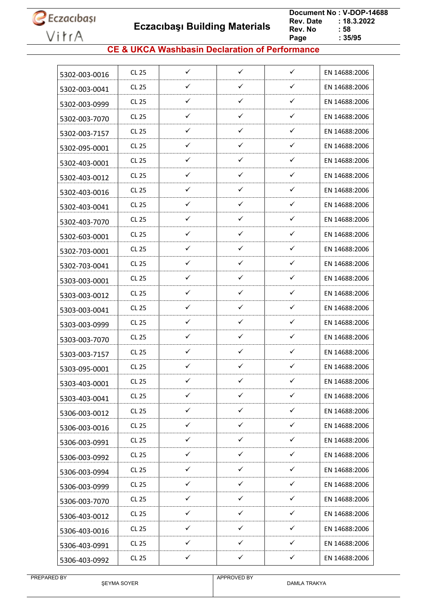**Eczacıbaşı Building Materials**

 **Document No : V-DOP-14688**  $: 18.3.2022$ <br> $: 58$ **Rev. No Page Page : 35/95**

### **CE & UKCA Washbasin Declaration of Performance**

| 5302-003-0016 | CL 25        | ✓            | $\checkmark$ | ✓            | EN 14688:2006 |
|---------------|--------------|--------------|--------------|--------------|---------------|
| 5302-003-0041 | CL 25        | ✓            | ✓            | ✓            | EN 14688:2006 |
| 5302-003-0999 | CL 25        | ✓            | ✓            | ✓            | EN 14688:2006 |
| 5302-003-7070 | CL 25        | ✓            | ✓            | ✓            | EN 14688:2006 |
| 5302-003-7157 | CL 25        | ✓            | $\checkmark$ | ✓            | EN 14688:2006 |
| 5302-095-0001 | CL 25        | ✓            | ✓            | ✓            | EN 14688:2006 |
| 5302-403-0001 | CL 25        | ✓            | $\checkmark$ | ✓            | EN 14688:2006 |
| 5302-403-0012 | CL 25        | ✓            | ✓            | ✓            | EN 14688:2006 |
| 5302-403-0016 | CL 25        | ✓            | ✓            | ✓            | EN 14688:2006 |
| 5302-403-0041 | CL 25        | ✓            | ✓            | ✓            | EN 14688:2006 |
| 5302-403-7070 | CL 25        | ✓            | ✓            | ✓            | EN 14688:2006 |
| 5302-603-0001 | CL 25        | ✓            | $\checkmark$ | ✓            | EN 14688:2006 |
| 5302-703-0001 | CL 25        | $\checkmark$ | ✓            | ✓            | EN 14688:2006 |
| 5302-703-0041 | CL 25        | ✓            | ✓            | ✓            | EN 14688:2006 |
| 5303-003-0001 | CL 25        | ✓            | ✓            | ✓            | EN 14688:2006 |
| 5303-003-0012 | CL 25        | ✓            | ✓            | ✓            | EN 14688:2006 |
| 5303-003-0041 | CL 25        | ✓            | ✓            | ✓            | EN 14688:2006 |
| 5303-003-0999 | CL 25        | $\checkmark$ | ✓            | ✓            | EN 14688:2006 |
| 5303-003-7070 | CL 25        | ✓            | ✓            | ✓            | EN 14688:2006 |
| 5303-003-7157 | CL 25        | ✓            | $\checkmark$ | ✓            | EN 14688:2006 |
| 5303-095-0001 | CL 25        | $\checkmark$ | $\checkmark$ | ✓            | EN 14688:2006 |
| 5303-403-0001 | <b>CL 25</b> | ✓            | ✓            | ✓            | EN 14688:2006 |
| 5303-403-0041 | <b>CL 25</b> | $\checkmark$ | $\checkmark$ | $\checkmark$ | EN 14688:2006 |
| 5306-003-0012 | CL 25        | $\checkmark$ | $\checkmark$ | $\checkmark$ | EN 14688:2006 |
| 5306-003-0016 | <b>CL 25</b> | $\checkmark$ | $\checkmark$ | ✓            | EN 14688:2006 |
| 5306-003-0991 | CL 25        | $\checkmark$ | $\checkmark$ | $\checkmark$ | EN 14688:2006 |
| 5306-003-0992 | <b>CL 25</b> | $\checkmark$ | $\checkmark$ | ✓            | EN 14688:2006 |
| 5306-003-0994 | CL 25        | $\checkmark$ | $\checkmark$ | $\checkmark$ | EN 14688:2006 |
| 5306-003-0999 | CL 25        | $\checkmark$ | $\checkmark$ | ✓            | EN 14688:2006 |
| 5306-003-7070 | CL 25        | ✓            | ✓            | ✓            | EN 14688:2006 |
| 5306-403-0012 | CL 25        | ✓            | ✓            | $\checkmark$ | EN 14688:2006 |
| 5306-403-0016 | <b>CL 25</b> | $\checkmark$ | $\checkmark$ | ✓            | EN 14688:2006 |
| 5306-403-0991 | CL 25        | $\checkmark$ | $\checkmark$ | ✓            | EN 14688:2006 |
| 5306-403-0992 | <b>CL 25</b> | $\checkmark$ | $\checkmark$ | $\checkmark$ | EN 14688:2006 |
|               |              |              |              |              |               |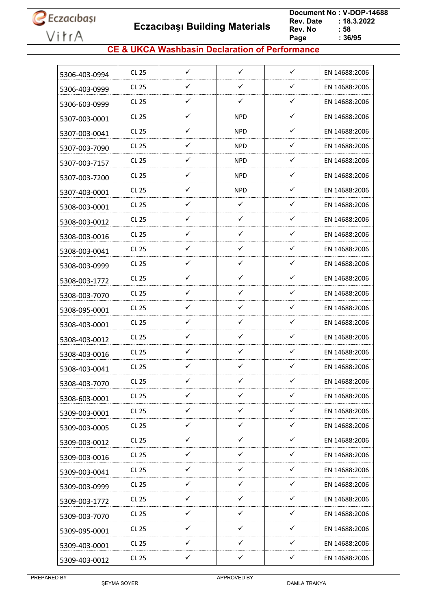**Eczacıbaşı Building Materials**

 **Document No : V-DOP-14688**  $: 18.3.2022$ <br> $: 58$ **Rev. No Page Page : 36/95**

### **CE & UKCA Washbasin Declaration of Performance**

| 5306-403-0994 | CL 25        | ✓            | $\checkmark$ | $\checkmark$ | EN 14688:2006 |
|---------------|--------------|--------------|--------------|--------------|---------------|
| 5306-403-0999 | CL 25        | ✓            | ✓            | ✓            | EN 14688:2006 |
| 5306-603-0999 | CL 25        | $\checkmark$ | ✓            | ✓            | EN 14688:2006 |
| 5307-003-0001 | <b>CL 25</b> | ✓            | <b>NPD</b>   | ✓            | EN 14688:2006 |
| 5307-003-0041 | CL 25        | ✓            | <b>NPD</b>   | ✓            | EN 14688:2006 |
| 5307-003-7090 | CL 25        | ✓            | <b>NPD</b>   | ✓            | EN 14688:2006 |
| 5307-003-7157 | <b>CL 25</b> | ✓            | <b>NPD</b>   | ✓            | EN 14688:2006 |
| 5307-003-7200 | CL 25        | ✓            | <b>NPD</b>   | ✓            | EN 14688:2006 |
| 5307-403-0001 | CL 25        | ✓            | <b>NPD</b>   | ✓            | EN 14688:2006 |
| 5308-003-0001 | CL 25        | ✓            | ✓            | ✓            | EN 14688:2006 |
| 5308-003-0012 | CL 25        | ✓            | $\checkmark$ | ✓            | EN 14688:2006 |
| 5308-003-0016 | CL 25        | ✓            | ✓            | ✓            | EN 14688:2006 |
| 5308-003-0041 | CL 25        | ✓            | ✓            | ✓            | EN 14688:2006 |
| 5308-003-0999 | CL 25        | $\checkmark$ | ✓            | ✓            | EN 14688:2006 |
| 5308-003-1772 | CL 25        | ✓            | ✓            | ✓            | EN 14688:2006 |
| 5308-003-7070 | CL 25        | ✓            | ✓            | ✓            | EN 14688:2006 |
| 5308-095-0001 | CL 25        | ✓            | ✓            | ✓            | EN 14688:2006 |
| 5308-403-0001 | CL 25        | ✓            | ✓            | ✓            | EN 14688:2006 |
| 5308-403-0012 | CL 25        | ✓            | ✓            | ✓            | EN 14688:2006 |
| 5308-403-0016 | CL 25        | ✓            | ✓            | $\checkmark$ | EN 14688:2006 |
| 5308-403-0041 | CL 25        | ✓            | ✓            | ✓            | EN 14688:2006 |
| 5308-403-7070 | CL 25        | ✓            | ✓            | ✓            | EN 14688:2006 |
| 5308-603-0001 | <b>CL 25</b> | ✓            | ✓            | ✓            | EN 14688:2006 |
| 5309-003-0001 | CL 25        | $\checkmark$ | $\checkmark$ | ✓            | EN 14688:2006 |
| 5309-003-0005 | <b>CL 25</b> | ✓            | ✓            | $\checkmark$ | EN 14688:2006 |
| 5309-003-0012 | CL 25        | $\checkmark$ | $\checkmark$ | $\checkmark$ | EN 14688:2006 |
| 5309-003-0016 | CL 25        | $\checkmark$ | $\checkmark$ | ✓            | EN 14688:2006 |
| 5309-003-0041 | CL 25        | ✓            | ✓            | $\checkmark$ | EN 14688:2006 |
| 5309-003-0999 | CL 25        | ✓            | $\checkmark$ | $\checkmark$ | EN 14688:2006 |
| 5309-003-1772 | CL 25        | ✓            | ✓            | ✓            | EN 14688:2006 |
| 5309-003-7070 | CL 25        | ✓            | ✓            | ✓            | EN 14688:2006 |
| 5309-095-0001 | CL 25        | $\checkmark$ | $\checkmark$ | $\checkmark$ | EN 14688:2006 |
| 5309-403-0001 | CL 25        | ✓            | ✓            | ✓            | EN 14688:2006 |
| 5309-403-0012 | <b>CL 25</b> | $\checkmark$ | $\checkmark$ | $\checkmark$ | EN 14688:2006 |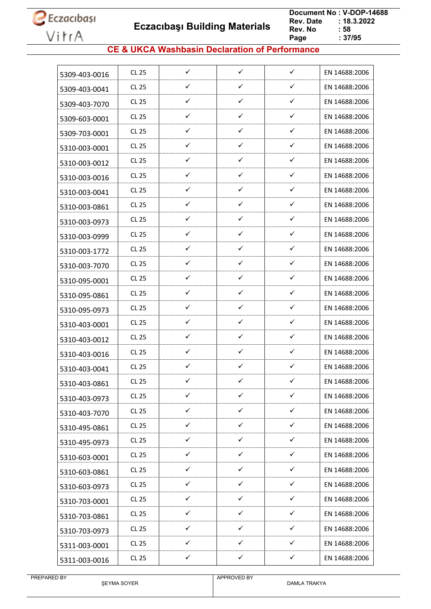**Eczacıbaşı Building Materials**

 **Document No : V-DOP-14688**  $: 18.3.2022$ <br> $: 58$ **Rev. No Page Page : 37/95**

#### **CE & UKCA Washbasin Declaration of Performance**

| 5309-403-0016 | CL 25        | $\checkmark$ | $\checkmark$ | $\checkmark$ | EN 14688:2006 |
|---------------|--------------|--------------|--------------|--------------|---------------|
|               | CL 25        | ✓            | ✓            | ✓            | EN 14688:2006 |
| 5309-403-0041 | CL 25        | $\checkmark$ | $\checkmark$ | $\checkmark$ | EN 14688:2006 |
| 5309-403-7070 | CL 25        | ✓            | $\checkmark$ | ✓            | EN 14688:2006 |
| 5309-603-0001 | CL 25        | ✓            | ✓            | ✓            | EN 14688:2006 |
| 5309-703-0001 | CL 25        | ✓            | $\checkmark$ | ✓            | EN 14688:2006 |
| 5310-003-0001 | <b>CL 25</b> | ✓            | ✓            | ✓            | EN 14688:2006 |
| 5310-003-0012 |              |              | ✓            | ✓            |               |
| 5310-003-0016 | CL 25        | ✓            |              |              | EN 14688:2006 |
| 5310-003-0041 | CL 25        | ✓            | ✓            | ✓            | EN 14688:2006 |
| 5310-003-0861 | CL 25        | ✓            | ✓            | ✓            | EN 14688:2006 |
| 5310-003-0973 | CL 25        | ✓            | $\checkmark$ | ✓            | EN 14688:2006 |
| 5310-003-0999 | CL 25        | ✓            | $\checkmark$ | ✓            | EN 14688:2006 |
| 5310-003-1772 | CL 25        | ✓            | ✓            | ✓            | EN 14688:2006 |
| 5310-003-7070 | CL 25        | $\checkmark$ | $\checkmark$ | ✓            | EN 14688:2006 |
| 5310-095-0001 | CL 25        | ✓            | ✓            | ✓            | EN 14688:2006 |
| 5310-095-0861 | CL 25        | ✓            | ✓            | ✓            | EN 14688:2006 |
| 5310-095-0973 | CL 25        | ✓            | ✓            | ✓            | EN 14688:2006 |
| 5310-403-0001 | CL 25        | ✓            | ✓            | ✓            | EN 14688:2006 |
| 5310-403-0012 | CL 25        | ✓            | ✓            | ✓            | EN 14688:2006 |
| 5310-403-0016 | CL 25        | ✓            | ✓            | ✓            | EN 14688:2006 |
| 5310-403-0041 | CL 25        | ✓            | ✓            | ✓            | EN 14688:2006 |
| 5310-403-0861 | CL 25        | ✓            | ✓            | ✓            | EN 14688:2006 |
| 5310-403-0973 | <b>CL 25</b> | ✓            | ✓            | ✓            | EN 14688:2006 |
| 5310-403-7070 | <b>CL 25</b> | $\checkmark$ | $\checkmark$ | $\checkmark$ | EN 14688:2006 |
| 5310-495-0861 | <b>CL 25</b> | ✓            | ✓            | ✓            | EN 14688:2006 |
| 5310-495-0973 | CL 25        | $\checkmark$ | $\checkmark$ | $\checkmark$ | EN 14688:2006 |
| 5310-603-0001 | CL 25        | $\checkmark$ | $\checkmark$ | ✓            | EN 14688:2006 |
| 5310-603-0861 | CL 25        | $\checkmark$ | ✓            | ✓            | EN 14688:2006 |
| 5310-603-0973 | CL 25        | $\checkmark$ | $\checkmark$ | $\checkmark$ | EN 14688:2006 |
| 5310-703-0001 | CL 25        | ✓            | ✓            | ✓            | EN 14688:2006 |
| 5310-703-0861 | CL 25        | ✓            | ✓            | ✓            | EN 14688:2006 |
|               | CL 25        | $\checkmark$ | $\checkmark$ | ✓            | EN 14688:2006 |
| 5310-703-0973 | CL 25        | ✓            | ✓            | ✓            | EN 14688:2006 |
| 5311-003-0001 |              | $\checkmark$ | $\checkmark$ | $\checkmark$ |               |
| 5311-003-0016 | <b>CL 25</b> |              |              |              | EN 14688:2006 |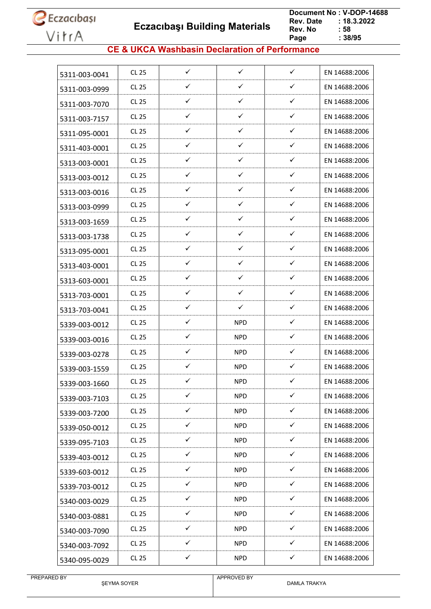**Eczacıbaşı Building Materials**

 **Document No : V-DOP-14688**  $: 18.3.2022$ <br> $: 58$ **Rev. No Page Page : 38/95**

#### **CE & UKCA Washbasin Declaration of Performance**

| 5311-003-0041 | CL 25        | $\checkmark$ | $\checkmark$ | $\checkmark$ | EN 14688:2006 |
|---------------|--------------|--------------|--------------|--------------|---------------|
| 5311-003-0999 | <b>CL 25</b> | ✓            | ✓            | ✓            | EN 14688:2006 |
| 5311-003-7070 | CL 25        | ✓            | $\checkmark$ | ✓            | EN 14688:2006 |
| 5311-003-7157 | <b>CL 25</b> | ✓            | ✓            | $\checkmark$ | EN 14688:2006 |
| 5311-095-0001 | <b>CL 25</b> | ✓            | ✓            | $\checkmark$ | EN 14688:2006 |
| 5311-403-0001 | <b>CL 25</b> | ✓            | $\checkmark$ | $\checkmark$ | EN 14688:2006 |
| 5313-003-0001 | <b>CL 25</b> | ✓            | ✓            | $\checkmark$ | EN 14688:2006 |
| 5313-003-0012 | <b>CL 25</b> | ✓            | $\checkmark$ | ✓            | EN 14688:2006 |
| 5313-003-0016 | <b>CL 25</b> | ✓            | ✓            | ✓            | EN 14688:2006 |
| 5313-003-0999 | <b>CL 25</b> | $\checkmark$ | ✓            | ✓            | EN 14688:2006 |
| 5313-003-1659 | <b>CL 25</b> | $\checkmark$ | $\checkmark$ | $\checkmark$ | EN 14688:2006 |
| 5313-003-1738 | <b>CL 25</b> | ✓            | ✓            | $\checkmark$ | EN 14688:2006 |
| 5313-095-0001 | <b>CL 25</b> | ✓            | ✓            | ✓            | EN 14688:2006 |
| 5313-403-0001 | <b>CL 25</b> | ✓            | $\checkmark$ | $\checkmark$ | EN 14688:2006 |
| 5313-603-0001 | <b>CL 25</b> | ✓            | ✓            | ✓            | EN 14688:2006 |
| 5313-703-0001 | <b>CL 25</b> | ✓            | ✓            | ✓            | EN 14688:2006 |
| 5313-703-0041 | <b>CL 25</b> | ✓            | $\checkmark$ | $\checkmark$ | EN 14688:2006 |
| 5339-003-0012 | CL 25        | $\checkmark$ | <b>NPD</b>   | ✓            | EN 14688:2006 |
| 5339-003-0016 | <b>CL 25</b> | ✓            | <b>NPD</b>   | ✓            | EN 14688:2006 |
| 5339-003-0278 | <b>CL 25</b> | ✓            | NPD          | $\checkmark$ | EN 14688:2006 |
| 5339-003-1559 | <b>CL 25</b> | ✓            | <b>NPD</b>   | $\checkmark$ | EN 14688:2006 |
| 5339-003-1660 | <b>CL 25</b> | ✓            | <b>NPD</b>   | ✓            | EN 14688:2006 |
| 5339-003-7103 | CL 25        | ✓            | <b>NPD</b>   | ✓            | EN 14688:2006 |
| 5339-003-7200 | CL 25        | $\checkmark$ | <b>NPD</b>   | $\checkmark$ | EN 14688:2006 |
| 5339-050-0012 | <b>CL 25</b> | $\checkmark$ | <b>NPD</b>   | $\checkmark$ | EN 14688:2006 |
| 5339-095-7103 | CL 25        | $\checkmark$ | <b>NPD</b>   | $\checkmark$ | EN 14688:2006 |
| 5339-403-0012 | <b>CL 25</b> | $\checkmark$ | <b>NPD</b>   | $\checkmark$ | EN 14688:2006 |
| 5339-603-0012 | CL 25        | ✓            | <b>NPD</b>   | ✓            | EN 14688:2006 |
| 5339-703-0012 | <b>CL 25</b> | $\checkmark$ | <b>NPD</b>   | $\checkmark$ | EN 14688:2006 |
| 5340-003-0029 | <b>CL 25</b> | ✓            | <b>NPD</b>   | ✓            | EN 14688:2006 |
| 5340-003-0881 | CL 25        | $\checkmark$ | <b>NPD</b>   | ✓            | EN 14688:2006 |
| 5340-003-7090 | <b>CL 25</b> | $\checkmark$ | <b>NPD</b>   | $\checkmark$ | EN 14688:2006 |
| 5340-003-7092 | <b>CL 25</b> | $\checkmark$ | <b>NPD</b>   | ✓            | EN 14688:2006 |
| 5340-095-0029 | <b>CL 25</b> | $\checkmark$ | <b>NPD</b>   | $\checkmark$ | EN 14688:2006 |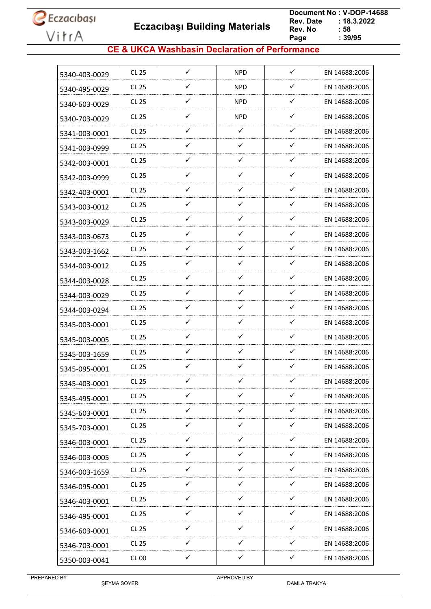**Eczacıbaşı Building Materials**

 **Document No : V-DOP-14688**  $: 18.3.2022$ <br> $: 58$ **Rev. No Page Page : 39/95**

#### **CE & UKCA Washbasin Declaration of Performance**

| 5340-403-0029 | CL 25        | ✓            | <b>NPD</b>   | $\checkmark$ | EN 14688:2006 |
|---------------|--------------|--------------|--------------|--------------|---------------|
| 5340-495-0029 | CL 25        | ✓            | <b>NPD</b>   | ✓            | EN 14688:2006 |
| 5340-603-0029 | CL 25        | ✓            | <b>NPD</b>   | $\checkmark$ | EN 14688:2006 |
| 5340-703-0029 | CL 25        | ✓            | <b>NPD</b>   | ✓            | EN 14688:2006 |
| 5341-003-0001 | CL 25        | ✓            | $\checkmark$ | ✓            | EN 14688:2006 |
| 5341-003-0999 | CL 25        | ✓            | ✓            | ✓            | EN 14688:2006 |
| 5342-003-0001 | <b>CL 25</b> | ✓            | ✓            | $\checkmark$ | EN 14688:2006 |
| 5342-003-0999 | CL 25        | ✓            | ✓            | $\checkmark$ | EN 14688:2006 |
| 5342-403-0001 | <b>CL 25</b> | ✓            | ✓            | ✓            | EN 14688:2006 |
| 5343-003-0012 | CL 25        | ✓            | ✓            | $\checkmark$ | EN 14688:2006 |
| 5343-003-0029 | CL 25        | ✓            | ✓            | $\checkmark$ | EN 14688:2006 |
| 5343-003-0673 | CL 25        | ✓            | ✓            | ✓            | EN 14688:2006 |
| 5343-003-1662 | CL 25        | ✓            | ✓            | ✓            | EN 14688:2006 |
| 5344-003-0012 | <b>CL 25</b> | ✓            | ✓            | $\checkmark$ | EN 14688:2006 |
| 5344-003-0028 | CL 25        | ✓            | ✓            | $\checkmark$ | EN 14688:2006 |
| 5344-003-0029 | <b>CL 25</b> | ✓            | ✓            | $\checkmark$ | EN 14688:2006 |
| 5344-003-0294 | CL 25        | ✓            | ✓            | $\checkmark$ | EN 14688:2006 |
| 5345-003-0001 | CL 25        | ✓            | $\checkmark$ | $\checkmark$ | EN 14688:2006 |
| 5345-003-0005 | CL 25        | ✓            | ✓            | ✓            | EN 14688:2006 |
| 5345-003-1659 | CL 25        | ✓            | ✓            | ✓            | EN 14688:2006 |
| 5345-095-0001 | <b>CL 25</b> | ✓            | ✓            | $\checkmark$ | EN 14688:2006 |
| 5345-403-0001 | <b>CL 25</b> | ✓            | ✓            | ✓            | EN 14688:2006 |
| 5345-495-0001 | <b>CL 25</b> | $\checkmark$ | $\checkmark$ | $\checkmark$ | EN 14688:2006 |
| 5345-603-0001 | CL 25        | $\checkmark$ | $\checkmark$ | $\checkmark$ | EN 14688:2006 |
| 5345-703-0001 | <b>CL 25</b> | ✓            | $\checkmark$ | $\checkmark$ | EN 14688:2006 |
| 5346-003-0001 | CL 25        | $\checkmark$ | $\checkmark$ | $\checkmark$ | EN 14688:2006 |
| 5346-003-0005 | CL 25        | ✓            | ✓            | ✓            | EN 14688:2006 |
| 5346-003-1659 | CL 25        | $\checkmark$ | $\checkmark$ | ✓            | EN 14688:2006 |
| 5346-095-0001 | CL 25        | $\checkmark$ | $\checkmark$ | $\checkmark$ | EN 14688:2006 |
| 5346-403-0001 | <b>CL 25</b> | $\checkmark$ | $\checkmark$ | ✓            | EN 14688:2006 |
| 5346-495-0001 | CL 25        | $\checkmark$ | $\checkmark$ | $\checkmark$ | EN 14688:2006 |
| 5346-603-0001 | CL 25        | ✓            | ✓            | $\checkmark$ | EN 14688:2006 |
| 5346-703-0001 | CL 25        | ✓            | ✓            | ✓            | EN 14688:2006 |
| 5350-003-0041 | <b>CL 00</b> | ✓            | ✓            | $\checkmark$ | EN 14688:2006 |
|               |              |              |              |              |               |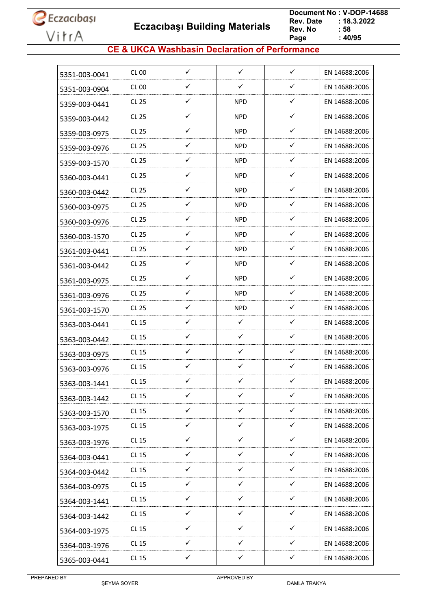

 **Eczacıbaşı Building Materials**

 **Document No : V-DOP-14688**  $: 18.3.2022$ <br> $: 58$ **Rev. No Page**  $: 40/95$ 

#### **CE & UKCA Washbasin Declaration of Performance**

| 5351-003-0041 | CL 00        | ✓            | ✓            | ✓            | EN 14688:2006 |
|---------------|--------------|--------------|--------------|--------------|---------------|
| 5351-003-0904 | CL 00        | ✓            | ✓            | ✓            | EN 14688:2006 |
| 5359-003-0441 | CL 25        | ✓            | <b>NPD</b>   | ✓            | EN 14688:2006 |
| 5359-003-0442 | CL 25        | ✓            | <b>NPD</b>   | ✓            | EN 14688:2006 |
| 5359-003-0975 | CL 25        | ✓            | <b>NPD</b>   | ✓            | EN 14688:2006 |
| 5359-003-0976 | CL 25        | ✓            | <b>NPD</b>   | ✓            | EN 14688:2006 |
| 5359-003-1570 | CL 25        | ✓            | <b>NPD</b>   | ✓            | EN 14688:2006 |
| 5360-003-0441 | CL 25        | ✓            | <b>NPD</b>   | ✓            | EN 14688:2006 |
| 5360-003-0442 | CL 25        | ✓            | <b>NPD</b>   | ✓            | EN 14688:2006 |
| 5360-003-0975 | CL 25        | $\checkmark$ | <b>NPD</b>   | $\checkmark$ | EN 14688:2006 |
| 5360-003-0976 | CL 25        | ✓            | <b>NPD</b>   | ✓            | EN 14688:2006 |
| 5360-003-1570 | CL 25        | ✓            | <b>NPD</b>   | ✓            | EN 14688:2006 |
| 5361-003-0441 | CL 25        | ✓            | <b>NPD</b>   | ✓            | EN 14688:2006 |
| 5361-003-0442 | <b>CL 25</b> | ✓            | <b>NPD</b>   | ✓            | EN 14688:2006 |
| 5361-003-0975 | CL 25        | ✓            | <b>NPD</b>   | ✓            | EN 14688:2006 |
| 5361-003-0976 | CL 25        | $\checkmark$ | <b>NPD</b>   | ✓            | EN 14688:2006 |
| 5361-003-1570 | CL 25        | ✓            | <b>NPD</b>   | ✓            | EN 14688:2006 |
| 5363-003-0441 | CL 15        | $\checkmark$ | $\checkmark$ | $\checkmark$ | EN 14688:2006 |
| 5363-003-0442 | CL 15        | ✓            | $\checkmark$ | ✓            | EN 14688:2006 |
| 5363-003-0975 | CL 15        | ✓            | ✓            | ✓            | EN 14688:2006 |
| 5363-003-0976 | CL 15        | ✓            | ✓            | ✓            | EN 14688:2006 |
| 5363-003-1441 | <b>CL 15</b> | ✓            | ✓            | ✓            | EN 14688:2006 |
| 5363-003-1442 | <b>CL 15</b> | $\checkmark$ | $\checkmark$ | $\checkmark$ | EN 14688:2006 |
| 5363-003-1570 | CL 15        | $\checkmark$ | $\checkmark$ | $\checkmark$ | EN 14688:2006 |
| 5363-003-1975 | <b>CL 15</b> | $\checkmark$ | $\checkmark$ | ✓            | EN 14688:2006 |
| 5363-003-1976 | CL 15        | $\checkmark$ | $\checkmark$ | $\checkmark$ | EN 14688:2006 |
| 5364-003-0441 | CL 15        | ✓            | $\checkmark$ | ✓            | EN 14688:2006 |
| 5364-003-0442 | CL 15        | $\checkmark$ | $\checkmark$ | $\checkmark$ | EN 14688:2006 |
| 5364-003-0975 | CL 15        | $\checkmark$ | $\checkmark$ | $\checkmark$ | EN 14688:2006 |
| 5364-003-1441 | CL 15        | ✓            | $\checkmark$ | ✓            | EN 14688:2006 |
| 5364-003-1442 | CL 15        | ✓            | ✓            | ✓            | EN 14688:2006 |
| 5364-003-1975 | <b>CL 15</b> | $\checkmark$ | $\checkmark$ | ✓            | EN 14688:2006 |
| 5364-003-1976 | <b>CL 15</b> | $\checkmark$ | $\checkmark$ | $\checkmark$ | EN 14688:2006 |
|               | <b>CL 15</b> | $\checkmark$ | $\checkmark$ | $\checkmark$ | EN 14688:2006 |
| 5365-003-0441 |              |              |              |              |               |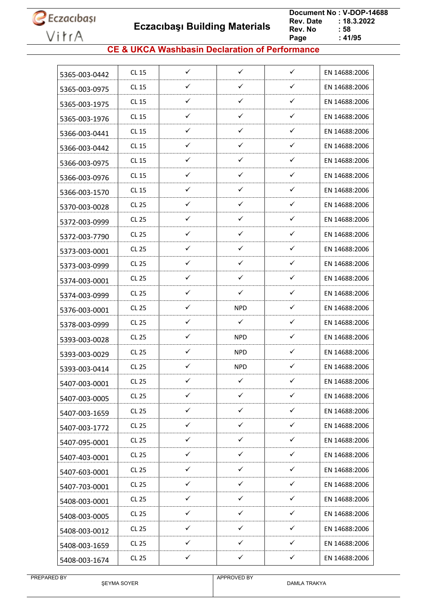**Eczacıbaşı Building Materials**

 **Document No : V-DOP-14688**  $: 18.3.2022$ <br> $: 58$ **Rev. No Page**  $\frac{1}{2}$ **41/95** 

#### **CE & UKCA Washbasin Declaration of Performance**

| 5365-003-0442 | CL 15        | $\checkmark$ | $\checkmark$ | $\checkmark$ | EN 14688:2006 |
|---------------|--------------|--------------|--------------|--------------|---------------|
| 5365-003-0975 | CL 15        | ✓            | ✓            | ✓            | EN 14688:2006 |
| 5365-003-1975 | CL 15        | ✓            | $\checkmark$ | $\checkmark$ | EN 14688:2006 |
| 5365-003-1976 | CL 15        | ✓            | ✓            | ✓            | EN 14688:2006 |
| 5366-003-0441 | CL 15        | ✓            | ✓            | ✓            | EN 14688:2006 |
| 5366-003-0442 | CL 15        | ✓            | ✓            | ✓            | EN 14688:2006 |
| 5366-003-0975 | CL 15        | ✓            | ✓            | ✓            | EN 14688:2006 |
| 5366-003-0976 | CL 15        | ✓            | ✓            | ✓            | EN 14688:2006 |
| 5366-003-1570 | CL 15        | ✓            | $\checkmark$ | ✓            | EN 14688:2006 |
| 5370-003-0028 | <b>CL 25</b> | ✓            | ✓            | ✓            | EN 14688:2006 |
| 5372-003-0999 | CL 25        | $\checkmark$ | $\checkmark$ | ✓            | EN 14688:2006 |
| 5372-003-7790 | CL 25        | ✓            | ✓            | ✓            | EN 14688:2006 |
| 5373-003-0001 | CL 25        | ✓            | $\checkmark$ | ✓            | EN 14688:2006 |
| 5373-003-0999 | CL 25        | $\checkmark$ | $\checkmark$ | ✓            | EN 14688:2006 |
| 5374-003-0001 | CL 25        | ✓            | ✓            | ✓            | EN 14688:2006 |
| 5374-003-0999 | CL 25        | ✓            | $\checkmark$ | ✓            | EN 14688:2006 |
| 5376-003-0001 | CL 25        | ✓            | <b>NPD</b>   | ✓            | EN 14688:2006 |
| 5378-003-0999 | CL 25        | ✓            | ✓            | ✓            | EN 14688:2006 |
| 5393-003-0028 | CL 25        | ✓            | <b>NPD</b>   | ✓            | EN 14688:2006 |
| 5393-003-0029 | CL 25        | ✓            | <b>NPD</b>   | ✓            | EN 14688:2006 |
| 5393-003-0414 | CL 25        | ✓            | <b>NPD</b>   | ✓            | EN 14688:2006 |
| 5407-003-0001 | <b>CL 25</b> | ✓            | $\checkmark$ | ✓            | EN 14688:2006 |
| 5407-003-0005 | <b>CL 25</b> | ✓            | ✓            | ✓            | EN 14688:2006 |
| 5407-003-1659 | <b>CL 25</b> | $\checkmark$ | $\checkmark$ | $\checkmark$ | EN 14688:2006 |
| 5407-003-1772 | CL 25        | ✓            | ✓            | ✓            | EN 14688:2006 |
| 5407-095-0001 | <b>CL 25</b> | $\checkmark$ | $\checkmark$ | $\checkmark$ | EN 14688:2006 |
| 5407-403-0001 | CL 25        | ✓            | $\checkmark$ | ✓            | EN 14688:2006 |
| 5407-603-0001 | <b>CL 25</b> | ✓            | $\checkmark$ | ✓            | EN 14688:2006 |
| 5407-703-0001 | CL 25        | $\checkmark$ | $\checkmark$ | $\checkmark$ | EN 14688:2006 |
| 5408-003-0001 | <b>CL 25</b> | ✓            | $\checkmark$ | ✓            | EN 14688:2006 |
| 5408-003-0005 | CL 25        | $\checkmark$ | $\checkmark$ | $\checkmark$ | EN 14688:2006 |
| 5408-003-0012 | CL 25        | $\checkmark$ | $\checkmark$ | $\checkmark$ | EN 14688:2006 |
| 5408-003-1659 | CL 25        | ✓            | ✓            | ✓            | EN 14688:2006 |
| 5408-003-1674 | CL 25        | ✓            | ✓            | ✓            | EN 14688:2006 |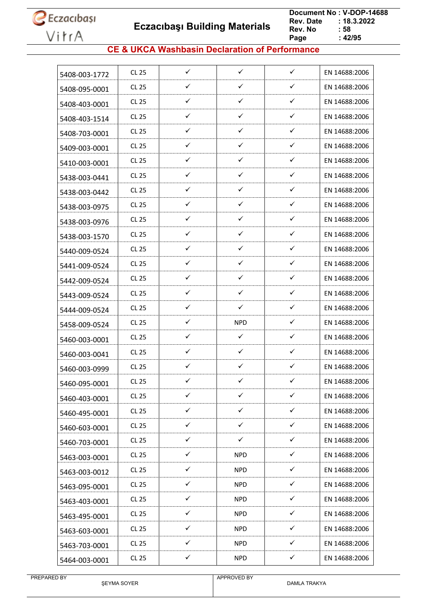**Eczacıbaşı Building Materials**

 **Document No : V-DOP-14688**  $: 18.3.2022$ <br> $: 58$ **Rev. No Page**  $\frac{1}{2}$  42/95

#### **CE & UKCA Washbasin Declaration of Performance**

| 5408-003-1772 | CL 25        | $\checkmark$ | $\checkmark$ | $\checkmark$ | EN 14688:2006 |
|---------------|--------------|--------------|--------------|--------------|---------------|
| 5408-095-0001 | CL 25        | ✓            | ✓            | $\checkmark$ | EN 14688:2006 |
| 5408-403-0001 | CL 25        | ✓            | ✓            | ✓            | EN 14688:2006 |
| 5408-403-1514 | CL 25        | ✓            | ✓            | ✓            | EN 14688:2006 |
| 5408-703-0001 | CL 25        | ✓            | ✓            | ✓            | EN 14688:2006 |
| 5409-003-0001 | CL 25        | ✓            | $\checkmark$ | ✓            | EN 14688:2006 |
| 5410-003-0001 | <b>CL 25</b> | ✓            | ✓            | $\checkmark$ | EN 14688:2006 |
| 5438-003-0441 | CL 25        | ✓            | ✓            | $\checkmark$ | EN 14688:2006 |
| 5438-003-0442 | CL 25        | ✓            | ✓            | $\checkmark$ | EN 14688:2006 |
| 5438-003-0975 | CL 25        | ✓            | ✓            | $\checkmark$ | EN 14688:2006 |
| 5438-003-0976 | CL 25        | ✓            | $\checkmark$ | ✓            | EN 14688:2006 |
| 5438-003-1570 | CL 25        | ✓            | ✓            | ✓            | EN 14688:2006 |
| 5440-009-0524 | CL 25        | ✓            | ✓            | ✓            | EN 14688:2006 |
| 5441-009-0524 | CL 25        | $\checkmark$ | $\checkmark$ | $\checkmark$ | EN 14688:2006 |
| 5442-009-0524 | CL 25        | ✓            | ✓            | ✓            | EN 14688:2006 |
| 5443-009-0524 | CL 25        | ✓            | ✓            | ✓            | EN 14688:2006 |
| 5444-009-0524 | <b>CL 25</b> | ✓            | ✓            | $\checkmark$ | EN 14688:2006 |
| 5458-009-0524 | CL 25        | ✓            | <b>NPD</b>   | ✓            | EN 14688:2006 |
| 5460-003-0001 | CL 25        | ✓            | ✓            | ✓            | EN 14688:2006 |
| 5460-003-0041 | CL 25        | ✓            | ✓            | $\checkmark$ | EN 14688:2006 |
| 5460-003-0999 | CL 25        | ✓            | ✓            | ✓            | EN 14688:2006 |
| 5460-095-0001 | <b>CL 25</b> | ✓            | ✓            | ✓            | EN 14688:2006 |
| 5460-403-0001 | <b>CL 25</b> | ✓            | ✓            | ✓            | EN 14688:2006 |
| 5460-495-0001 | <b>CL 25</b> | $\checkmark$ | $\checkmark$ | $\checkmark$ | EN 14688:2006 |
| 5460-603-0001 | CL 25        | $\checkmark$ | $\checkmark$ | $\checkmark$ | EN 14688:2006 |
| 5460-703-0001 | CL 25        | ✓            | ✓            | ✓            | EN 14688:2006 |
| 5463-003-0001 | CL 25        | ✓            | <b>NPD</b>   | $\checkmark$ | EN 14688:2006 |
| 5463-003-0012 | <b>CL 25</b> | $\checkmark$ | <b>NPD</b>   | $\checkmark$ | EN 14688:2006 |
| 5463-095-0001 | <b>CL 25</b> | $\checkmark$ | <b>NPD</b>   | $\checkmark$ | EN 14688:2006 |
| 5463-403-0001 | CL 25        | $\checkmark$ | <b>NPD</b>   | $\checkmark$ | EN 14688:2006 |
| 5463-495-0001 | <b>CL 25</b> | $\checkmark$ | <b>NPD</b>   | $\checkmark$ | EN 14688:2006 |
| 5463-603-0001 | CL 25        | $\checkmark$ | <b>NPD</b>   | $\checkmark$ | EN 14688:2006 |
| 5463-703-0001 | CL 25        | ✓            | <b>NPD</b>   | ✓            | EN 14688:2006 |
| 5464-003-0001 | <b>CL 25</b> | $\checkmark$ | <b>NPD</b>   | $\checkmark$ | EN 14688:2006 |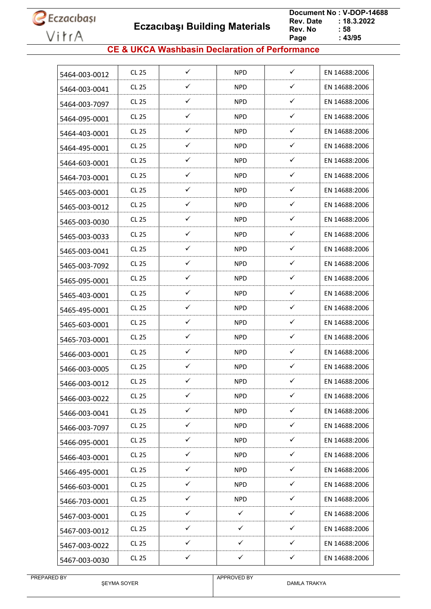**Eczacıbaşı Building Materials**

 **Document No : V-DOP-14688**  $: 18.3.2022$ <br> $: 58$ **Rev. No Page Page : 43/95**

#### **CE & UKCA Washbasin Declaration of Performance**

| <b>CL 25</b> |              | <b>NPD</b>   |              | EN 14688:2006 |
|--------------|--------------|--------------|--------------|---------------|
| CL 25        | ✓            | <b>NPD</b>   | ✓            | EN 14688:2006 |
| CL 25        | $\checkmark$ | <b>NPD</b>   | $\checkmark$ | EN 14688:2006 |
| <b>CL 25</b> | ✓            | <b>NPD</b>   | ✓            | EN 14688:2006 |
| CL 25        | ✓            | <b>NPD</b>   | ✓            | EN 14688:2006 |
| CL 25        | ✓            | <b>NPD</b>   | ✓            | EN 14688:2006 |
| <b>CL 25</b> | ✓            | <b>NPD</b>   | ✓            | EN 14688:2006 |
| CL 25        | ✓            | <b>NPD</b>   | ✓            | EN 14688:2006 |
| CL 25        | ✓            | <b>NPD</b>   | ✓            | EN 14688:2006 |
| <b>CL 25</b> | ✓            | <b>NPD</b>   | ✓            | EN 14688:2006 |
| CL 25        | $\checkmark$ | <b>NPD</b>   | $\checkmark$ | EN 14688:2006 |
| <b>CL 25</b> | ✓            | <b>NPD</b>   | ✓            | EN 14688:2006 |
| CL 25        | ✓            | <b>NPD</b>   | ✓            | EN 14688:2006 |
| <b>CL 25</b> | ✓            | <b>NPD</b>   | $\checkmark$ | EN 14688:2006 |
| CL 25        | ✓            | <b>NPD</b>   | ✓            | EN 14688:2006 |
| CL 25        | ✓            | <b>NPD</b>   | ✓            | EN 14688:2006 |
| <b>CL 25</b> | ✓            | <b>NPD</b>   | ✓            | EN 14688:2006 |
| CL 25        | ✓            | <b>NPD</b>   | ✓            | EN 14688:2006 |
| <b>CL 25</b> | ✓            | <b>NPD</b>   | ✓            | EN 14688:2006 |
| <b>CL 25</b> | ✓            | <b>NPD</b>   | ✓            | EN 14688:2006 |
| CL 25        | ✓            | <b>NPD</b>   | ✓            | EN 14688:2006 |
| <b>CL 25</b> | ✓            | <b>NPD</b>   | ✓            | EN 14688:2006 |
| CL 25        | ✓            | <b>NPD</b>   | ✓            | EN 14688:2006 |
| CL 25        | $\checkmark$ | <b>NPD</b>   | $\checkmark$ | EN 14688:2006 |
| CL 25        | $\checkmark$ | <b>NPD</b>   | $\checkmark$ | EN 14688:2006 |
| CL 25        | $\checkmark$ | <b>NPD</b>   | $\checkmark$ | EN 14688:2006 |
| CL 25        | $\checkmark$ | <b>NPD</b>   | $\checkmark$ | EN 14688:2006 |
| <b>CL 25</b> | $\checkmark$ | <b>NPD</b>   | ✓            | EN 14688:2006 |
| CL 25        | $\checkmark$ | <b>NPD</b>   | $\checkmark$ | EN 14688:2006 |
| CL 25        | ✓            | <b>NPD</b>   | ✓            | EN 14688:2006 |
| CL 25        | $\checkmark$ | $\checkmark$ | ✓            | EN 14688:2006 |
| CL 25        | $\checkmark$ | $\checkmark$ | $\checkmark$ | EN 14688:2006 |
|              | ✓            | $\checkmark$ | ✓            | EN 14688:2006 |
|              |              |              |              |               |
|              | <b>CL 25</b> | $\checkmark$ |              | $\checkmark$  |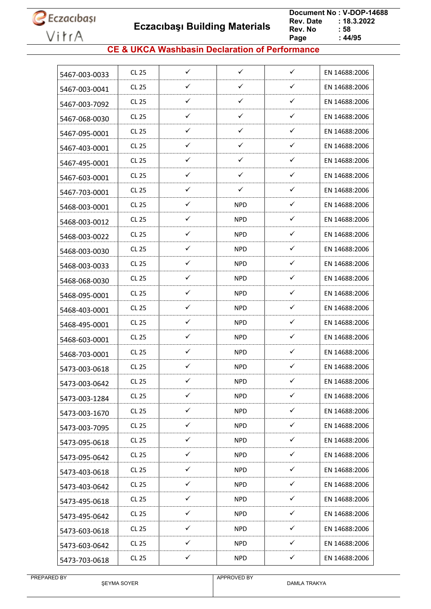**Eczacıbaşı Building Materials**

 **Document No : V-DOP-14688**  $: 18.3.2022$ <br> $: 58$ **Rev. No Page Page : 44/95**

#### **CE & UKCA Washbasin Declaration of Performance**

| 5467-003-0033 | <b>CL 25</b> | $\checkmark$ | $\checkmark$ | $\checkmark$ | EN 14688:2006 |
|---------------|--------------|--------------|--------------|--------------|---------------|
| 5467-003-0041 | <b>CL 25</b> | ✓            | ✓            | $\checkmark$ | EN 14688:2006 |
| 5467-003-7092 | CL 25        | ✓            | ✓            | $\checkmark$ | EN 14688:2006 |
| 5467-068-0030 | <b>CL 25</b> | ✓            | ✓            | $\checkmark$ | EN 14688:2006 |
| 5467-095-0001 | <b>CL 25</b> | ✓            | ✓            | ✓            | EN 14688:2006 |
| 5467-403-0001 | CL 25        | ✓            | ✓            | ✓            | EN 14688:2006 |
| 5467-495-0001 | <b>CL 25</b> | ✓            | ✓            | $\checkmark$ | EN 14688:2006 |
| 5467-603-0001 | CL 25        | ✓            | ✓            | $\checkmark$ | EN 14688:2006 |
| 5467-703-0001 | <b>CL 25</b> | ✓            | ✓            | $\checkmark$ | EN 14688:2006 |
| 5468-003-0001 | <b>CL 25</b> | ✓            | <b>NPD</b>   | $\checkmark$ | EN 14688:2006 |
| 5468-003-0012 | <b>CL 25</b> | ✓            | <b>NPD</b>   | $\checkmark$ | EN 14688:2006 |
| 5468-003-0022 | <b>CL 25</b> | ✓            | <b>NPD</b>   | ✓            | EN 14688:2006 |
| 5468-003-0030 | CL 25        | ✓            | <b>NPD</b>   | ✓            | EN 14688:2006 |
| 5468-003-0033 | <b>CL 25</b> | $\checkmark$ | <b>NPD</b>   | $\checkmark$ | EN 14688:2006 |
| 5468-068-0030 | <b>CL 25</b> | ✓            | NPD.         | $\checkmark$ | EN 14688:2006 |
| 5468-095-0001 | CL 25        | ✓            | <b>NPD</b>   | $\checkmark$ | EN 14688:2006 |
| 5468-403-0001 | <b>CL 25</b> | ✓            | <b>NPD</b>   | $\checkmark$ | EN 14688:2006 |
| 5468-495-0001 | CL 25        | ✓            | <b>NPD</b>   | ✓            | EN 14688:2006 |
| 5468-603-0001 | <b>CL 25</b> | ✓            | <b>NPD</b>   | ✓            | EN 14688:2006 |
| 5468-703-0001 | <b>CL 25</b> | ✓            | <b>NPD</b>   | ✓            | EN 14688:2006 |
| 5473-003-0618 | CL 25        | ✓            | <b>NPD</b>   | ✓            | EN 14688:2006 |
| 5473-003-0642 | <b>CL 25</b> | ✓            | <b>NPD</b>   | ✓            | EN 14688:2006 |
| 5473-003-1284 | <b>CL 25</b> | ✓            | <b>NPD</b>   | $\checkmark$ | EN 14688:2006 |
| 5473-003-1670 | CL 25        | $\checkmark$ | <b>NPD</b>   | $\checkmark$ | EN 14688:2006 |
| 5473-003-7095 | CL 25        | ✓            | <b>NPD</b>   | $\checkmark$ | EN 14688:2006 |
| 5473-095-0618 | <b>CL 25</b> | $\checkmark$ | <b>NPD</b>   | $\checkmark$ | EN 14688:2006 |
| 5473-095-0642 | CL 25        | ✓            | <b>NPD</b>   | $\checkmark$ | EN 14688:2006 |
| 5473-403-0618 | <b>CL 25</b> | $\checkmark$ | <b>NPD</b>   | $\checkmark$ | EN 14688:2006 |
| 5473-403-0642 | CL 25        | $\checkmark$ | <b>NPD</b>   | $\checkmark$ | EN 14688:2006 |
| 5473-495-0618 | CL 25        | $\checkmark$ | <b>NPD</b>   | $\checkmark$ | EN 14688:2006 |
| 5473-495-0642 | CL 25        | $\checkmark$ | <b>NPD</b>   | $\checkmark$ | EN 14688:2006 |
| 5473-603-0618 | CL 25        | $\checkmark$ | <b>NPD</b>   | $\checkmark$ | EN 14688:2006 |
| 5473-603-0642 | CL 25        | ✓            | <b>NPD</b>   | ✓            | EN 14688:2006 |
| 5473-703-0618 | <b>CL 25</b> | $\checkmark$ | <b>NPD</b>   | ✓            | EN 14688:2006 |
|               |              |              |              |              |               |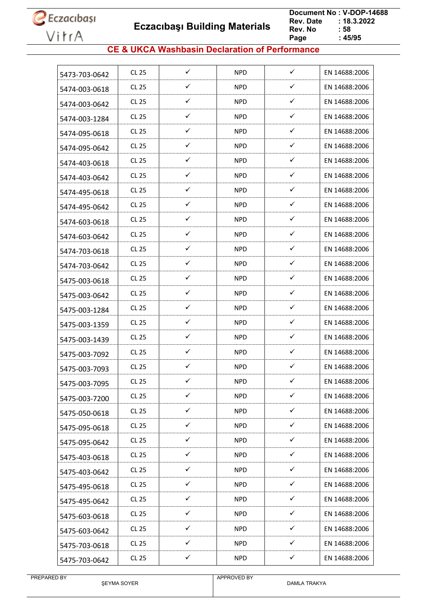**Eczacıbaşı Building Materials**

 **Document No : V-DOP-14688**  $: 18.3.2022$ <br> $: 58$ **Rev. No Page Page : 45/95**

#### **CE & UKCA Washbasin Declaration of Performance**

| 5473-703-0642 | CL 25        | ✓            | <b>NPD</b> | $\checkmark$ | EN 14688:2006 |
|---------------|--------------|--------------|------------|--------------|---------------|
| 5474-003-0618 | CL 25        | ✓            | <b>NPD</b> | ✓            | EN 14688:2006 |
| 5474-003-0642 | CL 25        | ✓            | <b>NPD</b> | $\checkmark$ | EN 14688:2006 |
| 5474-003-1284 | CL 25        | ✓            | <b>NPD</b> | ✓            | EN 14688:2006 |
| 5474-095-0618 | CL 25        | ✓            | <b>NPD</b> | ✓            | EN 14688:2006 |
| 5474-095-0642 | CL 25        | ✓            | <b>NPD</b> | ✓            | EN 14688:2006 |
| 5474-403-0618 | CL 25        | ✓            | <b>NPD</b> | $\checkmark$ | EN 14688:2006 |
| 5474-403-0642 | CL 25        | ✓            | <b>NPD</b> | $\checkmark$ | EN 14688:2006 |
| 5474-495-0618 | CL 25        | ✓            | <b>NPD</b> | ✓            | EN 14688:2006 |
| 5474-495-0642 | CL 25        | ✓            | <b>NPD</b> | $\checkmark$ | EN 14688:2006 |
| 5474-603-0618 | CL 25        | ✓            | <b>NPD</b> | $\checkmark$ | EN 14688:2006 |
| 5474-603-0642 | CL 25        | ✓            | <b>NPD</b> | ✓            | EN 14688:2006 |
| 5474-703-0618 | CL 25        | ✓            | <b>NPD</b> | ✓            | EN 14688:2006 |
| 5474-703-0642 | <b>CL 25</b> | ✓            | <b>NPD</b> | $\checkmark$ | EN 14688:2006 |
| 5475-003-0618 | CL 25        | ✓            | NPD.       | $\checkmark$ | EN 14688:2006 |
| 5475-003-0642 | <b>CL 25</b> | ✓            | <b>NPD</b> | $\checkmark$ | EN 14688:2006 |
| 5475-003-1284 | CL 25        | ✓            | <b>NPD</b> | $\checkmark$ | EN 14688:2006 |
| 5475-003-1359 | CL 25        | ✓            | <b>NPD</b> | $\checkmark$ | EN 14688:2006 |
| 5475-003-1439 | <b>CL 25</b> | ✓            | <b>NPD</b> | ✓            | EN 14688:2006 |
| 5475-003-7092 | CL 25        | ✓            | <b>NPD</b> | ✓            | EN 14688:2006 |
| 5475-003-7093 | <b>CL 25</b> | ✓            | <b>NPD</b> | ✓            | EN 14688:2006 |
| 5475-003-7095 | <b>CL 25</b> | ✓            | <b>NPD</b> | ✓            | EN 14688:2006 |
| 5475-003-7200 | <b>CL 25</b> | $\checkmark$ | <b>NPD</b> | $\checkmark$ | EN 14688:2006 |
| 5475-050-0618 | CL 25        | $\checkmark$ | <b>NPD</b> | $\checkmark$ | EN 14688:2006 |
| 5475-095-0618 | <b>CL 25</b> | ✓            | <b>NPD</b> | ✓            | EN 14688:2006 |
| 5475-095-0642 | CL 25        | $\checkmark$ | <b>NPD</b> | $\checkmark$ | EN 14688:2006 |
| 5475-403-0618 | CL 25        | ✓            | <b>NPD</b> | $\checkmark$ | EN 14688:2006 |
| 5475-403-0642 | CL 25        | $\checkmark$ | <b>NPD</b> | $\checkmark$ | EN 14688:2006 |
| 5475-495-0618 | CL 25        | $\checkmark$ | <b>NPD</b> | $\checkmark$ | EN 14688:2006 |
| 5475-495-0642 | <b>CL 25</b> | $\checkmark$ | <b>NPD</b> | $\checkmark$ | EN 14688:2006 |
| 5475-603-0618 | CL 25        | $\checkmark$ | <b>NPD</b> | $\checkmark$ | EN 14688:2006 |
| 5475-603-0642 | CL 25        | ✓            | <b>NPD</b> | $\checkmark$ | EN 14688:2006 |
| 5475-703-0618 | CL 25        | ✓            | <b>NPD</b> | $\checkmark$ | EN 14688:2006 |
| 5475-703-0642 | <b>CL 25</b> | ✓            | <b>NPD</b> | ✓            | EN 14688:2006 |
|               |              |              |            |              |               |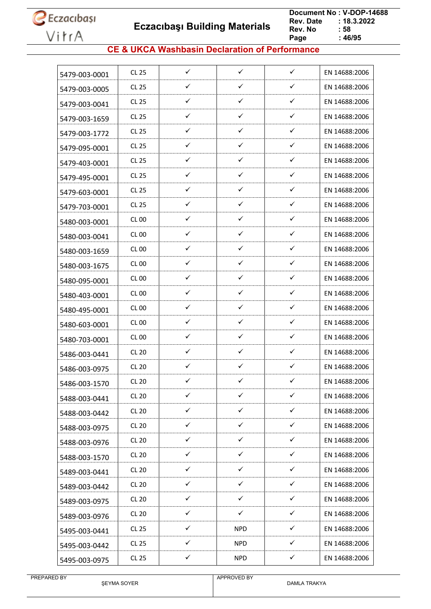**Eczacıbaşı Building Materials**

 **Document No : V-DOP-14688**  $: 18.3.2022$ <br> $: 58$ **Rev. No Page Page : 46/95**

#### **CE & UKCA Washbasin Declaration of Performance**

| 5479-003-0001 | CL 25        | $\checkmark$ | $\checkmark$ | $\checkmark$ | EN 14688:2006 |
|---------------|--------------|--------------|--------------|--------------|---------------|
| 5479-003-0005 | <b>CL 25</b> | ✓            | ✓            | ✓            | EN 14688:2006 |
| 5479-003-0041 | CL 25        | $\checkmark$ | ✓            | ✓            | EN 14688:2006 |
| 5479-003-1659 | <b>CL 25</b> | ✓            | ✓            | ✓            | EN 14688:2006 |
| 5479-003-1772 | CL 25        | ✓            | ✓            | ✓            | EN 14688:2006 |
| 5479-095-0001 | CL 25        | ✓            | ✓            | ✓            | EN 14688:2006 |
| 5479-403-0001 | <b>CL 25</b> | ✓            | ✓            | ✓            | EN 14688:2006 |
| 5479-495-0001 | CL 25        | ✓            | ✓            | ✓            | EN 14688:2006 |
| 5479-603-0001 | <b>CL 25</b> | ✓            | $\checkmark$ | ✓            | EN 14688:2006 |
| 5479-703-0001 | <b>CL 25</b> | ✓            | ✓            | ✓            | EN 14688:2006 |
| 5480-003-0001 | CL 00        | ✓            | ✓            | ✓            | EN 14688:2006 |
| 5480-003-0041 | CL 00        | ✓            | ✓            | ✓            | EN 14688:2006 |
| 5480-003-1659 | CL 00        | ✓            | ✓            | ✓            | EN 14688:2006 |
| 5480-003-1675 | CL 00        | ✓            | ✓            | ✓            | EN 14688:2006 |
| 5480-095-0001 | <b>CL 00</b> | ✓            | ✓            | ✓            | EN 14688:2006 |
| 5480-403-0001 | CL 00        | ✓            | ✓            | $\checkmark$ | EN 14688:2006 |
| 5480-495-0001 | CL 00        | ✓            | ✓            | ✓            | EN 14688:2006 |
| 5480-603-0001 | CL 00        | ✓            | ✓            | ✓            | EN 14688:2006 |
| 5480-703-0001 | <b>CL 00</b> | ✓            | ✓            | ✓            | EN 14688:2006 |
| 5486-003-0441 | <b>CL 20</b> | ✓            | ✓            | ✓            | EN 14688:2006 |
| 5486-003-0975 | <b>CL 20</b> | ✓            | ✓            | ✓            | EN 14688:2006 |
| 5486-003-1570 | <b>CL 20</b> | ✓            | ✓            | ✓            | EN 14688:2006 |
| 5488-003-0441 | <b>CL 20</b> | ✓            | ✓            | ✓            | EN 14688:2006 |
| 5488-003-0442 | CL20         | $\checkmark$ | $\checkmark$ | $\checkmark$ | EN 14688:2006 |
| 5488-003-0975 | <b>CL 20</b> | ✓            | ✓            | ✓            | EN 14688:2006 |
| 5488-003-0976 | <b>CL 20</b> | ✓            | $\checkmark$ | $\checkmark$ | EN 14688:2006 |
| 5488-003-1570 | <b>CL 20</b> | ✓            | ✓            | ✓            | EN 14688:2006 |
| 5489-003-0441 | <b>CL 20</b> | $\checkmark$ | $\checkmark$ | $\checkmark$ | EN 14688:2006 |
| 5489-003-0442 | CL20         | $\checkmark$ | $\checkmark$ | $\checkmark$ | EN 14688:2006 |
| 5489-003-0975 | <b>CL 20</b> | ✓            | $\checkmark$ | $\checkmark$ | EN 14688:2006 |
| 5489-003-0976 | CL 20        | $\checkmark$ | $\checkmark$ | $\checkmark$ | EN 14688:2006 |
| 5495-003-0441 | CL 25        | $\checkmark$ | <b>NPD</b>   | $\checkmark$ | EN 14688:2006 |
| 5495-003-0442 | CL 25        | ✓            | <b>NPD</b>   | ✓            | EN 14688:2006 |
| 5495-003-0975 | CL 25        | ✓            | <b>NPD</b>   | ✓            | EN 14688:2006 |
|               |              |              |              |              |               |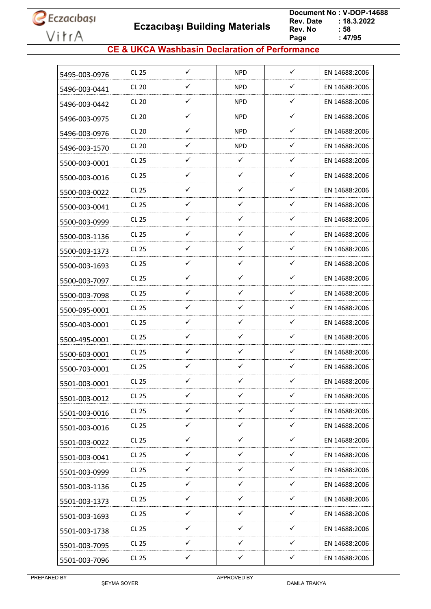**Eczacıbaşı Building Materials**

 **Document No : V-DOP-14688**  $: 18.3.2022$ <br> $: 58$ **Rev. No Page Page : 47/95**

#### **CE & UKCA Washbasin Declaration of Performance**

|               |              | $\checkmark$ |              | $\checkmark$ |               |
|---------------|--------------|--------------|--------------|--------------|---------------|
| 5495-003-0976 | <b>CL 25</b> |              | <b>NPD</b>   |              | EN 14688:2006 |
| 5496-003-0441 | <b>CL 20</b> | ✓            | <b>NPD</b>   | ✓            | EN 14688:2006 |
| 5496-003-0442 | <b>CL 20</b> | ✓            | <b>NPD</b>   | $\checkmark$ | EN 14688:2006 |
| 5496-003-0975 | <b>CL 20</b> | ✓            | <b>NPD</b>   | $\checkmark$ | EN 14688:2006 |
| 5496-003-0976 | <b>CL 20</b> | ✓            | <b>NPD</b>   | ✓            | EN 14688:2006 |
| 5496-003-1570 | <b>CL 20</b> | ✓            | <b>NPD</b>   | ✓            | EN 14688:2006 |
| 5500-003-0001 | <b>CL 25</b> | ✓            | $\checkmark$ | ✓            | EN 14688:2006 |
| 5500-003-0016 | <b>CL 25</b> | ✓            | ✓            | ✓            | EN 14688:2006 |
| 5500-003-0022 | <b>CL 25</b> | $\checkmark$ | ✓            | ✓            | EN 14688:2006 |
| 5500-003-0041 | <b>CL 25</b> | $\checkmark$ | $\checkmark$ | ✓            | EN 14688:2006 |
| 5500-003-0999 | <b>CL 25</b> | $\checkmark$ | ✓            | ✓            | EN 14688:2006 |
| 5500-003-1136 | <b>CL 25</b> | ✓            | ✓            | ✓            | EN 14688:2006 |
| 5500-003-1373 | <b>CL 25</b> | ✓            | ✓            | ✓            | EN 14688:2006 |
| 5500-003-1693 | <b>CL 25</b> | $\checkmark$ | ✓            | ✓            | EN 14688:2006 |
| 5500-003-7097 | <b>CL 25</b> | ✓            | ✓            | ✓            | EN 14688:2006 |
| 5500-003-7098 | <b>CL 25</b> | $\checkmark$ | ✓            | ✓            | EN 14688:2006 |
| 5500-095-0001 | <b>CL 25</b> | $\checkmark$ | ✓            | ✓            | EN 14688:2006 |
| 5500-403-0001 | <b>CL 25</b> | ✓            | ✓            | ✓            | EN 14688:2006 |
| 5500-495-0001 | <b>CL 25</b> | ✓            | ✓            | ✓            | EN 14688:2006 |
| 5500-603-0001 | <b>CL 25</b> | ✓            | ✓            | ✓            | EN 14688:2006 |
| 5500-703-0001 | <b>CL 25</b> | $\checkmark$ | ✓            | ✓            | EN 14688:2006 |
| 5501-003-0001 | <b>CL 25</b> | ✓            | ✓            | ✓            | EN 14688:2006 |
| 5501-003-0012 | <b>CL 25</b> | $\checkmark$ | $\checkmark$ | ✓            | EN 14688:2006 |
| 5501-003-0016 | <b>CL 25</b> | $\checkmark$ | $\checkmark$ | $\checkmark$ | EN 14688:2006 |
| 5501-003-0016 | <b>CL 25</b> | ✓            | $\checkmark$ | $\checkmark$ | EN 14688:2006 |
| 5501-003-0022 | <b>CL 25</b> | $\checkmark$ | $\checkmark$ | $\checkmark$ | EN 14688:2006 |
| 5501-003-0041 | CL 25        | $\checkmark$ | $\checkmark$ | $\checkmark$ | EN 14688:2006 |
| 5501-003-0999 | CL 25        | $\checkmark$ | $\checkmark$ | $\checkmark$ | EN 14688:2006 |
| 5501-003-1136 | <b>CL 25</b> | $\checkmark$ | $\checkmark$ | $\checkmark$ | EN 14688:2006 |
| 5501-003-1373 | <b>CL 25</b> | $\checkmark$ | $\checkmark$ | $\checkmark$ | EN 14688:2006 |
| 5501-003-1693 | CL 25        | $\checkmark$ | $\checkmark$ | $\checkmark$ | EN 14688:2006 |
| 5501-003-1738 | <b>CL 25</b> | $\checkmark$ | $\checkmark$ | $\checkmark$ | EN 14688:2006 |
| 5501-003-7095 | CL 25        | ✓            | ✓            | ✓            | EN 14688:2006 |
| 5501-003-7096 | <b>CL 25</b> | ✓            | ✓            | ✓            | EN 14688:2006 |
|               |              |              |              |              |               |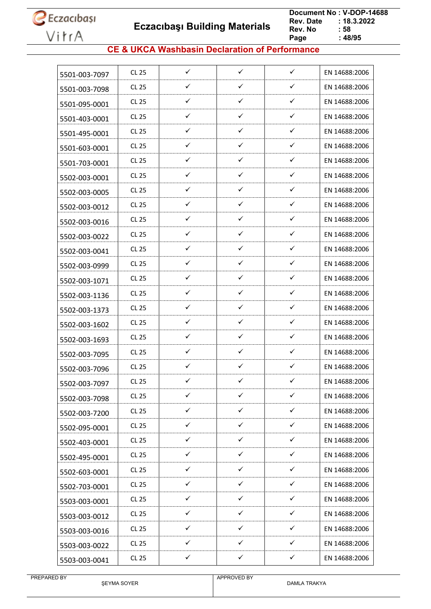**Eczacıbaşı Building Materials**

 **Document No : V-DOP-14688**  $: 18.3.2022$ <br> $: 58$ **Rev. No Page Page : 48/95**

#### **CE & UKCA Washbasin Declaration of Performance**

| 5501-003-7097 | CL 25        | $\checkmark$ | $\checkmark$ | $\checkmark$ | EN 14688:2006 |
|---------------|--------------|--------------|--------------|--------------|---------------|
| 5501-003-7098 | CL 25        | ✓            | ✓            | ✓            | EN 14688:2006 |
| 5501-095-0001 | CL 25        | $\checkmark$ | $\checkmark$ | $\checkmark$ | EN 14688:2006 |
| 5501-403-0001 | CL 25        | ✓            | $\checkmark$ | $\checkmark$ | EN 14688:2006 |
| 5501-495-0001 | CL 25        | ✓            | ✓            | ✓            | EN 14688:2006 |
| 5501-603-0001 | CL 25        | ✓            | $\checkmark$ | $\checkmark$ | EN 14688:2006 |
| 5501-703-0001 | <b>CL 25</b> | ✓            | ✓            | ✓            | EN 14688:2006 |
| 5502-003-0001 | CL 25        | ✓            | ✓            | ✓            | EN 14688:2006 |
| 5502-003-0005 | CL 25        | ✓            | ✓            | ✓            | EN 14688:2006 |
| 5502-003-0012 | CL 25        | ✓            | ✓            | ✓            | EN 14688:2006 |
| 5502-003-0016 | CL 25        | ✓            | $\checkmark$ | ✓            | EN 14688:2006 |
| 5502-003-0022 | CL 25        | ✓            | $\checkmark$ | ✓            | EN 14688:2006 |
| 5502-003-0041 | CL 25        | ✓            | ✓            | ✓            | EN 14688:2006 |
| 5502-003-0999 | CL 25        | $\checkmark$ | $\checkmark$ | ✓            | EN 14688:2006 |
| 5502-003-1071 | CL 25        | ✓            | ✓            | ✓            | EN 14688:2006 |
| 5502-003-1136 | CL 25        | ✓            | ✓            | ✓            | EN 14688:2006 |
| 5502-003-1373 | CL 25        | ✓            | $\checkmark$ | $\checkmark$ | EN 14688:2006 |
| 5502-003-1602 | CL 25        | ✓            | ✓            | ✓            | EN 14688:2006 |
| 5502-003-1693 | CL 25        | ✓            | ✓            | ✓            | EN 14688:2006 |
| 5502-003-7095 | CL 25        | ✓            | ✓            | ✓            | EN 14688:2006 |
| 5502-003-7096 | CL 25        | ✓            | ✓            | ✓            | EN 14688:2006 |
| 5502-003-7097 | CL 25        | ✓            | ✓            | ✓            | EN 14688:2006 |
| 5502-003-7098 | CL 25        | ✓            | ✓            | ✓            | EN 14688:2006 |
| 5502-003-7200 | <b>CL 25</b> | $\checkmark$ | $\checkmark$ | $\checkmark$ | EN 14688:2006 |
| 5502-095-0001 | <b>CL 25</b> | ✓            | $\checkmark$ | ✓            | EN 14688:2006 |
| 5502-403-0001 | CL 25        | $\checkmark$ | $\checkmark$ | $\checkmark$ | EN 14688:2006 |
| 5502-495-0001 | CL 25        | $\checkmark$ | $\checkmark$ | $\checkmark$ | EN 14688:2006 |
| 5502-603-0001 | CL 25        | $\checkmark$ | ✓            | ✓            | EN 14688:2006 |
| 5502-703-0001 | CL 25        | $\checkmark$ | $\checkmark$ | $\checkmark$ | EN 14688:2006 |
| 5503-003-0001 | CL 25        | ✓            | ✓            | ✓            | EN 14688:2006 |
| 5503-003-0012 | <b>CL 25</b> | ✓            | ✓            | ✓            | EN 14688:2006 |
| 5503-003-0016 | <b>CL 25</b> | $\checkmark$ | $\checkmark$ | ✓            | EN 14688:2006 |
| 5503-003-0022 | CL 25        | ✓            | ✓            | ✓            | EN 14688:2006 |
| 5503-003-0041 | <b>CL 25</b> | $\checkmark$ | $\checkmark$ | $\checkmark$ | EN 14688:2006 |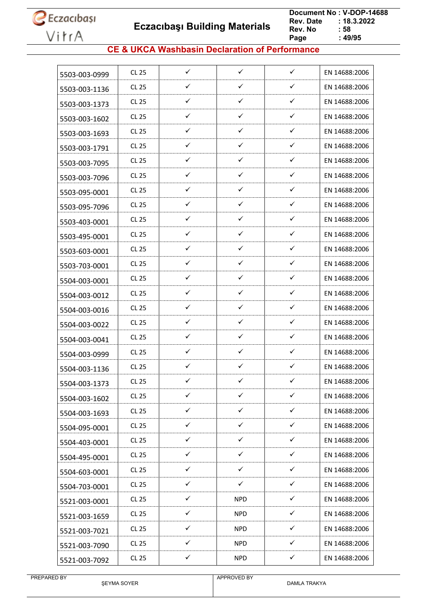**Eczacıbaşı Building Materials**

 **Document No : V-DOP-14688**  $: 18.3.2022$ <br> $: 58$ **Rev. No Page Page : 49/95**

#### **CE & UKCA Washbasin Declaration of Performance**

| 5503-003-0999 | CL 25        | $\checkmark$ | $\checkmark$ | $\checkmark$ | EN 14688:2006 |
|---------------|--------------|--------------|--------------|--------------|---------------|
|               | <b>CL 25</b> | ✓            | ✓            | ✓            | EN 14688:2006 |
| 5503-003-1136 | CL 25        | $\checkmark$ | $\checkmark$ | $\checkmark$ | EN 14688:2006 |
| 5503-003-1373 | <b>CL 25</b> | ✓            | $\checkmark$ | $\checkmark$ | EN 14688:2006 |
| 5503-003-1602 |              | ✓            | ✓            | $\checkmark$ |               |
| 5503-003-1693 | <b>CL 25</b> |              |              |              | EN 14688:2006 |
| 5503-003-1791 | <b>CL 25</b> | ✓            | $\checkmark$ | $\checkmark$ | EN 14688:2006 |
| 5503-003-7095 | <b>CL 25</b> | ✓            | ✓            | $\checkmark$ | EN 14688:2006 |
| 5503-003-7096 | <b>CL 25</b> | ✓            | $\checkmark$ | $\checkmark$ | EN 14688:2006 |
| 5503-095-0001 | <b>CL 25</b> | ✓            | $\checkmark$ | ✓            | EN 14688:2006 |
| 5503-095-7096 | <b>CL 25</b> | $\checkmark$ | $\checkmark$ | $\checkmark$ | EN 14688:2006 |
| 5503-403-0001 | <b>CL 25</b> | $\checkmark$ | $\checkmark$ | $\checkmark$ | EN 14688:2006 |
| 5503-495-0001 | <b>CL 25</b> | ✓            | ✓            | $\checkmark$ | EN 14688:2006 |
| 5503-603-0001 | <b>CL 25</b> | ✓            | ✓            | ✓            | EN 14688:2006 |
| 5503-703-0001 | <b>CL 25</b> | ✓            | $\checkmark$ | $\checkmark$ | EN 14688:2006 |
| 5504-003-0001 | <b>CL 25</b> | ✓            | ✓            | ✓            | EN 14688:2006 |
| 5504-003-0012 | <b>CL 25</b> | ✓            | ✓            | ✓            | EN 14688:2006 |
| 5504-003-0016 | <b>CL 25</b> | ✓            | ✓            | $\checkmark$ | EN 14688:2006 |
| 5504-003-0022 | CL 25        | ✓            | ✓            | ✓            | EN 14688:2006 |
| 5504-003-0041 | <b>CL 25</b> | ✓            | $\checkmark$ | ✓            | EN 14688:2006 |
| 5504-003-0999 | <b>CL 25</b> | ✓            | ✓            | $\checkmark$ | EN 14688:2006 |
| 5504-003-1136 | <b>CL 25</b> | ✓            | $\checkmark$ | $\checkmark$ | EN 14688:2006 |
| 5504-003-1373 | <b>CL 25</b> | ✓            | ✓            | ✓            | EN 14688:2006 |
| 5504-003-1602 | <b>CL 25</b> | ✓            | $\checkmark$ | ✓            | EN 14688:2006 |
| 5504-003-1693 | CL 25        | $\checkmark$ | $\checkmark$ | $\checkmark$ | EN 14688:2006 |
| 5504-095-0001 | <b>CL 25</b> | $\checkmark$ | $\checkmark$ | $\checkmark$ | EN 14688:2006 |
| 5504-403-0001 | <b>CL 25</b> | $\checkmark$ | $\checkmark$ | $\checkmark$ | EN 14688:2006 |
| 5504-495-0001 | <b>CL 25</b> | $\checkmark$ | $\checkmark$ | $\checkmark$ | EN 14688:2006 |
| 5504-603-0001 | CL 25        | ✓            | ✓            | ✓            | EN 14688:2006 |
| 5504-703-0001 | <b>CL 25</b> | $\checkmark$ | $\checkmark$ | $\checkmark$ | EN 14688:2006 |
| 5521-003-0001 | <b>CL 25</b> | ✓            | <b>NPD</b>   | ✓            | EN 14688:2006 |
| 5521-003-1659 | CL 25        | $\checkmark$ | <b>NPD</b>   | ✓            | EN 14688:2006 |
| 5521-003-7021 | <b>CL 25</b> | $\checkmark$ | <b>NPD</b>   | $\checkmark$ | EN 14688:2006 |
| 5521-003-7090 | <b>CL 25</b> | $\checkmark$ | <b>NPD</b>   | $\checkmark$ | EN 14688:2006 |
| 5521-003-7092 | <b>CL 25</b> | $\checkmark$ | <b>NPD</b>   | $\checkmark$ | EN 14688:2006 |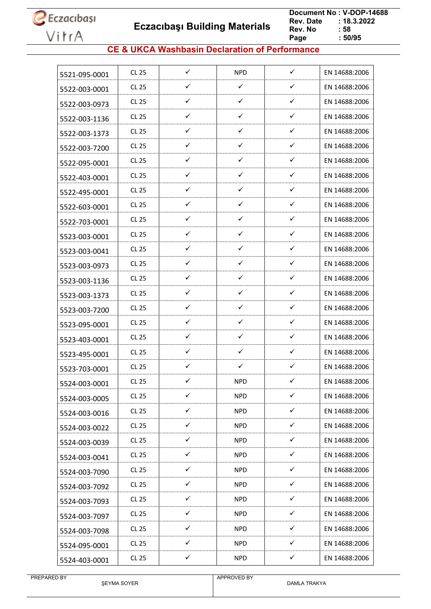**Eczacıbaşı Building Materials**

 **Document No : V-DOP-14688**  $: 18.3.2022$ <br> $: 58$ **Rev. No Page Page : 50/95**

#### **CE & UKCA Washbasin Declaration of Performance**

| 5521-095-0001 | <b>CL 25</b> | $\checkmark$ | <b>NPD</b>   | $\checkmark$ | EN 14688:2006 |
|---------------|--------------|--------------|--------------|--------------|---------------|
| 5522-003-0001 | <b>CL 25</b> | ✓            | $\checkmark$ | $\checkmark$ | EN 14688:2006 |
| 5522-003-0973 | CL 25        | $\checkmark$ | $\checkmark$ | $\checkmark$ | EN 14688:2006 |
| 5522-003-1136 | <b>CL 25</b> | ✓            | $\checkmark$ | $\checkmark$ | EN 14688:2006 |
| 5522-003-1373 | <b>CL 25</b> | ✓            | ✓            | ✓            | EN 14688:2006 |
| 5522-003-7200 | CL 25        | ✓            | ✓            | ✓            | EN 14688:2006 |
| 5522-095-0001 | <b>CL 25</b> | ✓            | ✓            | $\checkmark$ | EN 14688:2006 |
| 5522-403-0001 | CL 25        | $\checkmark$ | ✓            | ✓            | EN 14688:2006 |
| 5522-495-0001 | <b>CL 25</b> | $\checkmark$ | ✓            | $\checkmark$ | EN 14688:2006 |
| 5522-603-0001 | <b>CL 25</b> | ✓            | ✓            | $\checkmark$ | EN 14688:2006 |
| 5522-703-0001 | <b>CL 25</b> | ✓            | $\checkmark$ | $\checkmark$ | EN 14688:2006 |
| 5523-003-0001 | <b>CL 25</b> | ✓            | ✓            | ✓            | EN 14688:2006 |
| 5523-003-0041 | CL 25        | ✓            | $\checkmark$ | ✓            | EN 14688:2006 |
| 5523-003-0973 | <b>CL 25</b> | $\checkmark$ | $\checkmark$ | $\checkmark$ | EN 14688:2006 |
| 5523-003-1136 | <b>CL 25</b> | ✓            | ✓            | $\checkmark$ | EN 14688:2006 |
| 5523-003-1373 | <b>CL 25</b> | $\checkmark$ | ✓            | ✓            | EN 14688:2006 |
| 5523-003-7200 | <b>CL 25</b> | ✓            | ✓            | $\checkmark$ | EN 14688:2006 |
| 5523-095-0001 | <b>CL 25</b> | ✓            | ✓            | ✓            | EN 14688:2006 |
| 5523-403-0001 | <b>CL 25</b> | ✓            | ✓            | ✓            | EN 14688:2006 |
| 5523-495-0001 | <b>CL 25</b> | ✓            | ✓            | ✓            | EN 14688:2006 |
| 5523-703-0001 | <b>CL 25</b> | $\checkmark$ | ✓            | ✓            | EN 14688:2006 |
| 5524-003-0001 | <b>CL 25</b> | ✓            | <b>NPD</b>   | $\checkmark$ | EN 14688:2006 |
| 5524-003-0005 | CL 25        | ✓            | <b>NPD</b>   | ✓            | EN 14688:2006 |
| 5524-003-0016 | CL 25        | $\checkmark$ | <b>NPD</b>   | $\checkmark$ | EN 14688:2006 |
| 5524-003-0022 | CL 25        | ✓            | <b>NPD</b>   | $\checkmark$ | EN 14688:2006 |
| 5524-003-0039 | <b>CL 25</b> | $\checkmark$ | <b>NPD</b>   | $\checkmark$ | EN 14688:2006 |
| 5524-003-0041 | CL 25        | ✓            | <b>NPD</b>   | ✓            | EN 14688:2006 |
| 5524-003-7090 | <b>CL 25</b> | $\checkmark$ | <b>NPD</b>   | $\checkmark$ | EN 14688:2006 |
| 5524-003-7092 | CL 25        | $\checkmark$ | <b>NPD</b>   | $\checkmark$ | EN 14688:2006 |
| 5524-003-7093 | <b>CL 25</b> | $\checkmark$ | <b>NPD</b>   | $\checkmark$ | EN 14688:2006 |
| 5524-003-7097 | CL 25        | $\checkmark$ | <b>NPD</b>   | $\checkmark$ | EN 14688:2006 |
| 5524-003-7098 | <b>CL 25</b> | $\checkmark$ | <b>NPD</b>   | $\checkmark$ | EN 14688:2006 |
| 5524-095-0001 | CL 25        | ✓            | <b>NPD</b>   | ✓            | EN 14688:2006 |
| 5524-403-0001 | CL 25        | ✓            | <b>NPD</b>   | $\checkmark$ | EN 14688:2006 |

ŞEYMA SOYER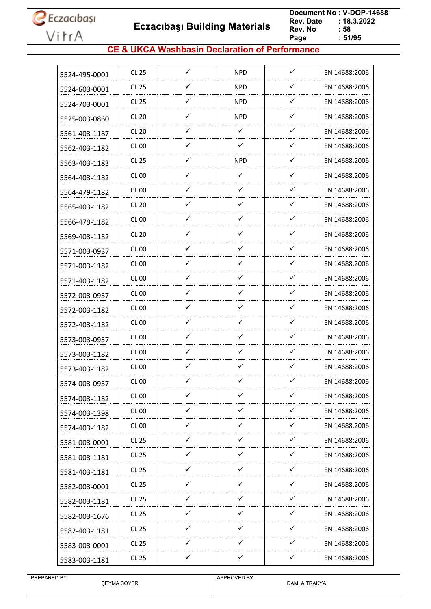**Eczacıbaşı Building Materials**

 **Document No : V-DOP-14688**  $: 18.3.2022$ <br> $: 58$ **Rev. No Page**  $: 51/95$ 

#### **CE & UKCA Washbasin Declaration of Performance**

| 5524-495-0001 | CL 25            | ✓            | <b>NPD</b>   | ✓            | EN 14688:2006 |
|---------------|------------------|--------------|--------------|--------------|---------------|
| 5524-603-0001 | CL 25            | ✓            | NPD          | ✓            | EN 14688:2006 |
| 5524-703-0001 | CL 25            | ✓            | <b>NPD</b>   | ✓            | EN 14688:2006 |
| 5525-003-0860 | <b>CL 20</b>     | ✓            | <b>NPD</b>   | ✓            | EN 14688:2006 |
| 5561-403-1187 | <b>CL 20</b>     | ✓            | ✓            | ✓            | EN 14688:2006 |
| 5562-403-1182 | CL 00            | ✓            | $\checkmark$ | ✓            | EN 14688:2006 |
| 5563-403-1183 | CL 25            | ✓            | <b>NPD</b>   | ✓            | EN 14688:2006 |
| 5564-403-1182 | CL 00            | ✓            | $\checkmark$ | ✓            | EN 14688:2006 |
| 5564-479-1182 | CL 00            | ✓            | ✓            | ✓            | EN 14688:2006 |
| 5565-403-1182 | CL 20            | $\checkmark$ | ✓            | $\checkmark$ | EN 14688:2006 |
| 5566-479-1182 | CL 00            | ✓            | ✓            | $\checkmark$ | EN 14688:2006 |
| 5569-403-1182 | CL 20            | ✓            | ✓            | ✓            | EN 14688:2006 |
| 5571-003-0937 | <b>CL 00</b>     | $\checkmark$ | ✓            | ✓            | EN 14688:2006 |
| 5571-003-1182 | CL 00            | ✓            | ✓            | ✓            | EN 14688:2006 |
| 5571-403-1182 | <b>CL 00</b>     | ✓            | ✓            | ✓            | EN 14688:2006 |
| 5572-003-0937 | CL 00            | ✓            | ✓            | ✓            | EN 14688:2006 |
| 5572-003-1182 | CL 00            | ✓            | ✓            | ✓            | EN 14688:2006 |
| 5572-403-1182 | <b>CL 00</b>     | $\checkmark$ | $\checkmark$ | ✓            | EN 14688:2006 |
| 5573-003-0937 | CL <sub>00</sub> | ✓            | ✓            | ✓            | EN 14688:2006 |
| 5573-003-1182 | CL 00            | ✓            | $\checkmark$ | ✓            | EN 14688:2006 |
| 5573-403-1182 | <b>CL 00</b>     | $\checkmark$ | $\checkmark$ | ✓            | EN 14688:2006 |
| 5574-003-0937 | CL 00            | ✓            | ✓            | ✓            | EN 14688:2006 |
| 5574-003-1182 | <b>CL 00</b>     | $\checkmark$ | $\checkmark$ | $\checkmark$ | EN 14688:2006 |
| 5574-003-1398 | <b>CL 00</b>     | $\checkmark$ | $\checkmark$ | $\checkmark$ | EN 14688:2006 |
| 5574-403-1182 | <b>CL 00</b>     | $\checkmark$ | $\checkmark$ | ✓            | EN 14688:2006 |
| 5581-003-0001 | CL 25            | $\checkmark$ | $\checkmark$ | $\checkmark$ | EN 14688:2006 |
| 5581-003-1181 | CL 25            | $\checkmark$ | $\checkmark$ | ✓            | EN 14688:2006 |
| 5581-403-1181 | CL 25            | $\checkmark$ | $\checkmark$ | $\checkmark$ | EN 14688:2006 |
| 5582-003-0001 | CL 25            | $\checkmark$ | $\checkmark$ | ✓            | EN 14688:2006 |
| 5582-003-1181 | CL 25            | ✓            | ✓            | ✓            | EN 14688:2006 |
| 5582-003-1676 | CL 25            | ✓            | ✓            | $\checkmark$ | EN 14688:2006 |
| 5582-403-1181 | <b>CL 25</b>     | $\checkmark$ | $\checkmark$ | ✓            | EN 14688:2006 |
| 5583-003-0001 | CL 25            | $\checkmark$ | ✓            | ✓            | EN 14688:2006 |
| 5583-003-1181 | <b>CL 25</b>     | $\checkmark$ | $\checkmark$ | $\checkmark$ | EN 14688:2006 |
|               |                  |              |              |              |               |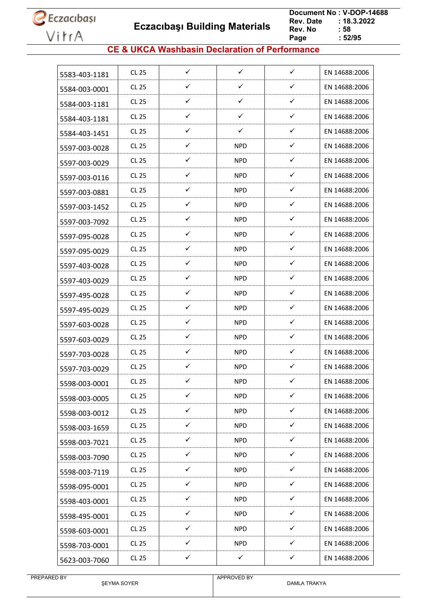**Eczacıbaşı Building Materials**

 **Document No : V-DOP-14688**  $: 18.3.2022$ <br> $: 58$ **Rev. No Page Page : 52/95**

#### **CE & UKCA Washbasin Declaration of Performance**

| 5583-403-1181 | <b>CL 25</b> | $\checkmark$ | $\checkmark$ | $\checkmark$ | EN 14688:2006 |
|---------------|--------------|--------------|--------------|--------------|---------------|
| 5584-003-0001 | <b>CL 25</b> | ✓            | ✓            | $\checkmark$ | EN 14688:2006 |
| 5584-003-1181 | CL 25        | ✓            | ✓            | $\checkmark$ | EN 14688:2006 |
| 5584-403-1181 | <b>CL 25</b> | ✓            | ✓            | $\checkmark$ | EN 14688:2006 |
| 5584-403-1451 | CL 25        | ✓            | ✓            | ✓            | EN 14688:2006 |
| 5597-003-0028 | CL 25        | ✓            | <b>NPD</b>   | $\checkmark$ | EN 14688:2006 |
| 5597-003-0029 | <b>CL 25</b> | ✓            | <b>NPD</b>   | ✓            | EN 14688:2006 |
| 5597-003-0116 | CL 25        | ✓            | NPD.         | $\checkmark$ | EN 14688:2006 |
| 5597-003-0881 | <b>CL 25</b> | ✓            | <b>NPD</b>   | ✓            | EN 14688:2006 |
| 5597-003-1452 | <b>CL 25</b> | ✓            | <b>NPD</b>   | ✓            | EN 14688:2006 |
| 5597-003-7092 | <b>CL 25</b> | ✓            | <b>NPD</b>   | $\checkmark$ | EN 14688:2006 |
| 5597-095-0028 | <b>CL 25</b> | ✓            | <b>NPD</b>   | ✓            | EN 14688:2006 |
| 5597-095-0029 | CL 25        | ✓            | <b>NPD</b>   | ✓            | EN 14688:2006 |
| 5597-403-0028 | <b>CL 25</b> | $\checkmark$ | <b>NPD</b>   | ✓            | EN 14688:2006 |
| 5597-403-0029 | <b>CL 25</b> | ✓            | <b>NPD</b>   | ✓            | EN 14688:2006 |
| 5597-495-0028 | CL 25        | ✓            | <b>NPD</b>   | $\checkmark$ | EN 14688:2006 |
| 5597-495-0029 | <b>CL 25</b> | ✓            | <b>NPD</b>   | ✓            | EN 14688:2006 |
| 5597-603-0028 | CL 25        | ✓            | <b>NPD</b>   | ✓            | EN 14688:2006 |
| 5597-603-0029 | <b>CL 25</b> | ✓            | <b>NPD</b>   | ✓            | EN 14688:2006 |
| 5597-703-0028 | <b>CL 25</b> | ✓            | <b>NPD</b>   | ✓            | EN 14688:2006 |
| 5597-703-0029 | CL 25        | ✓            | <b>NPD</b>   | ✓            | EN 14688:2006 |
| 5598-003-0001 | <b>CL 25</b> | ✓            | <b>NPD</b>   | ✓            | EN 14688:2006 |
| 5598-003-0005 | <b>CL 25</b> | ✓            | <b>NPD</b>   | $\checkmark$ | EN 14688:2006 |
| 5598-003-0012 | CL 25        | $\checkmark$ | <b>NPD</b>   | $\checkmark$ | EN 14688:2006 |
| 5598-003-1659 | <b>CL 25</b> | ✓            | <b>NPD</b>   | $\checkmark$ | EN 14688:2006 |
| 5598-003-7021 | <b>CL 25</b> | $\checkmark$ | <b>NPD</b>   | $\checkmark$ | EN 14688:2006 |
| 5598-003-7090 | CL 25        | ✓            | <b>NPD</b>   | $\checkmark$ | EN 14688:2006 |
| 5598-003-7119 | <b>CL 25</b> | $\checkmark$ | <b>NPD</b>   | $\checkmark$ | EN 14688:2006 |
| 5598-095-0001 | CL 25        | $\checkmark$ | <b>NPD</b>   | $\checkmark$ | EN 14688:2006 |
| 5598-403-0001 | CL 25        | $\checkmark$ | <b>NPD</b>   | ✓            | EN 14688:2006 |
| 5598-495-0001 | CL 25        | $\checkmark$ | <b>NPD</b>   | ✓            | EN 14688:2006 |
| 5598-603-0001 | CL 25        | $\checkmark$ | <b>NPD</b>   | $\checkmark$ | EN 14688:2006 |
| 5598-703-0001 | CL 25        | ✓            | <b>NPD</b>   | ✓            | EN 14688:2006 |
| 5623-003-7060 | CL 25        | ✓            | $\checkmark$ | ✓            | EN 14688:2006 |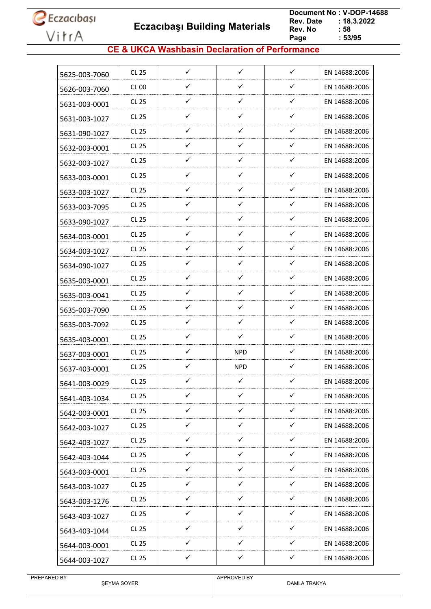**Eczacıbaşı Building Materials**

 **Document No : V-DOP-14688**  $: 18.3.2022$ <br> $: 58$ **Rev. No Page Page : 53/95**

#### **CE & UKCA Washbasin Declaration of Performance**

| 5625-003-7060 | CL 25        | ✓            | $\checkmark$ | $\checkmark$ | EN 14688:2006 |
|---------------|--------------|--------------|--------------|--------------|---------------|
| 5626-003-7060 | CL 00        | ✓            | ✓            | ✓            | EN 14688:2006 |
| 5631-003-0001 | CL 25        | $\checkmark$ | $\checkmark$ | $\checkmark$ | EN 14688:2006 |
| 5631-003-1027 | CL 25        | ✓            | $\checkmark$ | $\checkmark$ | EN 14688:2006 |
| 5631-090-1027 | CL 25        | ✓            | ✓            | ✓            | EN 14688:2006 |
| 5632-003-0001 | CL 25        | ✓            | $\checkmark$ | $\checkmark$ | EN 14688:2006 |
| 5632-003-1027 | <b>CL 25</b> | ✓            | ✓            | ✓            | EN 14688:2006 |
| 5633-003-0001 | CL 25        | ✓            | ✓            | ✓            | EN 14688:2006 |
| 5633-003-1027 | CL 25        | ✓            | ✓            | ✓            | EN 14688:2006 |
| 5633-003-7095 | CL 25        | ✓            | ✓            | ✓            | EN 14688:2006 |
| 5633-090-1027 | CL 25        | ✓            | $\checkmark$ | ✓            | EN 14688:2006 |
| 5634-003-0001 | CL 25        | ✓            | $\checkmark$ | ✓            | EN 14688:2006 |
| 5634-003-1027 | CL 25        | ✓            | ✓            | ✓            | EN 14688:2006 |
| 5634-090-1027 | CL 25        | $\checkmark$ | $\checkmark$ | ✓            | EN 14688:2006 |
| 5635-003-0001 | CL 25        | ✓            | ✓            | ✓            | EN 14688:2006 |
| 5635-003-0041 | CL 25        | ✓            | ✓            | ✓            | EN 14688:2006 |
| 5635-003-7090 | CL 25        | ✓            | $\checkmark$ | $\checkmark$ | EN 14688:2006 |
| 5635-003-7092 | CL 25        | ✓            | ✓            | ✓            | EN 14688:2006 |
| 5635-403-0001 | CL 25        | ✓            | ✓            | ✓            | EN 14688:2006 |
| 5637-003-0001 | CL 25        | ✓            | <b>NPD</b>   | ✓            | EN 14688:2006 |
| 5637-403-0001 | CL 25        | ✓            | <b>NPD</b>   | ✓            | EN 14688:2006 |
| 5641-003-0029 | CL 25        | ✓            | ✓            | ✓            | EN 14688:2006 |
| 5641-403-1034 | <b>CL 25</b> | ✓            | ✓            | ✓            | EN 14688:2006 |
| 5642-003-0001 | CL 25        | $\checkmark$ | $\checkmark$ | $\checkmark$ | EN 14688:2006 |
| 5642-003-1027 | <b>CL 25</b> | $\checkmark$ | $\checkmark$ | ✓            | EN 14688:2006 |
| 5642-403-1027 | CL 25        | $\checkmark$ | $\checkmark$ | $\checkmark$ | EN 14688:2006 |
| 5642-403-1044 | CL 25        | $\checkmark$ | $\checkmark$ | $\checkmark$ | EN 14688:2006 |
| 5643-003-0001 | <b>CL 25</b> | $\checkmark$ | ✓            | ✓            | EN 14688:2006 |
| 5643-003-1027 | <b>CL 25</b> | $\checkmark$ | $\checkmark$ | $\checkmark$ | EN 14688:2006 |
| 5643-003-1276 | CL 25        | ✓            | ✓            | ✓            | EN 14688:2006 |
| 5643-403-1027 | <b>CL 25</b> | ✓            | ✓            | ✓            | EN 14688:2006 |
| 5643-403-1044 | CL 25        | $\checkmark$ | $\checkmark$ | $\checkmark$ | EN 14688:2006 |
| 5644-003-0001 | CL 25        | ✓            | $\checkmark$ | ✓            | EN 14688:2006 |
| 5644-003-1027 | <b>CL 25</b> | $\checkmark$ | $\checkmark$ | $\checkmark$ | EN 14688:2006 |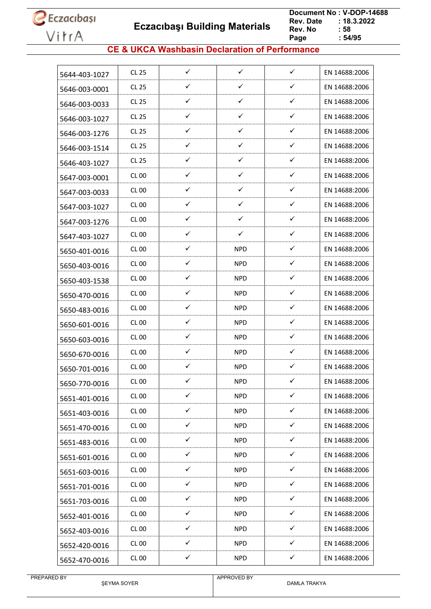**Eczacıbaşı Building Materials**

 **Document No : V-DOP-14688**  $: 18.3.2022$ <br> $: 58$ **Rev. No Page Page : 54/95**

#### **CE & UKCA Washbasin Declaration of Performance**

| 5644-403-1027 | CL 25            | $\checkmark$ | $\checkmark$ | $\checkmark$ | EN 14688:2006 |
|---------------|------------------|--------------|--------------|--------------|---------------|
| 5646-003-0001 | CL 25            | ✓            | ✓            | $\checkmark$ | EN 14688:2006 |
| 5646-003-0033 | CL 25            | ✓            | ✓            | ✓            | EN 14688:2006 |
| 5646-003-1027 | CL 25            | $\checkmark$ | ✓            | $\checkmark$ | EN 14688:2006 |
| 5646-003-1276 | CL 25            | ✓            | ✓            | ✓            | EN 14688:2006 |
| 5646-003-1514 | CL 25            | ✓            | $\checkmark$ | ✓            | EN 14688:2006 |
| 5646-403-1027 | <b>CL 25</b>     | ✓            | ✓            | $\checkmark$ | EN 14688:2006 |
| 5647-003-0001 | <b>CL 00</b>     | ✓            | ✓            | $\checkmark$ | EN 14688:2006 |
| 5647-003-0033 | CL 00            | ✓            | ✓            | $\checkmark$ | EN 14688:2006 |
| 5647-003-1027 | CL 00            | ✓            | ✓            | $\checkmark$ | EN 14688:2006 |
| 5647-003-1276 | CL 00            | ✓            | $\checkmark$ | $\checkmark$ | EN 14688:2006 |
| 5647-403-1027 | CL 00            | ✓            | ✓            | ✓            | EN 14688:2006 |
| 5650-401-0016 | CL 00            | ✓            | <b>NPD</b>   | $\checkmark$ | EN 14688:2006 |
| 5650-403-0016 | CL 00            | $\checkmark$ | <b>NPD</b>   | $\checkmark$ | EN 14688:2006 |
| 5650-403-1538 | CL 00            | ✓            | <b>NPD</b>   | ✓            | EN 14688:2006 |
| 5650-470-0016 | CL 00            | ✓            | <b>NPD</b>   | ✓            | EN 14688:2006 |
| 5650-483-0016 | CL 00            | ✓            | <b>NPD</b>   | $\checkmark$ | EN 14688:2006 |
| 5650-601-0016 | CL 00            | ✓            | <b>NPD</b>   | ✓            | EN 14688:2006 |
| 5650-603-0016 | CL <sub>00</sub> | ✓            | <b>NPD</b>   | ✓            | EN 14688:2006 |
| 5650-670-0016 | CL 00            | ✓            | <b>NPD</b>   | $\checkmark$ | EN 14688:2006 |
| 5650-701-0016 | <b>CL 00</b>     | ✓            | NPD          | ✓            | EN 14688:2006 |
| 5650-770-0016 | <b>CL 00</b>     | ✓            | <b>NPD</b>   | ✓            | EN 14688:2006 |
| 5651-401-0016 | <b>CL 00</b>     | ✓            | <b>NPD</b>   | ✓            | EN 14688:2006 |
| 5651-403-0016 | <b>CL 00</b>     | $\checkmark$ | <b>NPD</b>   | $\checkmark$ | EN 14688:2006 |
| 5651-470-0016 | CL 00            | $\checkmark$ | NPD.         | $\checkmark$ | EN 14688:2006 |
| 5651-483-0016 | <b>CL 00</b>     | ✓            | <b>NPD</b>   | ✓            | EN 14688:2006 |
| 5651-601-0016 | <b>CL 00</b>     | $\checkmark$ | <b>NPD</b>   | $\checkmark$ | EN 14688:2006 |
| 5651-603-0016 | <b>CL 00</b>     | $\checkmark$ | <b>NPD</b>   | $\checkmark$ | EN 14688:2006 |
| 5651-701-0016 | <b>CL 00</b>     | $\checkmark$ | <b>NPD</b>   | $\checkmark$ | EN 14688:2006 |
| 5651-703-0016 | CL 00            | $\checkmark$ | <b>NPD</b>   | $\checkmark$ | EN 14688:2006 |
| 5652-401-0016 | <b>CL 00</b>     | $\checkmark$ | <b>NPD</b>   | $\checkmark$ | EN 14688:2006 |
| 5652-403-0016 | <b>CL 00</b>     | $\checkmark$ | <b>NPD</b>   | $\checkmark$ | EN 14688:2006 |
| 5652-420-0016 | <b>CL 00</b>     | ✓            | <b>NPD</b>   | ✓            | EN 14688:2006 |
| 5652-470-0016 | <b>CL 00</b>     | $\checkmark$ | <b>NPD</b>   | $\checkmark$ | EN 14688:2006 |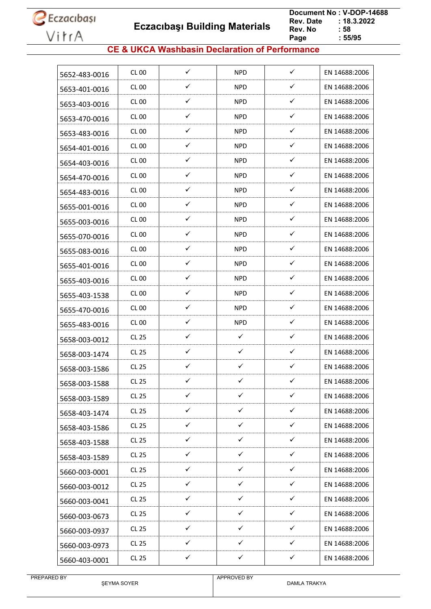

 **Eczacıbaşı Building Materials**

 **Document No : V-DOP-14688**  $: 18.3.2022$ <br> $: 58$ **Rev. No Page Page : 55/95**

#### **CE & UKCA Washbasin Declaration of Performance**

| 5652-483-0016 | <b>CL 00</b> | ✓            | <b>NPD</b>   | $\checkmark$ | EN 14688:2006 |
|---------------|--------------|--------------|--------------|--------------|---------------|
| 5653-401-0016 | <b>CL 00</b> | ✓            | <b>NPD</b>   | ✓            | EN 14688:2006 |
| 5653-403-0016 | <b>CL 00</b> | ✓            | <b>NPD</b>   | ✓            | EN 14688:2006 |
| 5653-470-0016 | <b>CL 00</b> | ✓            | <b>NPD</b>   | ✓            | EN 14688:2006 |
| 5653-483-0016 | CL 00        | ✓            | <b>NPD</b>   | ✓            | EN 14688:2006 |
| 5654-401-0016 | <b>CL 00</b> | ✓            | <b>NPD</b>   | $\checkmark$ | EN 14688:2006 |
| 5654-403-0016 | CL00         | ✓            | <b>NPD</b>   | ✓            | EN 14688:2006 |
| 5654-470-0016 | CL 00        | ✓            | <b>NPD</b>   | ✓            | EN 14688:2006 |
| 5654-483-0016 | CL 00        | ✓            | <b>NPD</b>   | ✓            | EN 14688:2006 |
| 5655-001-0016 | CL 00        | ✓            | <b>NPD</b>   | $\checkmark$ | EN 14688:2006 |
| 5655-003-0016 | <b>CL 00</b> | ✓            | <b>NPD</b>   | ✓            | EN 14688:2006 |
| 5655-070-0016 | CL 00        | ✓            | NPD.         | ✓            | EN 14688:2006 |
| 5655-083-0016 | CL 00        | ✓            | <b>NPD</b>   | $\checkmark$ | EN 14688:2006 |
| 5655-401-0016 | CL 00        | ✓            | <b>NPD</b>   | ✓            | EN 14688:2006 |
| 5655-403-0016 | <b>CL 00</b> | ✓            | <b>NPD</b>   | ✓            | EN 14688:2006 |
| 5655-403-1538 | CL 00        | $\checkmark$ | <b>NPD</b>   | ✓            | EN 14688:2006 |
| 5655-470-0016 | <b>CL 00</b> | ✓            | <b>NPD</b>   | ✓            | EN 14688:2006 |
| 5655-483-0016 | CL 00        | ✓            | <b>NPD</b>   | $\checkmark$ | EN 14688:2006 |
| 5658-003-0012 | CL 25        | ✓            | ✓            | ✓            | EN 14688:2006 |
| 5658-003-1474 | <b>CL 25</b> | ✓            | ✓            | ✓            | EN 14688:2006 |
| 5658-003-1586 | <b>CL 25</b> | ✓            | ✓            | ✓            | EN 14688:2006 |
| 5658-003-1588 | <b>CL 25</b> | ✓            | ✓            | ✓            | EN 14688:2006 |
| 5658-003-1589 | <b>CL 25</b> | $\checkmark$ | $\checkmark$ | $\checkmark$ | EN 14688:2006 |
| 5658-403-1474 | CL 25        | $\checkmark$ | $\checkmark$ | $\checkmark$ | EN 14688:2006 |
| 5658-403-1586 | <b>CL 25</b> | $\checkmark$ | ✓            | ✓            | EN 14688:2006 |
| 5658-403-1588 | CL 25        | $\checkmark$ | $\checkmark$ | $\checkmark$ | EN 14688:2006 |
| 5658-403-1589 | CL 25        | ✓            | ✓            | ✓            | EN 14688:2006 |
| 5660-003-0001 | CL 25        | $\checkmark$ | $\checkmark$ | $\checkmark$ | EN 14688:2006 |
| 5660-003-0012 | CL 25        | $\checkmark$ | $\checkmark$ | $\checkmark$ | EN 14688:2006 |
| 5660-003-0041 | <b>CL 25</b> | ✓            | ✓            | ✓            | EN 14688:2006 |
| 5660-003-0673 | CL 25        | $\checkmark$ | ✓            | $\checkmark$ | EN 14688:2006 |
| 5660-003-0937 | <b>CL 25</b> | $\checkmark$ | ✓            | $\checkmark$ | EN 14688:2006 |
| 5660-003-0973 | CL 25        | $\checkmark$ | $\checkmark$ | ✓            | EN 14688:2006 |
| 5660-403-0001 | <b>CL 25</b> | $\checkmark$ | $\checkmark$ | $\checkmark$ | EN 14688:2006 |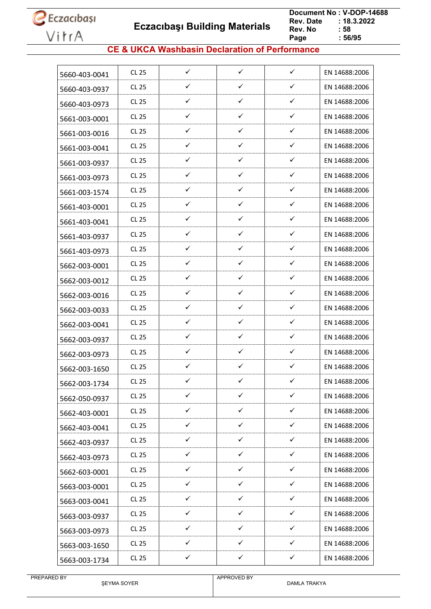**Eczacıbaşı Building Materials**

 **Document No : V-DOP-14688**  $: 18.3.2022$ <br> $: 58$ **Rev. No Page Page : 56/95**

#### **CE & UKCA Washbasin Declaration of Performance**

| 5660-403-0041 | CL 25        | $\checkmark$ | $\checkmark$ | $\checkmark$ | EN 14688:2006 |
|---------------|--------------|--------------|--------------|--------------|---------------|
| 5660-403-0937 | CL 25        | ✓            | ✓            | ✓            | EN 14688:2006 |
| 5660-403-0973 | CL 25        | $\checkmark$ | $\checkmark$ | $\checkmark$ | EN 14688:2006 |
| 5661-003-0001 | CL 25        | ✓            | $\checkmark$ | ✓            | EN 14688:2006 |
| 5661-003-0016 | CL 25        | ✓            | ✓            | ✓            | EN 14688:2006 |
| 5661-003-0041 | CL 25        | ✓            | $\checkmark$ | ✓            | EN 14688:2006 |
| 5661-003-0937 | <b>CL 25</b> | ✓            | ✓            | ✓            | EN 14688:2006 |
| 5661-003-0973 | CL 25        | ✓            | ✓            | ✓            | EN 14688:2006 |
| 5661-003-1574 | CL 25        | ✓            | ✓            | ✓            | EN 14688:2006 |
| 5661-403-0001 | CL 25        | ✓            | ✓            | ✓            | EN 14688:2006 |
| 5661-403-0041 | CL 25        | ✓            | $\checkmark$ | ✓            | EN 14688:2006 |
| 5661-403-0937 | CL 25        | ✓            | $\checkmark$ | ✓            | EN 14688:2006 |
| 5661-403-0973 | CL 25        | ✓            | ✓            | ✓            | EN 14688:2006 |
| 5662-003-0001 | CL 25        | $\checkmark$ | $\checkmark$ | ✓            | EN 14688:2006 |
| 5662-003-0012 | CL 25        | ✓            | ✓            | ✓            | EN 14688:2006 |
| 5662-003-0016 | CL 25        | ✓            | ✓            | ✓            | EN 14688:2006 |
| 5662-003-0033 | CL 25        | ✓            | ✓            | ✓            | EN 14688:2006 |
| 5662-003-0041 | CL 25        | ✓            | ✓            | ✓            | EN 14688:2006 |
| 5662-003-0937 | CL 25        | ✓            | ✓            | ✓            | EN 14688:2006 |
| 5662-003-0973 | CL 25        | ✓            | ✓            | ✓            | EN 14688:2006 |
| 5662-003-1650 | CL 25        | ✓            | ✓            | ✓            | EN 14688:2006 |
| 5662-003-1734 | CL 25        | ✓            | ✓            | ✓            | EN 14688:2006 |
| 5662-050-0937 | CL 25        | ✓            | ✓            | ✓            | EN 14688:2006 |
| 5662-403-0001 | CL 25        | $\checkmark$ | $\checkmark$ | $\checkmark$ | EN 14688:2006 |
| 5662-403-0041 | <b>CL 25</b> | ✓            | $\checkmark$ | ✓            | EN 14688:2006 |
| 5662-403-0937 | CL 25        | $\checkmark$ | $\checkmark$ | $\checkmark$ | EN 14688:2006 |
| 5662-403-0973 | CL 25        | $\checkmark$ | $\checkmark$ | ✓            | EN 14688:2006 |
| 5662-603-0001 | CL 25        | $\checkmark$ | ✓            | ✓            | EN 14688:2006 |
| 5663-003-0001 | CL 25        | $\checkmark$ | $\checkmark$ | $\checkmark$ | EN 14688:2006 |
| 5663-003-0041 | CL 25        | ✓            | ✓            | ✓            | EN 14688:2006 |
| 5663-003-0937 | <b>CL 25</b> | ✓            | ✓            | ✓            | EN 14688:2006 |
| 5663-003-0973 | CL 25        | $\checkmark$ | $\checkmark$ | ✓            | EN 14688:2006 |
| 5663-003-1650 | CL 25        | ✓            | $\checkmark$ | ✓            | EN 14688:2006 |
| 5663-003-1734 | <b>CL 25</b> | $\checkmark$ | $\checkmark$ | $\checkmark$ | EN 14688:2006 |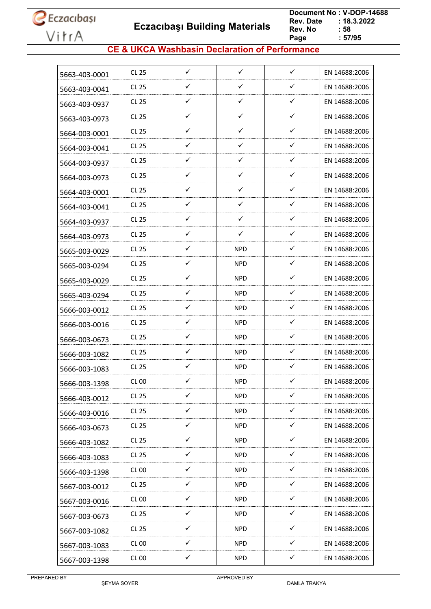**Eczacıbaşı Building Materials**

 **Document No : V-DOP-14688**  $: 18.3.2022$ <br> $: 58$ **Rev. No Page Page : 57/95**

#### **CE & UKCA Washbasin Declaration of Performance**

| 5663-403-0001 | <b>CL 25</b> | $\checkmark$ | $\checkmark$ | $\checkmark$ | EN 14688:2006 |
|---------------|--------------|--------------|--------------|--------------|---------------|
| 5663-403-0041 | <b>CL 25</b> | ✓            | ✓            | $\checkmark$ | EN 14688:2006 |
| 5663-403-0937 | <b>CL 25</b> | $\checkmark$ | $\checkmark$ | ✓            | EN 14688:2006 |
| 5663-403-0973 | <b>CL 25</b> | ✓            | ✓            | $\checkmark$ | EN 14688:2006 |
| 5664-003-0001 | <b>CL 25</b> | ✓            | ✓            | ✓            | EN 14688:2006 |
| 5664-003-0041 | CL 25        | ✓            | $\checkmark$ | ✓            | EN 14688:2006 |
| 5664-003-0937 | <b>CL 25</b> | ✓            | ✓            | $\checkmark$ | EN 14688:2006 |
| 5664-003-0973 | <b>CL 25</b> | ✓            | ✓            | ✓            | EN 14688:2006 |
| 5664-403-0001 | <b>CL 25</b> | ✓            | $\checkmark$ | ✓            | EN 14688:2006 |
| 5664-403-0041 | <b>CL 25</b> | ✓            | ✓            | $\checkmark$ | EN 14688:2006 |
| 5664-403-0937 | <b>CL 25</b> | ✓            | $\checkmark$ | $\checkmark$ | EN 14688:2006 |
| 5664-403-0973 | <b>CL 25</b> | ✓            | ✓            | ✓            | EN 14688:2006 |
| 5665-003-0029 | <b>CL 25</b> | ✓            | <b>NPD</b>   | ✓            | EN 14688:2006 |
| 5665-003-0294 | <b>CL 25</b> | $\checkmark$ | <b>NPD</b>   | ✓            | EN 14688:2006 |
| 5665-403-0029 | <b>CL 25</b> | ✓            | <b>NPD</b>   | ✓            | EN 14688:2006 |
| 5665-403-0294 | <b>CL 25</b> | $\checkmark$ | NPD          | ✓            | EN 14688:2006 |
| 5666-003-0012 | <b>CL 25</b> | ✓            | NPD          | $\checkmark$ | EN 14688:2006 |
| 5666-003-0016 | <b>CL 25</b> | ✓            | <b>NPD</b>   | ✓            | EN 14688:2006 |
| 5666-003-0673 | <b>CL 25</b> | ✓            | NPD          | ✓            | EN 14688:2006 |
| 5666-003-1082 | <b>CL 25</b> | ✓            | <b>NPD</b>   | ✓            | EN 14688:2006 |
| 5666-003-1083 | CL 25        | ✓            | <b>NPD</b>   | ✓            | EN 14688:2006 |
| 5666-003-1398 | <b>CL 00</b> | ✓            | <b>NPD</b>   | $\checkmark$ | EN 14688:2006 |
| 5666-403-0012 | CL 25        | ✓            | <b>NPD</b>   | ✓            | EN 14688:2006 |
| 5666-403-0016 | CL 25        | $\checkmark$ | <b>NPD</b>   | $\checkmark$ | EN 14688:2006 |
| 5666-403-0673 | CL 25        | ✓            | <b>NPD</b>   | $\checkmark$ | EN 14688:2006 |
| 5666-403-1082 | <b>CL 25</b> | ✓            | <b>NPD</b>   | $\checkmark$ | EN 14688:2006 |
| 5666-403-1083 | CL 25        | ✓            | <b>NPD</b>   | ✓            | EN 14688:2006 |
| 5666-403-1398 | <b>CL 00</b> | $\checkmark$ | <b>NPD</b>   | $\checkmark$ | EN 14688:2006 |
| 5667-003-0012 | CL 25        | $\checkmark$ | <b>NPD</b>   | $\checkmark$ | EN 14688:2006 |
| 5667-003-0016 | <b>CL 00</b> | $\checkmark$ | <b>NPD</b>   | $\checkmark$ | EN 14688:2006 |
| 5667-003-0673 | CL 25        | $\checkmark$ | <b>NPD</b>   | $\checkmark$ | EN 14688:2006 |
| 5667-003-1082 | <b>CL 25</b> | $\checkmark$ | <b>NPD</b>   | $\checkmark$ | EN 14688:2006 |
| 5667-003-1083 | <b>CL 00</b> | ✓            | <b>NPD</b>   | ✓            | EN 14688:2006 |
| 5667-003-1398 | <b>CL 00</b> | ✓            | <b>NPD</b>   | ✓            | EN 14688:2006 |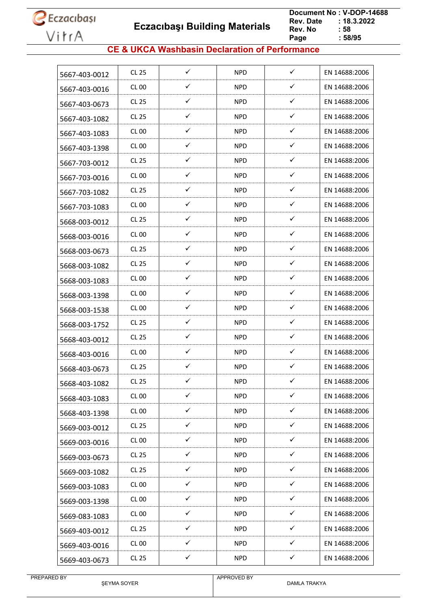**Eczacıbaşı Building Materials**

 **Document No : V-DOP-14688**  $: 18.3.2022$ <br> $: 58$ **Rev. No Page Page : 58/95**

#### **CE & UKCA Washbasin Declaration of Performance**

| ✓<br>✓<br>CL 25<br><b>NPD</b><br>EN 14688:2006<br>5667-403-0012<br>✓<br>✓<br>CL 00<br>NPD<br>EN 14688:2006<br>5667-403-0016<br>✓<br>✓<br>CL 25<br><b>NPD</b><br>EN 14688:2006<br>5667-403-0673<br>✓<br>✓<br>CL 25<br><b>NPD</b><br>EN 14688:2006<br>5667-403-1082<br>$\checkmark$<br>✓<br>CL 00<br><b>NPD</b><br>EN 14688:2006<br>5667-403-1083<br>✓<br>✓<br>CL 00<br><b>NPD</b><br>EN 14688:2006<br>5667-403-1398<br>✓<br>✓<br>CL 25<br>NPD.<br>EN 14688:2006<br>5667-703-0012<br>✓<br>✓<br>CL 00<br><b>NPD</b><br>EN 14688:2006<br>5667-703-0016<br>✓<br>✓<br>CL 25<br>NPD<br>EN 14688:2006<br>5667-703-1082<br>$\checkmark$<br>✓<br>CL 00<br><b>NPD</b><br>EN 14688:2006<br>5667-703-1083<br>$\checkmark$<br>✓<br><b>NPD</b><br>CL 25<br>EN 14688:2006<br>5668-003-0012<br>✓<br>✓<br>CL 00<br><b>NPD</b><br>EN 14688:2006<br>5668-003-0016<br>$\checkmark$<br>$\checkmark$<br>CL 25<br><b>NPD</b><br>EN 14688:2006<br>5668-003-0673<br>✓<br>✓<br>CL 25<br><b>NPD</b><br>EN 14688:2006<br>5668-003-1082<br>✓<br>✓<br><b>CL 00</b><br><b>NPD</b><br>EN 14688:2006<br>5668-003-1083<br>✓<br>✓<br>CL 00<br><b>NPD</b><br>EN 14688:2006<br>5668-003-1398<br>✓<br>✓<br><b>NPD</b><br>EN 14688:2006<br>CL 00<br>5668-003-1538<br>$\checkmark$<br>$\checkmark$<br>CL 25<br><b>NPD</b><br>EN 14688:2006<br>5668-003-1752<br>✓<br>✓<br>CL 25<br><b>NPD</b><br>EN 14688:2006<br>5668-403-0012<br>✓<br>✓<br><b>NPD</b><br><b>CL 00</b><br>EN 14688:2006<br>5668-403-0016<br>$\checkmark$<br>$\checkmark$<br>CL 25<br><b>NPD</b><br>EN 14688:2006<br>5668-403-0673<br>✓<br>✓<br><b>NPD</b><br>CL 25<br>EN 14688:2006<br>5668-403-1082<br>$\checkmark$<br>$\checkmark$<br><b>CL 00</b><br><b>NPD</b><br>EN 14688:2006<br>5668-403-1083<br>$\checkmark$<br>$\checkmark$<br><b>CL 00</b><br><b>NPD</b><br>EN 14688:2006<br>5668-403-1398<br>$\checkmark$<br>$\checkmark$<br><b>CL 25</b><br><b>NPD</b><br>EN 14688:2006<br>5669-003-0012<br>$\checkmark$<br>$\checkmark$<br><b>CL 00</b><br><b>NPD</b><br>EN 14688:2006<br>5669-003-0016<br>$\checkmark$<br>$\checkmark$<br>CL 25<br><b>NPD</b><br>EN 14688:2006<br>5669-003-0673<br>$\checkmark$<br>$\checkmark$<br>CL 25<br><b>NPD</b><br>EN 14688:2006<br>5669-003-1082<br>$\checkmark$<br>✓<br><b>CL 00</b><br><b>NPD</b><br>EN 14688:2006<br>5669-003-1083<br>✓<br><b>CL 00</b><br>✓<br><b>NPD</b><br>EN 14688:2006<br>5669-003-1398<br>✓<br>✓<br>CL 00<br><b>NPD</b><br>EN 14688:2006<br>5669-083-1083<br>$\checkmark$<br>✓<br><b>CL 25</b><br><b>NPD</b><br>EN 14688:2006<br>5669-403-0012<br>$\checkmark$<br>✓<br><b>CL 00</b><br><b>NPD</b><br>EN 14688:2006<br>5669-403-0016<br>$\checkmark$<br>$\checkmark$<br><b>CL 25</b><br><b>NPD</b><br>EN 14688:2006<br>5669-403-0673 |  |  |  |
|---------------------------------------------------------------------------------------------------------------------------------------------------------------------------------------------------------------------------------------------------------------------------------------------------------------------------------------------------------------------------------------------------------------------------------------------------------------------------------------------------------------------------------------------------------------------------------------------------------------------------------------------------------------------------------------------------------------------------------------------------------------------------------------------------------------------------------------------------------------------------------------------------------------------------------------------------------------------------------------------------------------------------------------------------------------------------------------------------------------------------------------------------------------------------------------------------------------------------------------------------------------------------------------------------------------------------------------------------------------------------------------------------------------------------------------------------------------------------------------------------------------------------------------------------------------------------------------------------------------------------------------------------------------------------------------------------------------------------------------------------------------------------------------------------------------------------------------------------------------------------------------------------------------------------------------------------------------------------------------------------------------------------------------------------------------------------------------------------------------------------------------------------------------------------------------------------------------------------------------------------------------------------------------------------------------------------------------------------------------------------------------------------------------------------------------------------------------------------------------------------------------------------------------------------------------------------------------------------------------------------------------------------------------------------------------------------------------------------|--|--|--|
|                                                                                                                                                                                                                                                                                                                                                                                                                                                                                                                                                                                                                                                                                                                                                                                                                                                                                                                                                                                                                                                                                                                                                                                                                                                                                                                                                                                                                                                                                                                                                                                                                                                                                                                                                                                                                                                                                                                                                                                                                                                                                                                                                                                                                                                                                                                                                                                                                                                                                                                                                                                                                                                                                                                           |  |  |  |
|                                                                                                                                                                                                                                                                                                                                                                                                                                                                                                                                                                                                                                                                                                                                                                                                                                                                                                                                                                                                                                                                                                                                                                                                                                                                                                                                                                                                                                                                                                                                                                                                                                                                                                                                                                                                                                                                                                                                                                                                                                                                                                                                                                                                                                                                                                                                                                                                                                                                                                                                                                                                                                                                                                                           |  |  |  |
|                                                                                                                                                                                                                                                                                                                                                                                                                                                                                                                                                                                                                                                                                                                                                                                                                                                                                                                                                                                                                                                                                                                                                                                                                                                                                                                                                                                                                                                                                                                                                                                                                                                                                                                                                                                                                                                                                                                                                                                                                                                                                                                                                                                                                                                                                                                                                                                                                                                                                                                                                                                                                                                                                                                           |  |  |  |
|                                                                                                                                                                                                                                                                                                                                                                                                                                                                                                                                                                                                                                                                                                                                                                                                                                                                                                                                                                                                                                                                                                                                                                                                                                                                                                                                                                                                                                                                                                                                                                                                                                                                                                                                                                                                                                                                                                                                                                                                                                                                                                                                                                                                                                                                                                                                                                                                                                                                                                                                                                                                                                                                                                                           |  |  |  |
|                                                                                                                                                                                                                                                                                                                                                                                                                                                                                                                                                                                                                                                                                                                                                                                                                                                                                                                                                                                                                                                                                                                                                                                                                                                                                                                                                                                                                                                                                                                                                                                                                                                                                                                                                                                                                                                                                                                                                                                                                                                                                                                                                                                                                                                                                                                                                                                                                                                                                                                                                                                                                                                                                                                           |  |  |  |
|                                                                                                                                                                                                                                                                                                                                                                                                                                                                                                                                                                                                                                                                                                                                                                                                                                                                                                                                                                                                                                                                                                                                                                                                                                                                                                                                                                                                                                                                                                                                                                                                                                                                                                                                                                                                                                                                                                                                                                                                                                                                                                                                                                                                                                                                                                                                                                                                                                                                                                                                                                                                                                                                                                                           |  |  |  |
|                                                                                                                                                                                                                                                                                                                                                                                                                                                                                                                                                                                                                                                                                                                                                                                                                                                                                                                                                                                                                                                                                                                                                                                                                                                                                                                                                                                                                                                                                                                                                                                                                                                                                                                                                                                                                                                                                                                                                                                                                                                                                                                                                                                                                                                                                                                                                                                                                                                                                                                                                                                                                                                                                                                           |  |  |  |
|                                                                                                                                                                                                                                                                                                                                                                                                                                                                                                                                                                                                                                                                                                                                                                                                                                                                                                                                                                                                                                                                                                                                                                                                                                                                                                                                                                                                                                                                                                                                                                                                                                                                                                                                                                                                                                                                                                                                                                                                                                                                                                                                                                                                                                                                                                                                                                                                                                                                                                                                                                                                                                                                                                                           |  |  |  |
|                                                                                                                                                                                                                                                                                                                                                                                                                                                                                                                                                                                                                                                                                                                                                                                                                                                                                                                                                                                                                                                                                                                                                                                                                                                                                                                                                                                                                                                                                                                                                                                                                                                                                                                                                                                                                                                                                                                                                                                                                                                                                                                                                                                                                                                                                                                                                                                                                                                                                                                                                                                                                                                                                                                           |  |  |  |
|                                                                                                                                                                                                                                                                                                                                                                                                                                                                                                                                                                                                                                                                                                                                                                                                                                                                                                                                                                                                                                                                                                                                                                                                                                                                                                                                                                                                                                                                                                                                                                                                                                                                                                                                                                                                                                                                                                                                                                                                                                                                                                                                                                                                                                                                                                                                                                                                                                                                                                                                                                                                                                                                                                                           |  |  |  |
|                                                                                                                                                                                                                                                                                                                                                                                                                                                                                                                                                                                                                                                                                                                                                                                                                                                                                                                                                                                                                                                                                                                                                                                                                                                                                                                                                                                                                                                                                                                                                                                                                                                                                                                                                                                                                                                                                                                                                                                                                                                                                                                                                                                                                                                                                                                                                                                                                                                                                                                                                                                                                                                                                                                           |  |  |  |
|                                                                                                                                                                                                                                                                                                                                                                                                                                                                                                                                                                                                                                                                                                                                                                                                                                                                                                                                                                                                                                                                                                                                                                                                                                                                                                                                                                                                                                                                                                                                                                                                                                                                                                                                                                                                                                                                                                                                                                                                                                                                                                                                                                                                                                                                                                                                                                                                                                                                                                                                                                                                                                                                                                                           |  |  |  |
|                                                                                                                                                                                                                                                                                                                                                                                                                                                                                                                                                                                                                                                                                                                                                                                                                                                                                                                                                                                                                                                                                                                                                                                                                                                                                                                                                                                                                                                                                                                                                                                                                                                                                                                                                                                                                                                                                                                                                                                                                                                                                                                                                                                                                                                                                                                                                                                                                                                                                                                                                                                                                                                                                                                           |  |  |  |
|                                                                                                                                                                                                                                                                                                                                                                                                                                                                                                                                                                                                                                                                                                                                                                                                                                                                                                                                                                                                                                                                                                                                                                                                                                                                                                                                                                                                                                                                                                                                                                                                                                                                                                                                                                                                                                                                                                                                                                                                                                                                                                                                                                                                                                                                                                                                                                                                                                                                                                                                                                                                                                                                                                                           |  |  |  |
|                                                                                                                                                                                                                                                                                                                                                                                                                                                                                                                                                                                                                                                                                                                                                                                                                                                                                                                                                                                                                                                                                                                                                                                                                                                                                                                                                                                                                                                                                                                                                                                                                                                                                                                                                                                                                                                                                                                                                                                                                                                                                                                                                                                                                                                                                                                                                                                                                                                                                                                                                                                                                                                                                                                           |  |  |  |
|                                                                                                                                                                                                                                                                                                                                                                                                                                                                                                                                                                                                                                                                                                                                                                                                                                                                                                                                                                                                                                                                                                                                                                                                                                                                                                                                                                                                                                                                                                                                                                                                                                                                                                                                                                                                                                                                                                                                                                                                                                                                                                                                                                                                                                                                                                                                                                                                                                                                                                                                                                                                                                                                                                                           |  |  |  |
|                                                                                                                                                                                                                                                                                                                                                                                                                                                                                                                                                                                                                                                                                                                                                                                                                                                                                                                                                                                                                                                                                                                                                                                                                                                                                                                                                                                                                                                                                                                                                                                                                                                                                                                                                                                                                                                                                                                                                                                                                                                                                                                                                                                                                                                                                                                                                                                                                                                                                                                                                                                                                                                                                                                           |  |  |  |
|                                                                                                                                                                                                                                                                                                                                                                                                                                                                                                                                                                                                                                                                                                                                                                                                                                                                                                                                                                                                                                                                                                                                                                                                                                                                                                                                                                                                                                                                                                                                                                                                                                                                                                                                                                                                                                                                                                                                                                                                                                                                                                                                                                                                                                                                                                                                                                                                                                                                                                                                                                                                                                                                                                                           |  |  |  |
|                                                                                                                                                                                                                                                                                                                                                                                                                                                                                                                                                                                                                                                                                                                                                                                                                                                                                                                                                                                                                                                                                                                                                                                                                                                                                                                                                                                                                                                                                                                                                                                                                                                                                                                                                                                                                                                                                                                                                                                                                                                                                                                                                                                                                                                                                                                                                                                                                                                                                                                                                                                                                                                                                                                           |  |  |  |
|                                                                                                                                                                                                                                                                                                                                                                                                                                                                                                                                                                                                                                                                                                                                                                                                                                                                                                                                                                                                                                                                                                                                                                                                                                                                                                                                                                                                                                                                                                                                                                                                                                                                                                                                                                                                                                                                                                                                                                                                                                                                                                                                                                                                                                                                                                                                                                                                                                                                                                                                                                                                                                                                                                                           |  |  |  |
|                                                                                                                                                                                                                                                                                                                                                                                                                                                                                                                                                                                                                                                                                                                                                                                                                                                                                                                                                                                                                                                                                                                                                                                                                                                                                                                                                                                                                                                                                                                                                                                                                                                                                                                                                                                                                                                                                                                                                                                                                                                                                                                                                                                                                                                                                                                                                                                                                                                                                                                                                                                                                                                                                                                           |  |  |  |
|                                                                                                                                                                                                                                                                                                                                                                                                                                                                                                                                                                                                                                                                                                                                                                                                                                                                                                                                                                                                                                                                                                                                                                                                                                                                                                                                                                                                                                                                                                                                                                                                                                                                                                                                                                                                                                                                                                                                                                                                                                                                                                                                                                                                                                                                                                                                                                                                                                                                                                                                                                                                                                                                                                                           |  |  |  |
|                                                                                                                                                                                                                                                                                                                                                                                                                                                                                                                                                                                                                                                                                                                                                                                                                                                                                                                                                                                                                                                                                                                                                                                                                                                                                                                                                                                                                                                                                                                                                                                                                                                                                                                                                                                                                                                                                                                                                                                                                                                                                                                                                                                                                                                                                                                                                                                                                                                                                                                                                                                                                                                                                                                           |  |  |  |
|                                                                                                                                                                                                                                                                                                                                                                                                                                                                                                                                                                                                                                                                                                                                                                                                                                                                                                                                                                                                                                                                                                                                                                                                                                                                                                                                                                                                                                                                                                                                                                                                                                                                                                                                                                                                                                                                                                                                                                                                                                                                                                                                                                                                                                                                                                                                                                                                                                                                                                                                                                                                                                                                                                                           |  |  |  |
|                                                                                                                                                                                                                                                                                                                                                                                                                                                                                                                                                                                                                                                                                                                                                                                                                                                                                                                                                                                                                                                                                                                                                                                                                                                                                                                                                                                                                                                                                                                                                                                                                                                                                                                                                                                                                                                                                                                                                                                                                                                                                                                                                                                                                                                                                                                                                                                                                                                                                                                                                                                                                                                                                                                           |  |  |  |
|                                                                                                                                                                                                                                                                                                                                                                                                                                                                                                                                                                                                                                                                                                                                                                                                                                                                                                                                                                                                                                                                                                                                                                                                                                                                                                                                                                                                                                                                                                                                                                                                                                                                                                                                                                                                                                                                                                                                                                                                                                                                                                                                                                                                                                                                                                                                                                                                                                                                                                                                                                                                                                                                                                                           |  |  |  |
|                                                                                                                                                                                                                                                                                                                                                                                                                                                                                                                                                                                                                                                                                                                                                                                                                                                                                                                                                                                                                                                                                                                                                                                                                                                                                                                                                                                                                                                                                                                                                                                                                                                                                                                                                                                                                                                                                                                                                                                                                                                                                                                                                                                                                                                                                                                                                                                                                                                                                                                                                                                                                                                                                                                           |  |  |  |
|                                                                                                                                                                                                                                                                                                                                                                                                                                                                                                                                                                                                                                                                                                                                                                                                                                                                                                                                                                                                                                                                                                                                                                                                                                                                                                                                                                                                                                                                                                                                                                                                                                                                                                                                                                                                                                                                                                                                                                                                                                                                                                                                                                                                                                                                                                                                                                                                                                                                                                                                                                                                                                                                                                                           |  |  |  |
|                                                                                                                                                                                                                                                                                                                                                                                                                                                                                                                                                                                                                                                                                                                                                                                                                                                                                                                                                                                                                                                                                                                                                                                                                                                                                                                                                                                                                                                                                                                                                                                                                                                                                                                                                                                                                                                                                                                                                                                                                                                                                                                                                                                                                                                                                                                                                                                                                                                                                                                                                                                                                                                                                                                           |  |  |  |
|                                                                                                                                                                                                                                                                                                                                                                                                                                                                                                                                                                                                                                                                                                                                                                                                                                                                                                                                                                                                                                                                                                                                                                                                                                                                                                                                                                                                                                                                                                                                                                                                                                                                                                                                                                                                                                                                                                                                                                                                                                                                                                                                                                                                                                                                                                                                                                                                                                                                                                                                                                                                                                                                                                                           |  |  |  |
|                                                                                                                                                                                                                                                                                                                                                                                                                                                                                                                                                                                                                                                                                                                                                                                                                                                                                                                                                                                                                                                                                                                                                                                                                                                                                                                                                                                                                                                                                                                                                                                                                                                                                                                                                                                                                                                                                                                                                                                                                                                                                                                                                                                                                                                                                                                                                                                                                                                                                                                                                                                                                                                                                                                           |  |  |  |
|                                                                                                                                                                                                                                                                                                                                                                                                                                                                                                                                                                                                                                                                                                                                                                                                                                                                                                                                                                                                                                                                                                                                                                                                                                                                                                                                                                                                                                                                                                                                                                                                                                                                                                                                                                                                                                                                                                                                                                                                                                                                                                                                                                                                                                                                                                                                                                                                                                                                                                                                                                                                                                                                                                                           |  |  |  |
|                                                                                                                                                                                                                                                                                                                                                                                                                                                                                                                                                                                                                                                                                                                                                                                                                                                                                                                                                                                                                                                                                                                                                                                                                                                                                                                                                                                                                                                                                                                                                                                                                                                                                                                                                                                                                                                                                                                                                                                                                                                                                                                                                                                                                                                                                                                                                                                                                                                                                                                                                                                                                                                                                                                           |  |  |  |
|                                                                                                                                                                                                                                                                                                                                                                                                                                                                                                                                                                                                                                                                                                                                                                                                                                                                                                                                                                                                                                                                                                                                                                                                                                                                                                                                                                                                                                                                                                                                                                                                                                                                                                                                                                                                                                                                                                                                                                                                                                                                                                                                                                                                                                                                                                                                                                                                                                                                                                                                                                                                                                                                                                                           |  |  |  |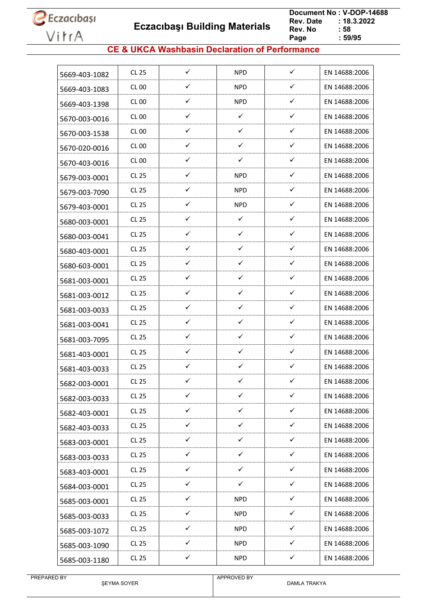

 **Eczacıbaşı Building Materials**

 **Document No : V-DOP-14688**  $: 18.3.2022$ <br> $: 58$ **Rev. No Page Page : 59/95**

#### **CE & UKCA Washbasin Declaration of Performance**

| 5669-403-1082 | CL 25        | $\checkmark$ | <b>NPD</b>   | $\checkmark$ | EN 14688:2006 |
|---------------|--------------|--------------|--------------|--------------|---------------|
| 5669-403-1083 | CL 00        | ✓            | <b>NPD</b>   | ✓            | EN 14688:2006 |
| 5669-403-1398 | <b>CL 00</b> | $\checkmark$ | <b>NPD</b>   | ✓            | EN 14688:2006 |
| 5670-003-0016 | CL 00        | ✓            | $\checkmark$ | ✓            | EN 14688:2006 |
| 5670-003-1538 | <b>CL 00</b> | ✓            | ✓            | ✓            | EN 14688:2006 |
| 5670-020-0016 | CL 00        | ✓            | $\checkmark$ | ✓            | EN 14688:2006 |
| 5670-403-0016 | CL00         | ✓            | $\checkmark$ | ✓            | EN 14688:2006 |
| 5679-003-0001 | CL 25        | $\checkmark$ | <b>NPD</b>   | ✓            | EN 14688:2006 |
| 5679-003-7090 | CL 25        | ✓            | <b>NPD</b>   | ✓            | EN 14688:2006 |
| 5679-403-0001 | CL 25        | ✓            | <b>NPD</b>   | ✓            | EN 14688:2006 |
| 5680-003-0001 | CL 25        | $\checkmark$ | $\checkmark$ | ✓            | EN 14688:2006 |
| 5680-003-0041 | CL 25        | ✓            | ✓            | ✓            | EN 14688:2006 |
| 5680-403-0001 | CL 25        | ✓            | ✓            | ✓            | EN 14688:2006 |
| 5680-603-0001 | CL 25        | $\checkmark$ | $\checkmark$ | ✓            | EN 14688:2006 |
| 5681-003-0001 | CL 25        | ✓            | $\checkmark$ | ✓            | EN 14688:2006 |
| 5681-003-0012 | CL 25        | ✓            | $\checkmark$ | ✓            | EN 14688:2006 |
| 5681-003-0033 | CL 25        | ✓            | $\checkmark$ | ✓            | EN 14688:2006 |
| 5681-003-0041 | CL 25        | $\checkmark$ | $\checkmark$ | $\checkmark$ | EN 14688:2006 |
| 5681-003-7095 | CL 25        | ✓            | ✓            | ✓            | EN 14688:2006 |
| 5681-403-0001 | CL 25        | ✓            | ✓            | ✓            | EN 14688:2006 |
| 5681-403-0033 | CL 25        | $\checkmark$ | $\checkmark$ | $\checkmark$ | EN 14688:2006 |
| 5682-003-0001 | <b>CL 25</b> | ✓            | ✓            | ✓            | EN 14688:2006 |
| 5682-003-0033 | <b>CL 25</b> | $\checkmark$ | ✓            | ✓            | EN 14688:2006 |
| 5682-403-0001 | CL 25        | $\checkmark$ | $\checkmark$ | ✓            | EN 14688:2006 |
| 5682-403-0033 | CL 25        | ✓            | ✓            | $\checkmark$ | EN 14688:2006 |
| 5683-003-0001 | CL 25        | ✓            | $\checkmark$ | ✓            | EN 14688:2006 |
| 5683-003-0033 | CL 25        | ✓            | ✓            | ✓            | EN 14688:2006 |
| 5683-403-0001 | CL 25        | $\checkmark$ | $\checkmark$ | $\checkmark$ | EN 14688:2006 |
| 5684-003-0001 | CL 25        | $\checkmark$ | $\checkmark$ | $\checkmark$ | EN 14688:2006 |
| 5685-003-0001 | CL 25        | ✓            | <b>NPD</b>   | $\checkmark$ | EN 14688:2006 |
| 5685-003-0033 | CL 25        | $\checkmark$ | <b>NPD</b>   | $\checkmark$ | EN 14688:2006 |
| 5685-003-1072 | CL 25        | $\checkmark$ | NPD          | $\checkmark$ | EN 14688:2006 |
| 5685-003-1090 | CL 25        | ✓            | <b>NPD</b>   | ✓            | EN 14688:2006 |
| 5685-003-1180 | CL 25        | $\checkmark$ | <b>NPD</b>   | $\checkmark$ | EN 14688:2006 |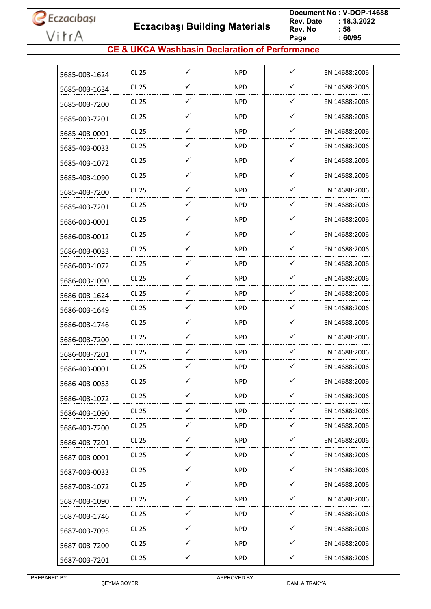**Eczacıbaşı Building Materials**

 **Document No : V-DOP-14688**  $: 18.3.2022$ <br> $: 58$ **Rev. No Page**  $\frac{1}{160/95}$ 

#### **CE & UKCA Washbasin Declaration of Performance**

| 5685-003-1624 | <b>CL 25</b> | ✓            | <b>NPD</b> | $\checkmark$ | EN 14688:2006 |
|---------------|--------------|--------------|------------|--------------|---------------|
| 5685-003-1634 | <b>CL 25</b> | ✓            | <b>NPD</b> | ✓            | EN 14688:2006 |
| 5685-003-7200 | <b>CL 25</b> | ✓            | NPD        | $\checkmark$ | EN 14688:2006 |
| 5685-003-7201 | <b>CL 25</b> | ✓            | <b>NPD</b> | ✓            | EN 14688:2006 |
| 5685-403-0001 | <b>CL 25</b> | ✓            | <b>NPD</b> | ✓            | EN 14688:2006 |
| 5685-403-0033 | <b>CL 25</b> | ✓            | <b>NPD</b> | ✓            | EN 14688:2006 |
| 5685-403-1072 | <b>CL 25</b> | $\checkmark$ | <b>NPD</b> | $\checkmark$ | EN 14688:2006 |
| 5685-403-1090 | <b>CL 25</b> | $\checkmark$ | <b>NPD</b> | ✓            | EN 14688:2006 |
| 5685-403-7200 | <b>CL 25</b> | ✓            | <b>NPD</b> | ✓            | EN 14688:2006 |
| 5685-403-7201 | <b>CL 25</b> | ✓            | NPD        | ✓            | EN 14688:2006 |
| 5686-003-0001 | <b>CL 25</b> | ✓            | <b>NPD</b> | ✓            | EN 14688:2006 |
| 5686-003-0012 | <b>CL 25</b> | ✓            | NPD        | ✓            | EN 14688:2006 |
| 5686-003-0033 | <b>CL 25</b> | ✓            | <b>NPD</b> | ✓            | EN 14688:2006 |
| 5686-003-1072 | <b>CL 25</b> | ✓            | <b>NPD</b> | $\checkmark$ | EN 14688:2006 |
| 5686-003-1090 | <b>CL 25</b> | ✓            | NPD.       | ✓            | EN 14688:2006 |
| 5686-003-1624 | <b>CL 25</b> | ✓            | <b>NPD</b> | ✓            | EN 14688:2006 |
| 5686-003-1649 | <b>CL 25</b> | ✓            | NPD        | ✓            | EN 14688:2006 |
| 5686-003-1746 | <b>CL 25</b> | $\checkmark$ | <b>NPD</b> | $\checkmark$ | EN 14688:2006 |
| 5686-003-7200 | <b>CL 25</b> | ✓            | NPD        | ✓            | EN 14688:2006 |
| 5686-003-7201 | <b>CL 25</b> | ✓            | <b>NPD</b> | ✓            | EN 14688:2006 |
| 5686-403-0001 | <b>CL 25</b> | ✓            | <b>NPD</b> | ✓            | EN 14688:2006 |
| 5686-403-0033 | <b>CL 25</b> | ✓            | <b>NPD</b> | ✓            | EN 14688:2006 |
| 5686-403-1072 | CL 25        | $\checkmark$ | <b>NPD</b> | $\checkmark$ | EN 14688:2006 |
| 5686-403-1090 | <b>CL 25</b> | $\checkmark$ | <b>NPD</b> | $\checkmark$ | EN 14688:2006 |
| 5686-403-7200 | CL 25        | ✓            | <b>NPD</b> | ✓            | EN 14688:2006 |
| 5686-403-7201 | <b>CL 25</b> | $\checkmark$ | <b>NPD</b> | $\checkmark$ | EN 14688:2006 |
| 5687-003-0001 | CL 25        | ✓            | <b>NPD</b> | $\checkmark$ | EN 14688:2006 |
| 5687-003-0033 | CL 25        | $\checkmark$ | <b>NPD</b> | $\checkmark$ | EN 14688:2006 |
| 5687-003-1072 | <b>CL 25</b> | $\checkmark$ | <b>NPD</b> | $\checkmark$ | EN 14688:2006 |
| 5687-003-1090 | <b>CL 25</b> | $\checkmark$ | <b>NPD</b> | $\checkmark$ | EN 14688:2006 |
| 5687-003-1746 | <b>CL 25</b> | $\checkmark$ | <b>NPD</b> | $\checkmark$ | EN 14688:2006 |
| 5687-003-7095 | CL 25        | ✓            | <b>NPD</b> | $\checkmark$ | EN 14688:2006 |
| 5687-003-7200 | CL 25        | ✓            | <b>NPD</b> | $\checkmark$ | EN 14688:2006 |
| 5687-003-7201 | <b>CL 25</b> | $\checkmark$ | <b>NPD</b> | $\checkmark$ | EN 14688:2006 |
|               |              |              |            |              |               |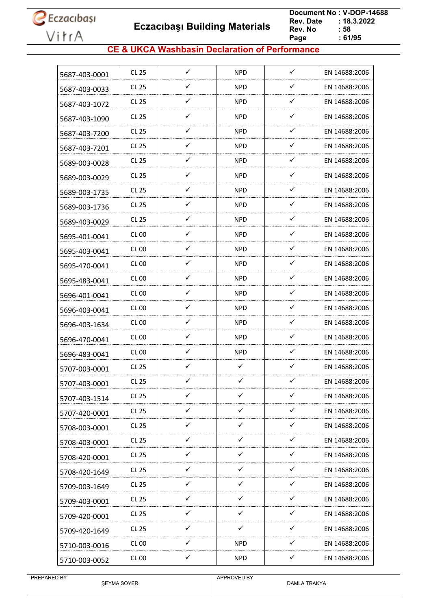**Eczacıbaşı Building Materials**

 **Document No : V-DOP-14688**  $: 18.3.2022$ <br> $: 58$ **Rev. No Page**  $\frac{1}{16}$  61/95

#### **CE & UKCA Washbasin Declaration of Performance**

| 5687-403-0001 | <b>CL 25</b>     | ✓            | <b>NPD</b>   | $\checkmark$ | EN 14688:2006 |
|---------------|------------------|--------------|--------------|--------------|---------------|
| 5687-403-0033 | <b>CL 25</b>     | ✓            | <b>NPD</b>   | ✓            | EN 14688:2006 |
| 5687-403-1072 | <b>CL 25</b>     | ✓            | <b>NPD</b>   | $\checkmark$ | EN 14688:2006 |
| 5687-403-1090 | <b>CL 25</b>     | ✓            | <b>NPD</b>   | ✓            | EN 14688:2006 |
| 5687-403-7200 | <b>CL 25</b>     | ✓            | <b>NPD</b>   | ✓            | EN 14688:2006 |
| 5687-403-7201 | <b>CL 25</b>     | ✓            | <b>NPD</b>   | ✓            | EN 14688:2006 |
| 5689-003-0028 | <b>CL 25</b>     | $\checkmark$ | <b>NPD</b>   | $\checkmark$ | EN 14688:2006 |
| 5689-003-0029 | <b>CL 25</b>     | $\checkmark$ | <b>NPD</b>   | ✓            | EN 14688:2006 |
| 5689-003-1735 | <b>CL 25</b>     | ✓            | <b>NPD</b>   | ✓            | EN 14688:2006 |
| 5689-003-1736 | <b>CL 25</b>     | $\checkmark$ | NPD          | ✓            | EN 14688:2006 |
| 5689-403-0029 | <b>CL 25</b>     | ✓            | <b>NPD</b>   | ✓            | EN 14688:2006 |
| 5695-401-0041 | <b>CL 00</b>     | ✓            | NPD          | ✓            | EN 14688:2006 |
| 5695-403-0041 | CL <sub>00</sub> | ✓            | <b>NPD</b>   | ✓            | EN 14688:2006 |
| 5695-470-0041 | <b>CL 00</b>     | ✓            | <b>NPD</b>   | ✓            | EN 14688:2006 |
| 5695-483-0041 | CL 00            | ✓            | NPD.         | $\checkmark$ | EN 14688:2006 |
| 5696-401-0041 | <b>CL 00</b>     | ✓            | <b>NPD</b>   | $\checkmark$ | EN 14688:2006 |
| 5696-403-0041 | CL 00            | ✓            | NPD          | $\checkmark$ | EN 14688:2006 |
| 5696-403-1634 | CL 00            | $\checkmark$ | <b>NPD</b>   | $\checkmark$ | EN 14688:2006 |
| 5696-470-0041 | <b>CL 00</b>     | ✓            | NPD          | ✓            | EN 14688:2006 |
| 5696-483-0041 | <b>CL 00</b>     | ✓            | <b>NPD</b>   | ✓            | EN 14688:2006 |
| 5707-003-0001 | <b>CL 25</b>     | $\checkmark$ | $\checkmark$ | $\checkmark$ | EN 14688:2006 |
| 5707-403-0001 | <b>CL 25</b>     | ✓            | ✓            | ✓            | EN 14688:2006 |
| 5707-403-1514 | <b>CL 25</b>     | $\checkmark$ | $\checkmark$ | $\checkmark$ | EN 14688:2006 |
| 5707-420-0001 | <b>CL 25</b>     | $\checkmark$ | $\checkmark$ | $\checkmark$ | EN 14688:2006 |
| 5708-003-0001 | CL 25            | ✓            | $\checkmark$ | $\checkmark$ | EN 14688:2006 |
| 5708-403-0001 | <b>CL 25</b>     | $\checkmark$ | $\checkmark$ | $\checkmark$ | EN 14688:2006 |
| 5708-420-0001 | <b>CL 25</b>     | ✓            | ✓            | ✓            | EN 14688:2006 |
| 5708-420-1649 | CL 25            | $\checkmark$ | $\checkmark$ | ✓            | EN 14688:2006 |
| 5709-003-1649 | <b>CL 25</b>     | $\checkmark$ | $\checkmark$ | $\checkmark$ | EN 14688:2006 |
| 5709-403-0001 | <b>CL 25</b>     | $\checkmark$ | $\checkmark$ | $\checkmark$ | EN 14688:2006 |
| 5709-420-0001 | <b>CL 25</b>     | $\checkmark$ | $\checkmark$ | $\checkmark$ | EN 14688:2006 |
| 5709-420-1649 | CL 25            | ✓            | $\checkmark$ | $\checkmark$ | EN 14688:2006 |
| 5710-003-0016 | <b>CL 00</b>     | ✓            | <b>NPD</b>   | $\checkmark$ | EN 14688:2006 |
| 5710-003-0052 | <b>CL 00</b>     | $\checkmark$ | <b>NPD</b>   | $\checkmark$ | EN 14688:2006 |
|               |                  |              |              |              |               |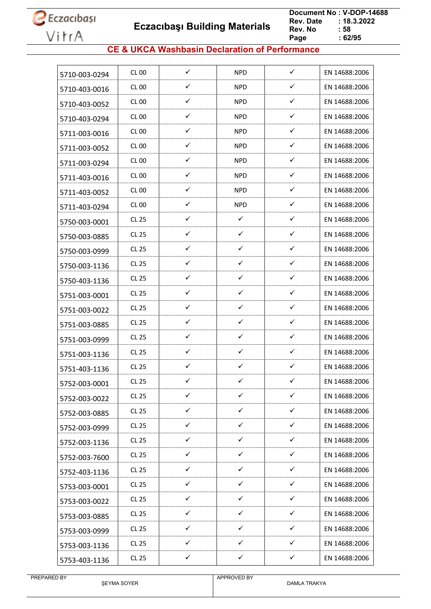

 **Eczacıbaşı Building Materials**

 **Document No : V-DOP-14688**  $: 18.3.2022$ <br> $: 58$ **Rev. No Page Page : 62/95**

#### **CE & UKCA Washbasin Declaration of Performance**

| 5710-003-0294 | CL 00        | $\checkmark$ | <b>NPD</b>   | $\checkmark$ | EN 14688:2006 |
|---------------|--------------|--------------|--------------|--------------|---------------|
| 5710-403-0016 | <b>CL 00</b> | ✓            | <b>NPD</b>   | ✓            | EN 14688:2006 |
| 5710-403-0052 | CL 00        | ✓            | <b>NPD</b>   | $\checkmark$ | EN 14688:2006 |
| 5710-403-0294 | <b>CL 00</b> | ✓            | <b>NPD</b>   | $\checkmark$ | EN 14688:2006 |
| 5711-003-0016 | CL 00        | ✓            | NPD.         | $\checkmark$ | EN 14688:2006 |
| 5711-003-0052 | CL 00        | ✓            | <b>NPD</b>   | $\checkmark$ | EN 14688:2006 |
| 5711-003-0294 | CL 00        | ✓            | <b>NPD</b>   | ✓            | EN 14688:2006 |
| 5711-403-0016 | CL 00        | ✓            | <b>NPD</b>   | ✓            | EN 14688:2006 |
| 5711-403-0052 | CL 00        | ✓            | <b>NPD</b>   | ✓            | EN 14688:2006 |
| 5711-403-0294 | <b>CL 00</b> | ✓            | <b>NPD</b>   | $\checkmark$ | EN 14688:2006 |
| 5750-003-0001 | <b>CL 25</b> | ✓            | $\checkmark$ | $\checkmark$ | EN 14688:2006 |
| 5750-003-0885 | CL 25        | ✓            | ✓            | ✓            | EN 14688:2006 |
| 5750-003-0999 | CL 25        | ✓            | $\checkmark$ | $\checkmark$ | EN 14688:2006 |
| 5750-003-1136 | <b>CL 25</b> | ✓            | ✓            | $\checkmark$ | EN 14688:2006 |
| 5750-403-1136 | CL 25        | ✓            | ✓            | ✓            | EN 14688:2006 |
| 5751-003-0001 | CL 25        | ✓            | ✓            | $\checkmark$ | EN 14688:2006 |
| 5751-003-0022 | CL 25        | ✓            | ✓            | ✓            | EN 14688:2006 |
| 5751-003-0885 | CL 25        | ✓            | $\checkmark$ | ✓            | EN 14688:2006 |
| 5751-003-0999 | <b>CL 25</b> | ✓            | ✓            | ✓            | EN 14688:2006 |
| 5751-003-1136 | CL 25        | ✓            | ✓            | ✓            | EN 14688:2006 |
| 5751-403-1136 | CL 25        | $\checkmark$ | ✓            | ✓            | EN 14688:2006 |
| 5752-003-0001 | <b>CL 25</b> | ✓            | ✓            | ✓            | EN 14688:2006 |
| 5752-003-0022 | <b>CL 25</b> | $\checkmark$ | $\checkmark$ | $\checkmark$ | EN 14688:2006 |
| 5752-003-0885 | <b>CL 25</b> | $\checkmark$ | $\checkmark$ | $\checkmark$ | EN 14688:2006 |
| 5752-003-0999 | <b>CL 25</b> | $\checkmark$ | ✓            | $\checkmark$ | EN 14688:2006 |
| 5752-003-1136 | CL 25        | $\checkmark$ | $\checkmark$ | $\checkmark$ | EN 14688:2006 |
| 5752-003-7600 | CL 25        | ✓            | $\checkmark$ | ✓            | EN 14688:2006 |
| 5752-403-1136 | <b>CL 25</b> | $\checkmark$ | $\checkmark$ | $\checkmark$ | EN 14688:2006 |
| 5753-003-0001 | CL 25        | $\checkmark$ | $\checkmark$ | ✓            | EN 14688:2006 |
| 5753-003-0022 | <b>CL 25</b> | ✓            | ✓            | ✓            | EN 14688:2006 |
| 5753-003-0885 | CL 25        | $\checkmark$ | ✓            | ✓            | EN 14688:2006 |
| 5753-003-0999 | <b>CL 25</b> | $\checkmark$ | $\checkmark$ | $\checkmark$ | EN 14688:2006 |
| 5753-003-1136 | CL 25        | $\checkmark$ | $\checkmark$ | $\checkmark$ | EN 14688:2006 |
| 5753-403-1136 | <b>CL 25</b> | $\checkmark$ | $\checkmark$ | $\checkmark$ | EN 14688:2006 |
|               |              |              |              |              |               |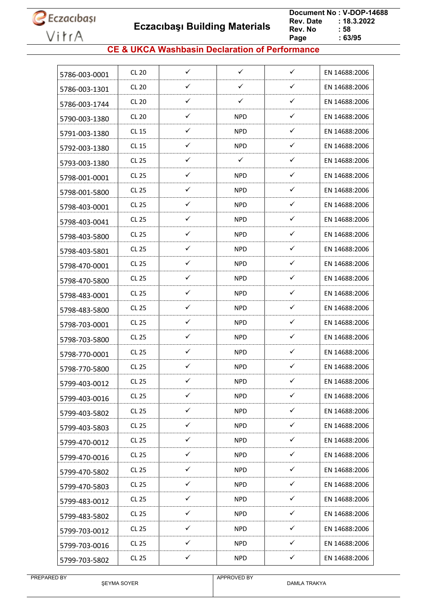**Eczacıbaşı Building Materials**

 **Document No : V-DOP-14688**  $: 18.3.2022$ <br> $: 58$ **Rev. No Page Page : 63/95**

#### **CE & UKCA Washbasin Declaration of Performance**

| 5786-003-0001 | <b>CL 20</b> | $\checkmark$ | $\checkmark$ | $\checkmark$ | EN 14688:2006 |
|---------------|--------------|--------------|--------------|--------------|---------------|
| 5786-003-1301 | <b>CL 20</b> | ✓            | ✓            | ✓            | EN 14688:2006 |
| 5786-003-1744 | <b>CL 20</b> | ✓            | $\checkmark$ | $\checkmark$ | EN 14688:2006 |
| 5790-003-1380 | <b>CL 20</b> | ✓            | NPD          | $\checkmark$ | EN 14688:2006 |
| 5791-003-1380 | <b>CL 15</b> | ✓            | <b>NPD</b>   | ✓            | EN 14688:2006 |
| 5792-003-1380 | <b>CL 15</b> | ✓            | <b>NPD</b>   | $\checkmark$ | EN 14688:2006 |
| 5793-003-1380 | <b>CL 25</b> | ✓            | $\checkmark$ | ✓            | EN 14688:2006 |
| 5798-001-0001 | <b>CL 25</b> | $\checkmark$ | <b>NPD</b>   | $\checkmark$ | EN 14688:2006 |
| 5798-001-5800 | <b>CL 25</b> | ✓            | NPD          | $\checkmark$ | EN 14688:2006 |
| 5798-403-0001 | <b>CL 25</b> | ✓            | <b>NPD</b>   | $\checkmark$ | EN 14688:2006 |
| 5798-403-0041 | <b>CL 25</b> | $\checkmark$ | <b>NPD</b>   | ✓            | EN 14688:2006 |
| 5798-403-5800 | <b>CL 25</b> | ✓            | NPD          | ✓            | EN 14688:2006 |
| 5798-403-5801 | <b>CL 25</b> | ✓            | NPD          | ✓            | EN 14688:2006 |
| 5798-470-0001 | <b>CL 25</b> | $\checkmark$ | <b>NPD</b>   | $\checkmark$ | EN 14688:2006 |
| 5798-470-5800 | <b>CL 25</b> | ✓            | <b>NPD</b>   | $\checkmark$ | EN 14688:2006 |
| 5798-483-0001 | <b>CL 25</b> | ✓            | NPD          | $\checkmark$ | EN 14688:2006 |
| 5798-483-5800 | <b>CL 25</b> | ✓            | <b>NPD</b>   | $\checkmark$ | EN 14688:2006 |
| 5798-703-0001 | <b>CL 25</b> | $\checkmark$ | <b>NPD</b>   | $\checkmark$ | EN 14688:2006 |
| 5798-703-5800 | <b>CL 25</b> | ✓            | <b>NPD</b>   | ✓            | EN 14688:2006 |
| 5798-770-0001 | <b>CL 25</b> | ✓            | NPD          | ✓            | EN 14688:2006 |
| 5798-770-5800 | <b>CL 25</b> | $\checkmark$ | <b>NPD</b>   | $\checkmark$ | EN 14688:2006 |
| 5799-403-0012 | <b>CL 25</b> | ✓            | <b>NPD</b>   | ✓            | EN 14688:2006 |
| 5799-403-0016 | <b>CL 25</b> | $\checkmark$ | <b>NPD</b>   | $\checkmark$ | EN 14688:2006 |
| 5799-403-5802 | <b>CL 25</b> | $\checkmark$ | <b>NPD</b>   | $\checkmark$ | EN 14688:2006 |
| 5799-403-5803 | CL 25        | $\checkmark$ | <b>NPD</b>   | $\checkmark$ | EN 14688:2006 |
| 5799-470-0012 | <b>CL 25</b> | ✓            | <b>NPD</b>   | $\checkmark$ | EN 14688:2006 |
| 5799-470-0016 | <b>CL 25</b> | ✓            | <b>NPD</b>   | ✓            | EN 14688:2006 |
| 5799-470-5802 | CL 25        | $\checkmark$ | <b>NPD</b>   | $\checkmark$ | EN 14688:2006 |
| 5799-470-5803 | <b>CL 25</b> | $\checkmark$ | <b>NPD</b>   | $\checkmark$ | EN 14688:2006 |
| 5799-483-0012 | CL 25        | ✓            | <b>NPD</b>   | $\checkmark$ | EN 14688:2006 |
| 5799-483-5802 | CL 25        | $\checkmark$ | <b>NPD</b>   | $\checkmark$ | EN 14688:2006 |
| 5799-703-0012 | <b>CL 25</b> | $\checkmark$ | NPD.         | $\checkmark$ | EN 14688:2006 |
| 5799-703-0016 | CL 25        | ✓            | <b>NPD</b>   | ✓            | EN 14688:2006 |
| 5799-703-5802 | <b>CL 25</b> | $\checkmark$ | <b>NPD</b>   | $\checkmark$ | EN 14688:2006 |
|               |              |              |              |              |               |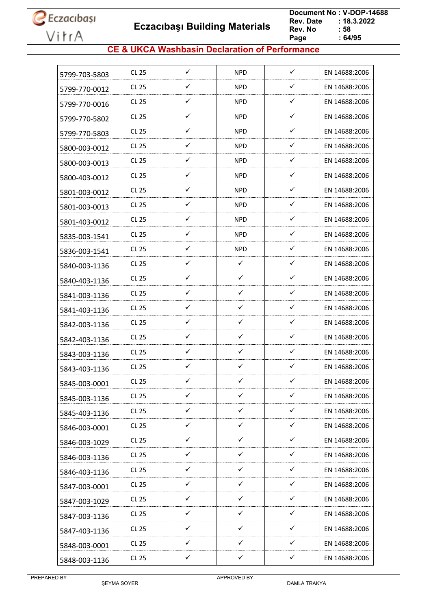**Eczacıbaşı Building Materials**

 **Document No : V-DOP-14688**  $: 18.3.2022$ <br> $: 58$ **Rev. No Page Page : 64/95**

#### **CE & UKCA Washbasin Declaration of Performance**

| $\checkmark$<br>$\checkmark$<br><b>NPD</b><br><b>CL 25</b><br>EN 14688:2006<br>5799-703-5803<br>✓<br>✓<br>CL 25<br><b>NPD</b><br>EN 14688:2006<br>5799-770-0012<br>$\checkmark$<br>$\checkmark$<br><b>CL 25</b><br><b>NPD</b><br>EN 14688:2006<br>5799-770-0016<br>✓<br>✓<br><b>CL 25</b><br><b>NPD</b><br>EN 14688:2006<br>5799-770-5802<br>✓<br>✓<br><b>CL 25</b><br><b>NPD</b><br>EN 14688:2006<br>5799-770-5803<br>✓<br>$\checkmark$<br><b>CL 25</b><br><b>NPD</b><br>EN 14688:2006<br>5800-003-0012<br>$\checkmark$<br>✓<br><b>CL 25</b><br><b>NPD</b><br>EN 14688:2006<br>5800-003-0013<br>$\checkmark$<br>$\checkmark$<br><b>CL 25</b><br><b>NPD</b><br>EN 14688:2006<br>5800-403-0012<br>$\checkmark$<br>✓<br><b>CL 25</b><br><b>NPD</b><br>EN 14688:2006<br>5801-003-0012<br>$\checkmark$<br><b>CL 25</b><br>✓<br><b>NPD</b><br>EN 14688:2006<br>5801-003-0013<br>$\checkmark$<br>$\checkmark$<br><b>CL 25</b><br><b>NPD</b><br>EN 14688:2006<br>5801-403-0012<br>✓<br>✓<br><b>CL 25</b><br><b>NPD</b><br>EN 14688:2006<br>5835-003-1541<br>✓<br>$\checkmark$<br><b>CL 25</b><br><b>NPD</b><br>EN 14688:2006<br>5836-003-1541<br>$\checkmark$<br>$\checkmark$<br>$\checkmark$<br><b>CL 25</b><br>EN 14688:2006<br>5840-003-1136<br>$\checkmark$<br>✓<br>✓<br><b>CL 25</b><br>EN 14688:2006<br>5840-403-1136<br>$\checkmark$<br>$\checkmark$<br>$\checkmark$<br><b>CL 25</b><br>EN 14688:2006<br>5841-003-1136<br>$\checkmark$<br>$\checkmark$<br>$\checkmark$<br><b>CL 25</b><br>EN 14688:2006<br>5841-403-1136<br>$\checkmark$<br>$\checkmark$<br>✓<br><b>CL 25</b><br>EN 14688:2006<br>5842-003-1136<br>✓<br>✓<br>✓<br><b>CL 25</b><br>EN 14688:2006<br>5842-403-1136<br>✓<br>✓<br>✓<br>CL 25<br>EN 14688:2006<br>5843-003-1136<br>$\checkmark$<br>$\checkmark$<br>$\checkmark$<br><b>CL 25</b><br>EN 14688:2006<br>5843-403-1136<br>✓<br>✓<br>✓<br><b>CL 25</b><br>EN 14688:2006<br>5845-003-0001<br>$\checkmark$<br>✓<br>✓<br><b>CL 25</b><br>EN 14688:2006<br>5845-003-1136<br>$\checkmark$<br>$\checkmark$<br>$\checkmark$<br>EN 14688:2006<br><b>CL 25</b><br>5845-403-1136<br>$\checkmark$<br>✓<br>✓<br>CL 25<br>EN 14688:2006<br>5846-003-0001<br>$\checkmark$<br>✓<br>$\checkmark$<br><b>CL 25</b><br>EN 14688:2006<br>5846-003-1029<br>$\checkmark$<br>$\checkmark$<br>✓<br><b>CL 25</b><br>EN 14688:2006<br>5846-003-1136<br>$\checkmark$<br>$\checkmark$<br>$\checkmark$<br>CL 25<br>EN 14688:2006<br>5846-403-1136<br>$\checkmark$<br>$\checkmark$<br>$\checkmark$<br>EN 14688:2006<br><b>CL 25</b><br>5847-003-0001<br>$\checkmark$<br>$\checkmark$<br>$\checkmark$<br><b>CL 25</b><br>EN 14688:2006<br>5847-003-1029<br>$\checkmark$<br>$\checkmark$<br>$\checkmark$<br><b>CL 25</b><br>EN 14688:2006<br>5847-003-1136<br>$\checkmark$<br>$\checkmark$<br>$\checkmark$<br><b>CL 25</b><br>EN 14688:2006<br>5847-403-1136<br>✓<br>✓<br>✓<br>CL 25<br>EN 14688:2006<br>5848-003-0001<br>$\checkmark$<br>$\checkmark$<br>$\checkmark$<br><b>CL 25</b><br>EN 14688:2006<br>5848-003-1136 |  |  |  |
|---------------------------------------------------------------------------------------------------------------------------------------------------------------------------------------------------------------------------------------------------------------------------------------------------------------------------------------------------------------------------------------------------------------------------------------------------------------------------------------------------------------------------------------------------------------------------------------------------------------------------------------------------------------------------------------------------------------------------------------------------------------------------------------------------------------------------------------------------------------------------------------------------------------------------------------------------------------------------------------------------------------------------------------------------------------------------------------------------------------------------------------------------------------------------------------------------------------------------------------------------------------------------------------------------------------------------------------------------------------------------------------------------------------------------------------------------------------------------------------------------------------------------------------------------------------------------------------------------------------------------------------------------------------------------------------------------------------------------------------------------------------------------------------------------------------------------------------------------------------------------------------------------------------------------------------------------------------------------------------------------------------------------------------------------------------------------------------------------------------------------------------------------------------------------------------------------------------------------------------------------------------------------------------------------------------------------------------------------------------------------------------------------------------------------------------------------------------------------------------------------------------------------------------------------------------------------------------------------------------------------------------------------------------------------------------------------------------------------------------------------------------------------------------------------------------------------------------------------------------------------------------------------------------------------------------------------------------------------------------------------------------|--|--|--|
|                                                                                                                                                                                                                                                                                                                                                                                                                                                                                                                                                                                                                                                                                                                                                                                                                                                                                                                                                                                                                                                                                                                                                                                                                                                                                                                                                                                                                                                                                                                                                                                                                                                                                                                                                                                                                                                                                                                                                                                                                                                                                                                                                                                                                                                                                                                                                                                                                                                                                                                                                                                                                                                                                                                                                                                                                                                                                                                                                                                                               |  |  |  |
|                                                                                                                                                                                                                                                                                                                                                                                                                                                                                                                                                                                                                                                                                                                                                                                                                                                                                                                                                                                                                                                                                                                                                                                                                                                                                                                                                                                                                                                                                                                                                                                                                                                                                                                                                                                                                                                                                                                                                                                                                                                                                                                                                                                                                                                                                                                                                                                                                                                                                                                                                                                                                                                                                                                                                                                                                                                                                                                                                                                                               |  |  |  |
|                                                                                                                                                                                                                                                                                                                                                                                                                                                                                                                                                                                                                                                                                                                                                                                                                                                                                                                                                                                                                                                                                                                                                                                                                                                                                                                                                                                                                                                                                                                                                                                                                                                                                                                                                                                                                                                                                                                                                                                                                                                                                                                                                                                                                                                                                                                                                                                                                                                                                                                                                                                                                                                                                                                                                                                                                                                                                                                                                                                                               |  |  |  |
|                                                                                                                                                                                                                                                                                                                                                                                                                                                                                                                                                                                                                                                                                                                                                                                                                                                                                                                                                                                                                                                                                                                                                                                                                                                                                                                                                                                                                                                                                                                                                                                                                                                                                                                                                                                                                                                                                                                                                                                                                                                                                                                                                                                                                                                                                                                                                                                                                                                                                                                                                                                                                                                                                                                                                                                                                                                                                                                                                                                                               |  |  |  |
|                                                                                                                                                                                                                                                                                                                                                                                                                                                                                                                                                                                                                                                                                                                                                                                                                                                                                                                                                                                                                                                                                                                                                                                                                                                                                                                                                                                                                                                                                                                                                                                                                                                                                                                                                                                                                                                                                                                                                                                                                                                                                                                                                                                                                                                                                                                                                                                                                                                                                                                                                                                                                                                                                                                                                                                                                                                                                                                                                                                                               |  |  |  |
|                                                                                                                                                                                                                                                                                                                                                                                                                                                                                                                                                                                                                                                                                                                                                                                                                                                                                                                                                                                                                                                                                                                                                                                                                                                                                                                                                                                                                                                                                                                                                                                                                                                                                                                                                                                                                                                                                                                                                                                                                                                                                                                                                                                                                                                                                                                                                                                                                                                                                                                                                                                                                                                                                                                                                                                                                                                                                                                                                                                                               |  |  |  |
|                                                                                                                                                                                                                                                                                                                                                                                                                                                                                                                                                                                                                                                                                                                                                                                                                                                                                                                                                                                                                                                                                                                                                                                                                                                                                                                                                                                                                                                                                                                                                                                                                                                                                                                                                                                                                                                                                                                                                                                                                                                                                                                                                                                                                                                                                                                                                                                                                                                                                                                                                                                                                                                                                                                                                                                                                                                                                                                                                                                                               |  |  |  |
|                                                                                                                                                                                                                                                                                                                                                                                                                                                                                                                                                                                                                                                                                                                                                                                                                                                                                                                                                                                                                                                                                                                                                                                                                                                                                                                                                                                                                                                                                                                                                                                                                                                                                                                                                                                                                                                                                                                                                                                                                                                                                                                                                                                                                                                                                                                                                                                                                                                                                                                                                                                                                                                                                                                                                                                                                                                                                                                                                                                                               |  |  |  |
|                                                                                                                                                                                                                                                                                                                                                                                                                                                                                                                                                                                                                                                                                                                                                                                                                                                                                                                                                                                                                                                                                                                                                                                                                                                                                                                                                                                                                                                                                                                                                                                                                                                                                                                                                                                                                                                                                                                                                                                                                                                                                                                                                                                                                                                                                                                                                                                                                                                                                                                                                                                                                                                                                                                                                                                                                                                                                                                                                                                                               |  |  |  |
|                                                                                                                                                                                                                                                                                                                                                                                                                                                                                                                                                                                                                                                                                                                                                                                                                                                                                                                                                                                                                                                                                                                                                                                                                                                                                                                                                                                                                                                                                                                                                                                                                                                                                                                                                                                                                                                                                                                                                                                                                                                                                                                                                                                                                                                                                                                                                                                                                                                                                                                                                                                                                                                                                                                                                                                                                                                                                                                                                                                                               |  |  |  |
|                                                                                                                                                                                                                                                                                                                                                                                                                                                                                                                                                                                                                                                                                                                                                                                                                                                                                                                                                                                                                                                                                                                                                                                                                                                                                                                                                                                                                                                                                                                                                                                                                                                                                                                                                                                                                                                                                                                                                                                                                                                                                                                                                                                                                                                                                                                                                                                                                                                                                                                                                                                                                                                                                                                                                                                                                                                                                                                                                                                                               |  |  |  |
|                                                                                                                                                                                                                                                                                                                                                                                                                                                                                                                                                                                                                                                                                                                                                                                                                                                                                                                                                                                                                                                                                                                                                                                                                                                                                                                                                                                                                                                                                                                                                                                                                                                                                                                                                                                                                                                                                                                                                                                                                                                                                                                                                                                                                                                                                                                                                                                                                                                                                                                                                                                                                                                                                                                                                                                                                                                                                                                                                                                                               |  |  |  |
|                                                                                                                                                                                                                                                                                                                                                                                                                                                                                                                                                                                                                                                                                                                                                                                                                                                                                                                                                                                                                                                                                                                                                                                                                                                                                                                                                                                                                                                                                                                                                                                                                                                                                                                                                                                                                                                                                                                                                                                                                                                                                                                                                                                                                                                                                                                                                                                                                                                                                                                                                                                                                                                                                                                                                                                                                                                                                                                                                                                                               |  |  |  |
|                                                                                                                                                                                                                                                                                                                                                                                                                                                                                                                                                                                                                                                                                                                                                                                                                                                                                                                                                                                                                                                                                                                                                                                                                                                                                                                                                                                                                                                                                                                                                                                                                                                                                                                                                                                                                                                                                                                                                                                                                                                                                                                                                                                                                                                                                                                                                                                                                                                                                                                                                                                                                                                                                                                                                                                                                                                                                                                                                                                                               |  |  |  |
|                                                                                                                                                                                                                                                                                                                                                                                                                                                                                                                                                                                                                                                                                                                                                                                                                                                                                                                                                                                                                                                                                                                                                                                                                                                                                                                                                                                                                                                                                                                                                                                                                                                                                                                                                                                                                                                                                                                                                                                                                                                                                                                                                                                                                                                                                                                                                                                                                                                                                                                                                                                                                                                                                                                                                                                                                                                                                                                                                                                                               |  |  |  |
|                                                                                                                                                                                                                                                                                                                                                                                                                                                                                                                                                                                                                                                                                                                                                                                                                                                                                                                                                                                                                                                                                                                                                                                                                                                                                                                                                                                                                                                                                                                                                                                                                                                                                                                                                                                                                                                                                                                                                                                                                                                                                                                                                                                                                                                                                                                                                                                                                                                                                                                                                                                                                                                                                                                                                                                                                                                                                                                                                                                                               |  |  |  |
|                                                                                                                                                                                                                                                                                                                                                                                                                                                                                                                                                                                                                                                                                                                                                                                                                                                                                                                                                                                                                                                                                                                                                                                                                                                                                                                                                                                                                                                                                                                                                                                                                                                                                                                                                                                                                                                                                                                                                                                                                                                                                                                                                                                                                                                                                                                                                                                                                                                                                                                                                                                                                                                                                                                                                                                                                                                                                                                                                                                                               |  |  |  |
|                                                                                                                                                                                                                                                                                                                                                                                                                                                                                                                                                                                                                                                                                                                                                                                                                                                                                                                                                                                                                                                                                                                                                                                                                                                                                                                                                                                                                                                                                                                                                                                                                                                                                                                                                                                                                                                                                                                                                                                                                                                                                                                                                                                                                                                                                                                                                                                                                                                                                                                                                                                                                                                                                                                                                                                                                                                                                                                                                                                                               |  |  |  |
|                                                                                                                                                                                                                                                                                                                                                                                                                                                                                                                                                                                                                                                                                                                                                                                                                                                                                                                                                                                                                                                                                                                                                                                                                                                                                                                                                                                                                                                                                                                                                                                                                                                                                                                                                                                                                                                                                                                                                                                                                                                                                                                                                                                                                                                                                                                                                                                                                                                                                                                                                                                                                                                                                                                                                                                                                                                                                                                                                                                                               |  |  |  |
|                                                                                                                                                                                                                                                                                                                                                                                                                                                                                                                                                                                                                                                                                                                                                                                                                                                                                                                                                                                                                                                                                                                                                                                                                                                                                                                                                                                                                                                                                                                                                                                                                                                                                                                                                                                                                                                                                                                                                                                                                                                                                                                                                                                                                                                                                                                                                                                                                                                                                                                                                                                                                                                                                                                                                                                                                                                                                                                                                                                                               |  |  |  |
|                                                                                                                                                                                                                                                                                                                                                                                                                                                                                                                                                                                                                                                                                                                                                                                                                                                                                                                                                                                                                                                                                                                                                                                                                                                                                                                                                                                                                                                                                                                                                                                                                                                                                                                                                                                                                                                                                                                                                                                                                                                                                                                                                                                                                                                                                                                                                                                                                                                                                                                                                                                                                                                                                                                                                                                                                                                                                                                                                                                                               |  |  |  |
|                                                                                                                                                                                                                                                                                                                                                                                                                                                                                                                                                                                                                                                                                                                                                                                                                                                                                                                                                                                                                                                                                                                                                                                                                                                                                                                                                                                                                                                                                                                                                                                                                                                                                                                                                                                                                                                                                                                                                                                                                                                                                                                                                                                                                                                                                                                                                                                                                                                                                                                                                                                                                                                                                                                                                                                                                                                                                                                                                                                                               |  |  |  |
|                                                                                                                                                                                                                                                                                                                                                                                                                                                                                                                                                                                                                                                                                                                                                                                                                                                                                                                                                                                                                                                                                                                                                                                                                                                                                                                                                                                                                                                                                                                                                                                                                                                                                                                                                                                                                                                                                                                                                                                                                                                                                                                                                                                                                                                                                                                                                                                                                                                                                                                                                                                                                                                                                                                                                                                                                                                                                                                                                                                                               |  |  |  |
|                                                                                                                                                                                                                                                                                                                                                                                                                                                                                                                                                                                                                                                                                                                                                                                                                                                                                                                                                                                                                                                                                                                                                                                                                                                                                                                                                                                                                                                                                                                                                                                                                                                                                                                                                                                                                                                                                                                                                                                                                                                                                                                                                                                                                                                                                                                                                                                                                                                                                                                                                                                                                                                                                                                                                                                                                                                                                                                                                                                                               |  |  |  |
|                                                                                                                                                                                                                                                                                                                                                                                                                                                                                                                                                                                                                                                                                                                                                                                                                                                                                                                                                                                                                                                                                                                                                                                                                                                                                                                                                                                                                                                                                                                                                                                                                                                                                                                                                                                                                                                                                                                                                                                                                                                                                                                                                                                                                                                                                                                                                                                                                                                                                                                                                                                                                                                                                                                                                                                                                                                                                                                                                                                                               |  |  |  |
|                                                                                                                                                                                                                                                                                                                                                                                                                                                                                                                                                                                                                                                                                                                                                                                                                                                                                                                                                                                                                                                                                                                                                                                                                                                                                                                                                                                                                                                                                                                                                                                                                                                                                                                                                                                                                                                                                                                                                                                                                                                                                                                                                                                                                                                                                                                                                                                                                                                                                                                                                                                                                                                                                                                                                                                                                                                                                                                                                                                                               |  |  |  |
|                                                                                                                                                                                                                                                                                                                                                                                                                                                                                                                                                                                                                                                                                                                                                                                                                                                                                                                                                                                                                                                                                                                                                                                                                                                                                                                                                                                                                                                                                                                                                                                                                                                                                                                                                                                                                                                                                                                                                                                                                                                                                                                                                                                                                                                                                                                                                                                                                                                                                                                                                                                                                                                                                                                                                                                                                                                                                                                                                                                                               |  |  |  |
|                                                                                                                                                                                                                                                                                                                                                                                                                                                                                                                                                                                                                                                                                                                                                                                                                                                                                                                                                                                                                                                                                                                                                                                                                                                                                                                                                                                                                                                                                                                                                                                                                                                                                                                                                                                                                                                                                                                                                                                                                                                                                                                                                                                                                                                                                                                                                                                                                                                                                                                                                                                                                                                                                                                                                                                                                                                                                                                                                                                                               |  |  |  |
|                                                                                                                                                                                                                                                                                                                                                                                                                                                                                                                                                                                                                                                                                                                                                                                                                                                                                                                                                                                                                                                                                                                                                                                                                                                                                                                                                                                                                                                                                                                                                                                                                                                                                                                                                                                                                                                                                                                                                                                                                                                                                                                                                                                                                                                                                                                                                                                                                                                                                                                                                                                                                                                                                                                                                                                                                                                                                                                                                                                                               |  |  |  |
|                                                                                                                                                                                                                                                                                                                                                                                                                                                                                                                                                                                                                                                                                                                                                                                                                                                                                                                                                                                                                                                                                                                                                                                                                                                                                                                                                                                                                                                                                                                                                                                                                                                                                                                                                                                                                                                                                                                                                                                                                                                                                                                                                                                                                                                                                                                                                                                                                                                                                                                                                                                                                                                                                                                                                                                                                                                                                                                                                                                                               |  |  |  |
|                                                                                                                                                                                                                                                                                                                                                                                                                                                                                                                                                                                                                                                                                                                                                                                                                                                                                                                                                                                                                                                                                                                                                                                                                                                                                                                                                                                                                                                                                                                                                                                                                                                                                                                                                                                                                                                                                                                                                                                                                                                                                                                                                                                                                                                                                                                                                                                                                                                                                                                                                                                                                                                                                                                                                                                                                                                                                                                                                                                                               |  |  |  |
|                                                                                                                                                                                                                                                                                                                                                                                                                                                                                                                                                                                                                                                                                                                                                                                                                                                                                                                                                                                                                                                                                                                                                                                                                                                                                                                                                                                                                                                                                                                                                                                                                                                                                                                                                                                                                                                                                                                                                                                                                                                                                                                                                                                                                                                                                                                                                                                                                                                                                                                                                                                                                                                                                                                                                                                                                                                                                                                                                                                                               |  |  |  |
|                                                                                                                                                                                                                                                                                                                                                                                                                                                                                                                                                                                                                                                                                                                                                                                                                                                                                                                                                                                                                                                                                                                                                                                                                                                                                                                                                                                                                                                                                                                                                                                                                                                                                                                                                                                                                                                                                                                                                                                                                                                                                                                                                                                                                                                                                                                                                                                                                                                                                                                                                                                                                                                                                                                                                                                                                                                                                                                                                                                                               |  |  |  |
|                                                                                                                                                                                                                                                                                                                                                                                                                                                                                                                                                                                                                                                                                                                                                                                                                                                                                                                                                                                                                                                                                                                                                                                                                                                                                                                                                                                                                                                                                                                                                                                                                                                                                                                                                                                                                                                                                                                                                                                                                                                                                                                                                                                                                                                                                                                                                                                                                                                                                                                                                                                                                                                                                                                                                                                                                                                                                                                                                                                                               |  |  |  |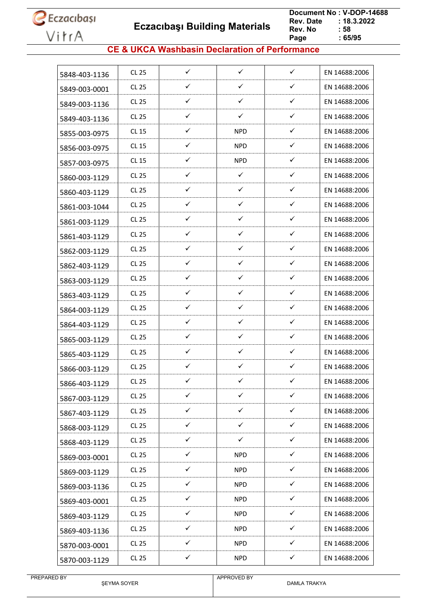**Eczacıbaşı Building Materials**

 **Document No : V-DOP-14688**  $: 18.3.2022$ <br> $: 58$ **Rev. No Page Page : 65/95**

#### **CE & UKCA Washbasin Declaration of Performance**

| 5848-403-1136 | <b>CL 25</b> | $\checkmark$ | $\checkmark$ | $\checkmark$ | EN 14688:2006 |
|---------------|--------------|--------------|--------------|--------------|---------------|
| 5849-003-0001 | <b>CL 25</b> | ✓            | ✓            | ✓            | EN 14688:2006 |
| 5849-003-1136 | <b>CL 25</b> | $\checkmark$ | ✓            | ✓            | EN 14688:2006 |
| 5849-403-1136 | <b>CL 25</b> | ✓            | $\checkmark$ | ✓            | EN 14688:2006 |
| 5855-003-0975 | CL 15        | ✓            | <b>NPD</b>   | ✓            | EN 14688:2006 |
| 5856-003-0975 | CL 15        | ✓            | <b>NPD</b>   | ✓            | EN 14688:2006 |
| 5857-003-0975 | <b>CL 15</b> | ✓            | <b>NPD</b>   | $\checkmark$ | EN 14688:2006 |
| 5860-003-1129 | <b>CL 25</b> | ✓            | $\checkmark$ | ✓            | EN 14688:2006 |
| 5860-403-1129 | <b>CL 25</b> | $\checkmark$ | ✓            | ✓            | EN 14688:2006 |
| 5861-003-1044 | CL 25        | ✓            | ✓            | ✓            | EN 14688:2006 |
| 5861-003-1129 | <b>CL 25</b> | ✓            | ✓            | ✓            | EN 14688:2006 |
| 5861-403-1129 | <b>CL 25</b> | ✓            | ✓            | ✓            | EN 14688:2006 |
| 5862-003-1129 | CL 25        | ✓            | $\checkmark$ | ✓            | EN 14688:2006 |
| 5862-403-1129 | <b>CL 25</b> | $\checkmark$ | ✓            | ✓            | EN 14688:2006 |
| 5863-003-1129 | <b>CL 25</b> | ✓            | $\checkmark$ | ✓            | EN 14688:2006 |
| 5863-403-1129 | <b>CL 25</b> | $\checkmark$ | ✓            | ✓            | EN 14688:2006 |
| 5864-003-1129 | <b>CL 25</b> | ✓            | ✓            | ✓            | EN 14688:2006 |
| 5864-403-1129 | CL 25        | ✓            | $\checkmark$ | ✓            | EN 14688:2006 |
| 5865-003-1129 | <b>CL 25</b> | ✓            | ✓            | ✓            | EN 14688:2006 |
| 5865-403-1129 | <b>CL 25</b> | $\checkmark$ | ✓            | ✓            | EN 14688:2006 |
| 5866-003-1129 | <b>CL 25</b> | $\checkmark$ | ✓            | ✓            | EN 14688:2006 |
| 5866-403-1129 | <b>CL 25</b> | ✓            | ✓            | ✓            | EN 14688:2006 |
| 5867-003-1129 | CL 25        | ✓            | $\checkmark$ | ✓            | EN 14688:2006 |
| 5867-403-1129 | CL 25        | $\checkmark$ | $\checkmark$ | $\checkmark$ | EN 14688:2006 |
| 5868-003-1129 | <b>CL 25</b> | ✓            | $\checkmark$ | ✓            | EN 14688:2006 |
| 5868-403-1129 | CL 25        | $\checkmark$ | $\checkmark$ | ✓            | EN 14688:2006 |
| 5869-003-0001 | CL 25        | $\checkmark$ | <b>NPD</b>   | ✓            | EN 14688:2006 |
| 5869-003-1129 | CL 25        | $\checkmark$ | <b>NPD</b>   | $\checkmark$ | EN 14688:2006 |
| 5869-003-1136 | CL 25        | $\checkmark$ | NPD          | $\checkmark$ | EN 14688:2006 |
| 5869-403-0001 | <b>CL 25</b> | $\checkmark$ | <b>NPD</b>   | ✓            | EN 14688:2006 |
| 5869-403-1129 | CL 25        | $\checkmark$ | <b>NPD</b>   | ✓            | EN 14688:2006 |
| 5869-403-1136 | CL 25        | $\checkmark$ | <b>NPD</b>   | $\checkmark$ | EN 14688:2006 |
| 5870-003-0001 | CL 25        | ✓            | <b>NPD</b>   | ✓            | EN 14688:2006 |
| 5870-003-1129 | CL 25        | ✓            | <b>NPD</b>   | $\checkmark$ | EN 14688:2006 |

ŞEYMA SOYER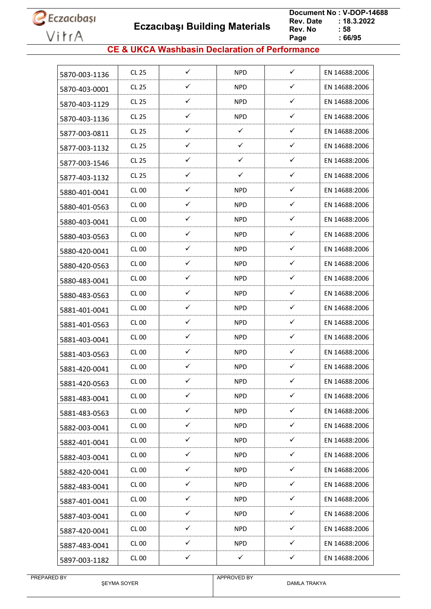**Eczacıbaşı Building Materials**

 **Document No : V-DOP-14688**  $: 18.3.2022$ <br> $: 58$ **Rev. No Page Page : 66/95**

#### **CE & UKCA Washbasin Declaration of Performance**

| 5870-003-1136 | <b>CL 25</b>     | ✓            | <b>NPD</b>   | $\checkmark$ | EN 14688:2006 |
|---------------|------------------|--------------|--------------|--------------|---------------|
| 5870-403-0001 | CL 25            | ✓            | <b>NPD</b>   | ✓            | EN 14688:2006 |
| 5870-403-1129 | CL 25            | ✓            | NPD.         | ✓            | EN 14688:2006 |
| 5870-403-1136 | <b>CL 25</b>     | ✓            | <b>NPD</b>   | ✓            | EN 14688:2006 |
| 5877-003-0811 | CL 25            | ✓            | ✓            | $\checkmark$ | EN 14688:2006 |
| 5877-003-1132 | <b>CL 25</b>     | ✓            | ✓            | $\checkmark$ | EN 14688:2006 |
| 5877-003-1546 | CL 25            | ✓            | ✓            | $\checkmark$ | EN 14688:2006 |
| 5877-403-1132 | <b>CL 25</b>     | ✓            | ✓            | ✓            | EN 14688:2006 |
| 5880-401-0041 | <b>CL 00</b>     | ✓            | <b>NPD</b>   | ✓            | EN 14688:2006 |
| 5880-401-0563 | CL 00            | ✓            | <b>NPD</b>   | $\checkmark$ | EN 14688:2006 |
| 5880-403-0041 | <b>CL 00</b>     | ✓            | <b>NPD</b>   | ✓            | EN 14688:2006 |
| 5880-403-0563 | CL00             | ✓            | NPD.         | $\checkmark$ | EN 14688:2006 |
| 5880-420-0041 | CL 00            | ✓            | <b>NPD</b>   | $\checkmark$ | EN 14688:2006 |
| 5880-420-0563 | CL 00            | ✓            | <b>NPD</b>   | ✓            | EN 14688:2006 |
| 5880-483-0041 | <b>CL 00</b>     | ✓            | <b>NPD</b>   | ✓            | EN 14688:2006 |
| 5880-483-0563 | CL 00            | ✓            | <b>NPD</b>   | ✓            | EN 14688:2006 |
| 5881-401-0041 | <b>CL 00</b>     | ✓            | <b>NPD</b>   | ✓            | EN 14688:2006 |
| 5881-401-0563 | CL 00            | ✓            | <b>NPD</b>   | $\checkmark$ | EN 14688:2006 |
| 5881-403-0041 | CL <sub>00</sub> | ✓            | <b>NPD</b>   | ✓            | EN 14688:2006 |
| 5881-403-0563 | <b>CL 00</b>     | ✓            | <b>NPD</b>   | ✓            | EN 14688:2006 |
| 5881-420-0041 | <b>CL 00</b>     | ✓            | <b>NPD</b>   | $\checkmark$ | EN 14688:2006 |
| 5881-420-0563 | <b>CL 00</b>     | ✓            | <b>NPD</b>   | ✓            | EN 14688:2006 |
| 5881-483-0041 | <b>CL 00</b>     | $\checkmark$ | <b>NPD</b>   | $\checkmark$ | EN 14688:2006 |
| 5881-483-0563 | <b>CL 00</b>     | $\checkmark$ | <b>NPD</b>   | $\checkmark$ | EN 14688:2006 |
| 5882-003-0041 | <b>CL 00</b>     | $\checkmark$ | <b>NPD</b>   | $\checkmark$ | EN 14688:2006 |
| 5882-401-0041 | <b>CL 00</b>     | $\checkmark$ | <b>NPD</b>   | $\checkmark$ | EN 14688:2006 |
| 5882-403-0041 | <b>CL 00</b>     | ✓            | <b>NPD</b>   | ✓            | EN 14688:2006 |
| 5882-420-0041 | <b>CL 00</b>     | $\checkmark$ | <b>NPD</b>   | $\checkmark$ | EN 14688:2006 |
| 5882-483-0041 | CL 00            | $\checkmark$ | <b>NPD</b>   | $\checkmark$ | EN 14688:2006 |
| 5887-401-0041 | <b>CL 00</b>     | ✓            | <b>NPD</b>   | ✓            | EN 14688:2006 |
| 5887-403-0041 | <b>CL 00</b>     | $\checkmark$ | <b>NPD</b>   | $\checkmark$ | EN 14688:2006 |
| 5887-420-0041 | <b>CL 00</b>     | $\checkmark$ | <b>NPD</b>   | $\checkmark$ | EN 14688:2006 |
| 5887-483-0041 | <b>CL 00</b>     | $\checkmark$ | <b>NPD</b>   | ✓            | EN 14688:2006 |
| 5897-003-1182 | <b>CL 00</b>     | $\checkmark$ | $\checkmark$ | $\checkmark$ | EN 14688:2006 |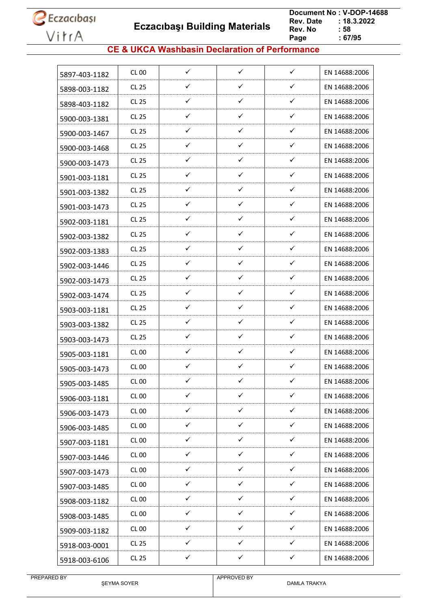**Eczacıbaşı Building Materials**

 **Document No : V-DOP-14688**  $: 18.3.2022$ <br> $: 58$ **Rev. No Page Page : 67/95**

#### **CE & UKCA Washbasin Declaration of Performance**

| 5897-403-1182 | CL 00        | $\checkmark$ | $\checkmark$ | $\checkmark$ | EN 14688:2006 |
|---------------|--------------|--------------|--------------|--------------|---------------|
| 5898-003-1182 | CL 25        | ✓            | ✓            | ✓            | EN 14688:2006 |
| 5898-403-1182 | CL 25        | $\checkmark$ | $\checkmark$ | $\checkmark$ | EN 14688:2006 |
| 5900-003-1381 | CL 25        | ✓            | $\checkmark$ | ✓            | EN 14688:2006 |
| 5900-003-1467 | CL 25        | ✓            | ✓            | ✓            | EN 14688:2006 |
| 5900-003-1468 | CL 25        | ✓            | ✓            | ✓            | EN 14688:2006 |
| 5900-003-1473 | CL 25        | ✓            | ✓            | ✓            | EN 14688:2006 |
| 5901-003-1181 | CL 25        | ✓            | ✓            | ✓            | EN 14688:2006 |
| 5901-003-1382 | CL 25        | ✓            | ✓            | ✓            | EN 14688:2006 |
| 5901-003-1473 | <b>CL 25</b> | ✓            | $\checkmark$ | ✓            | EN 14688:2006 |
| 5902-003-1181 | CL 25        | ✓            | ✓            | ✓            | EN 14688:2006 |
| 5902-003-1382 | CL 25        | ✓            | ✓            | ✓            | EN 14688:2006 |
| 5902-003-1383 | CL 25        | ✓            | ✓            | ✓            | EN 14688:2006 |
| 5902-003-1446 | CL 25        | ✓            | $\checkmark$ | ✓            | EN 14688:2006 |
| 5902-003-1473 | CL 25        | ✓            | $\checkmark$ | ✓            | EN 14688:2006 |
| 5902-003-1474 | CL 25        | $\checkmark$ | ✓            | ✓            | EN 14688:2006 |
| 5903-003-1181 | CL 25        | ✓            | ✓            | ✓            | EN 14688:2006 |
| 5903-003-1382 | CL 25        | ✓            | ✓            | ✓            | EN 14688:2006 |
| 5903-003-1473 | CL 25        | ✓            | ✓            | ✓            | EN 14688:2006 |
| 5905-003-1181 | CL 00        | ✓            | ✓            | ✓            | EN 14688:2006 |
| 5905-003-1473 | <b>CL 00</b> | ✓            | ✓            | ✓            | EN 14688:2006 |
| 5905-003-1485 | <b>CL 00</b> | ✓            | ✓            | ✓            | EN 14688:2006 |
| 5906-003-1181 | <b>CL 00</b> | ✓            | $\checkmark$ | ✓            | EN 14688:2006 |
| 5906-003-1473 | <b>CL 00</b> | $\checkmark$ | $\checkmark$ | $\checkmark$ | EN 14688:2006 |
| 5906-003-1485 | <b>CL 00</b> | ✓            | $\checkmark$ | ✓            | EN 14688:2006 |
| 5907-003-1181 | <b>CL 00</b> | $\checkmark$ | $\checkmark$ | $\checkmark$ | EN 14688:2006 |
| 5907-003-1446 | <b>CL 00</b> | ✓            | $\checkmark$ | ✓            | EN 14688:2006 |
| 5907-003-1473 | <b>CL 00</b> | ✓            | $\checkmark$ | ✓            | EN 14688:2006 |
| 5907-003-1485 | <b>CL 00</b> | $\checkmark$ | $\checkmark$ | $\checkmark$ | EN 14688:2006 |
| 5908-003-1182 | <b>CL 00</b> | ✓            | ✓            | ✓            | EN 14688:2006 |
| 5908-003-1485 | CL 00        | $\checkmark$ | $\checkmark$ | ✓            | EN 14688:2006 |
| 5909-003-1182 | <b>CL 00</b> | $\checkmark$ | $\checkmark$ | $\checkmark$ | EN 14688:2006 |
| 5918-003-0001 | CL 25        | ✓            | ✓            | ✓            | EN 14688:2006 |
|               | CL 25        | ✓            | ✓            | ✓            | EN 14688:2006 |
| 5918-003-6106 |              |              |              |              |               |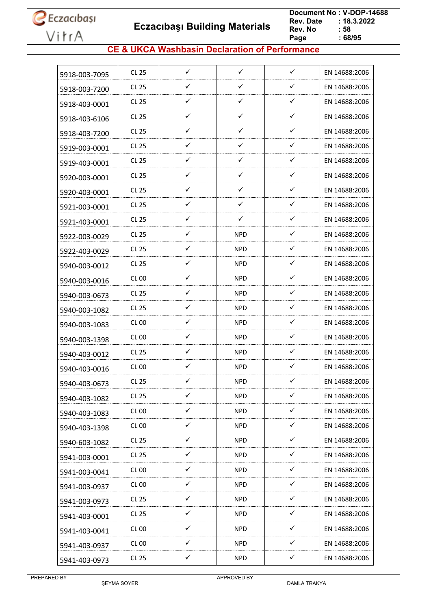**Eczacıbaşı Building Materials**

 **Document No : V-DOP-14688**  $: 18.3.2022$ <br> $: 58$ **Rev. No Page Page : 68/95**

#### **CE & UKCA Washbasin Declaration of Performance**

| 5918-003-7095 | <b>CL 25</b> | $\checkmark$ | $\checkmark$ | $\checkmark$ | EN 14688:2006 |
|---------------|--------------|--------------|--------------|--------------|---------------|
| 5918-003-7200 | <b>CL 25</b> | ✓            | ✓            | ✓            | EN 14688:2006 |
| 5918-403-0001 | CL 25        | ✓            | ✓            | $\checkmark$ | EN 14688:2006 |
| 5918-403-6106 | <b>CL 25</b> | ✓            | ✓            | $\checkmark$ | EN 14688:2006 |
| 5918-403-7200 | <b>CL 25</b> | ✓            | ✓            | ✓            | EN 14688:2006 |
| 5919-003-0001 | <b>CL 25</b> | $\checkmark$ | ✓            | $\checkmark$ | EN 14688:2006 |
| 5919-403-0001 | <b>CL 25</b> | ✓            | $\checkmark$ | $\checkmark$ | EN 14688:2006 |
| 5920-003-0001 | <b>CL 25</b> | ✓            | ✓            | ✓            | EN 14688:2006 |
| 5920-403-0001 | <b>CL 25</b> | ✓            | ✓            | $\checkmark$ | EN 14688:2006 |
| 5921-003-0001 | <b>CL 25</b> | ✓            | $\checkmark$ | $\checkmark$ | EN 14688:2006 |
| 5921-403-0001 | <b>CL 25</b> | $\checkmark$ | ✓            | $\checkmark$ | EN 14688:2006 |
| 5922-003-0029 | <b>CL 25</b> | ✓            | <b>NPD</b>   | ✓            | EN 14688:2006 |
| 5922-403-0029 | <b>CL 25</b> | ✓            | NPD          | ✓            | EN 14688:2006 |
| 5940-003-0012 | <b>CL 25</b> | $\checkmark$ | <b>NPD</b>   | $\checkmark$ | EN 14688:2006 |
| 5940-003-0016 | <b>CL 00</b> | ✓            | <b>NPD</b>   | $\checkmark$ | EN 14688:2006 |
| 5940-003-0673 | <b>CL 25</b> | ✓            | NPD          | $\checkmark$ | EN 14688:2006 |
| 5940-003-1082 | <b>CL 25</b> | ✓            | <b>NPD</b>   | $\checkmark$ | EN 14688:2006 |
| 5940-003-1083 | CL 00        | $\checkmark$ | NPD.         | $\checkmark$ | EN 14688:2006 |
| 5940-003-1398 | <b>CL 00</b> | ✓            | <b>NPD</b>   | ✓            | EN 14688:2006 |
| 5940-403-0012 | CL 25        | ✓            | NPD          | ✓            | EN 14688:2006 |
| 5940-403-0016 | CL 00        | $\checkmark$ | <b>NPD</b>   | $\checkmark$ | EN 14688:2006 |
| 5940-403-0673 | <b>CL 25</b> | ✓            | <b>NPD</b>   | ✓            | EN 14688:2006 |
| 5940-403-1082 | <b>CL 25</b> | $\checkmark$ | <b>NPD</b>   | $\checkmark$ | EN 14688:2006 |
| 5940-403-1083 | <b>CL 00</b> | $\checkmark$ | <b>NPD</b>   | $\checkmark$ | EN 14688:2006 |
| 5940-403-1398 | <b>CL 00</b> | $\checkmark$ | <b>NPD</b>   | $\checkmark$ | EN 14688:2006 |
| 5940-603-1082 | CL 25        | ✓            | <b>NPD</b>   | $\checkmark$ | EN 14688:2006 |
| 5941-003-0001 | <b>CL 25</b> | ✓            | <b>NPD</b>   | ✓            | EN 14688:2006 |
| 5941-003-0041 | CL 00        | $\checkmark$ | <b>NPD</b>   | $\checkmark$ | EN 14688:2006 |
| 5941-003-0937 | <b>CL 00</b> | $\checkmark$ | <b>NPD</b>   | $\checkmark$ | EN 14688:2006 |
| 5941-003-0973 | CL 25        | ✓            | <b>NPD</b>   | $\checkmark$ | EN 14688:2006 |
| 5941-403-0001 | CL 25        | $\checkmark$ | <b>NPD</b>   | $\checkmark$ | EN 14688:2006 |
| 5941-403-0041 | <b>CL 00</b> | $\checkmark$ | NPD.         | $\checkmark$ | EN 14688:2006 |
| 5941-403-0937 | <b>CL 00</b> | ✓            | <b>NPD</b>   | ✓            | EN 14688:2006 |
| 5941-403-0973 | CL 25        | $\checkmark$ | <b>NPD</b>   | $\checkmark$ | EN 14688:2006 |
|               |              |              |              |              |               |

ŞEYMA SOYER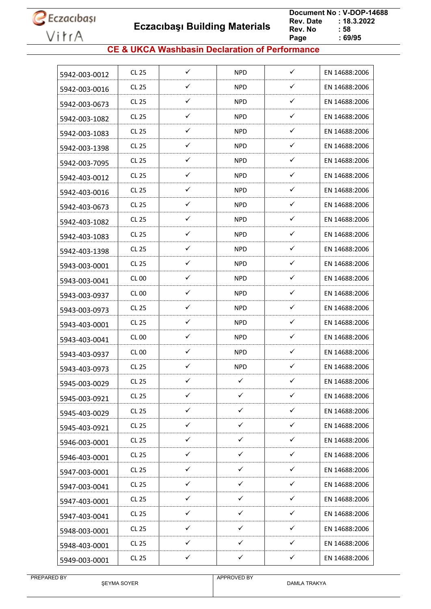**Eczacıbaşı Building Materials**

 **Document No : V-DOP-14688**  $: 18.3.2022$ <br> $: 58$ **Rev. No Page Page : 69/95**

#### **CE & UKCA Washbasin Declaration of Performance**

| 5942-003-0012 | CL 25            | ✓            | <b>NPD</b>   | $\checkmark$ | EN 14688:2006 |
|---------------|------------------|--------------|--------------|--------------|---------------|
| 5942-003-0016 | CL25             | ✓            | <b>NPD</b>   | ✓            | EN 14688:2006 |
| 5942-003-0673 | CL 25            | ✓            | <b>NPD</b>   | ✓            | EN 14688:2006 |
| 5942-003-1082 | <b>CL 25</b>     | ✓            | <b>NPD</b>   | ✓            | EN 14688:2006 |
| 5942-003-1083 | CL 25            | ✓            | <b>NPD</b>   | $\checkmark$ | EN 14688:2006 |
| 5942-003-1398 | CL 25            | ✓            | <b>NPD</b>   | ✓            | EN 14688:2006 |
| 5942-003-7095 | CL 25            | ✓            | <b>NPD</b>   | ✓            | EN 14688:2006 |
| 5942-403-0012 | CL 25            | ✓            | <b>NPD</b>   | ✓            | EN 14688:2006 |
| 5942-403-0016 | CL 25            | ✓            | <b>NPD</b>   | ✓            | EN 14688:2006 |
| 5942-403-0673 | CL 25            | $\checkmark$ | <b>NPD</b>   | $\checkmark$ | EN 14688:2006 |
| 5942-403-1082 | <b>CL 25</b>     | ✓            | <b>NPD</b>   | ✓            | EN 14688:2006 |
| 5942-403-1083 | CL 25            | ✓            | <b>NPD</b>   | $\checkmark$ | EN 14688:2006 |
| 5942-403-1398 | CL 25            | ✓            | <b>NPD</b>   | ✓            | EN 14688:2006 |
| 5943-003-0001 | CL 25            | ✓            | <b>NPD</b>   | ✓            | EN 14688:2006 |
| 5943-003-0041 | <b>CL 00</b>     | ✓            | <b>NPD</b>   | ✓            | EN 14688:2006 |
| 5943-003-0937 | CL 00            | ✓            | <b>NPD</b>   | ✓            | EN 14688:2006 |
| 5943-003-0973 | CL 25            | ✓            | <b>NPD</b>   | ✓            | EN 14688:2006 |
| 5943-403-0001 | CL 25            | ✓            | <b>NPD</b>   | ✓            | EN 14688:2006 |
| 5943-403-0041 | CL <sub>00</sub> | ✓            | <b>NPD</b>   | $\checkmark$ | EN 14688:2006 |
| 5943-403-0937 | CL 00            | ✓            | <b>NPD</b>   | ✓            | EN 14688:2006 |
| 5943-403-0973 | CL 25            | ✓            | <b>NPD</b>   | ✓            | EN 14688:2006 |
| 5945-003-0029 | CL 25            | ✓            | ✓            | ✓            | EN 14688:2006 |
| 5945-003-0921 | <b>CL 25</b>     | $\checkmark$ | $\checkmark$ | $\checkmark$ | EN 14688:2006 |
| 5945-403-0029 | CL 25            | ✓            | $\checkmark$ | $\checkmark$ | EN 14688:2006 |
| 5945-403-0921 | <b>CL 25</b>     | $\checkmark$ | $\checkmark$ | $\checkmark$ | EN 14688:2006 |
| 5946-003-0001 | CL 25            | $\checkmark$ | $\checkmark$ | $\checkmark$ | EN 14688:2006 |
| 5946-403-0001 | CL 25            | ✓            | $\checkmark$ | ✓            | EN 14688:2006 |
| 5947-003-0001 | CL 25            | $\checkmark$ | $\checkmark$ | $\checkmark$ | EN 14688:2006 |
| 5947-003-0041 | CL 25            | $\checkmark$ | ✓            | ✓            | EN 14688:2006 |
| 5947-403-0001 | CL 25            | ✓            | ✓            | ✓            | EN 14688:2006 |
| 5947-403-0041 | CL 25            | ✓            | ✓            | ✓            | EN 14688:2006 |
| 5948-003-0001 | <b>CL 25</b>     | $\checkmark$ | $\checkmark$ | ✓            | EN 14688:2006 |
| 5948-403-0001 | CL 25            | $\checkmark$ | $\checkmark$ | $\checkmark$ | EN 14688:2006 |
| 5949-003-0001 | <b>CL 25</b>     | $\checkmark$ | $\checkmark$ | $\checkmark$ | EN 14688:2006 |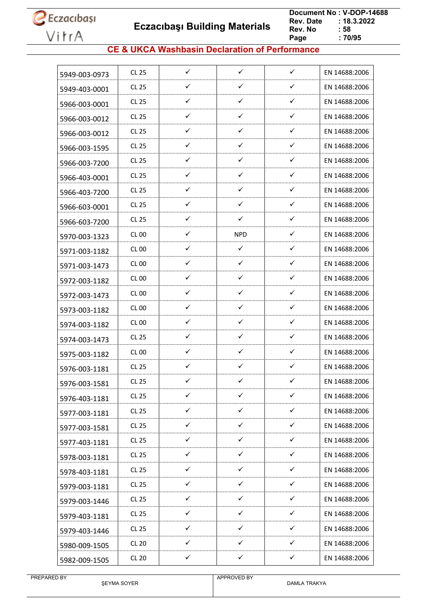**Eczacıbaşı Building Materials**

 **Document No : V-DOP-14688**  $: 18.3.2022$ <br> $: 58$ **Rev. No Page**  $\frac{1}{2}$  70/95

#### **CE & UKCA Washbasin Declaration of Performance**

| 5949-003-0973 | CL 25        | $\checkmark$ | $\checkmark$ | $\checkmark$ | EN 14688:2006 |
|---------------|--------------|--------------|--------------|--------------|---------------|
| 5949-403-0001 | CL 25        | ✓            | ✓            | ✓            | EN 14688:2006 |
| 5966-003-0001 | CL 25        | $\checkmark$ | $\checkmark$ | $\checkmark$ | EN 14688:2006 |
| 5966-003-0012 | CL 25        | ✓            | $\checkmark$ | ✓            | EN 14688:2006 |
| 5966-003-0012 | CL 25        | $\checkmark$ | ✓            | ✓            | EN 14688:2006 |
| 5966-003-1595 | CL 25        | ✓            | ✓            | ✓            | EN 14688:2006 |
| 5966-003-7200 | CL 25        | ✓            | ✓            | ✓            | EN 14688:2006 |
| 5966-403-0001 | CL 25        | ✓            | $\checkmark$ | ✓            | EN 14688:2006 |
| 5966-403-7200 | CL 25        | ✓            | ✓            | ✓            | EN 14688:2006 |
| 5966-603-0001 | <b>CL 25</b> | ✓            | $\checkmark$ | ✓            | EN 14688:2006 |
| 5966-603-7200 | CL 25        | $\checkmark$ | ✓            | ✓            | EN 14688:2006 |
| 5970-003-1323 | CL 00        | ✓            | <b>NPD</b>   | ✓            | EN 14688:2006 |
| 5971-003-1182 | CL 00        | ✓            | ✓            | ✓            | EN 14688:2006 |
| 5971-003-1473 | <b>CL 00</b> | ✓            | ✓            | ✓            | EN 14688:2006 |
| 5972-003-1182 | CL 00        | ✓            | $\checkmark$ | ✓            | EN 14688:2006 |
| 5972-003-1473 | CL 00        | $\checkmark$ | ✓            | ✓            | EN 14688:2006 |
| 5973-003-1182 | CL 00        | ✓            | ✓            | ✓            | EN 14688:2006 |
| 5974-003-1182 | <b>CL 00</b> | ✓            | $\checkmark$ | ✓            | EN 14688:2006 |
| 5974-003-1473 | CL 25        | ✓            | ✓            | ✓            | EN 14688:2006 |
| 5975-003-1182 | <b>CL 00</b> | ✓            | ✓            | ✓            | EN 14688:2006 |
| 5976-003-1181 | <b>CL 25</b> | $\checkmark$ | ✓            | ✓            | EN 14688:2006 |
| 5976-003-1581 | <b>CL 25</b> | ✓            | ✓            | ✓            | EN 14688:2006 |
| 5976-403-1181 | <b>CL 25</b> | ✓            | ✓            | ✓            | EN 14688:2006 |
| 5977-003-1181 | CL 25        | $\checkmark$ | $\checkmark$ | $\checkmark$ | EN 14688:2006 |
| 5977-003-1581 | <b>CL 25</b> | ✓            | $\checkmark$ | ✓            | EN 14688:2006 |
| 5977-403-1181 | CL 25        | $\checkmark$ | $\checkmark$ | $\checkmark$ | EN 14688:2006 |
| 5978-003-1181 | CL 25        | ✓            | $\checkmark$ | ✓            | EN 14688:2006 |
| 5978-403-1181 | <b>CL 25</b> | $\checkmark$ | $\checkmark$ | ✓            | EN 14688:2006 |
| 5979-003-1181 | CL 25        | $\checkmark$ | $\checkmark$ | $\checkmark$ | EN 14688:2006 |
| 5979-003-1446 | CL 25        | $\checkmark$ | ✓            | ✓            | EN 14688:2006 |
| 5979-403-1181 | CL 25        | $\checkmark$ | $\checkmark$ | ✓            | EN 14688:2006 |
| 5979-403-1446 | CL 25        | $\checkmark$ | $\checkmark$ | $\checkmark$ | EN 14688:2006 |
| 5980-009-1505 | <b>CL 20</b> | ✓            | ✓            | ✓            | EN 14688:2006 |
| 5982-009-1505 | <b>CL 20</b> | ✓            | ✓            | ✓            | EN 14688:2006 |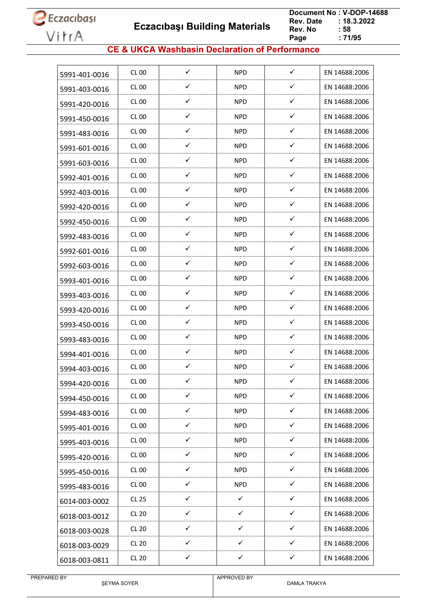**Eczacıbaşı Building Materials**

 **Document No : V-DOP-14688**  $: 18.3.2022$ <br> $: 58$ **Rev. No Page**  $\frac{1}{2}$  71/95

#### **CE & UKCA Washbasin Declaration of Performance**

| 5991-401-0016 | CL 00        | ✓            | <b>NPD</b>   | $\checkmark$ | EN 14688:2006 |
|---------------|--------------|--------------|--------------|--------------|---------------|
| 5991-403-0016 | <b>CL 00</b> | ✓            | <b>NPD</b>   | $\checkmark$ | EN 14688:2006 |
| 5991-420-0016 | <b>CL 00</b> | ✓            | NPD          | $\checkmark$ | EN 14688:2006 |
| 5991-450-0016 | <b>CL 00</b> | ✓            | <b>NPD</b>   | ✓            | EN 14688:2006 |
| 5991-483-0016 | <b>CL 00</b> | ✓            | NPD          | ✓            | EN 14688:2006 |
| 5991-601-0016 | <b>CL 00</b> | ✓            | <b>NPD</b>   | ✓            | EN 14688:2006 |
| 5991-603-0016 | <b>CL 00</b> | $\checkmark$ | <b>NPD</b>   | $\checkmark$ | EN 14688:2006 |
| 5992-401-0016 | CL 00        | $\checkmark$ | <b>NPD</b>   | ✓            | EN 14688:2006 |
| 5992-403-0016 | <b>CL 00</b> | ✓            | <b>NPD</b>   | ✓            | EN 14688:2006 |
| 5992-420-0016 | CL 00        | ✓            | NPD          | ✓            | EN 14688:2006 |
| 5992-450-0016 | <b>CL 00</b> | ✓            | <b>NPD</b>   | $\checkmark$ | EN 14688:2006 |
| 5992-483-0016 | CL 00        | ✓            | NPD          | ✓            | EN 14688:2006 |
| 5992-601-0016 | <b>CL 00</b> | ✓            | <b>NPD</b>   | ✓            | EN 14688:2006 |
| 5992-603-0016 | <b>CL 00</b> | $\checkmark$ | <b>NPD</b>   | ✓            | EN 14688:2006 |
| 5993-401-0016 | <b>CL 00</b> | ✓            | NPD.         | ✓            | EN 14688:2006 |
| 5993-403-0016 | <b>CL 00</b> | ✓            | <b>NPD</b>   | ✓            | EN 14688:2006 |
| 5993-420-0016 | CL 00        | ✓            | NPD          | ✓            | EN 14688:2006 |
| 5993-450-0016 | <b>CL 00</b> | $\checkmark$ | <b>NPD</b>   | $\checkmark$ | EN 14688:2006 |
| 5993-483-0016 | <b>CL 00</b> | ✓            | NPD          | ✓            | EN 14688:2006 |
| 5994-401-0016 | <b>CL 00</b> | ✓            | <b>NPD</b>   | ✓            | EN 14688:2006 |
| 5994-403-0016 | <b>CL 00</b> | ✓            | <b>NPD</b>   | ✓            | EN 14688:2006 |
| 5994-420-0016 | <b>CL 00</b> | ✓            | <b>NPD</b>   | ✓            | EN 14688:2006 |
| 5994-450-0016 | <b>CL 00</b> | $\checkmark$ | <b>NPD</b>   | $\checkmark$ | EN 14688:2006 |
| 5994-483-0016 | <b>CL 00</b> | $\checkmark$ | <b>NPD</b>   | $\checkmark$ | EN 14688:2006 |
| 5995-401-0016 | <b>CL 00</b> | ✓            | <b>NPD</b>   | ✓            | EN 14688:2006 |
| 5995-403-0016 | <b>CL 00</b> | $\checkmark$ | <b>NPD</b>   | $\checkmark$ | EN 14688:2006 |
| 5995-420-0016 | <b>CL 00</b> | ✓            | <b>NPD</b>   | $\checkmark$ | EN 14688:2006 |
| 5995-450-0016 | <b>CL 00</b> | $\checkmark$ | <b>NPD</b>   | ✓            | EN 14688:2006 |
| 5995-483-0016 | <b>CL 00</b> | $\checkmark$ | <b>NPD</b>   | $\checkmark$ | EN 14688:2006 |
| 6014-003-0002 | <b>CL 25</b> | $\checkmark$ | $\checkmark$ | $\checkmark$ | EN 14688:2006 |
| 6018-003-0012 | <b>CL 20</b> | $\checkmark$ | $\checkmark$ | $\checkmark$ | EN 14688:2006 |
| 6018-003-0028 | <b>CL 20</b> | ✓            | $\checkmark$ | $\checkmark$ | EN 14688:2006 |
| 6018-003-0029 | <b>CL 20</b> | ✓            | ✓            | ✓            | EN 14688:2006 |
| 6018-003-0811 | <b>CL 20</b> | $\checkmark$ | ✓            | $\checkmark$ | EN 14688:2006 |
|               |              |              |              |              |               |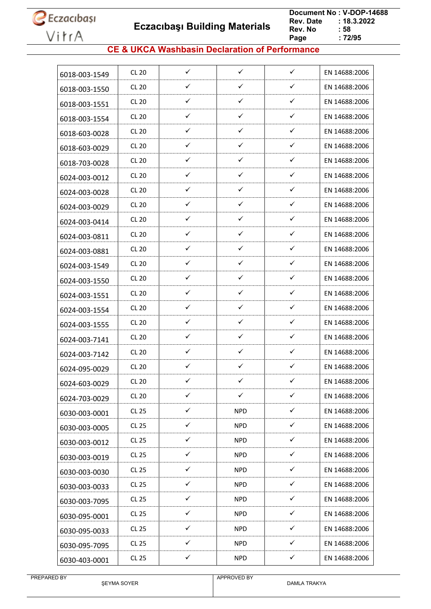**Eczacıbaşı Building Materials**

 **Document No : V-DOP-14688**  $: 18.3.2022$ <br> $: 58$ **Rev. No Page Page : 72/95**

#### **CE & UKCA Washbasin Declaration of Performance**

| 6018-003-1549 | <b>CL 20</b> | ✓            | $\checkmark$ | $\checkmark$ | EN 14688:2006 |
|---------------|--------------|--------------|--------------|--------------|---------------|
| 6018-003-1550 | <b>CL 20</b> | ✓            | $\checkmark$ | ✓            | EN 14688:2006 |
| 6018-003-1551 | <b>CL 20</b> | $\checkmark$ | ✓            | $\checkmark$ | EN 14688:2006 |
| 6018-003-1554 | <b>CL 20</b> | ✓            | $\checkmark$ | $\checkmark$ | EN 14688:2006 |
| 6018-603-0028 | <b>CL 20</b> | ✓            | $\checkmark$ | ✓            | EN 14688:2006 |
| 6018-603-0029 | <b>CL 20</b> | $\checkmark$ | ✓            | $\checkmark$ | EN 14688:2006 |
| 6018-703-0028 | <b>CL 20</b> | ✓            | ✓            | ✓            | EN 14688:2006 |
| 6024-003-0012 | <b>CL 20</b> | ✓            | $\checkmark$ | ✓            | EN 14688:2006 |
| 6024-003-0028 | <b>CL 20</b> | ✓            | ✓            | ✓            | EN 14688:2006 |
| 6024-003-0029 | <b>CL 20</b> | ✓            | ✓            | ✓            | EN 14688:2006 |
| 6024-003-0414 | <b>CL 20</b> | $\checkmark$ | ✓            | ✓            | EN 14688:2006 |
| 6024-003-0811 | <b>CL 20</b> | ✓            | ✓            | ✓            | EN 14688:2006 |
| 6024-003-0881 | <b>CL 20</b> | $\checkmark$ | ✓            | ✓            | EN 14688:2006 |
| 6024-003-1549 | <b>CL 20</b> | $\checkmark$ | $\checkmark$ | ✓            | EN 14688:2006 |
| 6024-003-1550 | <b>CL 20</b> | ✓            | ✓            | ✓            | EN 14688:2006 |
| 6024-003-1551 | <b>CL 20</b> | ✓            | ✓            | ✓            | EN 14688:2006 |
| 6024-003-1554 | <b>CL 20</b> | ✓            | ✓            | ✓            | EN 14688:2006 |
| 6024-003-1555 | <b>CL 20</b> | ✓            | $\checkmark$ | ✓            | EN 14688:2006 |
| 6024-003-7141 | <b>CL 20</b> | ✓            | ✓            | ✓            | EN 14688:2006 |
| 6024-003-7142 | <b>CL 20</b> | $\checkmark$ | $\checkmark$ | ✓            | EN 14688:2006 |
| 6024-095-0029 | <b>CL 20</b> | ✓            | ✓            | ✓            | EN 14688:2006 |
| 6024-603-0029 | <b>CL 20</b> | ✓            | ✓            | ✓            | EN 14688:2006 |
| 6024-703-0029 | <b>CL 20</b> | ✓            | $\checkmark$ | ✓            | EN 14688:2006 |
| 6030-003-0001 | <b>CL 25</b> | $\checkmark$ | <b>NPD</b>   | $\checkmark$ | EN 14688:2006 |
| 6030-003-0005 | <b>CL 25</b> | $\checkmark$ | <b>NPD</b>   | ✓            | EN 14688:2006 |
| 6030-003-0012 | CL 25        | $\checkmark$ | <b>NPD</b>   | $\checkmark$ | EN 14688:2006 |
| 6030-003-0019 | CL 25        | $\checkmark$ | <b>NPD</b>   | ✓            | EN 14688:2006 |
| 6030-003-0030 | CL 25        | $\checkmark$ | <b>NPD</b>   | $\checkmark$ | EN 14688:2006 |
| 6030-003-0033 | CL 25        | $\checkmark$ | <b>NPD</b>   | $\checkmark$ | EN 14688:2006 |
| 6030-003-7095 | CL 25        | ✓            | <b>NPD</b>   | ✓            | EN 14688:2006 |
| 6030-095-0001 | CL 25        | $\checkmark$ | <b>NPD</b>   | ✓            | EN 14688:2006 |
| 6030-095-0033 | CL 25        | $\checkmark$ | <b>NPD</b>   | $\checkmark$ | EN 14688:2006 |
| 6030-095-7095 | CL 25        | ✓            | <b>NPD</b>   | ✓            | EN 14688:2006 |
| 6030-403-0001 | <b>CL 25</b> | $\checkmark$ | <b>NPD</b>   | $\checkmark$ | EN 14688:2006 |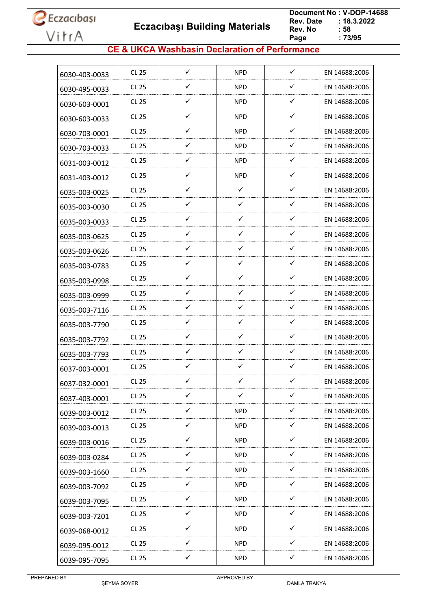**Eczacıbaşı Building Materials**

 **Document No : V-DOP-14688**  $: 18.3.2022$ <br> $: 58$ **Rev. No Page Page : 73/95**

### **CE & UKCA Washbasin Declaration of Performance**

| 6030-403-0033 | CL 25        | $\checkmark$ | <b>NPD</b>   | $\checkmark$ | EN 14688:2006 |
|---------------|--------------|--------------|--------------|--------------|---------------|
| 6030-495-0033 | CL 25        | ✓            | <b>NPD</b>   | ✓            | EN 14688:2006 |
| 6030-603-0001 | CL 25        | $\checkmark$ | <b>NPD</b>   | ✓            | EN 14688:2006 |
| 6030-603-0033 | CL 25        | ✓            | <b>NPD</b>   | ✓            | EN 14688:2006 |
| 6030-703-0001 | CL 25        | ✓            | <b>NPD</b>   | ✓            | EN 14688:2006 |
| 6030-703-0033 | CL 25        | ✓            | <b>NPD</b>   | $\checkmark$ | EN 14688:2006 |
| 6031-003-0012 | CL 25        | ✓            | NPD.         | ✓            | EN 14688:2006 |
| 6031-403-0012 | CL 25        | $\checkmark$ | <b>NPD</b>   | ✓            | EN 14688:2006 |
| 6035-003-0025 | CL 25        | ✓            | $\checkmark$ | ✓            | EN 14688:2006 |
| 6035-003-0030 | CL 25        | $\checkmark$ | ✓            | ✓            | EN 14688:2006 |
| 6035-003-0033 | CL 25        | $\checkmark$ | $\checkmark$ | ✓            | EN 14688:2006 |
| 6035-003-0625 | CL 25        | ✓            | ✓            | ✓            | EN 14688:2006 |
| 6035-003-0626 | CL 25        | ✓            | ✓            | ✓            | EN 14688:2006 |
| 6035-003-0783 | CL 25        | $\checkmark$ | ✓            | ✓            | EN 14688:2006 |
| 6035-003-0998 | CL 25        | ✓            | ✓            | ✓            | EN 14688:2006 |
| 6035-003-0999 | CL 25        | ✓            | $\checkmark$ | ✓            | EN 14688:2006 |
| 6035-003-7116 | CL 25        | ✓            | $\checkmark$ | ✓            | EN 14688:2006 |
| 6035-003-7790 | CL 25        | $\checkmark$ | $\checkmark$ | $\checkmark$ | EN 14688:2006 |
| 6035-003-7792 | CL 25        | ✓            | ✓            | ✓            | EN 14688:2006 |
| 6035-003-7793 | CL 25        | ✓            | ✓            | ✓            | EN 14688:2006 |
| 6037-003-0001 | CL 25        | $\checkmark$ | $\checkmark$ | $\checkmark$ | EN 14688:2006 |
| 6037-032-0001 | <b>CL 25</b> | ✓            | ✓            | ✓            | EN 14688:2006 |
| 6037-403-0001 | <b>CL 25</b> | $\checkmark$ | $\checkmark$ | ✓            | EN 14688:2006 |
| 6039-003-0012 | CL 25        | $\checkmark$ | <b>NPD</b>   | ✓            | EN 14688:2006 |
| 6039-003-0013 | CL 25        | ✓            | <b>NPD</b>   | $\checkmark$ | EN 14688:2006 |
| 6039-003-0016 | CL 25        | ✓            | <b>NPD</b>   | ✓            | EN 14688:2006 |
| 6039-003-0284 | CL 25        | ✓            | <b>NPD</b>   | ✓            | EN 14688:2006 |
| 6039-003-1660 | CL 25        | $\checkmark$ | <b>NPD</b>   | $\checkmark$ | EN 14688:2006 |
| 6039-003-7092 | CL 25        | $\checkmark$ | <b>NPD</b>   | $\checkmark$ | EN 14688:2006 |
| 6039-003-7095 | CL 25        | $\checkmark$ | <b>NPD</b>   | $\checkmark$ | EN 14688:2006 |
| 6039-003-7201 | CL 25        | $\checkmark$ | <b>NPD</b>   | $\checkmark$ | EN 14688:2006 |
| 6039-068-0012 | CL 25        | $\checkmark$ | NPD          | $\checkmark$ | EN 14688:2006 |
| 6039-095-0012 | CL 25        | ✓            | <b>NPD</b>   | ✓            | EN 14688:2006 |
| 6039-095-7095 | CL 25        | $\checkmark$ | <b>NPD</b>   | $\checkmark$ | EN 14688:2006 |
|               |              |              |              |              |               |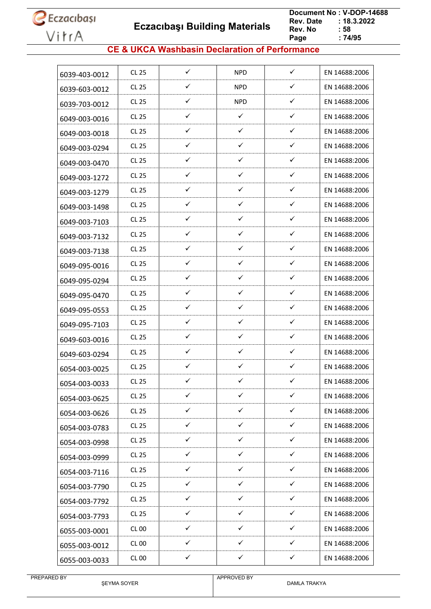**Eczacıbaşı Building Materials**

 **Document No : V-DOP-14688**  $: 18.3.2022$ <br> $: 58$ **Rev. No Page Page : 74/95**

### **CE & UKCA Washbasin Declaration of Performance**

| 6039-403-0012 | <b>CL 25</b> | $\checkmark$ | <b>NPD</b>   | $\checkmark$ | EN 14688:2006 |
|---------------|--------------|--------------|--------------|--------------|---------------|
| 6039-603-0012 | CL 25        | ✓            | <b>NPD</b>   | ✓            | EN 14688:2006 |
| 6039-703-0012 | CL 25        | ✓            | <b>NPD</b>   | $\checkmark$ | EN 14688:2006 |
| 6049-003-0016 | <b>CL 25</b> | ✓            | $\checkmark$ | ✓            | EN 14688:2006 |
| 6049-003-0018 | CL 25        | ✓            | ✓            | ✓            | EN 14688:2006 |
| 6049-003-0294 | CL 25        | $\checkmark$ | ✓            | ✓            | EN 14688:2006 |
| 6049-003-0470 | CL 25        | ✓            | ✓            | ✓            | EN 14688:2006 |
| 6049-003-1272 | CL 25        | $\checkmark$ | ✓            | $\checkmark$ | EN 14688:2006 |
| 6049-003-1279 | CL 25        | ✓            | ✓            | $\checkmark$ | EN 14688:2006 |
| 6049-003-1498 | CL 25        | $\checkmark$ | ✓            | $\checkmark$ | EN 14688:2006 |
| 6049-003-7103 | CL 25        | $\checkmark$ | ✓            | ✓            | EN 14688:2006 |
| 6049-003-7132 | CL 25        | ✓            | ✓            | ✓            | EN 14688:2006 |
| 6049-003-7138 | CL 25        | $\checkmark$ | ✓            | $\checkmark$ | EN 14688:2006 |
| 6049-095-0016 | <b>CL 25</b> | $\checkmark$ | ✓            | ✓            | EN 14688:2006 |
| 6049-095-0294 | CL 25        | ✓            | ✓            | ✓            | EN 14688:2006 |
| 6049-095-0470 | <b>CL 25</b> | ✓            | ✓            | $\checkmark$ | EN 14688:2006 |
| 6049-095-0553 | <b>CL 25</b> | ✓            | ✓            | $\checkmark$ | EN 14688:2006 |
| 6049-095-7103 | CL 25        | $\checkmark$ | $\checkmark$ | $\checkmark$ | EN 14688:2006 |
| 6049-603-0016 | CL 25        | ✓            | ✓            | ✓            | EN 14688:2006 |
| 6049-603-0294 | CL25         | ✓            | ✓            | ✓            | EN 14688:2006 |
| 6054-003-0025 | CL 25        | $\checkmark$ | ✓            | $\checkmark$ | EN 14688:2006 |
| 6054-003-0033 | <b>CL 25</b> | ✓            | ✓            | ✓            | EN 14688:2006 |
| 6054-003-0625 | <b>CL 25</b> | $\checkmark$ | ✓            | $\checkmark$ | EN 14688:2006 |
| 6054-003-0626 | CL 25        | $\checkmark$ | ✓            | $\checkmark$ | EN 14688:2006 |
| 6054-003-0783 | <b>CL 25</b> | ✓            | ✓            | ✓            | EN 14688:2006 |
| 6054-003-0998 | <b>CL 25</b> | ✓            | $\checkmark$ | $\checkmark$ | EN 14688:2006 |
| 6054-003-0999 | CL 25        | ✓            | $\checkmark$ | $\checkmark$ | EN 14688:2006 |
| 6054-003-7116 | CL 25        | $\checkmark$ | $\checkmark$ | $\checkmark$ | EN 14688:2006 |
| 6054-003-7790 | <b>CL 25</b> | $\checkmark$ | $\checkmark$ | $\checkmark$ | EN 14688:2006 |
| 6054-003-7792 | CL 25        | ✓            | ✓            | $\checkmark$ | EN 14688:2006 |
| 6054-003-7793 | CL 25        | $\checkmark$ | $\checkmark$ | $\checkmark$ | EN 14688:2006 |
| 6055-003-0001 | CL 00        | $\checkmark$ | $\checkmark$ | $\checkmark$ | EN 14688:2006 |
| 6055-003-0012 | <b>CL 00</b> | ✓            | ✓            | ✓            | EN 14688:2006 |
| 6055-003-0033 | <b>CL 00</b> | ✓            | $\checkmark$ | $\checkmark$ | EN 14688:2006 |
|               |              |              |              |              |               |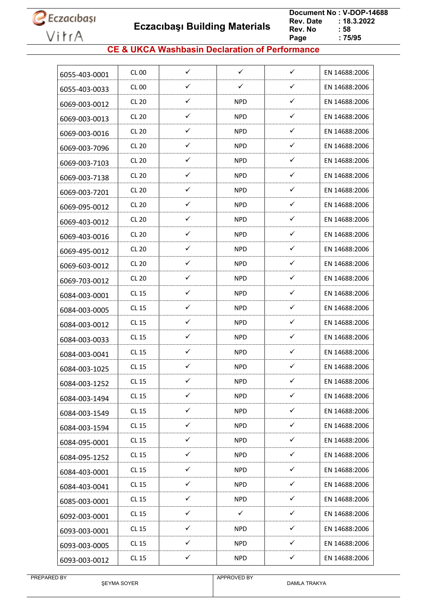

 **Eczacıbaşı Building Materials**

 **Document No : V-DOP-14688**  $: 18.3.2022$ <br> $: 58$ **Rev. No Page Page : 75/95**

### **CE & UKCA Washbasin Declaration of Performance**

| 6055-403-0001 | CL 00        | $\checkmark$ | $\checkmark$ | $\checkmark$ | EN 14688:2006 |
|---------------|--------------|--------------|--------------|--------------|---------------|
| 6055-403-0033 | CL 00        | ✓            | ✓            | ✓            | EN 14688:2006 |
| 6069-003-0012 | <b>CL 20</b> | ✓            | <b>NPD</b>   | $\checkmark$ | EN 14688:2006 |
| 6069-003-0013 | <b>CL 20</b> | ✓            | <b>NPD</b>   | ✓            | EN 14688:2006 |
| 6069-003-0016 | <b>CL 20</b> | ✓            | <b>NPD</b>   | ✓            | EN 14688:2006 |
| 6069-003-7096 | <b>CL 20</b> | $\checkmark$ | NPD.         | ✓            | EN 14688:2006 |
| 6069-003-7103 | <b>CL 20</b> | ✓            | <b>NPD</b>   | ✓            | EN 14688:2006 |
| 6069-003-7138 | <b>CL 20</b> | $\checkmark$ | <b>NPD</b>   | $\checkmark$ | EN 14688:2006 |
| 6069-003-7201 | <b>CL 20</b> | ✓            | <b>NPD</b>   | $\checkmark$ | EN 14688:2006 |
| 6069-095-0012 | <b>CL 20</b> | ✓            | <b>NPD</b>   | ✓            | EN 14688:2006 |
| 6069-403-0012 | <b>CL 20</b> | $\checkmark$ | <b>NPD</b>   | ✓            | EN 14688:2006 |
| 6069-403-0016 | <b>CL 20</b> | ✓            | <b>NPD</b>   | ✓            | EN 14688:2006 |
| 6069-495-0012 | <b>CL 20</b> | ✓            | <b>NPD</b>   | ✓            | EN 14688:2006 |
| 6069-603-0012 | <b>CL 20</b> | $\checkmark$ | <b>NPD</b>   | $\checkmark$ | EN 14688:2006 |
| 6069-703-0012 | <b>CL 20</b> | ✓            | <b>NPD</b>   | $\checkmark$ | EN 14688:2006 |
| 6084-003-0001 | <b>CL 15</b> | ✓            | NPD.         | ✓            | EN 14688:2006 |
| 6084-003-0005 | <b>CL 15</b> | ✓            | <b>NPD</b>   | $\checkmark$ | EN 14688:2006 |
| 6084-003-0012 | CL 15        | $\checkmark$ | NPD.         | $\checkmark$ | EN 14688:2006 |
| 6084-003-0033 | <b>CL 15</b> | ✓            | <b>NPD</b>   | ✓            | EN 14688:2006 |
| 6084-003-0041 | CL 15        | ✓            | NPD.         | ✓            | EN 14688:2006 |
| 6084-003-1025 | CL 15        | $\checkmark$ | <b>NPD</b>   | $\checkmark$ | EN 14688:2006 |
| 6084-003-1252 | <b>CL 15</b> | ✓            | <b>NPD</b>   | ✓            | EN 14688:2006 |
| 6084-003-1494 | <b>CL 15</b> | $\checkmark$ | <b>NPD</b>   | ✓            | EN 14688:2006 |
| 6084-003-1549 | CL 15        | $\checkmark$ | <b>NPD</b>   | $\checkmark$ | EN 14688:2006 |
| 6084-003-1594 | <b>CL 15</b> | $\checkmark$ | <b>NPD</b>   | ✓            | EN 14688:2006 |
| 6084-095-0001 | CL 15        | $\checkmark$ | <b>NPD</b>   | $\checkmark$ | EN 14688:2006 |
| 6084-095-1252 | CL 15        | ✓            | NPD.         | ✓            | EN 14688:2006 |
| 6084-403-0001 | CL 15        | $\checkmark$ | <b>NPD</b>   | $\checkmark$ | EN 14688:2006 |
| 6084-403-0041 | <b>CL 15</b> | $\checkmark$ | <b>NPD</b>   | $\checkmark$ | EN 14688:2006 |
| 6085-003-0001 | CL 15        | ✓            | <b>NPD</b>   | $\checkmark$ | EN 14688:2006 |
| 6092-003-0001 | CL 15        | $\checkmark$ | $\checkmark$ | $\checkmark$ | EN 14688:2006 |
| 6093-003-0001 | CL 15        | $\checkmark$ | <b>NPD</b>   | $\checkmark$ | EN 14688:2006 |
| 6093-003-0005 | CL 15        | ✓            | <b>NPD</b>   | ✓            | EN 14688:2006 |
| 6093-003-0012 | CL 15        | $\checkmark$ | <b>NPD</b>   | $\checkmark$ | EN 14688:2006 |
|               |              |              |              |              |               |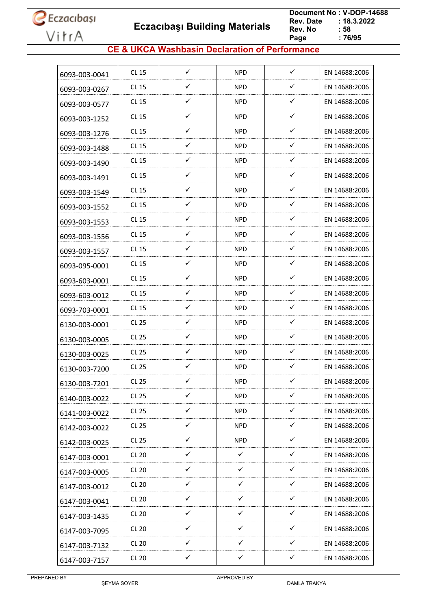**Eczacıbaşı Building Materials**

 **Document No : V-DOP-14688**  $: 18.3.2022$ <br> $: 58$ **Rev. No Page Page : 76/95**

### **CE & UKCA Washbasin Declaration of Performance**

| 6093-003-0041 | CL 15        | ✓            | NPD          | $\checkmark$ | EN 14688:2006 |
|---------------|--------------|--------------|--------------|--------------|---------------|
| 6093-003-0267 | CL 15        | ✓            | <b>NPD</b>   | ✓            | EN 14688:2006 |
| 6093-003-0577 | <b>CL 15</b> | $\checkmark$ | NPD          | $\checkmark$ | EN 14688:2006 |
| 6093-003-1252 | <b>CL 15</b> | ✓            | <b>NPD</b>   | $\checkmark$ | EN 14688:2006 |
| 6093-003-1276 | <b>CL 15</b> | $\checkmark$ | <b>NPD</b>   | $\checkmark$ | EN 14688:2006 |
| 6093-003-1488 | <b>CL 15</b> | ✓            | NPD          | $\checkmark$ | EN 14688:2006 |
| 6093-003-1490 | <b>CL 15</b> | $\checkmark$ | <b>NPD</b>   | ✓            | EN 14688:2006 |
| 6093-003-1491 | <b>CL 15</b> | $\checkmark$ | <b>NPD</b>   | ✓            | EN 14688:2006 |
| 6093-003-1549 | CL 15        | ✓            | <b>NPD</b>   | ✓            | EN 14688:2006 |
| 6093-003-1552 | <b>CL 15</b> | $\checkmark$ | NPD          | ✓            | EN 14688:2006 |
| 6093-003-1553 | <b>CL 15</b> | ✓            | <b>NPD</b>   | $\checkmark$ | EN 14688:2006 |
| 6093-003-1556 | <b>CL 15</b> | ✓            | <b>NPD</b>   | ✓            | EN 14688:2006 |
| 6093-003-1557 | CL 15        | ✓            | NPD          | $\checkmark$ | EN 14688:2006 |
| 6093-095-0001 | <b>CL 15</b> | ✓            | <b>NPD</b>   | $\checkmark$ | EN 14688:2006 |
| 6093-603-0001 | <b>CL 15</b> | ✓            | <b>NPD</b>   | $\checkmark$ | EN 14688:2006 |
| 6093-603-0012 | <b>CL 15</b> | ✓            | <b>NPD</b>   | ✓            | EN 14688:2006 |
| 6093-703-0001 | <b>CL 15</b> | $\checkmark$ | NPD          | $\checkmark$ | EN 14688:2006 |
| 6130-003-0001 | <b>CL 25</b> | $\checkmark$ | <b>NPD</b>   | $\checkmark$ | EN 14688:2006 |
| 6130-003-0005 | <b>CL 25</b> | ✓            | <b>NPD</b>   | ✓            | EN 14688:2006 |
| 6130-003-0025 | <b>CL 25</b> | ✓            | NPD          | ✓            | EN 14688:2006 |
| 6130-003-7200 | <b>CL 25</b> | ✓            | <b>NPD</b>   | $\checkmark$ | EN 14688:2006 |
| 6130-003-7201 | <b>CL 25</b> | ✓            | <b>NPD</b>   | ✓            | EN 14688:2006 |
| 6140-003-0022 | <b>CL 25</b> | $\checkmark$ | <b>NPD</b>   | $\checkmark$ | EN 14688:2006 |
| 6141-003-0022 | <b>CL 25</b> | $\checkmark$ | <b>NPD</b>   | $\checkmark$ | EN 14688:2006 |
| 6142-003-0022 | CL 25        | $\checkmark$ | <b>NPD</b>   | $\checkmark$ | EN 14688:2006 |
| 6142-003-0025 | <b>CL 25</b> | $\checkmark$ | <b>NPD</b>   | $\checkmark$ | EN 14688:2006 |
| 6147-003-0001 | <b>CL 20</b> | ✓            | $\checkmark$ | ✓            | EN 14688:2006 |
| 6147-003-0005 | <b>CL 20</b> | $\checkmark$ | $\checkmark$ | $\checkmark$ | EN 14688:2006 |
| 6147-003-0012 | <b>CL 20</b> | ✓            | $\checkmark$ | $\checkmark$ | EN 14688:2006 |
| 6147-003-0041 | <b>CL 20</b> | ✓            | $\checkmark$ | ✓            | EN 14688:2006 |
| 6147-003-1435 | <b>CL 20</b> | ✓            | $\checkmark$ | ✓            | EN 14688:2006 |
| 6147-003-7095 | CL20         | $\checkmark$ | $\checkmark$ | $\checkmark$ | EN 14688:2006 |
| 6147-003-7132 | <b>CL 20</b> | $\checkmark$ | $\checkmark$ | $\checkmark$ | EN 14688:2006 |
| 6147-003-7157 | <b>CL 20</b> | $\checkmark$ | $\checkmark$ | $\checkmark$ | EN 14688:2006 |
|               |              |              |              |              |               |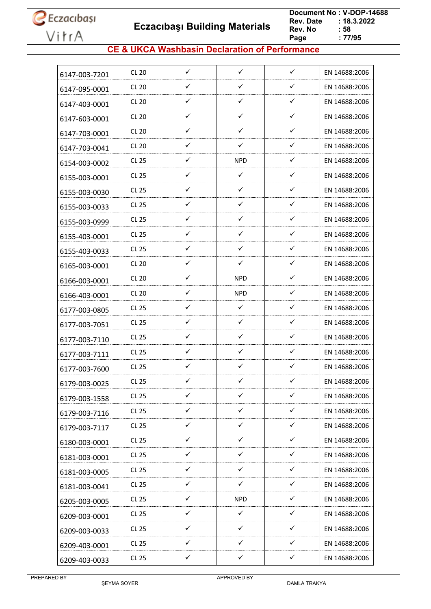**Eczacıbaşı Building Materials**

 **Document No : V-DOP-14688**  $: 18.3.2022$ <br> $: 58$ **Rev. No Page Page : 77/95**

### **CE & UKCA Washbasin Declaration of Performance**

| 6147-003-7201 | <b>CL 20</b> | $\checkmark$ | $\checkmark$ | $\checkmark$ | EN 14688:2006 |
|---------------|--------------|--------------|--------------|--------------|---------------|
| 6147-095-0001 | <b>CL 20</b> | ✓            | $\checkmark$ | $\checkmark$ | EN 14688:2006 |
| 6147-403-0001 | <b>CL 20</b> | $\checkmark$ | $\checkmark$ | $\checkmark$ | EN 14688:2006 |
| 6147-603-0001 | <b>CL 20</b> | ✓            | $\checkmark$ | $\checkmark$ | EN 14688:2006 |
| 6147-703-0001 | <b>CL 20</b> | ✓            | ✓            | $\checkmark$ | EN 14688:2006 |
| 6147-703-0041 | <b>CL 20</b> | $\checkmark$ | $\checkmark$ | $\checkmark$ | EN 14688:2006 |
| 6154-003-0002 | <b>CL 25</b> | ✓            | <b>NPD</b>   | $\checkmark$ | EN 14688:2006 |
| 6155-003-0001 | <b>CL 25</b> | ✓            | $\checkmark$ | ✓            | EN 14688:2006 |
| 6155-003-0030 | <b>CL 25</b> | ✓            | $\checkmark$ | $\checkmark$ | EN 14688:2006 |
| 6155-003-0033 | <b>CL 25</b> | ✓            | $\checkmark$ | $\checkmark$ | EN 14688:2006 |
| 6155-003-0999 | <b>CL 25</b> | $\checkmark$ | $\checkmark$ | $\checkmark$ | EN 14688:2006 |
| 6155-403-0001 | <b>CL 25</b> | ✓            | $\checkmark$ | $\checkmark$ | EN 14688:2006 |
| 6155-403-0033 | CL 25        | ✓            | $\checkmark$ | $\checkmark$ | EN 14688:2006 |
| 6165-003-0001 | <b>CL 20</b> | $\checkmark$ | ✓            | $\checkmark$ | EN 14688:2006 |
| 6166-003-0001 | <b>CL 20</b> | ✓            | <b>NPD</b>   | ✓            | EN 14688:2006 |
| 6166-403-0001 | <b>CL 20</b> | ✓            | <b>NPD</b>   | ✓            | EN 14688:2006 |
| 6177-003-0805 | <b>CL 25</b> | ✓            | $\checkmark$ | $\checkmark$ | EN 14688:2006 |
| 6177-003-7051 | CL 25        | ✓            | $\checkmark$ | $\checkmark$ | EN 14688:2006 |
| 6177-003-7110 | <b>CL 25</b> | ✓            | $\checkmark$ | $\checkmark$ | EN 14688:2006 |
| 6177-003-7111 | <b>CL 25</b> | $\checkmark$ | $\checkmark$ | $\checkmark$ | EN 14688:2006 |
| 6177-003-7600 | CL 25        | ✓            | ✓            | ✓            | EN 14688:2006 |
| 6179-003-0025 | <b>CL 25</b> | ✓            | ✓            | ✓            | EN 14688:2006 |
| 6179-003-1558 | CL 25        | ✓            | ✓            | ✓            | EN 14688:2006 |
| 6179-003-7116 | CL 25        | $\checkmark$ | $\checkmark$ | $\checkmark$ | EN 14688:2006 |
| 6179-003-7117 | CL 25        | $\checkmark$ | $\checkmark$ | $\checkmark$ | EN 14688:2006 |
| 6180-003-0001 | CL 25        | $\checkmark$ | $\checkmark$ | $\checkmark$ | EN 14688:2006 |
| 6181-003-0001 | <b>CL 25</b> | $\checkmark$ | $\checkmark$ | $\checkmark$ | EN 14688:2006 |
| 6181-003-0005 | CL 25        | $\checkmark$ | ✓            | $\checkmark$ | EN 14688:2006 |
| 6181-003-0041 | <b>CL 25</b> | $\checkmark$ | $\checkmark$ | $\checkmark$ | EN 14688:2006 |
| 6205-003-0005 | <b>CL 25</b> | ✓            | <b>NPD</b>   | ✓            | EN 14688:2006 |
| 6209-003-0001 | <b>CL 25</b> | ✓            | ✓            | ✓            | EN 14688:2006 |
| 6209-003-0033 | <b>CL 25</b> | $\checkmark$ | $\checkmark$ | $\checkmark$ | EN 14688:2006 |
| 6209-403-0001 | CL 25        | ✓            | $\checkmark$ | ✓            | EN 14688:2006 |
| 6209-403-0033 | <b>CL 25</b> | $\checkmark$ | $\checkmark$ | $\checkmark$ | EN 14688:2006 |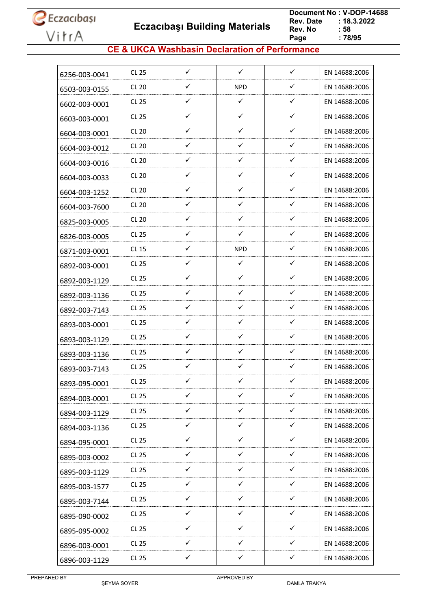**Eczacıbaşı Building Materials**

 **Document No : V-DOP-14688**  $: 18.3.2022$ <br> $: 58$ **Rev. No Page Page : 78/95**

### **CE & UKCA Washbasin Declaration of Performance**

| 6256-003-0041 | <b>CL 25</b> | $\checkmark$ | $\checkmark$ | $\checkmark$ | EN 14688:2006 |
|---------------|--------------|--------------|--------------|--------------|---------------|
| 6503-003-0155 | <b>CL 20</b> | ✓            | <b>NPD</b>   | ✓            | EN 14688:2006 |
| 6602-003-0001 | CL 25        | ✓            | $\checkmark$ | $\checkmark$ | EN 14688:2006 |
| 6603-003-0001 | <b>CL 25</b> | ✓            | $\checkmark$ | $\checkmark$ | EN 14688:2006 |
| 6604-003-0001 | <b>CL 20</b> | ✓            | $\checkmark$ | ✓            | EN 14688:2006 |
| 6604-003-0012 | <b>CL 20</b> | ✓            | $\checkmark$ | $\checkmark$ | EN 14688:2006 |
| 6604-003-0016 | <b>CL 20</b> | ✓            | $\checkmark$ | $\checkmark$ | EN 14688:2006 |
| 6604-003-0033 | <b>CL 20</b> | ✓            | $\checkmark$ | ✓            | EN 14688:2006 |
| 6604-003-1252 | <b>CL 20</b> | ✓            | $\checkmark$ | $\checkmark$ | EN 14688:2006 |
| 6604-003-7600 | <b>CL 20</b> | ✓            | $\checkmark$ | $\checkmark$ | EN 14688:2006 |
| 6825-003-0005 | <b>CL 20</b> | $\checkmark$ | ✓            | $\checkmark$ | EN 14688:2006 |
| 6826-003-0005 | <b>CL 25</b> | ✓            | ✓            | ✓            | EN 14688:2006 |
| 6871-003-0001 | <b>CL 15</b> | ✓            | <b>NPD</b>   | ✓            | EN 14688:2006 |
| 6892-003-0001 | <b>CL 25</b> | $\checkmark$ | $\checkmark$ | $\checkmark$ | EN 14688:2006 |
| 6892-003-1129 | CL 25        | ✓            | ✓            | $\checkmark$ | EN 14688:2006 |
| 6892-003-1136 | <b>CL 25</b> | ✓            | ✓            | $\checkmark$ | EN 14688:2006 |
| 6892-003-7143 | <b>CL 25</b> | ✓            | $\checkmark$ | $\checkmark$ | EN 14688:2006 |
| 6893-003-0001 | <b>CL 25</b> | $\checkmark$ | $\checkmark$ | $\checkmark$ | EN 14688:2006 |
| 6893-003-1129 | <b>CL 25</b> | ✓            | ✓            | ✓            | EN 14688:2006 |
| 6893-003-1136 | <b>CL 25</b> | ✓            | ✓            | ✓            | EN 14688:2006 |
| 6893-003-7143 | <b>CL 25</b> | $\checkmark$ | $\checkmark$ | ✓            | EN 14688:2006 |
| 6893-095-0001 | <b>CL 25</b> | ✓            | ✓            | ✓            | EN 14688:2006 |
| 6894-003-0001 | <b>CL 25</b> | ✓            | $\checkmark$ | ✓            | EN 14688:2006 |
| 6894-003-1129 | <b>CL 25</b> | $\checkmark$ | $\checkmark$ | $\checkmark$ | EN 14688:2006 |
| 6894-003-1136 | CL 25        | ✓            | ✓            | $\checkmark$ | EN 14688:2006 |
| 6894-095-0001 | <b>CL 25</b> | ✓            | $\checkmark$ | $\checkmark$ | EN 14688:2006 |
| 6895-003-0002 | <b>CL 25</b> | ✓            | $\checkmark$ | ✓            | EN 14688:2006 |
| 6895-003-1129 | CL 25        | $\checkmark$ | $\checkmark$ | $\checkmark$ | EN 14688:2006 |
| 6895-003-1577 | <b>CL 25</b> | $\checkmark$ | $\checkmark$ | $\checkmark$ | EN 14688:2006 |
| 6895-003-7144 | <b>CL 25</b> | ✓            | $\checkmark$ | $\checkmark$ | EN 14688:2006 |
| 6895-090-0002 | CL 25        | $\checkmark$ | $\checkmark$ | $\checkmark$ | EN 14688:2006 |
| 6895-095-0002 | <b>CL 25</b> | $\checkmark$ | $\checkmark$ | $\checkmark$ | EN 14688:2006 |
| 6896-003-0001 | <b>CL 25</b> | ✓            | ✓            | ✓            | EN 14688:2006 |
| 6896-003-1129 | <b>CL 25</b> | $\checkmark$ | $\checkmark$ | $\checkmark$ | EN 14688:2006 |
|               |              |              |              |              |               |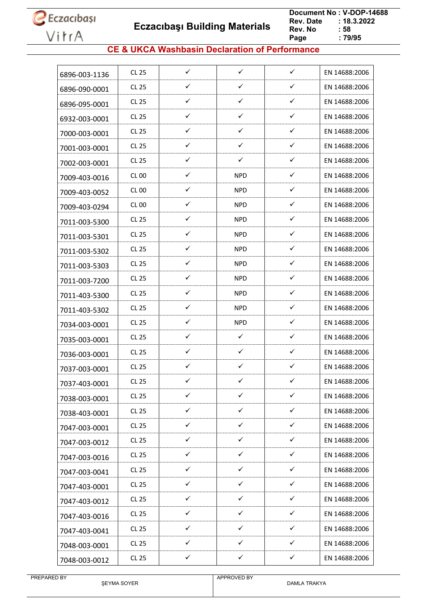

 **Eczacıbaşı Building Materials**

 **Document No : V-DOP-14688**  $: 18.3.2022$ <br> $: 58$ **Rev. No Page Page : 79/95**

### **CE & UKCA Washbasin Declaration of Performance**

| $\checkmark$<br>$\checkmark$<br>$\checkmark$<br><b>CL 25</b><br>EN 14688:2006<br>6896-003-1136<br>✓<br>✓<br>✓<br>CL 25<br>EN 14688:2006<br>6896-090-0001<br>✓<br>✓<br>✓<br>CL 25<br>EN 14688:2006<br>6896-095-0001<br>✓<br>✓<br>✓<br><b>CL 25</b><br>EN 14688:2006<br>6932-003-0001<br>✓<br>✓<br>✓<br>CL 25<br>EN 14688:2006<br>7000-003-0001<br>$\checkmark$<br>$\checkmark$<br>✓<br>CL 25<br>EN 14688:2006<br>7001-003-0001<br>✓<br>✓<br>✓<br>CL 25<br>EN 14688:2006<br>7002-003-0001<br>$\checkmark$<br>$\checkmark$<br><b>CL 00</b><br><b>NPD</b><br>EN 14688:2006<br>7009-403-0016<br>✓<br>✓<br><b>NPD</b><br>EN 14688:2006<br>CL <sub>00</sub><br>7009-403-0052<br>✓<br>$\checkmark$<br><b>NPD</b><br>EN 14688:2006<br>CL 00<br>7009-403-0294<br>$\checkmark$<br>✓<br><b>NPD</b><br>CL 25<br>EN 14688:2006<br>7011-003-5300<br>✓<br>✓<br><b>NPD</b><br>CL 25<br>EN 14688:2006<br>7011-003-5301<br>✓<br>✓<br>CL 25<br>NPD.<br>EN 14688:2006<br>7011-003-5302<br>$\checkmark$<br>✓<br><b>NPD</b><br><b>CL 25</b><br>EN 14688:2006<br>7011-003-5303<br>$\checkmark$<br>✓<br>CL 25<br><b>NPD</b><br>EN 14688:2006<br>7011-003-7200<br>✓<br>✓<br>CL 25<br>NPD.<br>EN 14688:2006<br>7011-403-5300<br>✓<br>✓<br><b>NPD</b><br><b>CL 25</b><br>EN 14688:2006<br>7011-403-5302<br>$\checkmark$<br>$\checkmark$<br><b>NPD</b><br>CL 25<br>EN 14688:2006<br>7034-003-0001<br>✓<br>✓<br>✓<br>CL 25<br>EN 14688:2006<br>7035-003-0001<br>✓<br>✓<br>✓<br><b>CL 25</b><br>EN 14688:2006<br>7036-003-0001<br>$\checkmark$<br>$\checkmark$<br>$\checkmark$<br>CL 25<br>EN 14688:2006<br>7037-003-0001<br>✓<br>✓<br>✓<br><b>CL 25</b><br>EN 14688:2006<br>7037-403-0001<br>✓<br>$\checkmark$<br>✓<br><b>CL 25</b><br>EN 14688:2006<br>7038-003-0001<br>$\checkmark$<br>$\checkmark$<br>$\checkmark$<br>EN 14688:2006<br>CL 25<br>7038-403-0001<br>✓<br>✓<br>✓<br>CL 25<br>EN 14688:2006<br>7047-003-0001<br>$\checkmark$<br>✓<br>✓<br><b>CL 25</b><br>EN 14688:2006<br>7047-003-0012<br>✓<br>✓<br>✓<br>CL 25<br>EN 14688:2006<br>7047-003-0016<br>$\checkmark$<br>$\checkmark$<br>$\checkmark$<br>CL 25<br>EN 14688:2006<br>7047-003-0041<br>$\checkmark$<br>$\checkmark$<br>✓<br>EN 14688:2006<br>CL 25<br>7047-403-0001<br>$\checkmark$<br>$\checkmark$<br>✓<br>CL 25<br>EN 14688:2006<br>7047-403-0012<br>$\checkmark$<br>$\checkmark$<br>$\checkmark$<br>CL 25<br>EN 14688:2006<br>7047-403-0016<br>$\checkmark$<br>$\checkmark$<br>✓<br>CL 25<br>EN 14688:2006<br>7047-403-0041<br>✓<br>✓<br>✓<br><b>CL 25</b><br>EN 14688:2006<br>7048-003-0001<br>$\checkmark$<br>$\checkmark$<br>$\checkmark$<br><b>CL 25</b><br>EN 14688:2006<br>7048-003-0012 |  |  |  |
|---------------------------------------------------------------------------------------------------------------------------------------------------------------------------------------------------------------------------------------------------------------------------------------------------------------------------------------------------------------------------------------------------------------------------------------------------------------------------------------------------------------------------------------------------------------------------------------------------------------------------------------------------------------------------------------------------------------------------------------------------------------------------------------------------------------------------------------------------------------------------------------------------------------------------------------------------------------------------------------------------------------------------------------------------------------------------------------------------------------------------------------------------------------------------------------------------------------------------------------------------------------------------------------------------------------------------------------------------------------------------------------------------------------------------------------------------------------------------------------------------------------------------------------------------------------------------------------------------------------------------------------------------------------------------------------------------------------------------------------------------------------------------------------------------------------------------------------------------------------------------------------------------------------------------------------------------------------------------------------------------------------------------------------------------------------------------------------------------------------------------------------------------------------------------------------------------------------------------------------------------------------------------------------------------------------------------------------------------------------------------------------------------------------------------------------------------------------------------------------------------------------------------------------------------------------------------------------------------------------------------------------------|--|--|--|
|                                                                                                                                                                                                                                                                                                                                                                                                                                                                                                                                                                                                                                                                                                                                                                                                                                                                                                                                                                                                                                                                                                                                                                                                                                                                                                                                                                                                                                                                                                                                                                                                                                                                                                                                                                                                                                                                                                                                                                                                                                                                                                                                                                                                                                                                                                                                                                                                                                                                                                                                                                                                                                             |  |  |  |
|                                                                                                                                                                                                                                                                                                                                                                                                                                                                                                                                                                                                                                                                                                                                                                                                                                                                                                                                                                                                                                                                                                                                                                                                                                                                                                                                                                                                                                                                                                                                                                                                                                                                                                                                                                                                                                                                                                                                                                                                                                                                                                                                                                                                                                                                                                                                                                                                                                                                                                                                                                                                                                             |  |  |  |
|                                                                                                                                                                                                                                                                                                                                                                                                                                                                                                                                                                                                                                                                                                                                                                                                                                                                                                                                                                                                                                                                                                                                                                                                                                                                                                                                                                                                                                                                                                                                                                                                                                                                                                                                                                                                                                                                                                                                                                                                                                                                                                                                                                                                                                                                                                                                                                                                                                                                                                                                                                                                                                             |  |  |  |
|                                                                                                                                                                                                                                                                                                                                                                                                                                                                                                                                                                                                                                                                                                                                                                                                                                                                                                                                                                                                                                                                                                                                                                                                                                                                                                                                                                                                                                                                                                                                                                                                                                                                                                                                                                                                                                                                                                                                                                                                                                                                                                                                                                                                                                                                                                                                                                                                                                                                                                                                                                                                                                             |  |  |  |
|                                                                                                                                                                                                                                                                                                                                                                                                                                                                                                                                                                                                                                                                                                                                                                                                                                                                                                                                                                                                                                                                                                                                                                                                                                                                                                                                                                                                                                                                                                                                                                                                                                                                                                                                                                                                                                                                                                                                                                                                                                                                                                                                                                                                                                                                                                                                                                                                                                                                                                                                                                                                                                             |  |  |  |
|                                                                                                                                                                                                                                                                                                                                                                                                                                                                                                                                                                                                                                                                                                                                                                                                                                                                                                                                                                                                                                                                                                                                                                                                                                                                                                                                                                                                                                                                                                                                                                                                                                                                                                                                                                                                                                                                                                                                                                                                                                                                                                                                                                                                                                                                                                                                                                                                                                                                                                                                                                                                                                             |  |  |  |
|                                                                                                                                                                                                                                                                                                                                                                                                                                                                                                                                                                                                                                                                                                                                                                                                                                                                                                                                                                                                                                                                                                                                                                                                                                                                                                                                                                                                                                                                                                                                                                                                                                                                                                                                                                                                                                                                                                                                                                                                                                                                                                                                                                                                                                                                                                                                                                                                                                                                                                                                                                                                                                             |  |  |  |
|                                                                                                                                                                                                                                                                                                                                                                                                                                                                                                                                                                                                                                                                                                                                                                                                                                                                                                                                                                                                                                                                                                                                                                                                                                                                                                                                                                                                                                                                                                                                                                                                                                                                                                                                                                                                                                                                                                                                                                                                                                                                                                                                                                                                                                                                                                                                                                                                                                                                                                                                                                                                                                             |  |  |  |
|                                                                                                                                                                                                                                                                                                                                                                                                                                                                                                                                                                                                                                                                                                                                                                                                                                                                                                                                                                                                                                                                                                                                                                                                                                                                                                                                                                                                                                                                                                                                                                                                                                                                                                                                                                                                                                                                                                                                                                                                                                                                                                                                                                                                                                                                                                                                                                                                                                                                                                                                                                                                                                             |  |  |  |
|                                                                                                                                                                                                                                                                                                                                                                                                                                                                                                                                                                                                                                                                                                                                                                                                                                                                                                                                                                                                                                                                                                                                                                                                                                                                                                                                                                                                                                                                                                                                                                                                                                                                                                                                                                                                                                                                                                                                                                                                                                                                                                                                                                                                                                                                                                                                                                                                                                                                                                                                                                                                                                             |  |  |  |
|                                                                                                                                                                                                                                                                                                                                                                                                                                                                                                                                                                                                                                                                                                                                                                                                                                                                                                                                                                                                                                                                                                                                                                                                                                                                                                                                                                                                                                                                                                                                                                                                                                                                                                                                                                                                                                                                                                                                                                                                                                                                                                                                                                                                                                                                                                                                                                                                                                                                                                                                                                                                                                             |  |  |  |
|                                                                                                                                                                                                                                                                                                                                                                                                                                                                                                                                                                                                                                                                                                                                                                                                                                                                                                                                                                                                                                                                                                                                                                                                                                                                                                                                                                                                                                                                                                                                                                                                                                                                                                                                                                                                                                                                                                                                                                                                                                                                                                                                                                                                                                                                                                                                                                                                                                                                                                                                                                                                                                             |  |  |  |
|                                                                                                                                                                                                                                                                                                                                                                                                                                                                                                                                                                                                                                                                                                                                                                                                                                                                                                                                                                                                                                                                                                                                                                                                                                                                                                                                                                                                                                                                                                                                                                                                                                                                                                                                                                                                                                                                                                                                                                                                                                                                                                                                                                                                                                                                                                                                                                                                                                                                                                                                                                                                                                             |  |  |  |
|                                                                                                                                                                                                                                                                                                                                                                                                                                                                                                                                                                                                                                                                                                                                                                                                                                                                                                                                                                                                                                                                                                                                                                                                                                                                                                                                                                                                                                                                                                                                                                                                                                                                                                                                                                                                                                                                                                                                                                                                                                                                                                                                                                                                                                                                                                                                                                                                                                                                                                                                                                                                                                             |  |  |  |
|                                                                                                                                                                                                                                                                                                                                                                                                                                                                                                                                                                                                                                                                                                                                                                                                                                                                                                                                                                                                                                                                                                                                                                                                                                                                                                                                                                                                                                                                                                                                                                                                                                                                                                                                                                                                                                                                                                                                                                                                                                                                                                                                                                                                                                                                                                                                                                                                                                                                                                                                                                                                                                             |  |  |  |
|                                                                                                                                                                                                                                                                                                                                                                                                                                                                                                                                                                                                                                                                                                                                                                                                                                                                                                                                                                                                                                                                                                                                                                                                                                                                                                                                                                                                                                                                                                                                                                                                                                                                                                                                                                                                                                                                                                                                                                                                                                                                                                                                                                                                                                                                                                                                                                                                                                                                                                                                                                                                                                             |  |  |  |
|                                                                                                                                                                                                                                                                                                                                                                                                                                                                                                                                                                                                                                                                                                                                                                                                                                                                                                                                                                                                                                                                                                                                                                                                                                                                                                                                                                                                                                                                                                                                                                                                                                                                                                                                                                                                                                                                                                                                                                                                                                                                                                                                                                                                                                                                                                                                                                                                                                                                                                                                                                                                                                             |  |  |  |
|                                                                                                                                                                                                                                                                                                                                                                                                                                                                                                                                                                                                                                                                                                                                                                                                                                                                                                                                                                                                                                                                                                                                                                                                                                                                                                                                                                                                                                                                                                                                                                                                                                                                                                                                                                                                                                                                                                                                                                                                                                                                                                                                                                                                                                                                                                                                                                                                                                                                                                                                                                                                                                             |  |  |  |
|                                                                                                                                                                                                                                                                                                                                                                                                                                                                                                                                                                                                                                                                                                                                                                                                                                                                                                                                                                                                                                                                                                                                                                                                                                                                                                                                                                                                                                                                                                                                                                                                                                                                                                                                                                                                                                                                                                                                                                                                                                                                                                                                                                                                                                                                                                                                                                                                                                                                                                                                                                                                                                             |  |  |  |
|                                                                                                                                                                                                                                                                                                                                                                                                                                                                                                                                                                                                                                                                                                                                                                                                                                                                                                                                                                                                                                                                                                                                                                                                                                                                                                                                                                                                                                                                                                                                                                                                                                                                                                                                                                                                                                                                                                                                                                                                                                                                                                                                                                                                                                                                                                                                                                                                                                                                                                                                                                                                                                             |  |  |  |
|                                                                                                                                                                                                                                                                                                                                                                                                                                                                                                                                                                                                                                                                                                                                                                                                                                                                                                                                                                                                                                                                                                                                                                                                                                                                                                                                                                                                                                                                                                                                                                                                                                                                                                                                                                                                                                                                                                                                                                                                                                                                                                                                                                                                                                                                                                                                                                                                                                                                                                                                                                                                                                             |  |  |  |
|                                                                                                                                                                                                                                                                                                                                                                                                                                                                                                                                                                                                                                                                                                                                                                                                                                                                                                                                                                                                                                                                                                                                                                                                                                                                                                                                                                                                                                                                                                                                                                                                                                                                                                                                                                                                                                                                                                                                                                                                                                                                                                                                                                                                                                                                                                                                                                                                                                                                                                                                                                                                                                             |  |  |  |
|                                                                                                                                                                                                                                                                                                                                                                                                                                                                                                                                                                                                                                                                                                                                                                                                                                                                                                                                                                                                                                                                                                                                                                                                                                                                                                                                                                                                                                                                                                                                                                                                                                                                                                                                                                                                                                                                                                                                                                                                                                                                                                                                                                                                                                                                                                                                                                                                                                                                                                                                                                                                                                             |  |  |  |
|                                                                                                                                                                                                                                                                                                                                                                                                                                                                                                                                                                                                                                                                                                                                                                                                                                                                                                                                                                                                                                                                                                                                                                                                                                                                                                                                                                                                                                                                                                                                                                                                                                                                                                                                                                                                                                                                                                                                                                                                                                                                                                                                                                                                                                                                                                                                                                                                                                                                                                                                                                                                                                             |  |  |  |
|                                                                                                                                                                                                                                                                                                                                                                                                                                                                                                                                                                                                                                                                                                                                                                                                                                                                                                                                                                                                                                                                                                                                                                                                                                                                                                                                                                                                                                                                                                                                                                                                                                                                                                                                                                                                                                                                                                                                                                                                                                                                                                                                                                                                                                                                                                                                                                                                                                                                                                                                                                                                                                             |  |  |  |
|                                                                                                                                                                                                                                                                                                                                                                                                                                                                                                                                                                                                                                                                                                                                                                                                                                                                                                                                                                                                                                                                                                                                                                                                                                                                                                                                                                                                                                                                                                                                                                                                                                                                                                                                                                                                                                                                                                                                                                                                                                                                                                                                                                                                                                                                                                                                                                                                                                                                                                                                                                                                                                             |  |  |  |
|                                                                                                                                                                                                                                                                                                                                                                                                                                                                                                                                                                                                                                                                                                                                                                                                                                                                                                                                                                                                                                                                                                                                                                                                                                                                                                                                                                                                                                                                                                                                                                                                                                                                                                                                                                                                                                                                                                                                                                                                                                                                                                                                                                                                                                                                                                                                                                                                                                                                                                                                                                                                                                             |  |  |  |
|                                                                                                                                                                                                                                                                                                                                                                                                                                                                                                                                                                                                                                                                                                                                                                                                                                                                                                                                                                                                                                                                                                                                                                                                                                                                                                                                                                                                                                                                                                                                                                                                                                                                                                                                                                                                                                                                                                                                                                                                                                                                                                                                                                                                                                                                                                                                                                                                                                                                                                                                                                                                                                             |  |  |  |
|                                                                                                                                                                                                                                                                                                                                                                                                                                                                                                                                                                                                                                                                                                                                                                                                                                                                                                                                                                                                                                                                                                                                                                                                                                                                                                                                                                                                                                                                                                                                                                                                                                                                                                                                                                                                                                                                                                                                                                                                                                                                                                                                                                                                                                                                                                                                                                                                                                                                                                                                                                                                                                             |  |  |  |
|                                                                                                                                                                                                                                                                                                                                                                                                                                                                                                                                                                                                                                                                                                                                                                                                                                                                                                                                                                                                                                                                                                                                                                                                                                                                                                                                                                                                                                                                                                                                                                                                                                                                                                                                                                                                                                                                                                                                                                                                                                                                                                                                                                                                                                                                                                                                                                                                                                                                                                                                                                                                                                             |  |  |  |
|                                                                                                                                                                                                                                                                                                                                                                                                                                                                                                                                                                                                                                                                                                                                                                                                                                                                                                                                                                                                                                                                                                                                                                                                                                                                                                                                                                                                                                                                                                                                                                                                                                                                                                                                                                                                                                                                                                                                                                                                                                                                                                                                                                                                                                                                                                                                                                                                                                                                                                                                                                                                                                             |  |  |  |
|                                                                                                                                                                                                                                                                                                                                                                                                                                                                                                                                                                                                                                                                                                                                                                                                                                                                                                                                                                                                                                                                                                                                                                                                                                                                                                                                                                                                                                                                                                                                                                                                                                                                                                                                                                                                                                                                                                                                                                                                                                                                                                                                                                                                                                                                                                                                                                                                                                                                                                                                                                                                                                             |  |  |  |
|                                                                                                                                                                                                                                                                                                                                                                                                                                                                                                                                                                                                                                                                                                                                                                                                                                                                                                                                                                                                                                                                                                                                                                                                                                                                                                                                                                                                                                                                                                                                                                                                                                                                                                                                                                                                                                                                                                                                                                                                                                                                                                                                                                                                                                                                                                                                                                                                                                                                                                                                                                                                                                             |  |  |  |
|                                                                                                                                                                                                                                                                                                                                                                                                                                                                                                                                                                                                                                                                                                                                                                                                                                                                                                                                                                                                                                                                                                                                                                                                                                                                                                                                                                                                                                                                                                                                                                                                                                                                                                                                                                                                                                                                                                                                                                                                                                                                                                                                                                                                                                                                                                                                                                                                                                                                                                                                                                                                                                             |  |  |  |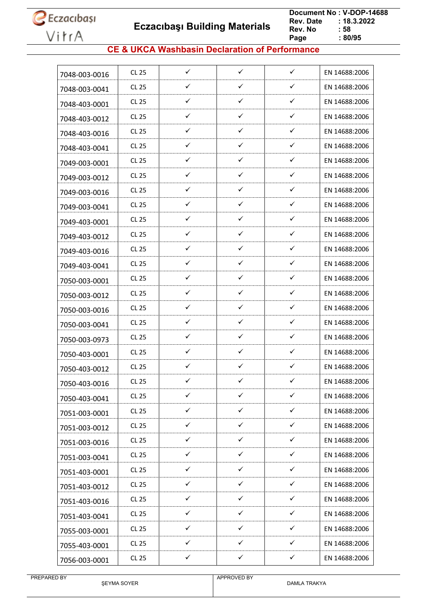**Eczacıbaşı Building Materials**

 **Document No : V-DOP-14688**  $: 18.3.2022$ <br> $: 58$ **Rev. No Page Page : 80/95**

### **CE & UKCA Washbasin Declaration of Performance**

| 7048-003-0016 | CL 25        | ✓            | $\checkmark$ | ✓            | EN 14688:2006 |
|---------------|--------------|--------------|--------------|--------------|---------------|
| 7048-003-0041 | CL 25        | ✓            | $\checkmark$ | ✓            | EN 14688:2006 |
| 7048-403-0001 | CL 25        | $\checkmark$ | ✓            | ✓            | EN 14688:2006 |
| 7048-403-0012 | CL 25        | ✓            | ✓            | $\checkmark$ | EN 14688:2006 |
| 7048-403-0016 | CL 25        | ✓            | ✓            | ✓            | EN 14688:2006 |
| 7048-403-0041 | CL 25        | $\checkmark$ | ✓            | $\checkmark$ | EN 14688:2006 |
| 7049-003-0001 | CL 25        | ✓            | ✓            | ✓            | EN 14688:2006 |
| 7049-003-0012 | CL 25        | ✓            | ✓            | ✓            | EN 14688:2006 |
| 7049-003-0016 | CL 25        | ✓            | ✓            | ✓            | EN 14688:2006 |
| 7049-003-0041 | CL 25        | ✓            | $\checkmark$ | ✓            | EN 14688:2006 |
| 7049-403-0001 | CL 25        | $\checkmark$ | ✓            | ✓            | EN 14688:2006 |
| 7049-403-0012 | CL 25        | ✓            | ✓            | ✓            | EN 14688:2006 |
| 7049-403-0016 | CL 25        | $\checkmark$ | ✓            | ✓            | EN 14688:2006 |
| 7049-403-0041 | CL 25        | $\checkmark$ | $\checkmark$ | ✓            | EN 14688:2006 |
| 7050-003-0001 | CL 25        | ✓            | ✓            | ✓            | EN 14688:2006 |
| 7050-003-0012 | CL 25        | ✓            | ✓            | ✓            | EN 14688:2006 |
| 7050-003-0016 | CL 25        | ✓            | ✓            | ✓            | EN 14688:2006 |
| 7050-003-0041 | CL 25        | ✓            | $\checkmark$ | ✓            | EN 14688:2006 |
| 7050-003-0973 | CL 25        | ✓            | ✓            | ✓            | EN 14688:2006 |
| 7050-403-0001 | <b>CL 25</b> | $\checkmark$ | $\checkmark$ | ✓            | EN 14688:2006 |
| 7050-403-0012 | CL 25        | $\checkmark$ | ✓            | ✓            | EN 14688:2006 |
| 7050-403-0016 | CL 25        | ✓            | ✓            | ✓            | EN 14688:2006 |
| 7050-403-0041 | <b>CL 25</b> | ✓            | ✓            | ✓            | EN 14688:2006 |
| 7051-003-0001 | <b>CL 25</b> | $\checkmark$ | $\checkmark$ | $\checkmark$ | EN 14688:2006 |
| 7051-003-0012 | <b>CL 25</b> | $\checkmark$ | $\checkmark$ | ✓            | EN 14688:2006 |
| 7051-003-0016 | CL 25        | $\checkmark$ | $\checkmark$ | $\checkmark$ | EN 14688:2006 |
| 7051-003-0041 | CL 25        | $\checkmark$ | $\checkmark$ | ✓            | EN 14688:2006 |
| 7051-403-0001 | CL 25        | ✓            | $\checkmark$ | $\checkmark$ | EN 14688:2006 |
| 7051-403-0012 | CL 25        | $\checkmark$ | $\checkmark$ | $\checkmark$ | EN 14688:2006 |
| 7051-403-0016 | CL 25        | ✓            | ✓            | ✓            | EN 14688:2006 |
| 7051-403-0041 | CL 25        | ✓            | $\checkmark$ | ✓            | EN 14688:2006 |
| 7055-003-0001 | CL 25        | $\checkmark$ | $\checkmark$ | $\checkmark$ | EN 14688:2006 |
| 7055-403-0001 | CL 25        | ✓            | ✓            | ✓            | EN 14688:2006 |
| 7056-003-0001 | <b>CL 25</b> | $\checkmark$ | $\checkmark$ | $\checkmark$ | EN 14688:2006 |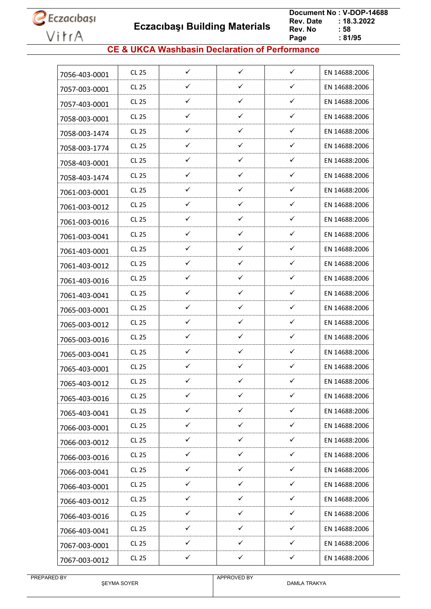**Eczacıbaşı Building Materials**

 **Document No : V-DOP-14688**  $: 18.3.2022$ <br> $: 58$ **Rev. No Page Page : 81/95**

### **CE & UKCA Washbasin Declaration of Performance**

| 7056-403-0001 | <b>CL 25</b> | $\checkmark$ | $\checkmark$ | $\checkmark$ | EN 14688:2006 |
|---------------|--------------|--------------|--------------|--------------|---------------|
| 7057-003-0001 | <b>CL 25</b> | ✓            | ✓            | ✓            | EN 14688:2006 |
| 7057-403-0001 | CL 25        | ✓            | ✓            | $\checkmark$ | EN 14688:2006 |
| 7058-003-0001 | <b>CL 25</b> | ✓            | ✓            | ✓            | EN 14688:2006 |
| 7058-003-1474 | CL 25        | ✓            | ✓            | ✓            | EN 14688:2006 |
| 7058-003-1774 | CL 25        | ✓            | ✓            | $\checkmark$ | EN 14688:2006 |
| 7058-403-0001 | <b>CL 25</b> | ✓            | ✓            | ✓            | EN 14688:2006 |
| 7058-403-1474 | CL 25        | ✓            | $\checkmark$ | ✓            | EN 14688:2006 |
| 7061-003-0001 | <b>CL 25</b> | ✓            | ✓            | $\checkmark$ | EN 14688:2006 |
| 7061-003-0012 | CL 25        | ✓            | $\checkmark$ | $\checkmark$ | EN 14688:2006 |
| 7061-003-0016 | <b>CL 25</b> | $\checkmark$ | ✓            | ✓            | EN 14688:2006 |
| 7061-003-0041 | <b>CL 25</b> | ✓            | ✓            | ✓            | EN 14688:2006 |
| 7061-403-0001 | CL 25        | ✓            | $\checkmark$ | ✓            | EN 14688:2006 |
| 7061-403-0012 | <b>CL 25</b> | ✓            | ✓            | ✓            | EN 14688:2006 |
| 7061-403-0016 | CL 25        | ✓            | ✓            | ✓            | EN 14688:2006 |
| 7061-403-0041 | <b>CL 25</b> | ✓            | ✓            | $\checkmark$ | EN 14688:2006 |
| 7065-003-0001 | <b>CL 25</b> | ✓            | ✓            | $\checkmark$ | EN 14688:2006 |
| 7065-003-0012 | <b>CL 25</b> | ✓            | $\checkmark$ | ✓            | EN 14688:2006 |
| 7065-003-0016 | <b>CL 25</b> | ✓            | ✓            | ✓            | EN 14688:2006 |
| 7065-003-0041 | <b>CL 25</b> | ✓            | ✓            | ✓            | EN 14688:2006 |
| 7065-403-0001 | CL 25        | $\checkmark$ | ✓            | ✓            | EN 14688:2006 |
| 7065-403-0012 | <b>CL 25</b> | ✓            | ✓            | ✓            | EN 14688:2006 |
| 7065-403-0016 | <b>CL 25</b> | ✓            | $\checkmark$ | $\checkmark$ | EN 14688:2006 |
| 7065-403-0041 | <b>CL 25</b> | $\checkmark$ | $\checkmark$ | $\checkmark$ | EN 14688:2006 |
| 7066-003-0001 | <b>CL 25</b> | ✓            | ✓            | ✓            | EN 14688:2006 |
| 7066-003-0012 | <b>CL 25</b> | ✓            | $\checkmark$ | $\checkmark$ | EN 14688:2006 |
| 7066-003-0016 | <b>CL 25</b> | ✓            | $\checkmark$ | $\checkmark$ | EN 14688:2006 |
| 7066-003-0041 | CL 25        | $\checkmark$ | $\checkmark$ | $\checkmark$ | EN 14688:2006 |
| 7066-403-0001 | <b>CL 25</b> | $\checkmark$ | $\checkmark$ | $\checkmark$ | EN 14688:2006 |
| 7066-403-0012 | <b>CL 25</b> | ✓            | $\checkmark$ | $\checkmark$ | EN 14688:2006 |
| 7066-403-0016 | CL 25        | $\checkmark$ | $\checkmark$ | $\checkmark$ | EN 14688:2006 |
| 7066-403-0041 | <b>CL 25</b> | $\checkmark$ | $\checkmark$ | $\checkmark$ | EN 14688:2006 |
| 7067-003-0001 | <b>CL 25</b> | ✓            | ✓            | ✓            | EN 14688:2006 |
| 7067-003-0012 | <b>CL 25</b> | ✓            | $\checkmark$ | $\checkmark$ | EN 14688:2006 |
|               |              |              |              |              |               |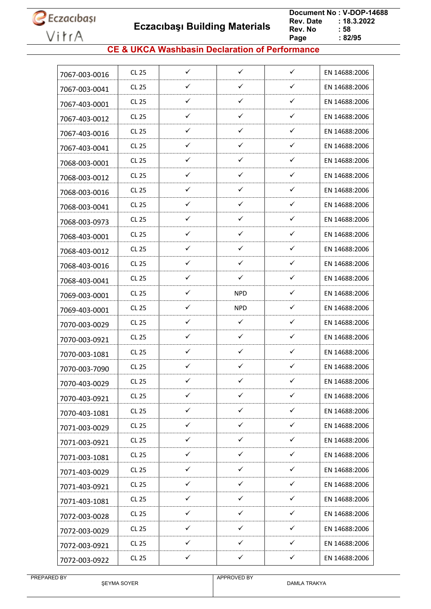**Eczacıbaşı Building Materials**

 **Document No : V-DOP-14688**  $: 18.3.2022$ <br> $: 58$ **Rev. No Page**  $\frac{1}{2}$  82/95

### **CE & UKCA Washbasin Declaration of Performance**

| 7067-003-0016 | CL 25        | $\checkmark$ | $\checkmark$ | $\checkmark$ | EN 14688:2006 |
|---------------|--------------|--------------|--------------|--------------|---------------|
| 7067-003-0041 | CL 25        | ✓            | ✓            | ✓            | EN 14688:2006 |
| 7067-403-0001 | CL 25        | ✓            | $\checkmark$ | $\checkmark$ | EN 14688:2006 |
| 7067-403-0012 | CL 25        | ✓            | ✓            | ✓            | EN 14688:2006 |
| 7067-403-0016 | CL 25        | ✓            | ✓            | ✓            | EN 14688:2006 |
| 7067-403-0041 | CL 25        | ✓            | ✓            | ✓            | EN 14688:2006 |
| 7068-003-0001 | CL 25        | ✓            | ✓            | ✓            | EN 14688:2006 |
| 7068-003-0012 | CL 25        | ✓            | ✓            | ✓            | EN 14688:2006 |
| 7068-003-0016 | CL 25        | ✓            | $\checkmark$ | ✓            | EN 14688:2006 |
| 7068-003-0041 | CL 25        | ✓            | ✓            | ✓            | EN 14688:2006 |
| 7068-003-0973 | CL 25        | ✓            | $\checkmark$ | ✓            | EN 14688:2006 |
| 7068-403-0001 | CL 25        | ✓            | ✓            | ✓            | EN 14688:2006 |
| 7068-403-0012 | CL 25        | ✓            | $\checkmark$ | ✓            | EN 14688:2006 |
| 7068-403-0016 | CL 25        | $\checkmark$ | ✓            | ✓            | EN 14688:2006 |
| 7068-403-0041 | CL 25        | ✓            | ✓            | ✓            | EN 14688:2006 |
| 7069-003-0001 | CL 25        | ✓            | <b>NPD</b>   | $\checkmark$ | EN 14688:2006 |
| 7069-403-0001 | CL 25        | ✓            | <b>NPD</b>   | ✓            | EN 14688:2006 |
| 7070-003-0029 | CL 25        | ✓            | $\checkmark$ | ✓            | EN 14688:2006 |
| 7070-003-0921 | CL 25        | ✓            | ✓            | ✓            | EN 14688:2006 |
| 7070-003-1081 | CL 25        | ✓            | ✓            | ✓            | EN 14688:2006 |
| 7070-003-7090 | CL 25        | ✓            | ✓            | ✓            | EN 14688:2006 |
| 7070-403-0029 | <b>CL 25</b> | ✓            | ✓            | ✓            | EN 14688:2006 |
| 7070-403-0921 | <b>CL 25</b> | ✓            | ✓            | ✓            | EN 14688:2006 |
| 7070-403-1081 | <b>CL 25</b> | $\checkmark$ | $\checkmark$ | $\checkmark$ | EN 14688:2006 |
| 7071-003-0029 | <b>CL 25</b> | ✓            | ✓            | ✓            | EN 14688:2006 |
| 7071-003-0921 | <b>CL 25</b> | $\checkmark$ | $\checkmark$ | $\checkmark$ | EN 14688:2006 |
| 7071-003-1081 | CL 25        | ✓            | $\checkmark$ | ✓            | EN 14688:2006 |
| 7071-403-0029 | <b>CL 25</b> | ✓            | $\checkmark$ | ✓            | EN 14688:2006 |
| 7071-403-0921 | CL 25        | $\checkmark$ | $\checkmark$ | $\checkmark$ | EN 14688:2006 |
| 7071-403-1081 | <b>CL 25</b> | ✓            | $\checkmark$ | ✓            | EN 14688:2006 |
| 7072-003-0028 | CL 25        | $\checkmark$ | $\checkmark$ | ✓            | EN 14688:2006 |
| 7072-003-0029 | CL 25        | $\checkmark$ | $\checkmark$ | $\checkmark$ | EN 14688:2006 |
| 7072-003-0921 | CL 25        | ✓            | ✓            | ✓            | EN 14688:2006 |
| 7072-003-0922 | CL 25        | ✓            | ✓            | $\checkmark$ | EN 14688:2006 |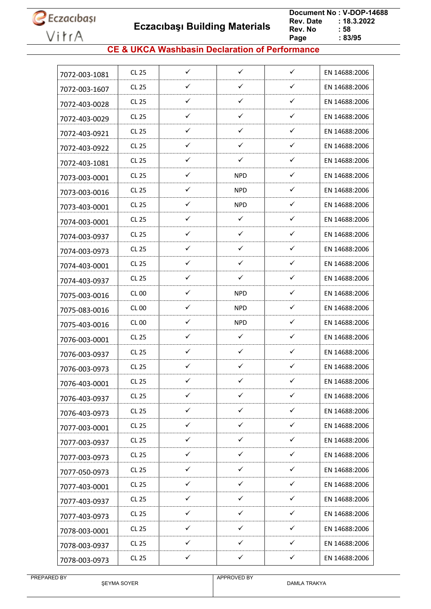**Eczacıbaşı Building Materials**

 **Document No : V-DOP-14688**  $: 18.3.2022$ <br> $: 58$ **Rev. No Page Page : 83/95**

### **CE & UKCA Washbasin Declaration of Performance**

| 7072-003-1081 | CL 25        | $\checkmark$ | $\checkmark$ | $\checkmark$ | EN 14688:2006 |
|---------------|--------------|--------------|--------------|--------------|---------------|
| 7072-003-1607 | <b>CL 25</b> | ✓            | ✓            | ✓            | EN 14688:2006 |
| 7072-403-0028 | CL 25        | ✓            | $\checkmark$ | ✓            | EN 14688:2006 |
| 7072-403-0029 | <b>CL 25</b> | ✓            | $\checkmark$ | ✓            | EN 14688:2006 |
| 7072-403-0921 | CL 25        | ✓            | ✓            | ✓            | EN 14688:2006 |
| 7072-403-0922 | CL 25        | ✓            | ✓            | ✓            | EN 14688:2006 |
| 7072-403-1081 | <b>CL 25</b> | ✓            | ✓            | ✓            | EN 14688:2006 |
| 7073-003-0001 | CL 25        | ✓            | <b>NPD</b>   | ✓            | EN 14688:2006 |
| 7073-003-0016 | <b>CL 25</b> | ✓            | <b>NPD</b>   | ✓            | EN 14688:2006 |
| 7073-403-0001 | <b>CL 25</b> | ✓            | <b>NPD</b>   | ✓            | EN 14688:2006 |
| 7074-003-0001 | CL 25        | ✓            | $\checkmark$ | ✓            | EN 14688:2006 |
| 7074-003-0937 | <b>CL 25</b> | ✓            | $\checkmark$ | ✓            | EN 14688:2006 |
| 7074-003-0973 | CL 25        | ✓            | $\checkmark$ | ✓            | EN 14688:2006 |
| 7074-403-0001 | <b>CL 25</b> | $\checkmark$ | $\checkmark$ | ✓            | EN 14688:2006 |
| 7074-403-0937 | CL 25        | ✓            | $\checkmark$ | ✓            | EN 14688:2006 |
| 7075-003-0016 | CL 00        | ✓            | <b>NPD</b>   | ✓            | EN 14688:2006 |
| 7075-083-0016 | <b>CL 00</b> | ✓            | <b>NPD</b>   | ✓            | EN 14688:2006 |
| 7075-403-0016 | <b>CL 00</b> | ✓            | <b>NPD</b>   | ✓            | EN 14688:2006 |
| 7076-003-0001 | CL 25        | ✓            | ✓            | ✓            | EN 14688:2006 |
| 7076-003-0937 | CL 25        | ✓            | ✓            | ✓            | EN 14688:2006 |
| 7076-003-0973 | <b>CL 25</b> | $\checkmark$ | ✓            | ✓            | EN 14688:2006 |
| 7076-403-0001 | <b>CL 25</b> | ✓            | ✓            | ✓            | EN 14688:2006 |
| 7076-403-0937 | <b>CL 25</b> | ✓            | ✓            | ✓            | EN 14688:2006 |
| 7076-403-0973 | <b>CL 25</b> | $\checkmark$ | $\checkmark$ | $\checkmark$ | EN 14688:2006 |
| 7077-003-0001 | CL 25        | ✓            | $\checkmark$ | ✓            | EN 14688:2006 |
| 7077-003-0937 | <b>CL 25</b> | $\checkmark$ | $\checkmark$ | $\checkmark$ | EN 14688:2006 |
| 7077-003-0973 | CL 25        | ✓            | $\checkmark$ | ✓            | EN 14688:2006 |
| 7077-050-0973 | <b>CL 25</b> | $\checkmark$ | ✓            | $\checkmark$ | EN 14688:2006 |
| 7077-403-0001 | CL 25        | $\checkmark$ | $\checkmark$ | $\checkmark$ | EN 14688:2006 |
| 7077-403-0937 | CL 25        | $\checkmark$ | $\checkmark$ | ✓            | EN 14688:2006 |
| 7077-403-0973 | CL 25        | $\checkmark$ | $\checkmark$ | ✓            | EN 14688:2006 |
| 7078-003-0001 | CL 25        | $\checkmark$ | $\checkmark$ | $\checkmark$ | EN 14688:2006 |
| 7078-003-0937 | <b>CL 25</b> | ✓            | ✓            | ✓            | EN 14688:2006 |
| 7078-003-0973 | CL 25        | ✓            | ✓            | ✓            | EN 14688:2006 |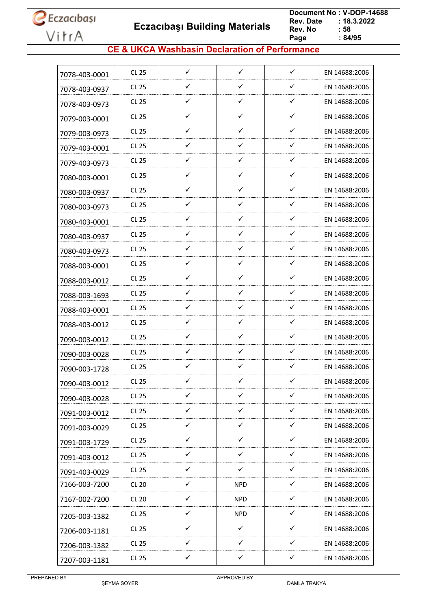**Eczacıbaşı Building Materials**

 **Document No : V-DOP-14688**  $: 18.3.2022$ <br> $: 58$ **Rev. No Page Page : 84/95**

### **CE & UKCA Washbasin Declaration of Performance**

| 7078-403-0001 | <b>CL 25</b> | $\checkmark$ | $\checkmark$ | $\checkmark$ | EN 14688:2006 |
|---------------|--------------|--------------|--------------|--------------|---------------|
| 7078-403-0937 | <b>CL 25</b> | ✓            | ✓            | $\checkmark$ | EN 14688:2006 |
| 7078-403-0973 | CL 25        | ✓            | $\checkmark$ | $\checkmark$ | EN 14688:2006 |
| 7079-003-0001 | <b>CL 25</b> | ✓            | ✓            | $\checkmark$ | EN 14688:2006 |
| 7079-003-0973 | <b>CL 25</b> | ✓            | ✓            | ✓            | EN 14688:2006 |
| 7079-403-0001 | CL 25        | ✓            | $\checkmark$ | ✓            | EN 14688:2006 |
| 7079-403-0973 | <b>CL 25</b> | ✓            | $\checkmark$ | $\checkmark$ | EN 14688:2006 |
| 7080-003-0001 | <b>CL 25</b> | ✓            | ✓            | $\checkmark$ | EN 14688:2006 |
| 7080-003-0937 | <b>CL 25</b> | ✓            | $\checkmark$ | $\checkmark$ | EN 14688:2006 |
| 7080-003-0973 | <b>CL 25</b> | ✓            | $\checkmark$ | $\checkmark$ | EN 14688:2006 |
| 7080-403-0001 | <b>CL 25</b> | $\checkmark$ | $\checkmark$ | ✓            | EN 14688:2006 |
| 7080-403-0937 | <b>CL 25</b> | ✓            | ✓            | ✓            | EN 14688:2006 |
| 7080-403-0973 | CL 25        | ✓            | ✓            | ✓            | EN 14688:2006 |
| 7088-003-0001 | <b>CL 25</b> | $\checkmark$ | $\checkmark$ | $\checkmark$ | EN 14688:2006 |
| 7088-003-0012 | <b>CL 25</b> | ✓            | ✓            | $\checkmark$ | EN 14688:2006 |
| 7088-003-1693 | <b>CL 25</b> | $\checkmark$ | ✓            | $\checkmark$ | EN 14688:2006 |
| 7088-403-0001 | <b>CL 25</b> | ✓            | $\checkmark$ | $\checkmark$ | EN 14688:2006 |
| 7088-403-0012 | <b>CL 25</b> | ✓            | ✓            | ✓            | EN 14688:2006 |
| 7090-003-0012 | <b>CL 25</b> | ✓            | ✓            | ✓            | EN 14688:2006 |
| 7090-003-0028 | <b>CL 25</b> | ✓            | ✓            | $\checkmark$ | EN 14688:2006 |
| 7090-003-1728 | CL 25        | $\checkmark$ | ✓            | ✓            | EN 14688:2006 |
| 7090-403-0012 | <b>CL 25</b> | ✓            | ✓            | ✓            | EN 14688:2006 |
| 7090-403-0028 | CL 25        | ✓            | ✓            | ✓            | EN 14688:2006 |
| 7091-003-0012 | CL 25        | $\checkmark$ | $\checkmark$ | $\checkmark$ | EN 14688:2006 |
| 7091-003-0029 | <b>CL 25</b> | $\checkmark$ | $\checkmark$ | $\checkmark$ | EN 14688:2006 |
| 7091-003-1729 | <b>CL 25</b> | ✓            | $\checkmark$ | ✓            | EN 14688:2006 |
| 7091-403-0012 | CL 25        | $\checkmark$ | $\checkmark$ | $\checkmark$ | EN 14688:2006 |
| 7091-403-0029 | <b>CL 25</b> | $\checkmark$ | $\checkmark$ | $\checkmark$ | EN 14688:2006 |
| 7166-003-7200 | <b>CL 20</b> | $\checkmark$ | <b>NPD</b>   | $\checkmark$ | EN 14688:2006 |
| 7167-002-7200 | <b>CL 20</b> | $\checkmark$ | <b>NPD</b>   | $\checkmark$ | EN 14688:2006 |
| 7205-003-1382 | <b>CL 25</b> | $\checkmark$ | <b>NPD</b>   | ✓            | EN 14688:2006 |
| 7206-003-1181 | <b>CL 25</b> | $\checkmark$ | $\checkmark$ | $\checkmark$ | EN 14688:2006 |
| 7206-003-1382 | CL 25        | ✓            | ✓            | ✓            | EN 14688:2006 |
| 7207-003-1181 | <b>CL 25</b> | $\checkmark$ | $\checkmark$ | $\checkmark$ | EN 14688:2006 |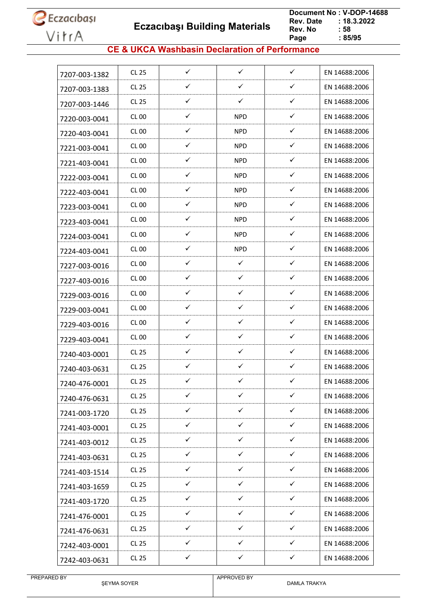**Eczacıbaşı Building Materials**

 **Document No : V-DOP-14688**  $: 18.3.2022$ <br> $: 58$ **Rev. No Page Page : 85/95**

### **CE & UKCA Washbasin Declaration of Performance**

| 7207-003-1382 | CL 25        | $\checkmark$ | $\checkmark$ | $\checkmark$ | EN 14688:2006 |
|---------------|--------------|--------------|--------------|--------------|---------------|
| 7207-003-1383 | CL 25        | ✓            | ✓            | ✓            | EN 14688:2006 |
| 7207-003-1446 | CL 25        | ✓            | ✓            | ✓            | EN 14688:2006 |
| 7220-003-0041 | CL 00        | ✓            | <b>NPD</b>   | ✓            | EN 14688:2006 |
| 7220-403-0041 | <b>CL 00</b> | ✓            | <b>NPD</b>   | ✓            | EN 14688:2006 |
| 7221-003-0041 | CL 00        | ✓            | NPD.         | $\checkmark$ | EN 14688:2006 |
| 7221-403-0041 | CL 00        | ✓            | <b>NPD</b>   | ✓            | EN 14688:2006 |
| 7222-003-0041 | CL 00        | ✓            | NPD.         | ✓            | EN 14688:2006 |
| 7222-403-0041 | CL 00        | ✓            | <b>NPD</b>   | ✓            | EN 14688:2006 |
| 7223-003-0041 | <b>CL 00</b> | ✓            | <b>NPD</b>   | $\checkmark$ | EN 14688:2006 |
| 7223-403-0041 | CL 00        | $\checkmark$ | <b>NPD</b>   | $\checkmark$ | EN 14688:2006 |
| 7224-003-0041 | CL 00        | ✓            | <b>NPD</b>   | $\checkmark$ | EN 14688:2006 |
| 7224-403-0041 | CL 00        | ✓            | <b>NPD</b>   | $\checkmark$ | EN 14688:2006 |
| 7227-003-0016 | CL 00        | ✓            | ✓            | $\checkmark$ | EN 14688:2006 |
| 7227-403-0016 | <b>CL 00</b> | ✓            | ✓            | ✓            | EN 14688:2006 |
| 7229-003-0016 | CL 00        | ✓            | ✓            | ✓            | EN 14688:2006 |
| 7229-003-0041 | CL 00        | ✓            | ✓            | $\checkmark$ | EN 14688:2006 |
| 7229-403-0016 | CL 00        | $\checkmark$ | $\checkmark$ | $\checkmark$ | EN 14688:2006 |
| 7229-403-0041 | CL 00        | ✓            | ✓            | ✓            | EN 14688:2006 |
| 7240-403-0001 | CL 25        | ✓            | ✓            | ✓            | EN 14688:2006 |
| 7240-403-0631 | CL 25        | ✓            | ✓            | $\checkmark$ | EN 14688:2006 |
| 7240-476-0001 | <b>CL 25</b> | ✓            | ✓            | ✓            | EN 14688:2006 |
| 7240-476-0631 | <b>CL 25</b> | ✓            | $\checkmark$ | ✓            | EN 14688:2006 |
| 7241-003-1720 | CL 25        | $\checkmark$ | $\checkmark$ | $\checkmark$ | EN 14688:2006 |
| 7241-403-0001 | <b>CL 25</b> | $\checkmark$ | ✓            | $\checkmark$ | EN 14688:2006 |
| 7241-403-0012 | <b>CL 25</b> | $\checkmark$ | $\checkmark$ | $\checkmark$ | EN 14688:2006 |
| 7241-403-0631 | CL 25        | $\checkmark$ | $\checkmark$ | $\checkmark$ | EN 14688:2006 |
| 7241-403-1514 | <b>CL 25</b> | ✓            | ✓            | ✓            | EN 14688:2006 |
| 7241-403-1659 | CL 25        | $\checkmark$ | $\checkmark$ | $\checkmark$ | EN 14688:2006 |
| 7241-403-1720 | CL 25        | ✓            | ✓            | ✓            | EN 14688:2006 |
| 7241-476-0001 | CL 25        | $\checkmark$ | ✓            | ✓            | EN 14688:2006 |
| 7241-476-0631 | CL 25        | $\checkmark$ | $\checkmark$ | $\checkmark$ | EN 14688:2006 |
| 7242-403-0001 | <b>CL 25</b> | ✓            | ✓            | ✓            | EN 14688:2006 |
| 7242-403-0631 | CL 25        | $\checkmark$ | $\checkmark$ | $\checkmark$ | EN 14688:2006 |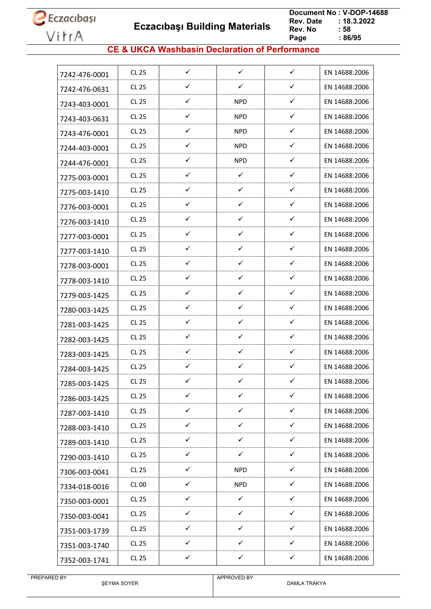**Eczacıbaşı Building Materials**

 **Document No : V-DOP-14688**  $: 18.3.2022$ <br> $: 58$ **Rev. No Page Page : 86/95**

### **CE & UKCA Washbasin Declaration of Performance**

| ✓<br>✓<br>$\checkmark$<br><b>CL 25</b><br>EN 14688:2006<br>7242-476-0001<br>✓<br>✓<br>✓<br>CL 25<br>EN 14688:2006<br>7242-476-0631<br>✓<br>✓<br>CL 25<br><b>NPD</b><br>EN 14688:2006<br>7243-403-0001<br>$\checkmark$<br>✓<br><b>CL 25</b><br><b>NPD</b><br>EN 14688:2006<br>7243-403-0631<br>✓<br>✓<br>CL 25<br><b>NPD</b><br>EN 14688:2006<br>7243-476-0001<br>✓<br>✓<br><b>CL 25</b><br><b>NPD</b><br>EN 14688:2006<br>7244-403-0001<br>✓<br>✓<br><b>CL 25</b><br><b>NPD</b><br>EN 14688:2006<br>7244-476-0001<br>$\checkmark$<br>✓<br>✓<br><b>CL 25</b><br>EN 14688:2006<br>7275-003-0001<br>✓<br>✓<br>✓<br><b>CL 25</b><br>EN 14688:2006<br>7275-003-1410<br>✓<br>$\checkmark$<br>$\checkmark$<br>CL 25<br>EN 14688:2006<br>7276-003-0001<br>✓<br>$\checkmark$<br>✓<br>EN 14688:2006<br><b>CL 25</b><br>7276-003-1410<br>✓<br>✓<br>✓<br><b>CL 25</b><br>EN 14688:2006<br>7277-003-0001<br>✓<br>$\checkmark$<br>$\checkmark$<br>CL 25<br>EN 14688:2006<br>7277-003-1410<br>✓<br>✓<br>✓<br><b>CL 25</b><br>EN 14688:2006<br>7278-003-0001<br>✓<br>✓<br>✓<br>CL 25<br>EN 14688:2006<br>7278-003-1410<br>✓<br>✓<br>✓<br><b>CL 25</b><br>EN 14688:2006<br>7279-003-1425<br>$\checkmark$<br>✓<br><b>CL 25</b><br>✓<br>EN 14688:2006<br>7280-003-1425<br>✓<br>$\checkmark$<br>✓<br>CL 25<br>EN 14688:2006<br>7281-003-1425<br>✓<br>✓<br>✓<br><b>CL 25</b><br>EN 14688:2006<br>7282-003-1425<br>$\checkmark$<br>$\checkmark$<br>✓<br>CL 25<br>EN 14688:2006<br>7283-003-1425<br>✓<br>✓<br>✓<br><b>CL 25</b><br>EN 14688:2006<br>7284-003-1425<br>✓<br>✓<br>✓<br><b>CL 25</b><br>EN 14688:2006<br>7285-003-1425<br>$\checkmark$<br>$\checkmark$<br>$\checkmark$<br><b>CL 25</b><br>EN 14688:2006<br>7286-003-1425<br>$\checkmark$<br>$\checkmark$<br>$\checkmark$<br>EN 14688:2006<br><b>CL 25</b><br>7287-003-1410<br>$\checkmark$<br>$\checkmark$<br>$\checkmark$<br><b>CL 25</b><br>EN 14688:2006<br>7288-003-1410<br>$\checkmark$<br>$\checkmark$<br>$\checkmark$<br>CL 25<br>EN 14688:2006<br>7289-003-1410<br>$\checkmark$<br>✓<br>✓<br>CL 25<br>EN 14688:2006<br>7290-003-1410<br>$\checkmark$<br>$\checkmark$<br>CL 25<br><b>NPD</b><br>EN 14688:2006<br>7306-003-0041<br>$\checkmark$<br>$\checkmark$<br><b>NPD</b><br>CL 00<br>EN 14688:2006<br>7334-018-0016<br>$\checkmark$<br>✓<br>✓<br>CL 25<br>EN 14688:2006<br>7350-003-0001<br>$\checkmark$<br>✓<br>$\checkmark$<br><b>CL 25</b><br>EN 14688:2006<br>7350-003-0041<br>$\checkmark$<br>$\checkmark$<br>$\checkmark$<br><b>CL 25</b><br>EN 14688:2006<br>7351-003-1739<br>$\checkmark$<br>$\checkmark$<br>✓<br>CL 25<br>EN 14688:2006<br>7351-003-1740<br>$\checkmark$<br>$\checkmark$<br>$\checkmark$<br><b>CL 25</b><br>EN 14688:2006 |               |  |  |  |
|----------------------------------------------------------------------------------------------------------------------------------------------------------------------------------------------------------------------------------------------------------------------------------------------------------------------------------------------------------------------------------------------------------------------------------------------------------------------------------------------------------------------------------------------------------------------------------------------------------------------------------------------------------------------------------------------------------------------------------------------------------------------------------------------------------------------------------------------------------------------------------------------------------------------------------------------------------------------------------------------------------------------------------------------------------------------------------------------------------------------------------------------------------------------------------------------------------------------------------------------------------------------------------------------------------------------------------------------------------------------------------------------------------------------------------------------------------------------------------------------------------------------------------------------------------------------------------------------------------------------------------------------------------------------------------------------------------------------------------------------------------------------------------------------------------------------------------------------------------------------------------------------------------------------------------------------------------------------------------------------------------------------------------------------------------------------------------------------------------------------------------------------------------------------------------------------------------------------------------------------------------------------------------------------------------------------------------------------------------------------------------------------------------------------------------------------------------------------------------------------------------------------------------------------------------------------------------------------------------------------------------------------------------------------------------------------------|---------------|--|--|--|
|                                                                                                                                                                                                                                                                                                                                                                                                                                                                                                                                                                                                                                                                                                                                                                                                                                                                                                                                                                                                                                                                                                                                                                                                                                                                                                                                                                                                                                                                                                                                                                                                                                                                                                                                                                                                                                                                                                                                                                                                                                                                                                                                                                                                                                                                                                                                                                                                                                                                                                                                                                                                                                                                                                    |               |  |  |  |
|                                                                                                                                                                                                                                                                                                                                                                                                                                                                                                                                                                                                                                                                                                                                                                                                                                                                                                                                                                                                                                                                                                                                                                                                                                                                                                                                                                                                                                                                                                                                                                                                                                                                                                                                                                                                                                                                                                                                                                                                                                                                                                                                                                                                                                                                                                                                                                                                                                                                                                                                                                                                                                                                                                    |               |  |  |  |
|                                                                                                                                                                                                                                                                                                                                                                                                                                                                                                                                                                                                                                                                                                                                                                                                                                                                                                                                                                                                                                                                                                                                                                                                                                                                                                                                                                                                                                                                                                                                                                                                                                                                                                                                                                                                                                                                                                                                                                                                                                                                                                                                                                                                                                                                                                                                                                                                                                                                                                                                                                                                                                                                                                    |               |  |  |  |
|                                                                                                                                                                                                                                                                                                                                                                                                                                                                                                                                                                                                                                                                                                                                                                                                                                                                                                                                                                                                                                                                                                                                                                                                                                                                                                                                                                                                                                                                                                                                                                                                                                                                                                                                                                                                                                                                                                                                                                                                                                                                                                                                                                                                                                                                                                                                                                                                                                                                                                                                                                                                                                                                                                    |               |  |  |  |
|                                                                                                                                                                                                                                                                                                                                                                                                                                                                                                                                                                                                                                                                                                                                                                                                                                                                                                                                                                                                                                                                                                                                                                                                                                                                                                                                                                                                                                                                                                                                                                                                                                                                                                                                                                                                                                                                                                                                                                                                                                                                                                                                                                                                                                                                                                                                                                                                                                                                                                                                                                                                                                                                                                    |               |  |  |  |
|                                                                                                                                                                                                                                                                                                                                                                                                                                                                                                                                                                                                                                                                                                                                                                                                                                                                                                                                                                                                                                                                                                                                                                                                                                                                                                                                                                                                                                                                                                                                                                                                                                                                                                                                                                                                                                                                                                                                                                                                                                                                                                                                                                                                                                                                                                                                                                                                                                                                                                                                                                                                                                                                                                    |               |  |  |  |
|                                                                                                                                                                                                                                                                                                                                                                                                                                                                                                                                                                                                                                                                                                                                                                                                                                                                                                                                                                                                                                                                                                                                                                                                                                                                                                                                                                                                                                                                                                                                                                                                                                                                                                                                                                                                                                                                                                                                                                                                                                                                                                                                                                                                                                                                                                                                                                                                                                                                                                                                                                                                                                                                                                    |               |  |  |  |
|                                                                                                                                                                                                                                                                                                                                                                                                                                                                                                                                                                                                                                                                                                                                                                                                                                                                                                                                                                                                                                                                                                                                                                                                                                                                                                                                                                                                                                                                                                                                                                                                                                                                                                                                                                                                                                                                                                                                                                                                                                                                                                                                                                                                                                                                                                                                                                                                                                                                                                                                                                                                                                                                                                    |               |  |  |  |
|                                                                                                                                                                                                                                                                                                                                                                                                                                                                                                                                                                                                                                                                                                                                                                                                                                                                                                                                                                                                                                                                                                                                                                                                                                                                                                                                                                                                                                                                                                                                                                                                                                                                                                                                                                                                                                                                                                                                                                                                                                                                                                                                                                                                                                                                                                                                                                                                                                                                                                                                                                                                                                                                                                    |               |  |  |  |
|                                                                                                                                                                                                                                                                                                                                                                                                                                                                                                                                                                                                                                                                                                                                                                                                                                                                                                                                                                                                                                                                                                                                                                                                                                                                                                                                                                                                                                                                                                                                                                                                                                                                                                                                                                                                                                                                                                                                                                                                                                                                                                                                                                                                                                                                                                                                                                                                                                                                                                                                                                                                                                                                                                    |               |  |  |  |
|                                                                                                                                                                                                                                                                                                                                                                                                                                                                                                                                                                                                                                                                                                                                                                                                                                                                                                                                                                                                                                                                                                                                                                                                                                                                                                                                                                                                                                                                                                                                                                                                                                                                                                                                                                                                                                                                                                                                                                                                                                                                                                                                                                                                                                                                                                                                                                                                                                                                                                                                                                                                                                                                                                    |               |  |  |  |
|                                                                                                                                                                                                                                                                                                                                                                                                                                                                                                                                                                                                                                                                                                                                                                                                                                                                                                                                                                                                                                                                                                                                                                                                                                                                                                                                                                                                                                                                                                                                                                                                                                                                                                                                                                                                                                                                                                                                                                                                                                                                                                                                                                                                                                                                                                                                                                                                                                                                                                                                                                                                                                                                                                    |               |  |  |  |
|                                                                                                                                                                                                                                                                                                                                                                                                                                                                                                                                                                                                                                                                                                                                                                                                                                                                                                                                                                                                                                                                                                                                                                                                                                                                                                                                                                                                                                                                                                                                                                                                                                                                                                                                                                                                                                                                                                                                                                                                                                                                                                                                                                                                                                                                                                                                                                                                                                                                                                                                                                                                                                                                                                    |               |  |  |  |
|                                                                                                                                                                                                                                                                                                                                                                                                                                                                                                                                                                                                                                                                                                                                                                                                                                                                                                                                                                                                                                                                                                                                                                                                                                                                                                                                                                                                                                                                                                                                                                                                                                                                                                                                                                                                                                                                                                                                                                                                                                                                                                                                                                                                                                                                                                                                                                                                                                                                                                                                                                                                                                                                                                    |               |  |  |  |
|                                                                                                                                                                                                                                                                                                                                                                                                                                                                                                                                                                                                                                                                                                                                                                                                                                                                                                                                                                                                                                                                                                                                                                                                                                                                                                                                                                                                                                                                                                                                                                                                                                                                                                                                                                                                                                                                                                                                                                                                                                                                                                                                                                                                                                                                                                                                                                                                                                                                                                                                                                                                                                                                                                    |               |  |  |  |
|                                                                                                                                                                                                                                                                                                                                                                                                                                                                                                                                                                                                                                                                                                                                                                                                                                                                                                                                                                                                                                                                                                                                                                                                                                                                                                                                                                                                                                                                                                                                                                                                                                                                                                                                                                                                                                                                                                                                                                                                                                                                                                                                                                                                                                                                                                                                                                                                                                                                                                                                                                                                                                                                                                    |               |  |  |  |
|                                                                                                                                                                                                                                                                                                                                                                                                                                                                                                                                                                                                                                                                                                                                                                                                                                                                                                                                                                                                                                                                                                                                                                                                                                                                                                                                                                                                                                                                                                                                                                                                                                                                                                                                                                                                                                                                                                                                                                                                                                                                                                                                                                                                                                                                                                                                                                                                                                                                                                                                                                                                                                                                                                    |               |  |  |  |
|                                                                                                                                                                                                                                                                                                                                                                                                                                                                                                                                                                                                                                                                                                                                                                                                                                                                                                                                                                                                                                                                                                                                                                                                                                                                                                                                                                                                                                                                                                                                                                                                                                                                                                                                                                                                                                                                                                                                                                                                                                                                                                                                                                                                                                                                                                                                                                                                                                                                                                                                                                                                                                                                                                    |               |  |  |  |
|                                                                                                                                                                                                                                                                                                                                                                                                                                                                                                                                                                                                                                                                                                                                                                                                                                                                                                                                                                                                                                                                                                                                                                                                                                                                                                                                                                                                                                                                                                                                                                                                                                                                                                                                                                                                                                                                                                                                                                                                                                                                                                                                                                                                                                                                                                                                                                                                                                                                                                                                                                                                                                                                                                    |               |  |  |  |
|                                                                                                                                                                                                                                                                                                                                                                                                                                                                                                                                                                                                                                                                                                                                                                                                                                                                                                                                                                                                                                                                                                                                                                                                                                                                                                                                                                                                                                                                                                                                                                                                                                                                                                                                                                                                                                                                                                                                                                                                                                                                                                                                                                                                                                                                                                                                                                                                                                                                                                                                                                                                                                                                                                    |               |  |  |  |
|                                                                                                                                                                                                                                                                                                                                                                                                                                                                                                                                                                                                                                                                                                                                                                                                                                                                                                                                                                                                                                                                                                                                                                                                                                                                                                                                                                                                                                                                                                                                                                                                                                                                                                                                                                                                                                                                                                                                                                                                                                                                                                                                                                                                                                                                                                                                                                                                                                                                                                                                                                                                                                                                                                    |               |  |  |  |
|                                                                                                                                                                                                                                                                                                                                                                                                                                                                                                                                                                                                                                                                                                                                                                                                                                                                                                                                                                                                                                                                                                                                                                                                                                                                                                                                                                                                                                                                                                                                                                                                                                                                                                                                                                                                                                                                                                                                                                                                                                                                                                                                                                                                                                                                                                                                                                                                                                                                                                                                                                                                                                                                                                    |               |  |  |  |
|                                                                                                                                                                                                                                                                                                                                                                                                                                                                                                                                                                                                                                                                                                                                                                                                                                                                                                                                                                                                                                                                                                                                                                                                                                                                                                                                                                                                                                                                                                                                                                                                                                                                                                                                                                                                                                                                                                                                                                                                                                                                                                                                                                                                                                                                                                                                                                                                                                                                                                                                                                                                                                                                                                    |               |  |  |  |
|                                                                                                                                                                                                                                                                                                                                                                                                                                                                                                                                                                                                                                                                                                                                                                                                                                                                                                                                                                                                                                                                                                                                                                                                                                                                                                                                                                                                                                                                                                                                                                                                                                                                                                                                                                                                                                                                                                                                                                                                                                                                                                                                                                                                                                                                                                                                                                                                                                                                                                                                                                                                                                                                                                    |               |  |  |  |
|                                                                                                                                                                                                                                                                                                                                                                                                                                                                                                                                                                                                                                                                                                                                                                                                                                                                                                                                                                                                                                                                                                                                                                                                                                                                                                                                                                                                                                                                                                                                                                                                                                                                                                                                                                                                                                                                                                                                                                                                                                                                                                                                                                                                                                                                                                                                                                                                                                                                                                                                                                                                                                                                                                    |               |  |  |  |
|                                                                                                                                                                                                                                                                                                                                                                                                                                                                                                                                                                                                                                                                                                                                                                                                                                                                                                                                                                                                                                                                                                                                                                                                                                                                                                                                                                                                                                                                                                                                                                                                                                                                                                                                                                                                                                                                                                                                                                                                                                                                                                                                                                                                                                                                                                                                                                                                                                                                                                                                                                                                                                                                                                    |               |  |  |  |
|                                                                                                                                                                                                                                                                                                                                                                                                                                                                                                                                                                                                                                                                                                                                                                                                                                                                                                                                                                                                                                                                                                                                                                                                                                                                                                                                                                                                                                                                                                                                                                                                                                                                                                                                                                                                                                                                                                                                                                                                                                                                                                                                                                                                                                                                                                                                                                                                                                                                                                                                                                                                                                                                                                    |               |  |  |  |
|                                                                                                                                                                                                                                                                                                                                                                                                                                                                                                                                                                                                                                                                                                                                                                                                                                                                                                                                                                                                                                                                                                                                                                                                                                                                                                                                                                                                                                                                                                                                                                                                                                                                                                                                                                                                                                                                                                                                                                                                                                                                                                                                                                                                                                                                                                                                                                                                                                                                                                                                                                                                                                                                                                    |               |  |  |  |
|                                                                                                                                                                                                                                                                                                                                                                                                                                                                                                                                                                                                                                                                                                                                                                                                                                                                                                                                                                                                                                                                                                                                                                                                                                                                                                                                                                                                                                                                                                                                                                                                                                                                                                                                                                                                                                                                                                                                                                                                                                                                                                                                                                                                                                                                                                                                                                                                                                                                                                                                                                                                                                                                                                    |               |  |  |  |
|                                                                                                                                                                                                                                                                                                                                                                                                                                                                                                                                                                                                                                                                                                                                                                                                                                                                                                                                                                                                                                                                                                                                                                                                                                                                                                                                                                                                                                                                                                                                                                                                                                                                                                                                                                                                                                                                                                                                                                                                                                                                                                                                                                                                                                                                                                                                                                                                                                                                                                                                                                                                                                                                                                    |               |  |  |  |
|                                                                                                                                                                                                                                                                                                                                                                                                                                                                                                                                                                                                                                                                                                                                                                                                                                                                                                                                                                                                                                                                                                                                                                                                                                                                                                                                                                                                                                                                                                                                                                                                                                                                                                                                                                                                                                                                                                                                                                                                                                                                                                                                                                                                                                                                                                                                                                                                                                                                                                                                                                                                                                                                                                    |               |  |  |  |
|                                                                                                                                                                                                                                                                                                                                                                                                                                                                                                                                                                                                                                                                                                                                                                                                                                                                                                                                                                                                                                                                                                                                                                                                                                                                                                                                                                                                                                                                                                                                                                                                                                                                                                                                                                                                                                                                                                                                                                                                                                                                                                                                                                                                                                                                                                                                                                                                                                                                                                                                                                                                                                                                                                    |               |  |  |  |
|                                                                                                                                                                                                                                                                                                                                                                                                                                                                                                                                                                                                                                                                                                                                                                                                                                                                                                                                                                                                                                                                                                                                                                                                                                                                                                                                                                                                                                                                                                                                                                                                                                                                                                                                                                                                                                                                                                                                                                                                                                                                                                                                                                                                                                                                                                                                                                                                                                                                                                                                                                                                                                                                                                    |               |  |  |  |
|                                                                                                                                                                                                                                                                                                                                                                                                                                                                                                                                                                                                                                                                                                                                                                                                                                                                                                                                                                                                                                                                                                                                                                                                                                                                                                                                                                                                                                                                                                                                                                                                                                                                                                                                                                                                                                                                                                                                                                                                                                                                                                                                                                                                                                                                                                                                                                                                                                                                                                                                                                                                                                                                                                    | 7352-003-1741 |  |  |  |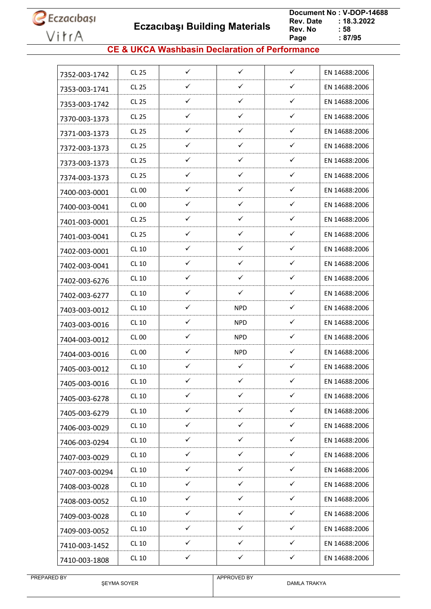**Eczacıbaşı Building Materials**

 **Document No : V-DOP-14688**  $: 18.3.2022$ <br> $: 58$ **Rev. No Page Page : 87/95**

### **CE & UKCA Washbasin Declaration of Performance**

| 7352-003-1742  | <b>CL 25</b> | $\checkmark$ | $\checkmark$ | $\checkmark$ | EN 14688:2006 |
|----------------|--------------|--------------|--------------|--------------|---------------|
| 7353-003-1741  | <b>CL 25</b> | ✓            | ✓            | $\checkmark$ | EN 14688:2006 |
| 7353-003-1742  | CL 25        | ✓            | $\checkmark$ | $\checkmark$ | EN 14688:2006 |
| 7370-003-1373  | <b>CL 25</b> | ✓            | ✓            | $\checkmark$ | EN 14688:2006 |
| 7371-003-1373  | CL 25        | ✓            | ✓            | ✓            | EN 14688:2006 |
| 7372-003-1373  | CL 25        | ✓            | $\checkmark$ | ✓            | EN 14688:2006 |
| 7373-003-1373  | <b>CL 25</b> | ✓            | $\checkmark$ | $\checkmark$ | EN 14688:2006 |
| 7374-003-1373  | CL 25        | ✓            | $\checkmark$ | $\checkmark$ | EN 14688:2006 |
| 7400-003-0001  | CL 00        | ✓            | $\checkmark$ | ✓            | EN 14688:2006 |
| 7400-003-0041  | CL00         | ✓            | ✓            | ✓            | EN 14688:2006 |
| 7401-003-0001  | <b>CL 25</b> | ✓            | $\checkmark$ | $\checkmark$ | EN 14688:2006 |
| 7401-003-0041  | <b>CL 25</b> | ✓            | ✓            | ✓            | EN 14688:2006 |
| 7402-003-0001  | CL 10        | ✓            | $\checkmark$ | ✓            | EN 14688:2006 |
| 7402-003-0041  | <b>CL 10</b> | $\checkmark$ | ✓            | ✓            | EN 14688:2006 |
| 7402-003-6276  | CL 10        | ✓            | ✓            | ✓            | EN 14688:2006 |
| 7402-003-6277  | CL 10        | ✓            | $\checkmark$ | ✓            | EN 14688:2006 |
| 7403-003-0012  | CL 10        | ✓            | <b>NPD</b>   | ✓            | EN 14688:2006 |
| 7403-003-0016  | CL 10        | ✓            | <b>NPD</b>   | $\checkmark$ | EN 14688:2006 |
| 7404-003-0012  | CL 00        | ✓            | <b>NPD</b>   | ✓            | EN 14688:2006 |
| 7404-003-0016  | CL 00        | ✓            | <b>NPD</b>   | ✓            | EN 14688:2006 |
| 7405-003-0012  | <b>CL 10</b> | ✓            | $\checkmark$ | ✓            | EN 14688:2006 |
| 7405-003-0016  | CL 10        | ✓            | ✓            | ✓            | EN 14688:2006 |
| 7405-003-6278  | <b>CL 10</b> | ✓            | ✓            | ✓            | EN 14688:2006 |
| 7405-003-6279  | CL 10        | ✓            | $\checkmark$ | $\checkmark$ | EN 14688:2006 |
| 7406-003-0029  | CL 10        | ✓            | ✓            | ✓            | EN 14688:2006 |
| 7406-003-0294  | CL 10        | $\checkmark$ | $\checkmark$ | $\checkmark$ | EN 14688:2006 |
| 7407-003-0029  | CL 10        | ✓            | $\checkmark$ | $\checkmark$ | EN 14688:2006 |
| 7407-003-00294 | <b>CL 10</b> | $\checkmark$ | $\checkmark$ | ✓            | EN 14688:2006 |
| 7408-003-0028  | CL 10        | $\checkmark$ | $\checkmark$ | $\checkmark$ | EN 14688:2006 |
| 7408-003-0052  | CL 10        | ✓            | $\checkmark$ | ✓            | EN 14688:2006 |
| 7409-003-0028  | CL 10        | $\checkmark$ | $\checkmark$ | ✓            | EN 14688:2006 |
| 7409-003-0052  | CL 10        | $\checkmark$ | $\checkmark$ | $\checkmark$ | EN 14688:2006 |
| 7410-003-1452  | CL 10        | ✓            | ✓            | ✓            | EN 14688:2006 |
| 7410-003-1808  | <b>CL 10</b> | ✓            | ✓            | ✓            | EN 14688:2006 |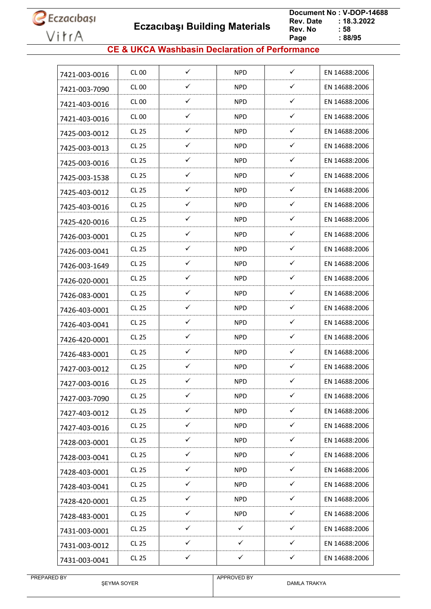**Eczacıbaşı Building Materials**

 **Document No : V-DOP-14688**  $: 18.3.2022$ <br> $: 58$ **Rev. No Page Page : 88/95**

### **CE & UKCA Washbasin Declaration of Performance**

| 7421-003-0016 | CL 00        | ✓            | <b>NPD</b>   | $\checkmark$ | EN 14688:2006 |
|---------------|--------------|--------------|--------------|--------------|---------------|
| 7421-003-7090 | <b>CL 00</b> | ✓            | <b>NPD</b>   | ✓            | EN 14688:2006 |
| 7421-403-0016 | CL 00        | ✓            | NPD.         | ✓            | EN 14688:2006 |
| 7421-403-0016 | CL 00        | ✓            | <b>NPD</b>   | ✓            | EN 14688:2006 |
| 7425-003-0012 | CL 25        | ✓            | NPD.         | ✓            | EN 14688:2006 |
| 7425-003-0013 | CL 25        | ✓            | <b>NPD</b>   | ✓            | EN 14688:2006 |
| 7425-003-0016 | CL 25        | ✓            | <b>NPD</b>   | $\checkmark$ | EN 14688:2006 |
| 7425-003-1538 | CL 25        | $\checkmark$ | <b>NPD</b>   | $\checkmark$ | EN 14688:2006 |
| 7425-403-0012 | <b>CL 25</b> | ✓            | <b>NPD</b>   | ✓            | EN 14688:2006 |
| 7425-403-0016 | CL 25        | ✓            | NPD.         | $\checkmark$ | EN 14688:2006 |
| 7425-420-0016 | CL 25        | ✓            | <b>NPD</b>   | ✓            | EN 14688:2006 |
| 7426-003-0001 | CL 25        | ✓            | <b>NPD</b>   | ✓            | EN 14688:2006 |
| 7426-003-0041 | CL 25        | ✓            | <b>NPD</b>   | ✓            | EN 14688:2006 |
| 7426-003-1649 | <b>CL 25</b> | ✓            | <b>NPD</b>   | ✓            | EN 14688:2006 |
| 7426-020-0001 | CL 25        | ✓            | NPD.         | $\checkmark$ | EN 14688:2006 |
| 7426-083-0001 | <b>CL 25</b> | ✓            | <b>NPD</b>   | ✓            | EN 14688:2006 |
| 7426-403-0001 | CL 25        | ✓            | NPD.         | ✓            | EN 14688:2006 |
| 7426-403-0041 | CL 25        | $\checkmark$ | <b>NPD</b>   | $\checkmark$ | EN 14688:2006 |
| 7426-420-0001 | <b>CL 25</b> | ✓            | <b>NPD</b>   | ✓            | EN 14688:2006 |
| 7426-483-0001 | CL 25        | ✓            | <b>NPD</b>   | ✓            | EN 14688:2006 |
| 7427-003-0012 | <b>CL 25</b> | ✓            | <b>NPD</b>   | ✓            | EN 14688:2006 |
| 7427-003-0016 | <b>CL 25</b> | ✓            | <b>NPD</b>   | ✓            | EN 14688:2006 |
| 7427-003-7090 | <b>CL 25</b> | $\checkmark$ | <b>NPD</b>   | $\checkmark$ | EN 14688:2006 |
| 7427-403-0012 | CL 25        | $\checkmark$ | <b>NPD</b>   | $\checkmark$ | EN 14688:2006 |
| 7427-403-0016 | <b>CL 25</b> | ✓            | <b>NPD</b>   | $\checkmark$ | EN 14688:2006 |
| 7428-003-0001 | CL 25        | $\checkmark$ | <b>NPD</b>   | $\checkmark$ | EN 14688:2006 |
| 7428-003-0041 | CL 25        | ✓            | <b>NPD</b>   | ✓            | EN 14688:2006 |
| 7428-403-0001 | CL 25        | $\checkmark$ | <b>NPD</b>   | ✓            | EN 14688:2006 |
| 7428-403-0041 | CL 25        | $\checkmark$ | <b>NPD</b>   | $\checkmark$ | EN 14688:2006 |
| 7428-420-0001 | <b>CL 25</b> | ✓            | <b>NPD</b>   | $\checkmark$ | EN 14688:2006 |
| 7428-483-0001 | CL 25        | $\checkmark$ | <b>NPD</b>   | $\checkmark$ | EN 14688:2006 |
| 7431-003-0001 | CL 25        | ✓            | ✓            | ✓            | EN 14688:2006 |
| 7431-003-0012 | <b>CL 25</b> | $\checkmark$ | $\checkmark$ | $\checkmark$ | EN 14688:2006 |
| 7431-003-0041 | <b>CL 25</b> | $\checkmark$ | $\checkmark$ | $\checkmark$ | EN 14688:2006 |
|               |              |              |              |              |               |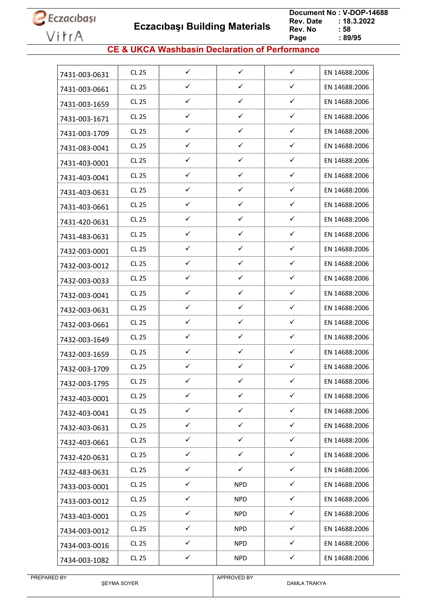**Eczacıbaşı Building Materials**

 **Document No : V-DOP-14688**  $: 18.3.2022$ <br> $: 58$ **Rev. No Page Page : 89/95**

### **CE & UKCA Washbasin Declaration of Performance**

| <b>CL 25</b><br>7431-003-0631 | $\checkmark$ | $\checkmark$ | $\checkmark$ | EN 14688:2006 |
|-------------------------------|--------------|--------------|--------------|---------------|
| CL 25                         | ✓            | ✓            | ✓            | EN 14688:2006 |
| 7431-003-0661<br>CL 25        | ✓            | $\checkmark$ | $\checkmark$ | EN 14688:2006 |
| 7431-003-1659<br><b>CL 25</b> | ✓            | $\checkmark$ | $\checkmark$ | EN 14688:2006 |
| 7431-003-1671                 | ✓            | ✓            | $\checkmark$ |               |
| CL 25<br>7431-003-1709        |              |              |              | EN 14688:2006 |
| CL 25<br>7431-083-0041        | ✓            | ✓            | $\checkmark$ | EN 14688:2006 |
| <b>CL 25</b><br>7431-403-0001 | ✓            | ✓            | $\checkmark$ | EN 14688:2006 |
| CL 25<br>7431-403-0041        | ✓            | $\checkmark$ | ✓            | EN 14688:2006 |
| <b>CL 25</b><br>7431-403-0631 | ✓            | ✓            | ✓            | EN 14688:2006 |
| <b>CL 25</b><br>7431-403-0661 | ✓            | $\checkmark$ | ✓            | EN 14688:2006 |
| CL 25<br>7431-420-0631        | $\checkmark$ | ✓            | $\checkmark$ | EN 14688:2006 |
| <b>CL 25</b><br>7431-483-0631 | ✓            | ✓            | $\checkmark$ | EN 14688:2006 |
| CL 25<br>7432-003-0001        | ✓            | $\checkmark$ | ✓            | EN 14688:2006 |
| <b>CL 25</b><br>7432-003-0012 | ✓            | $\checkmark$ | $\checkmark$ | EN 14688:2006 |
| CL 25<br>7432-003-0033        | ✓            | ✓            | ✓            | EN 14688:2006 |
| CL 25<br>7432-003-0041        | ✓            | ✓            | ✓            | EN 14688:2006 |
| <b>CL 25</b><br>7432-003-0631 | ✓            | ✓            | $\checkmark$ | EN 14688:2006 |
| CL 25<br>7432-003-0661        | ✓            | $\checkmark$ | ✓            | EN 14688:2006 |
| <b>CL 25</b><br>7432-003-1649 | ✓            | $\checkmark$ | ✓            | EN 14688:2006 |
| <b>CL 25</b><br>7432-003-1659 | ✓            | ✓            | ✓            | EN 14688:2006 |
| CL 25<br>7432-003-1709        | ✓            | $\checkmark$ | ✓            | EN 14688:2006 |
| <b>CL 25</b><br>7432-003-1795 | ✓            | ✓            | ✓            | EN 14688:2006 |
| <b>CL 25</b><br>7432-403-0001 | ✓            | ✓            | ✓            | EN 14688:2006 |
| CL 25<br>7432-403-0041        | ✓            | $\checkmark$ | $\checkmark$ | EN 14688:2006 |
| <b>CL 25</b><br>7432-403-0631 | $\checkmark$ | ✓            | $\checkmark$ | EN 14688:2006 |
| <b>CL 25</b><br>7432-403-0661 | $\checkmark$ | $\checkmark$ | $\checkmark$ | EN 14688:2006 |
| <b>CL 25</b><br>7432-420-0631 | $\checkmark$ | $\checkmark$ | $\checkmark$ | EN 14688:2006 |
| CL 25<br>7432-483-0631        | ✓            | $\checkmark$ | ✓            | EN 14688:2006 |
| CL 25<br>7433-003-0001        | $\checkmark$ | <b>NPD</b>   | $\checkmark$ | EN 14688:2006 |
| CL 25<br>7433-003-0012        | ✓            | <b>NPD</b>   | ✓            | EN 14688:2006 |
| <b>CL 25</b><br>7433-403-0001 | $\checkmark$ | <b>NPD</b>   | $\checkmark$ | EN 14688:2006 |
| <b>CL 25</b><br>7434-003-0012 | $\checkmark$ | <b>NPD</b>   | $\checkmark$ | EN 14688:2006 |
| <b>CL 25</b><br>7434-003-0016 | ✓            | <b>NPD</b>   | $\checkmark$ | EN 14688:2006 |
|                               |              |              |              |               |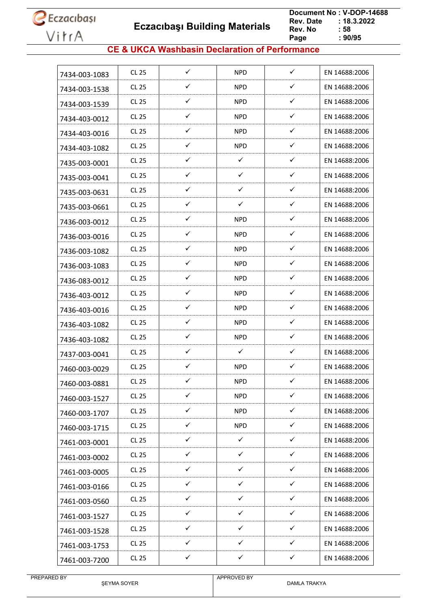**Eczacıbaşı Building Materials**

 **Document No : V-DOP-14688**  $: 18.3.2022$ <br> $: 58$ **Rev. No Page Page : 90/95**

### **CE & UKCA Washbasin Declaration of Performance**

| 7434-003-1083 | <b>CL 25</b> | ✓            | <b>NPD</b>   | $\checkmark$ | EN 14688:2006 |
|---------------|--------------|--------------|--------------|--------------|---------------|
| 7434-003-1538 | <b>CL 25</b> | ✓            | <b>NPD</b>   | ✓            | EN 14688:2006 |
| 7434-003-1539 | CL 25        | ✓            | <b>NPD</b>   | ✓            | EN 14688:2006 |
| 7434-403-0012 | <b>CL 25</b> | ✓            | <b>NPD</b>   | ✓            | EN 14688:2006 |
| 7434-403-0016 | CL 25        | ✓            | NPD.         | $\checkmark$ | EN 14688:2006 |
| 7434-403-1082 | <b>CL 25</b> | ✓            | <b>NPD</b>   | $\checkmark$ | EN 14688:2006 |
| 7435-003-0001 | <b>CL 25</b> | ✓            | ✓            | ✓            | EN 14688:2006 |
| 7435-003-0041 | <b>CL 25</b> | ✓            | ✓            | ✓            | EN 14688:2006 |
| 7435-003-0631 | <b>CL 25</b> | ✓            | ✓            | ✓            | EN 14688:2006 |
| 7435-003-0661 | CL 25        | ✓            | ✓            | $\checkmark$ | EN 14688:2006 |
| 7436-003-0012 | <b>CL 25</b> | ✓            | <b>NPD</b>   | ✓            | EN 14688:2006 |
| 7436-003-0016 | <b>CL 25</b> | ✓            | NPD.         | ✓            | EN 14688:2006 |
| 7436-003-1082 | CL 25        | ✓            | NPD.         | $\checkmark$ | EN 14688:2006 |
| 7436-003-1083 | <b>CL 25</b> | ✓            | <b>NPD</b>   | ✓            | EN 14688:2006 |
| 7436-083-0012 | CL 25        | ✓            | <b>NPD</b>   | ✓            | EN 14688:2006 |
| 7436-403-0012 | <b>CL 25</b> | $\checkmark$ | NPD.         | ✓            | EN 14688:2006 |
| 7436-403-0016 | <b>CL 25</b> | ✓            | <b>NPD</b>   | ✓            | EN 14688:2006 |
| 7436-403-1082 | CL 25        | ✓            | <b>NPD</b>   | $\checkmark$ | EN 14688:2006 |
| 7436-403-1082 | <b>CL 25</b> | ✓            | <b>NPD</b>   | ✓            | EN 14688:2006 |
| 7437-003-0041 | CL 25        | ✓            | ✓            | ✓            | EN 14688:2006 |
| 7460-003-0029 | <b>CL 25</b> | $\checkmark$ | <b>NPD</b>   | $\checkmark$ | EN 14688:2006 |
| 7460-003-0881 | <b>CL 25</b> | ✓            | <b>NPD</b>   | ✓            | EN 14688:2006 |
| 7460-003-1527 | <b>CL 25</b> | $\checkmark$ | <b>NPD</b>   | $\checkmark$ | EN 14688:2006 |
| 7460-003-1707 | <b>CL 25</b> | $\checkmark$ | <b>NPD</b>   | $\checkmark$ | EN 14688:2006 |
| 7460-003-1715 | <b>CL 25</b> | $\checkmark$ | <b>NPD</b>   | $\checkmark$ | EN 14688:2006 |
| 7461-003-0001 | CL 25        | $\checkmark$ | $\checkmark$ | $\checkmark$ | EN 14688:2006 |
| 7461-003-0002 | CL 25        | ✓            | ✓            | ✓            | EN 14688:2006 |
| 7461-003-0005 | <b>CL 25</b> | $\checkmark$ | $\checkmark$ | $\checkmark$ | EN 14688:2006 |
| 7461-003-0166 | CL 25        | $\checkmark$ | $\checkmark$ | $\checkmark$ | EN 14688:2006 |
| 7461-003-0560 | <b>CL 25</b> | ✓            | ✓            | ✓            | EN 14688:2006 |
| 7461-003-1527 | CL 25        | $\checkmark$ | ✓            | $\checkmark$ | EN 14688:2006 |
| 7461-003-1528 | <b>CL 25</b> | $\checkmark$ | ✓            | $\checkmark$ | EN 14688:2006 |
| 7461-003-1753 | CL 25        | $\checkmark$ | $\checkmark$ | $\checkmark$ | EN 14688:2006 |
| 7461-003-7200 | <b>CL 25</b> | $\checkmark$ | $\checkmark$ | $\checkmark$ | EN 14688:2006 |
|               |              |              |              |              |               |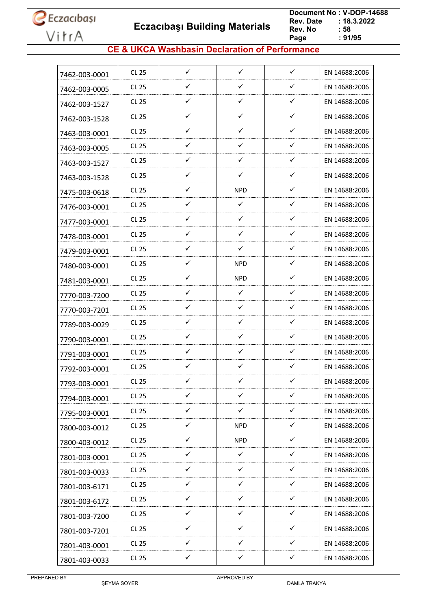**Eczacıbaşı Building Materials**

 **Document No : V-DOP-14688**  $: 18.3.2022$ <br> $: 58$ **Rev. No Page Page : 91/95**

### **CE & UKCA Washbasin Declaration of Performance**

| 7462-003-0001 | <b>CL 25</b> | ✓            | $\checkmark$ | $\checkmark$ | EN 14688:2006 |
|---------------|--------------|--------------|--------------|--------------|---------------|
| 7462-003-0005 | <b>CL 25</b> | ✓            | $\checkmark$ | ✓            | EN 14688:2006 |
| 7462-003-1527 | CL 25        | ✓            | $\checkmark$ | ✓            | EN 14688:2006 |
| 7462-003-1528 | <b>CL 25</b> | ✓            | $\checkmark$ | $\checkmark$ | EN 14688:2006 |
| 7463-003-0001 | <b>CL 25</b> | ✓            | ✓            | ✓            | EN 14688:2006 |
| 7463-003-0005 | CL 25        | ✓            | $\checkmark$ | $\checkmark$ | EN 14688:2006 |
| 7463-003-1527 | <b>CL 25</b> | ✓            | ✓            | ✓            | EN 14688:2006 |
| 7463-003-1528 | CL 25        | ✓            | ✓            | ✓            | EN 14688:2006 |
| 7475-003-0618 | CL 25        | ✓            | <b>NPD</b>   | ✓            | EN 14688:2006 |
| 7476-003-0001 | <b>CL 25</b> | ✓            | $\checkmark$ | ✓            | EN 14688:2006 |
| 7477-003-0001 | CL 25        | ✓            | $\checkmark$ | ✓            | EN 14688:2006 |
| 7478-003-0001 | <b>CL 25</b> | ✓            | $\checkmark$ | $\checkmark$ | EN 14688:2006 |
| 7479-003-0001 | CL 25        | ✓            | ✓            | $\checkmark$ | EN 14688:2006 |
| 7480-003-0001 | <b>CL 25</b> | $\checkmark$ | <b>NPD</b>   | ✓            | EN 14688:2006 |
| 7481-003-0001 | <b>CL 25</b> | ✓            | <b>NPD</b>   | ✓            | EN 14688:2006 |
| 7770-003-7200 | CL 25        | ✓            | $\checkmark$ | ✓            | EN 14688:2006 |
| 7770-003-7201 | <b>CL 25</b> | ✓            | ✓            | ✓            | EN 14688:2006 |
| 7789-003-0029 | CL 25        | ✓            | ✓            | $\checkmark$ | EN 14688:2006 |
| 7790-003-0001 | <b>CL 25</b> | ✓            | $\checkmark$ | ✓            | EN 14688:2006 |
| 7791-003-0001 | <b>CL 25</b> | ✓            | $\checkmark$ | $\checkmark$ | EN 14688:2006 |
| 7792-003-0001 | <b>CL 25</b> | $\checkmark$ | ✓            | ✓            | EN 14688:2006 |
| 7793-003-0001 | <b>CL 25</b> | ✓            | ✓            | ✓            | EN 14688:2006 |
| 7794-003-0001 | <b>CL 25</b> | ✓            | ✓            | ✓            | EN 14688:2006 |
| 7795-003-0001 | <b>CL 25</b> | $\checkmark$ | $\checkmark$ | ✓            | EN 14688:2006 |
| 7800-003-0012 | <b>CL 25</b> | $\checkmark$ | <b>NPD</b>   | $\checkmark$ | EN 14688:2006 |
| 7800-403-0012 | CL 25        | $\checkmark$ | <b>NPD</b>   | $\checkmark$ | EN 14688:2006 |
| 7801-003-0001 | CL 25        | $\checkmark$ | $\checkmark$ | $\checkmark$ | EN 14688:2006 |
| 7801-003-0033 | CL 25        | $\checkmark$ | $\checkmark$ | $\checkmark$ | EN 14688:2006 |
| 7801-003-6171 | <b>CL 25</b> | $\checkmark$ | $\checkmark$ | $\checkmark$ | EN 14688:2006 |
| 7801-003-6172 | <b>CL 25</b> | ✓            | ✓            | ✓            | EN 14688:2006 |
| 7801-003-7200 | CL 25        | ✓            | ✓            | ✓            | EN 14688:2006 |
| 7801-003-7201 | CL 25        | $\checkmark$ | $\checkmark$ | $\checkmark$ | EN 14688:2006 |
| 7801-403-0001 | <b>CL 25</b> | ✓            | $\checkmark$ | ✓            | EN 14688:2006 |
| 7801-403-0033 | <b>CL 25</b> | $\checkmark$ | $\checkmark$ | $\checkmark$ | EN 14688:2006 |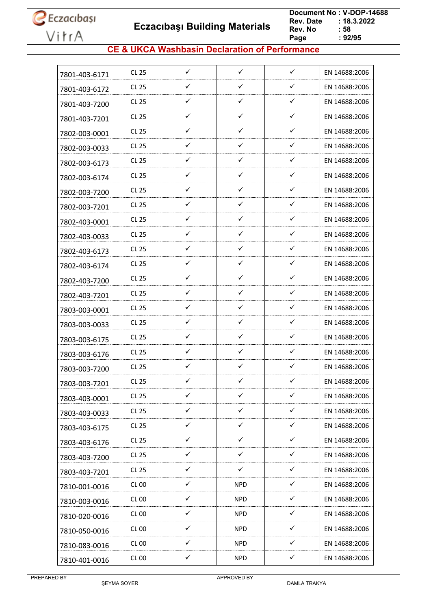**Eczacıbaşı Building Materials**

 **Document No : V-DOP-14688**  $: 18.3.2022$ <br> $: 58$ **Rev. No Page Page : 92/95**

### **CE & UKCA Washbasin Declaration of Performance**

| 7801-403-6171 | <b>CL 25</b> | ✓            | $\checkmark$ | $\checkmark$ | EN 14688:2006 |
|---------------|--------------|--------------|--------------|--------------|---------------|
| 7801-403-6172 | <b>CL 25</b> | ✓            | $\checkmark$ | ✓            | EN 14688:2006 |
| 7801-403-7200 | CL 25        | ✓            | $\checkmark$ | $\checkmark$ | EN 14688:2006 |
| 7801-403-7201 | <b>CL 25</b> | ✓            | $\checkmark$ | $\checkmark$ | EN 14688:2006 |
| 7802-003-0001 | <b>CL 25</b> | ✓            | ✓            | ✓            | EN 14688:2006 |
| 7802-003-0033 | CL 25        | ✓            | $\checkmark$ | $\checkmark$ | EN 14688:2006 |
| 7802-003-6173 | <b>CL 25</b> | ✓            | $\checkmark$ | $\checkmark$ | EN 14688:2006 |
| 7802-003-6174 | CL 25        | ✓            | ✓            | ✓            | EN 14688:2006 |
| 7802-003-7200 | CL 25        | ✓            | $\checkmark$ | $\checkmark$ | EN 14688:2006 |
| 7802-003-7201 | <b>CL 25</b> | ✓            | $\checkmark$ | $\checkmark$ | EN 14688:2006 |
| 7802-403-0001 | CL 25        | ✓            | $\checkmark$ | $\checkmark$ | EN 14688:2006 |
| 7802-403-0033 | <b>CL 25</b> | ✓            | $\checkmark$ | $\checkmark$ | EN 14688:2006 |
| 7802-403-6173 | CL 25        | ✓            | $\checkmark$ | $\checkmark$ | EN 14688:2006 |
| 7802-403-6174 | <b>CL 25</b> | $\checkmark$ | $\checkmark$ | $\checkmark$ | EN 14688:2006 |
| 7802-403-7200 | <b>CL 25</b> | ✓            | ✓            | ✓            | EN 14688:2006 |
| 7802-403-7201 | CL 25        | ✓            | ✓            | ✓            | EN 14688:2006 |
| 7803-003-0001 | <b>CL 25</b> | ✓            | $\checkmark$ | ✓            | EN 14688:2006 |
| 7803-003-0033 | CL 25        | ✓            | ✓            | ✓            | EN 14688:2006 |
| 7803-003-6175 | <b>CL 25</b> | ✓            | $\checkmark$ | $\checkmark$ | EN 14688:2006 |
| 7803-003-6176 | <b>CL 25</b> | ✓            | $\checkmark$ | $\checkmark$ | EN 14688:2006 |
| 7803-003-7200 | <b>CL 25</b> | $\checkmark$ | ✓            | ✓            | EN 14688:2006 |
| 7803-003-7201 | <b>CL 25</b> | ✓            | ✓            | ✓            | EN 14688:2006 |
| 7803-403-0001 | <b>CL 25</b> | ✓            | ✓            | ✓            | EN 14688:2006 |
| 7803-403-0033 | CL 25        | $\checkmark$ | $\checkmark$ | $\checkmark$ | EN 14688:2006 |
| 7803-403-6175 | <b>CL 25</b> | $\checkmark$ | $\checkmark$ | $\checkmark$ | EN 14688:2006 |
| 7803-403-6176 | CL 25        | $\checkmark$ | $\checkmark$ | $\checkmark$ | EN 14688:2006 |
| 7803-403-7200 | CL 25        | $\checkmark$ | $\checkmark$ | $\checkmark$ | EN 14688:2006 |
| 7803-403-7201 | CL 25        | $\checkmark$ | ✓            | $\checkmark$ | EN 14688:2006 |
| 7810-001-0016 | CL00         | $\checkmark$ | <b>NPD</b>   | $\checkmark$ | EN 14688:2006 |
| 7810-003-0016 | <b>CL 00</b> | ✓            | <b>NPD</b>   | ✓            | EN 14688:2006 |
| 7810-020-0016 | CL 00        | ✓            | <b>NPD</b>   | ✓            | EN 14688:2006 |
| 7810-050-0016 | <b>CL 00</b> | $\checkmark$ | <b>NPD</b>   | $\checkmark$ | EN 14688:2006 |
| 7810-083-0016 | CL 00        | ✓            | <b>NPD</b>   | $\checkmark$ | EN 14688:2006 |
| 7810-401-0016 | <b>CL 00</b> | $\checkmark$ | <b>NPD</b>   | $\checkmark$ | EN 14688:2006 |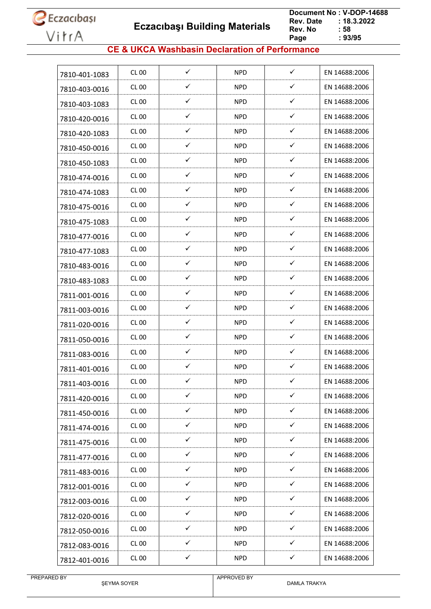**Eczacıbaşı Building Materials**

 **Document No : V-DOP-14688**  $: 18.3.2022$ <br> $: 58$ **Rev. No Page Page : 93/95**

### **CE & UKCA Washbasin Declaration of Performance**

| 7810-401-1083 | CL 00            | ✓            | <b>NPD</b> | $\checkmark$ | EN 14688:2006 |
|---------------|------------------|--------------|------------|--------------|---------------|
| 7810-403-0016 | CL 00            | ✓            | <b>NPD</b> | ✓            | EN 14688:2006 |
| 7810-403-1083 | CL 00            | ✓            | <b>NPD</b> | $\checkmark$ | EN 14688:2006 |
| 7810-420-0016 | CL 00            | ✓            | <b>NPD</b> | $\checkmark$ | EN 14688:2006 |
| 7810-420-1083 | CL 00            | ✓            | NPD.       | $\checkmark$ | EN 14688:2006 |
| 7810-450-0016 | CL 00            | ✓            | <b>NPD</b> | $\checkmark$ | EN 14688:2006 |
| 7810-450-1083 | CL 00            | ✓            | <b>NPD</b> | ✓            | EN 14688:2006 |
| 7810-474-0016 | CL 00            | ✓            | <b>NPD</b> | ✓            | EN 14688:2006 |
| 7810-474-1083 | CL 00            | ✓            | <b>NPD</b> | ✓            | EN 14688:2006 |
| 7810-475-0016 | CL 00            | ✓            | NPD.       | $\checkmark$ | EN 14688:2006 |
| 7810-475-1083 | <b>CL 00</b>     | $\checkmark$ | <b>NPD</b> | $\checkmark$ | EN 14688:2006 |
| 7810-477-0016 | CL 00            | ✓            | NPD.       | ✓            | EN 14688:2006 |
| 7810-477-1083 | CL 00            | ✓            | NPD.       | $\checkmark$ | EN 14688:2006 |
| 7810-483-0016 | CL 00            | ✓            | NPD.       | $\checkmark$ | EN 14688:2006 |
| 7810-483-1083 | <b>CL 00</b>     | ✓            | <b>NPD</b> | ✓            | EN 14688:2006 |
| 7811-001-0016 | CL 00            | $\checkmark$ | NPD.       | $\checkmark$ | EN 14688:2006 |
| 7811-003-0016 | CL 00            | ✓            | <b>NPD</b> | $\checkmark$ | EN 14688:2006 |
| 7811-020-0016 | CL 00            | ✓            | <b>NPD</b> | $\checkmark$ | EN 14688:2006 |
| 7811-050-0016 | CL <sub>00</sub> | ✓            | <b>NPD</b> | $\checkmark$ | EN 14688:2006 |
| 7811-083-0016 | CL 00            | ✓            | <b>NPD</b> | ✓            | EN 14688:2006 |
| 7811-401-0016 | CL 00            | $\checkmark$ | <b>NPD</b> | ✓            | EN 14688:2006 |
| 7811-403-0016 | <b>CL 00</b>     | ✓            | <b>NPD</b> | ✓            | EN 14688:2006 |
| 7811-420-0016 | <b>CL 00</b>     | $\checkmark$ | <b>NPD</b> | $\checkmark$ | EN 14688:2006 |
| 7811-450-0016 | <b>CL 00</b>     | $\checkmark$ | <b>NPD</b> | $\checkmark$ | EN 14688:2006 |
| 7811-474-0016 | <b>CL 00</b>     | $\checkmark$ | <b>NPD</b> | $\checkmark$ | EN 14688:2006 |
| 7811-475-0016 | <b>CL 00</b>     | $\checkmark$ | <b>NPD</b> | $\checkmark$ | EN 14688:2006 |
| 7811-477-0016 | <b>CL 00</b>     | ✓            | <b>NPD</b> | $\checkmark$ | EN 14688:2006 |
| 7811-483-0016 | <b>CL 00</b>     | $\checkmark$ | <b>NPD</b> | $\checkmark$ | EN 14688:2006 |
| 7812-001-0016 | <b>CL 00</b>     | $\checkmark$ | <b>NPD</b> | ✓            | EN 14688:2006 |
| 7812-003-0016 | <b>CL 00</b>     | ✓            | <b>NPD</b> | ✓            | EN 14688:2006 |
| 7812-020-0016 | <b>CL 00</b>     | $\checkmark$ | <b>NPD</b> | $\checkmark$ | EN 14688:2006 |
| 7812-050-0016 | <b>CL 00</b>     | $\checkmark$ | <b>NPD</b> | $\checkmark$ | EN 14688:2006 |
| 7812-083-0016 | <b>CL 00</b>     | $\checkmark$ | <b>NPD</b> | $\checkmark$ | EN 14688:2006 |
| 7812-401-0016 | <b>CL 00</b>     | $\checkmark$ | <b>NPD</b> | $\checkmark$ | EN 14688:2006 |
|               |                  |              |            |              |               |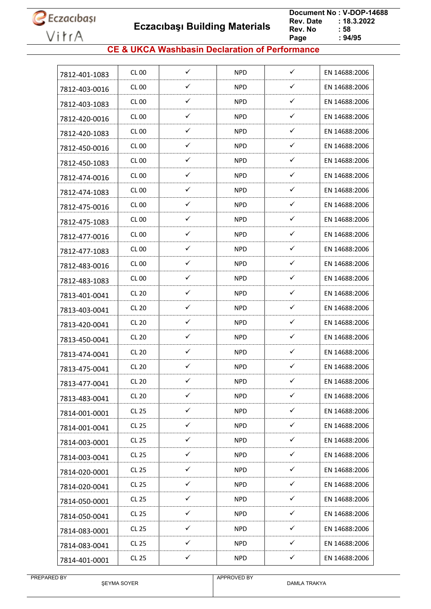**Eczacıbaşı Building Materials**

 **Document No : V-DOP-14688**  $: 18.3.2022$ <br> $: 58$ **Rev. No Page Page : 94/95**

### **CE & UKCA Washbasin Declaration of Performance**

| 7812-401-1083 | CL 00            | ✓            | <b>NPD</b> | ✓            | EN 14688:2006 |
|---------------|------------------|--------------|------------|--------------|---------------|
| 7812-403-0016 | <b>CL 00</b>     | ✓            | <b>NPD</b> | ✓            | EN 14688:2006 |
| 7812-403-1083 | CL 00            | ✓            | NPD.       | ✓            | EN 14688:2006 |
| 7812-420-0016 | CL 00            | ✓            | <b>NPD</b> | ✓            | EN 14688:2006 |
| 7812-420-1083 | CL 00            | ✓            | <b>NPD</b> | ✓            | EN 14688:2006 |
| 7812-450-0016 | CL <sub>00</sub> | ✓            | <b>NPD</b> | ✓            | EN 14688:2006 |
| 7812-450-1083 | <b>CL 00</b>     | ✓            | <b>NPD</b> | $\checkmark$ | EN 14688:2006 |
| 7812-474-0016 | CL 00            | $\checkmark$ | NPD.       | ✓            | EN 14688:2006 |
| 7812-474-1083 | CL 00            | ✓            | <b>NPD</b> | ✓            | EN 14688:2006 |
| 7812-475-0016 | CL 00            | ✓            | NPD.       | ✓            | EN 14688:2006 |
| 7812-475-1083 | CL 00            | ✓            | NPD        | ✓            | EN 14688:2006 |
| 7812-477-0016 | <b>CL 00</b>     | ✓            | <b>NPD</b> | ✓            | EN 14688:2006 |
| 7812-477-1083 | CL 00            | ✓            | NPD.       | ✓            | EN 14688:2006 |
| 7812-483-0016 | CL 00            | ✓            | <b>NPD</b> | ✓            | EN 14688:2006 |
| 7812-483-1083 | CL 00            | $\checkmark$ | NPD.       | $\checkmark$ | EN 14688:2006 |
| 7813-401-0041 | <b>CL 20</b>     | ✓            | <b>NPD</b> | ✓            | EN 14688:2006 |
| 7813-403-0041 | <b>CL 20</b>     | ✓            | NPD.       | $\checkmark$ | EN 14688:2006 |
| 7813-420-0041 | CL 20            | $\checkmark$ | NPD        | $\checkmark$ | EN 14688:2006 |
| 7813-450-0041 | <b>CL 20</b>     | ✓            | <b>NPD</b> | ✓            | EN 14688:2006 |
| 7813-474-0041 | <b>CL 20</b>     | ✓            | NPD.       | ✓            | EN 14688:2006 |
| 7813-475-0041 | <b>CL 20</b>     | ✓            | <b>NPD</b> | ✓            | EN 14688:2006 |
| 7813-477-0041 | <b>CL 20</b>     | ✓            | <b>NPD</b> | ✓            | EN 14688:2006 |
| 7813-483-0041 | <b>CL 20</b>     | $\checkmark$ | <b>NPD</b> | $\checkmark$ | EN 14688:2006 |
| 7814-001-0001 | CL 25            | $\checkmark$ | NPD.       | $\checkmark$ | EN 14688:2006 |
| 7814-001-0041 | CL 25            | $\checkmark$ | <b>NPD</b> | $\checkmark$ | EN 14688:2006 |
| 7814-003-0001 | CL 25            | $\checkmark$ | <b>NPD</b> | $\checkmark$ | EN 14688:2006 |
| 7814-003-0041 | CL 25            | ✓            | <b>NPD</b> | ✓            | EN 14688:2006 |
| 7814-020-0001 | CL 25            | $\checkmark$ | <b>NPD</b> | $\checkmark$ | EN 14688:2006 |
| 7814-020-0041 | CL 25            | $\checkmark$ | NPD.       | $\checkmark$ | EN 14688:2006 |
| 7814-050-0001 | CL 25            | ✓            | <b>NPD</b> | $\checkmark$ | EN 14688:2006 |
| 7814-050-0041 | CL 25            | ✓            | <b>NPD</b> | ✓            | EN 14688:2006 |
| 7814-083-0001 | CL 25            | $\checkmark$ | <b>NPD</b> | $\checkmark$ | EN 14688:2006 |
| 7814-083-0041 | CL 25            | $\checkmark$ | <b>NPD</b> | $\checkmark$ | EN 14688:2006 |
| 7814-401-0001 | <b>CL 25</b>     | $\checkmark$ | <b>NPD</b> | $\checkmark$ | EN 14688:2006 |
|               |                  |              |            |              |               |